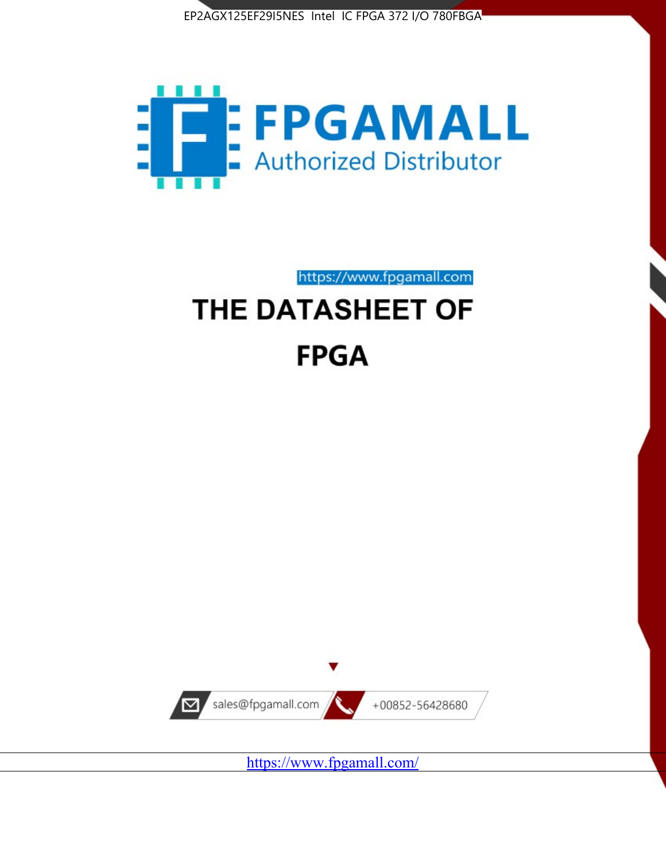



https://www.fpgamall.com

# THE DATASHEET OF **FPGA**



<https://www.fpgamall.com/>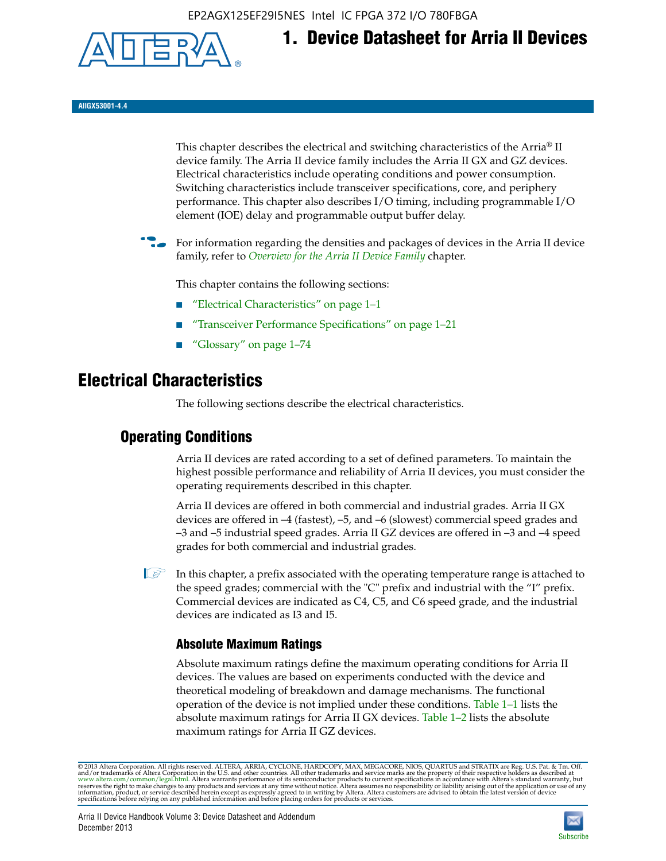EP2AGX125EF29I5NES Intel IC FPGA 372 I/O 780FBGA



# **1. Device Datasheet for Arria II Devices**

**AIIGX53001-4.4**

This chapter describes the electrical and switching characteristics of the Arria® II device family. The Arria II device family includes the Arria II GX and GZ devices. Electrical characteristics include operating conditions and power consumption. Switching characteristics include transceiver specifications, core, and periphery performance. This chapter also describes I/O timing, including programmable I/O element (IOE) delay and programmable output buffer delay.

For information regarding the densities and packages of devices in the Arria II device family, refer to *[Overview for the Arria II Device Family](http://www.altera.com/literature/hb/arria-ii-gx/aiigx_51001.pdf)* chapter.

This chapter contains the following sections:

- *"Electrical Characteristics"* on page 1–1
- "Transceiver Performance Specifications" on page 1–21
- "Glossary" on page 1–74

# **Electrical Characteristics**

The following sections describe the electrical characteristics.

# **Operating Conditions**

Arria II devices are rated according to a set of defined parameters. To maintain the highest possible performance and reliability of Arria II devices, you must consider the operating requirements described in this chapter.

Arria II devices are offered in both commercial and industrial grades. Arria II GX devices are offered in –4 (fastest), –5, and –6 (slowest) commercial speed grades and –3 and –5 industrial speed grades. Arria II GZ devices are offered in –3 and –4 speed grades for both commercial and industrial grades.

 $\Box$  In this chapter, a prefix associated with the operating temperature range is attached to the speed grades; commercial with the "C" prefix and industrial with the "I" prefix. Commercial devices are indicated as C4, C5, and C6 speed grade, and the industrial devices are indicated as I3 and I5.

# **Absolute Maximum Ratings**

Absolute maximum ratings define the maximum operating conditions for Arria II devices. The values are based on experiments conducted with the device and theoretical modeling of breakdown and damage mechanisms. The functional operation of the device is not implied under these conditions. Table 1–1 lists the absolute maximum ratings for Arria II GX devices. Table 1–2 lists the absolute maximum ratings for Arria II GZ devices.

© 2013 Altera Corporation. All rights reserved. ALTERA, ARRIA, CYCLONE, HARDCOPY, MAX, MEGACORE, NIOS, QUARTUS and STRATIX are Reg. U.S. Pat. & Tm. Off. [and/or trademarks of Altera Corporat](http://www.altera.com/common/legal.html)ion in the U.S. and other countri

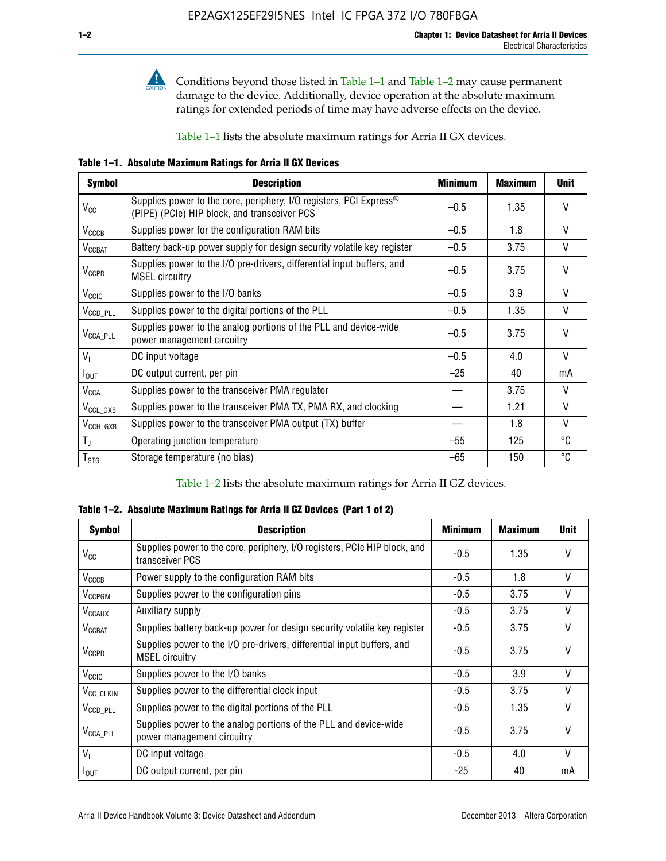

Conditions beyond those listed in Table  $1-1$  and Table  $1-2$  may cause permanent damage to the device. Additionally, device operation at the absolute maximum ratings for extended periods of time may have adverse effects on the device.

Table 1–1 lists the absolute maximum ratings for Arria II GX devices.

**Table 1–1. Absolute Maximum Ratings for Arria II GX Devices** 

| <b>Symbol</b>          | <b>Description</b>                                                                                                             | <b>Minimum</b> | <b>Maximum</b> | <b>Unit</b>  |
|------------------------|--------------------------------------------------------------------------------------------------------------------------------|----------------|----------------|--------------|
| $V_{\rm CC}$           | Supplies power to the core, periphery, I/O registers, PCI Express <sup>®</sup><br>(PIPE) (PCIe) HIP block, and transceiver PCS | $-0.5$         | 1.35           | $\vee$       |
| $V_{\text{CCCB}}$      | Supplies power for the configuration RAM bits                                                                                  | $-0.5$         | 1.8            | $\vee$       |
| $V_{\text{CCBAT}}$     | Battery back-up power supply for design security volatile key register                                                         | $-0.5$         | 3.75           | V            |
| $V_{CCPD}$             | Supplies power to the I/O pre-drivers, differential input buffers, and<br><b>MSEL circuitry</b>                                | $-0.5$         | 3.75           | $\mathsf{V}$ |
| V <sub>CCIO</sub>      | Supplies power to the I/O banks                                                                                                | $-0.5$         | 3.9            | $\mathsf{V}$ |
| V <sub>CCD_PLL</sub>   | Supplies power to the digital portions of the PLL                                                                              | $-0.5$         | 1.35           | $\vee$       |
| $V_{\text{CCA\_PLL}}$  | Supplies power to the analog portions of the PLL and device-wide<br>power management circuitry                                 | $-0.5$         | 3.75           | $\mathsf{V}$ |
| $V_1$                  | DC input voltage                                                                                                               | $-0.5$         | 4.0            | $\mathsf{V}$ |
| $I_{\text{OUT}}$       | DC output current, per pin                                                                                                     | $-25$          | 40             | mA           |
| <b>V<sub>CCA</sub></b> | Supplies power to the transceiver PMA regulator                                                                                |                | 3.75           | $\vee$       |
| $V_{CCL_GXB}$          | Supplies power to the transceiver PMA TX, PMA RX, and clocking                                                                 |                | 1.21           | $\mathsf{V}$ |
| $V_{\text{CCH_GXB}}$   | Supplies power to the transceiver PMA output (TX) buffer                                                                       |                | 1.8            | $\vee$       |
| $T_{\rm J}$            | Operating junction temperature                                                                                                 | $-55$          | 125            | ℃            |
| $T_{\tt STG}$          | Storage temperature (no bias)                                                                                                  | -65            | 150            | °C           |

Table 1–2 lists the absolute maximum ratings for Arria II GZ devices.

**Table 1–2. Absolute Maximum Ratings for Arria II GZ Devices (Part 1 of 2)**

| <b>Symbol</b>            | <b>Description</b>                                                                              | <b>Minimum</b> | <b>Maximum</b> | <b>Unit</b>  |
|--------------------------|-------------------------------------------------------------------------------------------------|----------------|----------------|--------------|
| $V_{CC}$                 | Supplies power to the core, periphery, I/O registers, PCIe HIP block, and<br>transceiver PCS    | $-0.5$         | 1.35           | $\mathsf{V}$ |
| $V_{CCCB}$               | Power supply to the configuration RAM bits                                                      | $-0.5$         | 1.8            | $\vee$       |
| V <sub>CCPGM</sub>       | Supplies power to the configuration pins                                                        | $-0.5$         | 3.75           | $\vee$       |
| <b>V<sub>CCAUX</sub></b> | Auxiliary supply                                                                                | $-0.5$         | 3.75           | $\vee$       |
| <b>V<sub>CCBAT</sub></b> | Supplies battery back-up power for design security volatile key register                        | $-0.5$         | 3.75           | V            |
| <b>V<sub>CCPD</sub></b>  | Supplies power to the I/O pre-drivers, differential input buffers, and<br><b>MSEL circuitry</b> | $-0.5$         | 3.75           | $\mathsf{V}$ |
| V <sub>CCIO</sub>        | Supplies power to the I/O banks                                                                 | $-0.5$         | 3.9            | $\mathsf{V}$ |
| $V_{\rm CC\_CLKIN}$      | Supplies power to the differential clock input                                                  | $-0.5$         | 3.75           | V            |
| $V_{\text{CCD\_PLL}}$    | Supplies power to the digital portions of the PLL                                               | $-0.5$         | 1.35           | $\vee$       |
| V <sub>CCA_PLL</sub>     | Supplies power to the analog portions of the PLL and device-wide<br>power management circuitry  | $-0.5$         | 3.75           | $\mathsf{V}$ |
| $V_{1}$                  | DC input voltage                                                                                | $-0.5$         | 4.0            | $\vee$       |
| $I_{\text{OUT}}$         | DC output current, per pin                                                                      | $-25$          | 40             | mA           |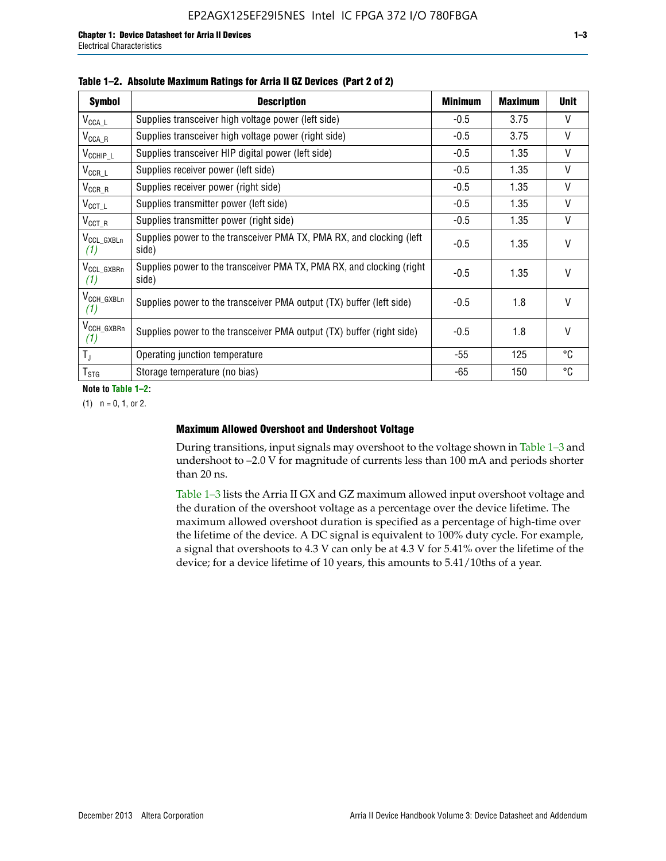| <b>Symbol</b>                  | <b>Description</b>                                                              | <b>Minimum</b> | <b>Maximum</b> | <b>Unit</b>  |
|--------------------------------|---------------------------------------------------------------------------------|----------------|----------------|--------------|
| $V_{\mathsf{CCA}\_\mathsf{L}}$ | Supplies transceiver high voltage power (left side)                             | $-0.5$         | 3.75           | V            |
| $V_{\mathsf{CCA}\_R}$          | Supplies transceiver high voltage power (right side)                            | $-0.5$         | 3.75           | V            |
| $V_{CCHIP\_L}$                 | Supplies transceiver HIP digital power (left side)                              | $-0.5$         | 1.35           | V            |
| $V_{CCR\_L}$                   | Supplies receiver power (left side)                                             | $-0.5$         | 1.35           | $\mathsf{V}$ |
| $V_{CCR\_R}$                   | Supplies receiver power (right side)                                            | $-0.5$         | 1.35           | $\mathsf{V}$ |
| $V_{CCT\_L}$                   | Supplies transmitter power (left side)                                          | $-0.5$         | 1.35           | $\vee$       |
| $V_{CCT_R}$                    | Supplies transmitter power (right side)                                         | $-0.5$         | 1.35           | V            |
| V <sub>CCL GXBLn</sub><br>(1)  | Supplies power to the transceiver PMA TX, PMA RX, and clocking (left)<br>side)  | $-0.5$         | 1.35           | $\vee$       |
| V <sub>CCL_GXBRn</sub><br>(1)  | Supplies power to the transceiver PMA TX, PMA RX, and clocking (right)<br>side) | $-0.5$         | 1.35           | $\vee$       |
| V <sub>CCH_GXBLn</sub><br>(1)  | Supplies power to the transceiver PMA output (TX) buffer (left side)            | $-0.5$         | 1.8            | $\mathsf{V}$ |
| V <sub>CCH_GXBRn</sub><br>(1)  | Supplies power to the transceiver PMA output (TX) buffer (right side)           | $-0.5$         | 1.8            | $\vee$       |
| $T_{\rm J}$                    | Operating junction temperature                                                  | -55            | 125            | °C           |
| $T_{\tt STG}$                  | Storage temperature (no bias)                                                   | -65            | 150            | ℃            |

**Note to Table 1–2:**

 $(1)$   $n = 0, 1,$  or 2.

#### **Maximum Allowed Overshoot and Undershoot Voltage**

During transitions, input signals may overshoot to the voltage shown in Table 1–3 and undershoot to –2.0 V for magnitude of currents less than 100 mA and periods shorter than 20 ns.

Table 1–3 lists the Arria II GX and GZ maximum allowed input overshoot voltage and the duration of the overshoot voltage as a percentage over the device lifetime. The maximum allowed overshoot duration is specified as a percentage of high-time over the lifetime of the device. A DC signal is equivalent to 100% duty cycle. For example, a signal that overshoots to 4.3 V can only be at 4.3 V for 5.41% over the lifetime of the device; for a device lifetime of 10 years, this amounts to 5.41/10ths of a year.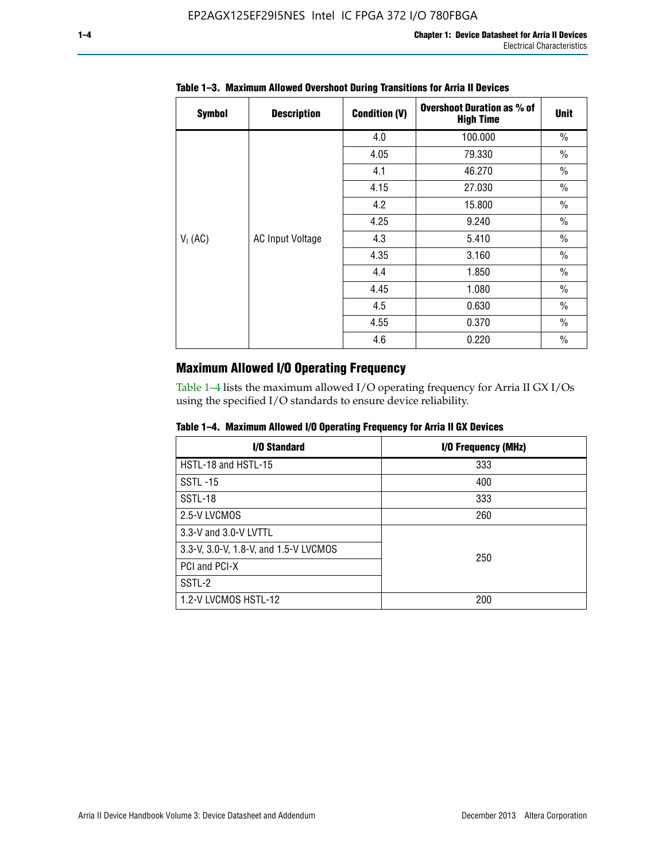| <b>Symbol</b> | <b>Description</b>      | <b>Condition (V)</b> | <b>Overshoot Duration as % of</b><br><b>High Time</b> | <b>Unit</b>   |
|---------------|-------------------------|----------------------|-------------------------------------------------------|---------------|
|               |                         | 4.0                  | 100.000                                               | $\frac{0}{0}$ |
|               |                         | 4.05                 | 79.330                                                | $\frac{0}{0}$ |
|               |                         | 4.1                  | 46.270                                                | $\frac{0}{0}$ |
|               |                         | 4.15                 | 27.030                                                | $\frac{0}{0}$ |
|               | <b>AC Input Voltage</b> | 4.2                  | 15.800                                                | $\frac{0}{0}$ |
|               |                         | 4.25                 | 9.240                                                 | $\frac{0}{0}$ |
| $V_1$ (AC)    |                         | 4.3                  | 5.410                                                 | $\frac{0}{0}$ |
|               |                         | 4.35                 | 3.160                                                 | $\frac{0}{0}$ |
|               |                         | 4.4                  | 1.850                                                 | $\frac{0}{0}$ |
|               |                         | 4.45                 | 1.080                                                 | $\frac{0}{0}$ |
|               |                         | 4.5                  | 0.630                                                 | $\frac{0}{0}$ |
|               |                         | 4.55                 | 0.370                                                 | $\frac{0}{0}$ |
|               |                         | 4.6                  | 0.220                                                 | $\frac{0}{0}$ |

# **Table 1–3. Maximum Allowed Overshoot During Transitions for Arria II Devices**

# **Maximum Allowed I/O Operating Frequency**

Table 1–4 lists the maximum allowed I/O operating frequency for Arria II GX I/Os using the specified I/O standards to ensure device reliability.

|  | Table 1–4. Maximum Allowed I/O Operating Frequency for Arria II GX Devices |  |  |  |  |
|--|----------------------------------------------------------------------------|--|--|--|--|
|--|----------------------------------------------------------------------------|--|--|--|--|

| <b>I/O Standard</b>                   | I/O Frequency (MHz) |
|---------------------------------------|---------------------|
| HSTL-18 and HSTL-15                   | 333                 |
| <b>SSTL-15</b>                        | 400                 |
| SSTL-18                               | 333                 |
| 2.5-V LVCMOS                          | 260                 |
| 3.3-V and 3.0-V LVTTL                 |                     |
| 3.3-V, 3.0-V, 1.8-V, and 1.5-V LVCMOS | 250                 |
| PCI and PCI-X                         |                     |
| SSTL-2                                |                     |
| 1.2-V LVCMOS HSTL-12                  | 200                 |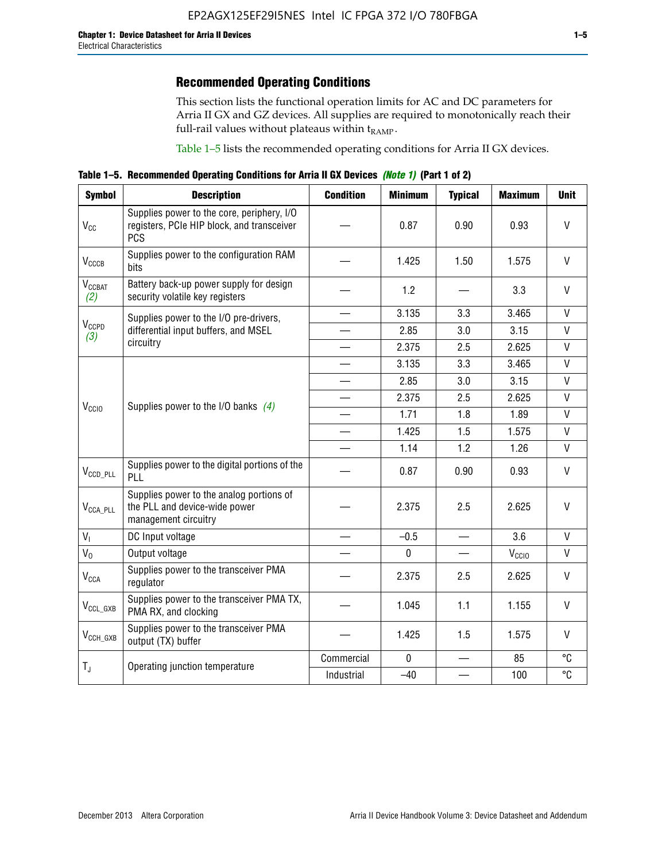# **Recommended Operating Conditions**

This section lists the functional operation limits for AC and DC parameters for Arria II GX and GZ devices. All supplies are required to monotonically reach their full-rail values without plateaus within  $t_{RAMP}$ .

Table 1–5 lists the recommended operating conditions for Arria II GX devices.

**Table 1–5. Recommended Operating Conditions for Arria II GX Devices** *(Note 1)* **(Part 1 of 2)**

| <b>Symbol</b>                      | <b>Description</b>                                                                                     | <b>Condition</b>         | <b>Minimum</b> | <b>Typical</b> | <b>Maximum</b>    | <b>Unit</b>  |
|------------------------------------|--------------------------------------------------------------------------------------------------------|--------------------------|----------------|----------------|-------------------|--------------|
| $V_{CC}$                           | Supplies power to the core, periphery, I/O<br>registers, PCIe HIP block, and transceiver<br><b>PCS</b> |                          | 0.87           | 0.90           | 0.93              | V            |
| $V_{CCCB}$                         | Supplies power to the configuration RAM<br>bits                                                        |                          | 1.425          | 1.50           | 1.575             | V            |
| $\mathsf{V}_{\text{CCBAT}}$<br>(2) | Battery back-up power supply for design<br>security volatile key registers                             |                          | 1.2            |                | 3.3               | $\vee$       |
|                                    | Supplies power to the I/O pre-drivers,                                                                 | $\qquad \qquad$          | 3.135          | 3.3            | 3.465             | $\mathsf{V}$ |
| $V_{CCPD}$<br>(3)                  | differential input buffers, and MSEL                                                                   |                          | 2.85           | 3.0            | 3.15              | $\mathsf{V}$ |
|                                    | circuitry                                                                                              | $\overline{\phantom{0}}$ | 2.375          | 2.5            | 2.625             | $\mathsf{V}$ |
|                                    |                                                                                                        |                          | 3.135          | 3.3            | 3.465             | $\mathsf{V}$ |
|                                    | Supplies power to the I/O banks $(4)$                                                                  |                          | 2.85           | 3.0            | 3.15              | $\mathsf{V}$ |
|                                    |                                                                                                        |                          | 2.375          | 2.5            | 2.625             | $\mathsf{V}$ |
| $V_{CCIO}$                         |                                                                                                        | $\overline{\phantom{a}}$ | 1.71           | 1.8            | 1.89              | $\mathsf{V}$ |
|                                    |                                                                                                        |                          | 1.425          | 1.5            | 1.575             | V            |
|                                    |                                                                                                        |                          | 1.14           | 1.2            | 1.26              | $\mathsf{V}$ |
| $V_{CCD\_PLL}$                     | Supplies power to the digital portions of the<br>PLL                                                   |                          | 0.87           | 0.90           | 0.93              | $\mathsf{V}$ |
| $V_{\text{CCA\_PLL}}$              | Supplies power to the analog portions of<br>the PLL and device-wide power<br>management circuitry      |                          | 2.375          | 2.5            | 2.625             | V            |
| $V_{I}$                            | DC Input voltage                                                                                       |                          | $-0.5$         |                | 3.6               | V            |
| $V_0$                              | Output voltage                                                                                         |                          | $\pmb{0}$      |                | V <sub>CCIO</sub> | V            |
| $V_{\text{CCA}}$                   | Supplies power to the transceiver PMA<br>regulator                                                     |                          | 2.375          | 2.5            | 2.625             | $\mathsf{V}$ |
| $V_{CCL_GXB}$                      | Supplies power to the transceiver PMA TX,<br>PMA RX, and clocking                                      |                          | 1.045          | 1.1            | 1.155             | V            |
| $V_{CCH_GXB}$                      | Supplies power to the transceiver PMA<br>output (TX) buffer                                            |                          | 1.425          | 1.5            | 1.575             | V            |
|                                    |                                                                                                        | Commercial               | $\mathbf{0}$   |                | 85                | °C           |
| $T_{J}$                            | Operating junction temperature                                                                         | Industrial               | $-40$          |                | 100               | °C           |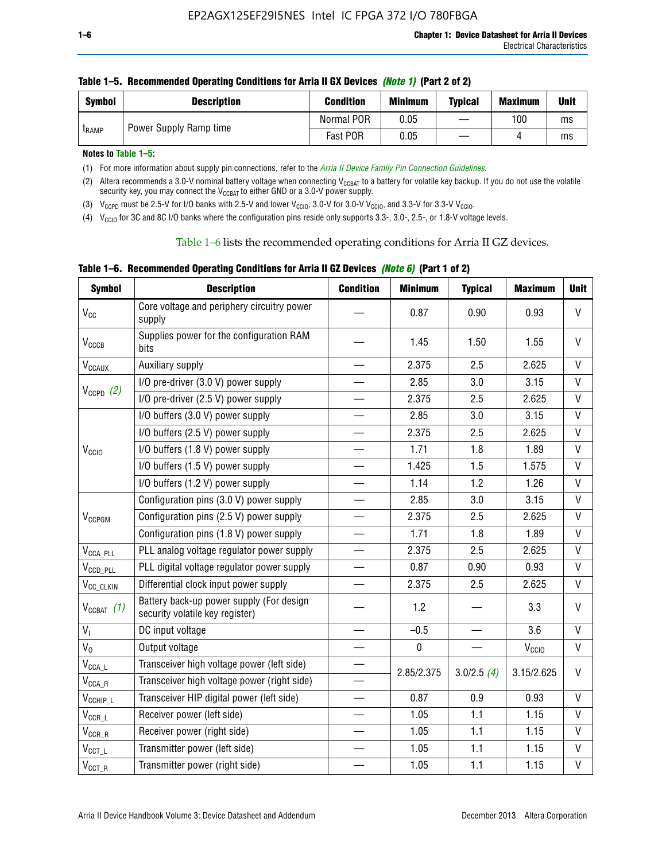| <b>Symbol</b> | <b>Description</b>     | <b>Condition</b> | <b>Minimum</b> | <b>Typical</b> | <b>Maximum</b> | <b>Unit</b> |
|---------------|------------------------|------------------|----------------|----------------|----------------|-------------|
| <b>LRAMP</b>  | Power Supply Ramp time | Normal POR       | 0.05           |                | 100            | ms          |
|               |                        | Fast POR         | 0.05           |                |                | ms          |

**Notes to Table 1–5:** 

(1) For more information about supply pin connections, refer to the *[Arria II Device Family Pin Connection Guidelines](http://www.altera.com/literature/dp/arria-ii-gx/PCG-01007.pdf)*.

(2) Altera recommends a 3.0-V nominal battery voltage when connecting V<sub>CCBAT</sub> to a battery for volatile key backup. If you do not use the volatile security key, you may connect the V<sub>CCBAT</sub> to either GND or a 3.0-V power supply.

(3)  $V_{CCPD}$  must be 2.5-V for I/O banks with 2.5-V and lower  $V_{CCIO}$ , 3.0-V for 3.0-V  $V_{CCIO}$ , and 3.3-V for 3.3-V  $V_{CCIO}$ .

(4)  $V_{\text{CCIO}}$  for 3C and 8C I/O banks where the configuration pins reside only supports 3.3-, 3.0-, 2.5-, or 1.8-V voltage levels.

Table 1–6 lists the recommended operating conditions for Arria II GZ devices.

**Table 1–6. Recommended Operating Conditions for Arria II GZ Devices** *(Note 6)* **(Part 1 of 2)**

| <b>Symbol</b>                  | <b>Description</b>                                                          | <b>Condition</b>         | <b>Minimum</b> | <b>Typical</b> | <b>Maximum</b>    | <b>Unit</b>  |
|--------------------------------|-----------------------------------------------------------------------------|--------------------------|----------------|----------------|-------------------|--------------|
| $V_{CC}$                       | Core voltage and periphery circuitry power<br>supply                        |                          | 0.87           | 0.90           | 0.93              | $\mathsf{V}$ |
| V <sub>CCCB</sub>              | Supplies power for the configuration RAM<br>bits                            |                          | 1.45           | 1.50           | 1.55              | V            |
| $\mathsf{V}_{\texttt{CCAUX}}$  | Auxiliary supply                                                            |                          | 2.375          | 2.5            | 2.625             | V            |
|                                | I/O pre-driver (3.0 V) power supply                                         |                          | 2.85           | 3.0            | 3.15              | V            |
| $V_{CCPD}$ (2)                 | I/O pre-driver (2.5 V) power supply                                         | $\overline{\phantom{0}}$ | 2.375          | 2.5            | 2.625             | V            |
|                                | I/O buffers (3.0 V) power supply                                            |                          | 2.85           | 3.0            | 3.15              | V            |
|                                | I/O buffers (2.5 V) power supply                                            | $\overline{\phantom{0}}$ | 2.375          | 2.5            | 2.625             | $\mathsf{V}$ |
| V <sub>CCIO</sub>              | I/O buffers (1.8 V) power supply                                            |                          | 1.71           | 1.8            | 1.89              | V            |
|                                | I/O buffers (1.5 V) power supply                                            |                          | 1.425          | 1.5            | 1.575             | V            |
|                                | I/O buffers (1.2 V) power supply                                            |                          | 1.14           | 1.2            | 1.26              | $\vee$       |
|                                | Configuration pins (3.0 V) power supply                                     |                          | 2.85           | 3.0            | 3.15              | $\mathsf{V}$ |
| $V_{CCPGM}$                    | Configuration pins (2.5 V) power supply                                     | $\overline{\phantom{0}}$ | 2.375          | 2.5            | 2.625             | $\vee$       |
|                                | Configuration pins (1.8 V) power supply                                     |                          | 1.71           | 1.8            | 1.89              | V            |
| $V_{\text{CCA\_PLL}}$          | PLL analog voltage regulator power supply                                   | $\overline{\phantom{0}}$ | 2.375          | 2.5            | 2.625             | V            |
| $V_{CCD\_PLL}$                 | PLL digital voltage regulator power supply                                  |                          | 0.87           | 0.90           | 0.93              | V            |
| V <sub>CC_CLKIN</sub>          | Differential clock input power supply                                       | $\overline{\phantom{0}}$ | 2.375          | 2.5            | 2.625             | $\mathsf{V}$ |
| $V_{CCBAT}$ (1)                | Battery back-up power supply (For design<br>security volatile key register) |                          | 1.2            |                | 3.3               | V            |
| V <sub>1</sub>                 | DC input voltage                                                            |                          | $-0.5$         | —              | 3.6               | $\mathsf{V}$ |
| $V_0$                          | Output voltage                                                              |                          | $\pmb{0}$      |                | V <sub>CCIO</sub> | V            |
| $V_{\text{CCA\_L}}$            | Transceiver high voltage power (left side)                                  |                          | 2.85/2.375     |                | 3.15/2.625        | V            |
| $\mathsf{V}_{\mathsf{CCA\_R}}$ | Transceiver high voltage power (right side)                                 |                          |                | 3.0/2.5(4)     |                   |              |
| $V_{CCHIP\_L}$                 | Transceiver HIP digital power (left side)                                   | $\overline{\phantom{0}}$ | 0.87           | 0.9            | 0.93              | $\mathsf{V}$ |
| $\rm V_{CCR\_L}$               | Receiver power (left side)                                                  |                          | 1.05           | 1.1            | 1.15              | V            |
| $\mathsf{V}_{\mathsf{CCR\_R}}$ | Receiver power (right side)                                                 |                          | 1.05           | 1.1            | 1.15              | V            |
| $\mathsf{V}_{\texttt{CCT\_L}}$ | Transmitter power (left side)                                               |                          | 1.05           | 1.1            | 1.15              | V            |
| $V_{CCT\_R}$                   | Transmitter power (right side)                                              |                          | 1.05           | 1.1            | 1.15              | V            |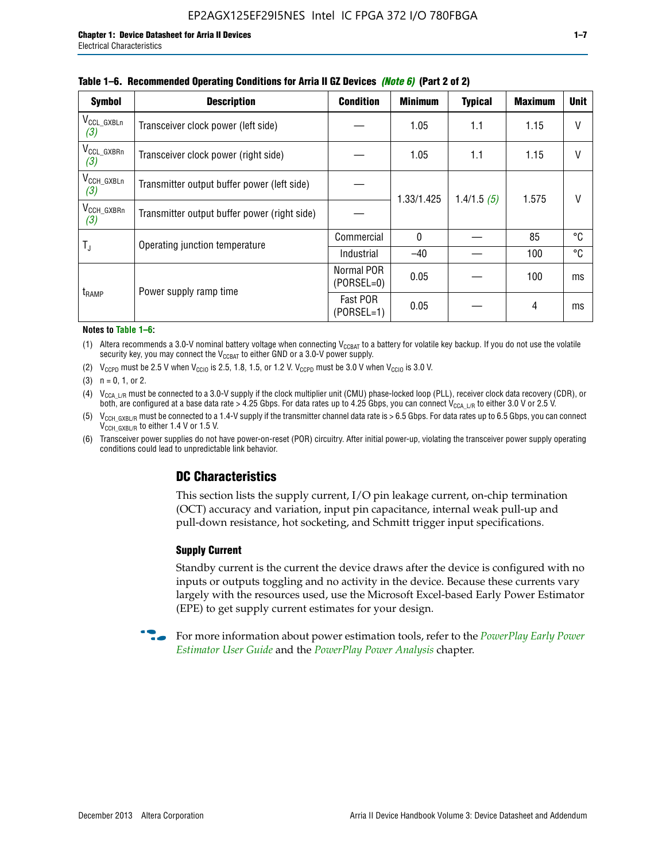| <b>Symbol</b>                 | <b>Description</b>                           | <b>Condition</b>           | <b>Minimum</b> | <b>Typical</b> | <b>Maximum</b> | <b>Unit</b> |  |  |
|-------------------------------|----------------------------------------------|----------------------------|----------------|----------------|----------------|-------------|--|--|
| $V_{CCL_GXBLn}$<br>(3)        | Transceiver clock power (left side)          |                            | 1.05           | 1.1            | 1.15           | $\vee$      |  |  |
| V <sub>CCL_GXBRn</sub><br>(3) | Transceiver clock power (right side)         |                            | 1.05           | 1.1            | 1.15           | $\vee$      |  |  |
| $V_{\text{CCH_GXBLn}}$<br>(3) | Transmitter output buffer power (left side)  |                            | 1.33/1.425     | 1.4/1.5(5)     | 1.575          | V           |  |  |
| $V_{\text{CCH_GXBRn}}$<br>(3) | Transmitter output buffer power (right side) |                            |                |                |                |             |  |  |
|                               | Operating junction temperature               | Commercial                 | $\mathbf{0}$   |                | 85             | °C          |  |  |
| T,                            |                                              | Industrial                 | $-40$          |                | 100            | °C          |  |  |
| t <sub>RAMP</sub>             | Power supply ramp time                       | Normal POR<br>$(PORSEL=0)$ | 0.05           |                | 100            | ms          |  |  |
|                               |                                              | Fast POR<br>$(PORSEL=1)$   | 0.05           |                | 4              | ms          |  |  |

#### **Table 1–6. Recommended Operating Conditions for Arria II GZ Devices** *(Note 6)* **(Part 2 of 2)**

#### **Notes to Table 1–6:**

(1) Altera recommends a 3.0-V nominal battery voltage when connecting  $V_{CCBAT}$  to a battery for volatile key backup. If you do not use the volatile security key, you may connect the  $V_{CCBAT}$  to either GND or a 3.0-V power supply.

(2)  $V_{CCPD}$  must be 2.5 V when  $V_{CCIO}$  is 2.5, 1.8, 1.5, or 1.2 V.  $V_{CCPD}$  must be 3.0 V when  $V_{CCIO}$  is 3.0 V.

(3)  $n = 0, 1, or 2$ .

(4)  $V_{CCA~LR}$  must be connected to a 3.0-V supply if the clock multiplier unit (CMU) phase-locked loop (PLL), receiver clock data recovery (CDR), or both, are configured at a base data rate > 4.25 Gbps. For data rates up to 4.25 Gbps, you can connect V<sub>CCA L/R</sub> to either 3.0 V or 2.5 V.

(5)  $V_{\text{CCH\_GXBL/R}}$  must be connected to a 1.4-V supply if the transmitter channel data rate is > 6.5 Gbps. For data rates up to 6.5 Gbps, you can connect V<sub>CCH\_GXBL/R</sub> to either 1.4 V or 1.5 V.

(6) Transceiver power supplies do not have power-on-reset (POR) circuitry. After initial power-up, violating the transceiver power supply operating conditions could lead to unpredictable link behavior.

# **DC Characteristics**

This section lists the supply current, I/O pin leakage current, on-chip termination (OCT) accuracy and variation, input pin capacitance, internal weak pull-up and pull-down resistance, hot socketing, and Schmitt trigger input specifications.

### **Supply Current**

Standby current is the current the device draws after the device is configured with no inputs or outputs toggling and no activity in the device. Because these currents vary largely with the resources used, use the Microsoft Excel-based Early Power Estimator (EPE) to get supply current estimates for your design.

**For more information about power estimation tools, refer to the** *PowerPlay Early Power* **<b>Formation** *[Estimator User Guide](http://www.altera.com/literature/ug/ug_epe.pdf
)* and the *[PowerPlay Power Analysis](http://www.altera.com/literature/hb/qts/qts_qii53013.pdf)* chapter.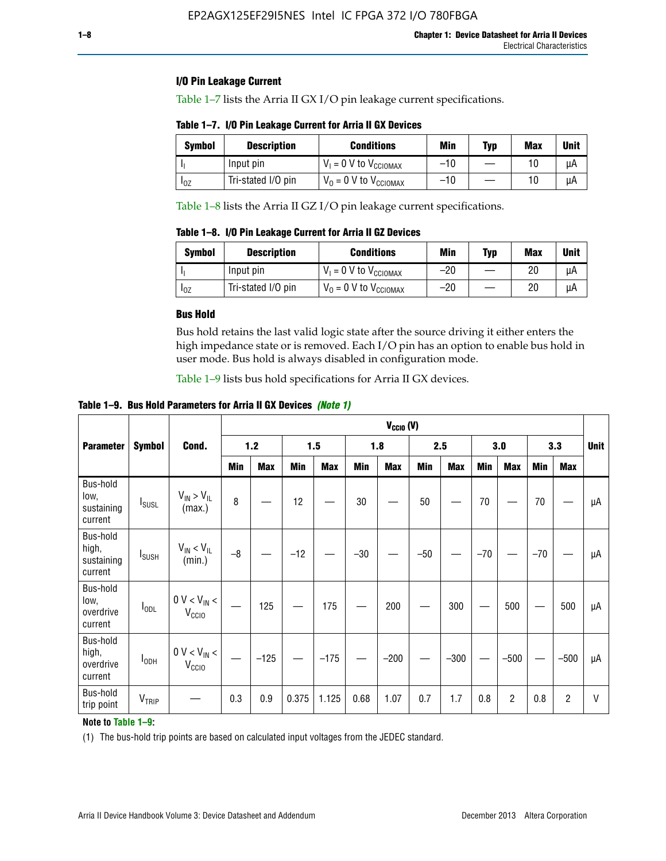### **I/O Pin Leakage Current**

Table 1–7 lists the Arria II GX I/O pin leakage current specifications.

# **Table 1–7. I/O Pin Leakage Current for Arria II GX Devices**

| Symbol   | <b>Description</b> | <b>Conditions</b>                   | <b>Min</b> | <b>Typ</b> | <b>Max</b> | <b>Unit</b> |
|----------|--------------------|-------------------------------------|------------|------------|------------|-------------|
|          | Input pin          | $V_1 = 0$ V to $V_{\text{CCIOMAX}}$ | $-10$      |            |            | uА          |
| $I_{0Z}$ | Tri-stated I/O pin | $V_0 = 0$ V to $V_{\text{CCIOMAX}}$ | $-10$      |            | 10         | uА          |

Table 1–8 lists the Arria II GZ I/O pin leakage current specifications.

**Table 1–8. I/O Pin Leakage Current for Arria II GZ Devices**

| Symbol | <b>Description</b> | <b>Conditions</b>                   | Min   | Typ | Max | Unit |
|--------|--------------------|-------------------------------------|-------|-----|-----|------|
|        | Input pin          | $V_1 = 0$ V to $V_{\text{CCIOMAX}}$ | $-20$ |     | 20  | uА   |
| 10Z    | Tri-stated I/O pin | $V_0 = 0$ V to $V_{\text{CCIOMAX}}$ | $-20$ |     | 20  | μA   |

#### **Bus Hold**

Bus hold retains the last valid logic state after the source driving it either enters the high impedance state or is removed. Each I/O pin has an option to enable bus hold in user mode. Bus hold is always disabled in configuration mode.

Table 1–9 lists bus hold specifications for Arria II GX devices.

**Table 1–9. Bus Hold Parameters for Arria II GX Devices** *(Note 1)*

|                                            |                          |                                                  | $V_{CClO}$ (V) |            |       |            |       |            |       |            |       |                |       |            |    |
|--------------------------------------------|--------------------------|--------------------------------------------------|----------------|------------|-------|------------|-------|------------|-------|------------|-------|----------------|-------|------------|----|
| <b>Parameter</b>                           | <b>Symbol</b>            | Cond.                                            |                | $1.2$      |       | 1.5        |       | 1.8        |       | 2.5        |       | 3.0            |       | 3.3        |    |
|                                            |                          |                                                  | Min            | <b>Max</b> | Min   | <b>Max</b> | Min   | <b>Max</b> | Min   | <b>Max</b> | Min   | <b>Max</b>     | Min   | <b>Max</b> |    |
| Bus-hold<br>low,<br>sustaining<br>current  | <b>I</b> <sub>SUSL</sub> | $V_{IN}$ > $V_{IL}$<br>(max.)                    | 8              |            | 12    |            | 30    |            | 50    |            | 70    |                | 70    |            | μA |
| Bus-hold<br>high,<br>sustaining<br>current | I <sub>SUSH</sub>        | $V_{IN}$ < $V_{IL}$<br>(min.)                    | $-8$           |            | $-12$ |            | $-30$ |            | $-50$ |            | $-70$ |                | $-70$ |            | μA |
| Bus-hold<br>low,<br>overdrive<br>current   | $I_{ODL}$                | $0 V < V_{IN} <$<br>V <sub>CCIO</sub>            |                | 125        |       | 175        |       | 200        |       | 300        |       | 500            |       | 500        | μA |
| Bus-hold<br>high,<br>overdrive<br>current  | $I_{ODH}$                | $0$ V $<$ V $_{\rm IN}$ $<$<br>V <sub>CCIO</sub> |                | $-125$     |       | $-175$     |       | $-200$     |       | $-300$     |       | $-500$         |       | $-500$     | μA |
| Bus-hold<br>trip point                     | VTRIP                    |                                                  | 0.3            | 0.9        | 0.375 | 1.125      | 0.68  | 1.07       | 0.7   | 1.7        | 0.8   | $\overline{c}$ | 0.8   | 2          | V  |

### **Note to Table 1–9:**

(1) The bus-hold trip points are based on calculated input voltages from the JEDEC standard.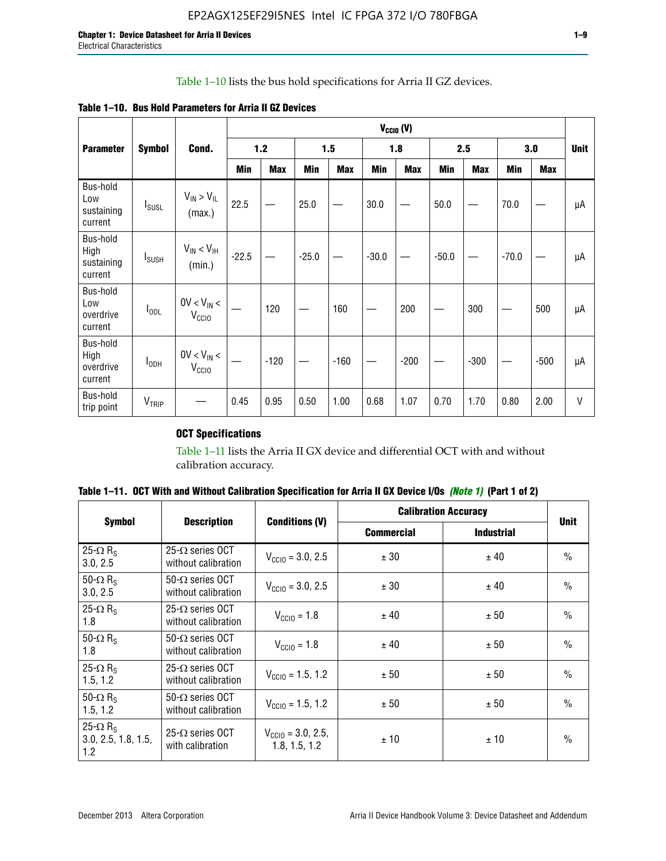# Table 1–10 lists the bus hold specifications for Arria II GZ devices.

|  | Table 1–10. Bus Hold Parameters for Arria II GZ Devices |
|--|---------------------------------------------------------|
|--|---------------------------------------------------------|

|                                           |                   |                                      | $V_{CGIO} (V)$ |            |         |            |         |            |         |            |         |            |             |
|-------------------------------------------|-------------------|--------------------------------------|----------------|------------|---------|------------|---------|------------|---------|------------|---------|------------|-------------|
| <b>Parameter</b>                          | <b>Symbol</b>     | Cond.                                |                | $1.2$      |         | 1.5        |         | 1.8        |         | 2.5        |         | 3.0        | <b>Unit</b> |
|                                           |                   |                                      | <b>Min</b>     | <b>Max</b> | Min     | <b>Max</b> | Min     | <b>Max</b> | Min     | <b>Max</b> | Min     | <b>Max</b> |             |
| Bus-hold<br>Low<br>sustaining<br>current  | $I_{SUSL}$        | $V_{IN} > V_{IL}$<br>(max.)          | 22.5           |            | 25.0    |            | 30.0    |            | 50.0    |            | 70.0    |            | μA          |
| Bus-hold<br>High<br>sustaining<br>current | $I_{\text{SUBH}}$ | $V_{IN}$ < $V_{IH}$<br>(min.)        | $-22.5$        |            | $-25.0$ |            | $-30.0$ |            | $-50.0$ |            | $-70.0$ |            | μA          |
| Bus-hold<br>Low<br>overdrive<br>current   | $I_{ODL}$         | $0V < V_{IN} <$<br>V <sub>CCIO</sub> |                | 120        |         | 160        |         | 200        |         | 300        |         | 500        | μA          |
| Bus-hold<br>High<br>overdrive<br>current  | $I_{ODH}$         | $0V < V_{IN} <$<br>V <sub>CCIO</sub> |                | $-120$     |         | $-160$     |         | $-200$     |         | $-300$     |         | $-500$     | μA          |
| Bus-hold<br>trip point                    | $V_{TRIP}$        |                                      | 0.45           | 0.95       | 0.50    | 1.00       | 0.68    | 1.07       | 0.70    | 1.70       | 0.80    | 2.00       | $\vee$      |

# **OCT Specifications**

Table 1–11 lists the Arria II GX device and differential OCT with and without calibration accuracy.

| Table 1–11. OCT With and Without Calibration Specification for Arria II GX Device I/Os (Note 1) (Part 1 of 2) |  |  |  |  |  |
|---------------------------------------------------------------------------------------------------------------|--|--|--|--|--|
|---------------------------------------------------------------------------------------------------------------|--|--|--|--|--|

|                                                           | <b>Description</b>                             |                                                |                   | <b>Calibration Accuracy</b> | <b>Unit</b>   |
|-----------------------------------------------------------|------------------------------------------------|------------------------------------------------|-------------------|-----------------------------|---------------|
| <b>Symbol</b>                                             |                                                | <b>Conditions (V)</b>                          | <b>Commercial</b> | <b>Industrial</b>           |               |
| 25- $\Omega$ R <sub>s</sub><br>3.0, 2.5                   | $25-\Omega$ series OCT<br>without calibration  | $V_{\text{CC10}} = 3.0, 2.5$                   | ± 30              | ± 40                        | $\frac{0}{0}$ |
| 50- $\Omega$ R <sub>S</sub><br>3.0, 2.5                   | $50-\Omega$ series OCT<br>without calibration  | $V_{\text{CC10}} = 3.0, 2.5$                   | ± 30              | ± 40                        | $\frac{0}{0}$ |
| 25- $\Omega$ R <sub>S</sub><br>1.8                        | 25- $\Omega$ series OCT<br>without calibration | $V_{\text{CCI0}} = 1.8$                        | ± 40              | ± 50                        | $\frac{0}{0}$ |
| 50- $\Omega$ R <sub>s</sub><br>1.8                        | $50-\Omega$ series OCT<br>without calibration  | $V_{\text{CC10}} = 1.8$                        | ± 40              | ± 50                        | $\frac{0}{0}$ |
| 25- $\Omega$ R <sub>S</sub><br>1.5, 1.2                   | $25-\Omega$ series OCT<br>without calibration  | $V_{\text{CC10}} = 1.5, 1.2$                   | ± 50              | ± 50                        | $\frac{0}{0}$ |
| 50- $\Omega$ R <sub>s</sub><br>1.5, 1.2                   | $50-\Omega$ series OCT<br>without calibration  | $V_{\text{CC10}} = 1.5, 1.2$                   | ± 50              | ± 50                        | $\frac{0}{0}$ |
| 25- $\Omega$ R <sub>s</sub><br>3.0, 2.5, 1.8, 1.5,<br>1.2 | 25- $\Omega$ series OCT<br>with calibration    | $V_{\text{CC10}} = 3.0, 2.5,$<br>1.8, 1.5, 1.2 | ±10               | ± 10                        | $\frac{0}{0}$ |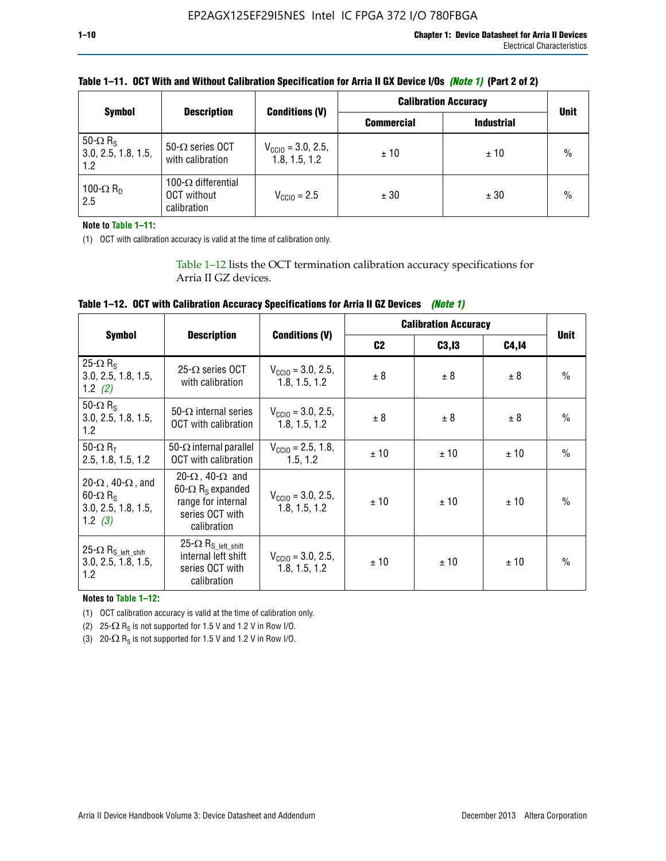|                                                           | <b>Description</b>                                              |                                                | <b>Calibration Accuracy</b> | <b>Unit</b>       |               |
|-----------------------------------------------------------|-----------------------------------------------------------------|------------------------------------------------|-----------------------------|-------------------|---------------|
| <b>Symbol</b>                                             |                                                                 | <b>Conditions (V)</b>                          | <b>Commercial</b>           | <b>Industrial</b> |               |
| 50- $\Omega$ R <sub>S</sub><br>3.0, 2.5, 1.8, 1.5,<br>1.2 | 50- $\Omega$ series OCT<br>with calibration                     | $V_{\text{CCIO}} = 3.0, 2.5,$<br>1.8, 1.5, 1.2 | ±10                         | ±10               | $\frac{0}{0}$ |
| 100- $\Omega$ R <sub>D</sub><br>2.5                       | 100- $\Omega$ differential<br><b>OCT</b> without<br>calibration | $V_{CCD} = 2.5$                                | ± 30                        | ± 30              | $\frac{0}{0}$ |

# **Table 1–11. OCT With and Without Calibration Specification for Arria II GX Device I/Os** *(Note 1)* **(Part 2 of 2)**

**Note to Table 1–11:**

(1) OCT with calibration accuracy is valid at the time of calibration only.

Table 1–12 lists the OCT termination calibration accuracy specifications for Arria II GZ devices.

| Table 1–12. OCT with Calibration Accuracy Specifications for Arria II GZ Devices (Note 1) |  |  |  |
|-------------------------------------------------------------------------------------------|--|--|--|
|-------------------------------------------------------------------------------------------|--|--|--|

|                                                                                                       |                                                                                                                                 |                                                | <b>Calibration Accuracy</b> |        | <b>Unit</b> |               |
|-------------------------------------------------------------------------------------------------------|---------------------------------------------------------------------------------------------------------------------------------|------------------------------------------------|-----------------------------|--------|-------------|---------------|
| <b>Symbol</b>                                                                                         | <b>Description</b>                                                                                                              | <b>Conditions (V)</b>                          | C <sub>2</sub>              | C3, I3 | C4,14       |               |
| 25- $\Omega$ R <sub>s</sub><br>3.0, 2.5, 1.8, 1.5,<br>1.2 $(2)$                                       | $25-\Omega$ series OCT<br>with calibration                                                                                      | $V_{CGI0} = 3.0, 2.5,$<br>1.8, 1.5, 1.2        | ± 8                         | ± 8    | ± 8         | $\frac{0}{0}$ |
| 50- $\Omega$ R <sub>s</sub><br>3.0, 2.5, 1.8, 1.5,<br>1.2                                             | 50- $\Omega$ internal series<br>OCT with calibration                                                                            | $V_{\text{CC10}} = 3.0, 2.5,$<br>1.8, 1.5, 1.2 | ± 8                         | ± 8    | ± 8         | $\frac{0}{0}$ |
| 50- $\Omega$ R <sub>T</sub><br>2.5, 1.8, 1.5, 1.2                                                     | 50- $\Omega$ internal parallel<br><b>OCT</b> with calibration                                                                   | $V_{\text{CC10}} = 2.5, 1.8,$<br>1.5.1.2       | ± 10                        | ± 10   | ± 10        | $\frac{0}{0}$ |
| 20- $\Omega$ , 40- $\Omega$ , and<br>$60 - \Omega$ R <sub>S</sub><br>3.0, 2.5, 1.8, 1.5,<br>1.2 $(3)$ | 20- $\Omega$ , 40- $\Omega$ and<br>60- $\Omega$ R <sub>s</sub> expanded<br>range for internal<br>series OCT with<br>calibration | $V_{\text{CC10}} = 3.0, 2.5,$<br>1.8, 1.5, 1.2 | ± 10                        | ± 10   | ± 10        | $\frac{0}{0}$ |
| 25- $\Omega$ R <sub>S</sub> left_shift<br>3.0, 2.5, 1.8, 1.5,<br>1.2                                  | $25-\Omega R_{S\_left\_shift}$<br>internal left shift<br>series OCT with<br>calibration                                         | $V_{\text{CC10}} = 3.0, 2.5,$<br>1.8, 1.5, 1.2 | ± 10                        | ± 10   | ± 10        | $\frac{0}{0}$ |

**Notes to Table 1–12:**

(1) OCT calibration accuracy is valid at the time of calibration only.

(2) 25- $\Omega$  R<sub>S</sub> is not supported for 1.5 V and 1.2 V in Row I/O.

(3)  $20-\Omega$  R<sub>S</sub> is not supported for 1.5 V and 1.2 V in Row I/O.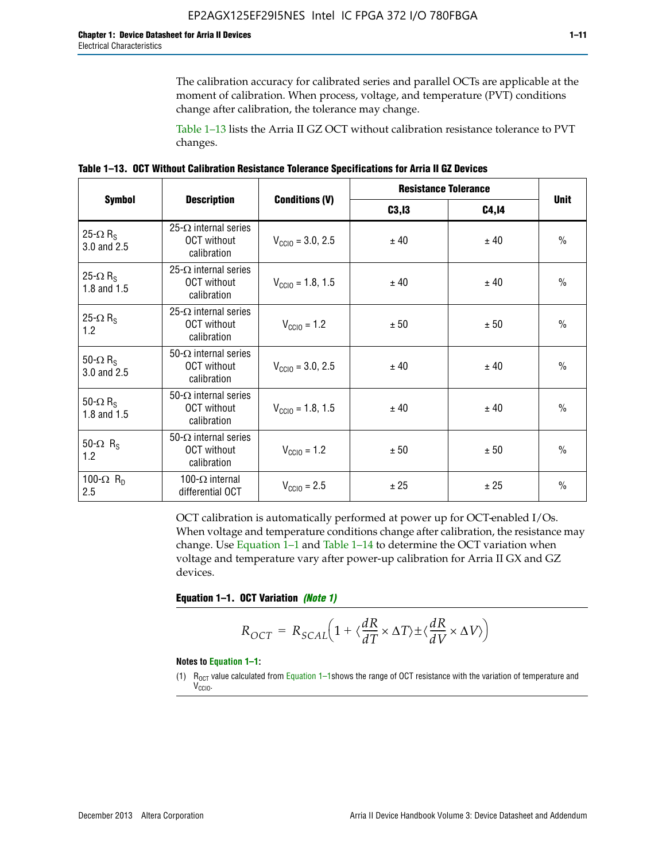The calibration accuracy for calibrated series and parallel OCTs are applicable at the moment of calibration. When process, voltage, and temperature (PVT) conditions change after calibration, the tolerance may change.

Table 1–13 lists the Arria II GZ OCT without calibration resistance tolerance to PVT changes.

|  | Table 1–13. OCT Without Calibration Resistance Tolerance Specifications for Arria II GZ Devices |  |  |  |
|--|-------------------------------------------------------------------------------------------------|--|--|--|
|--|-------------------------------------------------------------------------------------------------|--|--|--|

|                                            | <b>Description</b>                                                |                              | <b>Resistance Tolerance</b> |              | <b>Unit</b>   |  |
|--------------------------------------------|-------------------------------------------------------------------|------------------------------|-----------------------------|--------------|---------------|--|
| <b>Symbol</b>                              |                                                                   | <b>Conditions (V)</b>        | C3, I3                      | <b>C4,14</b> |               |  |
| 25- $\Omega$ R <sub>S</sub><br>3.0 and 2.5 | $25-\Omega$ internal series<br><b>OCT</b> without<br>calibration  | $V_{\text{CGI0}} = 3.0, 2.5$ | ± 40                        | ± 40         | $\frac{0}{0}$ |  |
| 25- $\Omega$ R <sub>S</sub><br>1.8 and 1.5 | 25- $\Omega$ internal series<br><b>OCT</b> without<br>calibration | $V_{\text{CC10}} = 1.8, 1.5$ | ± 40                        | ± 40         | $\frac{0}{0}$ |  |
| 25- $\Omega$ R <sub>S</sub><br>1.2         | 25- $\Omega$ internal series<br><b>OCT</b> without<br>calibration | $V_{\text{CC10}} = 1.2$      | ± 50                        | ± 50         | $\frac{0}{0}$ |  |
| 50- $\Omega$ R <sub>s</sub><br>3.0 and 2.5 | $50-\Omega$ internal series<br><b>OCT</b> without<br>calibration  | $V_{\text{CC10}} = 3.0, 2.5$ | ± 40                        | ± 40         | $\frac{0}{0}$ |  |
| 50- $\Omega$ R <sub>S</sub><br>1.8 and 1.5 | 50- $\Omega$ internal series<br><b>OCT</b> without<br>calibration | $V_{\text{CC10}} = 1.8, 1.5$ | ± 40                        | ± 40         | $\frac{0}{0}$ |  |
| 50- $\Omega$ R <sub>s</sub><br>1.2         | 50- $\Omega$ internal series<br><b>OCT</b> without<br>calibration | $V_{\text{CC10}} = 1.2$      | ± 50                        | ± 50         | $\frac{0}{0}$ |  |
| 100- $\Omega$ R <sub>n</sub><br>2.5        | 100- $\Omega$ internal<br>differential OCT                        | $V_{\text{CC10}} = 2.5$      | ± 25                        | ± 25         | $\frac{0}{0}$ |  |

OCT calibration is automatically performed at power up for OCT-enabled I/Os. When voltage and temperature conditions change after calibration, the resistance may change. Use Equation 1–1 and Table 1–14 to determine the OCT variation when voltage and temperature vary after power-up calibration for Arria II GX and GZ devices.

**Equation 1–1. OCT Variation** *(Note 1)*

$$
R_{OCT} = R_{SCAL} \Big( 1 + \langle \frac{dR}{dT} \times \Delta T \rangle \pm \langle \frac{dR}{dV} \times \Delta V \rangle \Big)
$$

#### **Notes to Equation 1–1:**

(1)  $R_{OCT}$  value calculated from Equation 1–1shows the range of OCT resistance with the variation of temperature and V<sub>CCIO</sub>.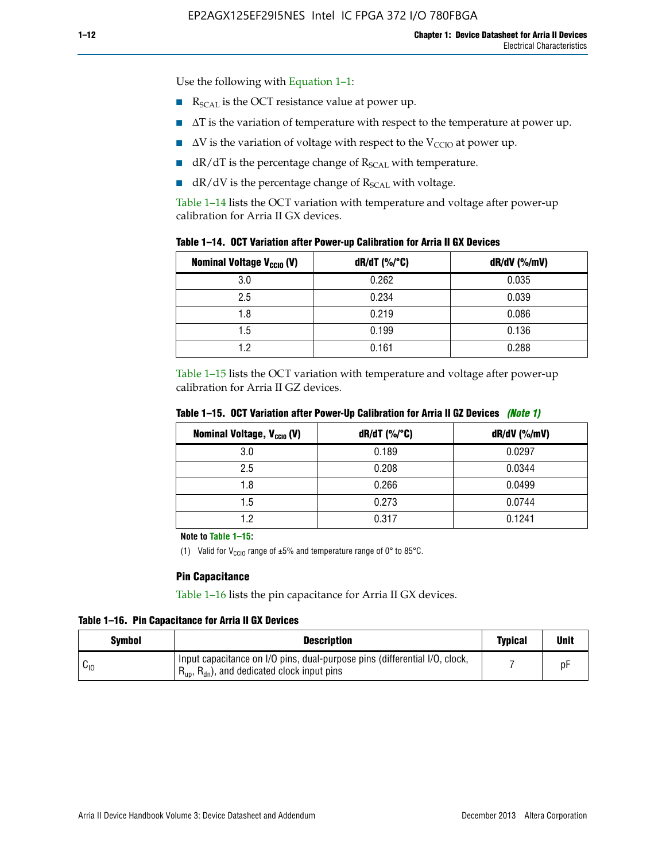Use the following with Equation 1–1:

- $\blacksquare$  R<sub>SCAL</sub> is the OCT resistance value at power up.
- $\blacksquare$   $\Delta T$  is the variation of temperature with respect to the temperature at power up.
- $\blacksquare$   $\Delta V$  is the variation of voltage with respect to the V<sub>CCIO</sub> at power up.
- $\blacksquare$  dR/dT is the percentage change of  $R_{\text{SCAL}}$  with temperature.
- $\blacksquare$  dR/dV is the percentage change of R<sub>SCAL</sub> with voltage.

Table 1–14 lists the OCT variation with temperature and voltage after power-up calibration for Arria II GX devices.

|  |  |  |  |  |  |  |  | Table 1–14. OCT Variation after Power-up Calibration for Arria II GX Devices |  |
|--|--|--|--|--|--|--|--|------------------------------------------------------------------------------|--|
|--|--|--|--|--|--|--|--|------------------------------------------------------------------------------|--|

| <b>Nominal Voltage V<sub>CCIO</sub> (V)</b> | $dR/dT$ (%/°C) | dR/dV (%/mV) |
|---------------------------------------------|----------------|--------------|
| 3.0                                         | 0.262          | 0.035        |
| 2.5                                         | 0.234          | 0.039        |
| 1.8                                         | 0.219          | 0.086        |
| 1.5                                         | 0.199          | 0.136        |
| 1.2                                         | 0.161          | 0.288        |

Table 1–15 lists the OCT variation with temperature and voltage after power-up calibration for Arria II GZ devices.

| <b>Nominal Voltage, V<sub>ccio</sub> (V)</b> | $dR/dT$ (%/°C) | dR/dV (%/mV) |
|----------------------------------------------|----------------|--------------|
| 3.0                                          | 0.189          | 0.0297       |
| 2.5                                          | 0.208          | 0.0344       |
| 1.8                                          | 0.266          | 0.0499       |
| 1.5                                          | 0.273          | 0.0744       |
| 19                                           | 0.317          | 0.1241       |

**Table 1–15. OCT Variation after Power-Up Calibration for Arria II GZ Devices** *(Note 1)*

**Note to Table 1–15:**

(1) Valid for V<sub>CCIO</sub> range of  $\pm 5\%$  and temperature range of 0° to 85°C.

#### **Pin Capacitance**

Table 1–16 lists the pin capacitance for Arria II GX devices.

**Table 1–16. Pin Capacitance for Arria II GX Devices**

| Symbol   | <b>Description</b>                                                                                                                               | <b>Typical</b> | <b>Unit</b> |
|----------|--------------------------------------------------------------------------------------------------------------------------------------------------|----------------|-------------|
| $v_{10}$ | Input capacitance on I/O pins, dual-purpose pins (differential I/O, clock,<br>$R_{\text{up}}$ , $R_{\text{dn}}$ , and dedicated clock input pins |                | D۲          |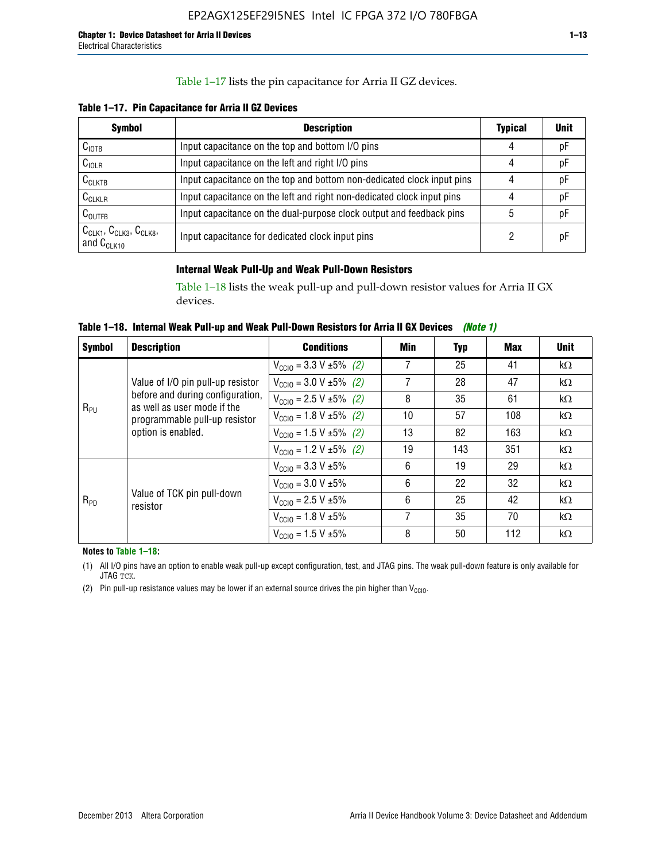## Table 1–17 lists the pin capacitance for Arria II GZ devices.

**Table 1–17. Pin Capacitance for Arria II GZ Devices** 

| <b>Symbol</b>                                    | <b>Description</b>                                                     | <b>Typical</b> | <b>Unit</b> |
|--------------------------------------------------|------------------------------------------------------------------------|----------------|-------------|
| $C_{\text{IOTB}}$                                | Input capacitance on the top and bottom I/O pins                       | 4              | pF          |
| C <sub>IOLR</sub>                                | Input capacitance on the left and right I/O pins                       | 4              | pF          |
| $C_{CLKTB}$                                      | Input capacitance on the top and bottom non-dedicated clock input pins |                | рF          |
| $C_{CLKLR}$                                      | Input capacitance on the left and right non-dedicated clock input pins |                | pF          |
| $C_{\text{OUTFB}}$                               | Input capacitance on the dual-purpose clock output and feedback pins   | 5              | pF          |
| $CCLK1$ , $CCLK3$ , $CCLK8$ ,<br>and $C_{CLK10}$ | Input capacitance for dedicated clock input pins                       |                | рF          |

## **Internal Weak Pull-Up and Weak Pull-Down Resistors**

Table 1–18 lists the weak pull-up and pull-down resistor values for Arria II GX devices.

**Table 1–18. Internal Weak Pull-up and Weak Pull-Down Resistors for Arria II GX Devices** *(Note 1)* 

| <b>Symbol</b> | <b>Description</b>                                                                                                                                                                                                                                                                                                                                  | <b>Conditions</b>                             | Min | Typ | Max       | <b>Unit</b> |
|---------------|-----------------------------------------------------------------------------------------------------------------------------------------------------------------------------------------------------------------------------------------------------------------------------------------------------------------------------------------------------|-----------------------------------------------|-----|-----|-----------|-------------|
|               |                                                                                                                                                                                                                                                                                                                                                     | $V_{\text{CC10}} = 3.3 \text{ V} \pm 5\%$ (2) | 7   | 25  | 41        | $k\Omega$   |
| $R_{PU}$      | Value of I/O pin pull-up resistor                                                                                                                                                                                                                                                                                                                   | $V_{\text{CC10}} = 3.0 V \pm 5\%$ (2)         | 7   | 28  | 47        | $k\Omega$   |
|               |                                                                                                                                                                                                                                                                                                                                                     | $V_{\text{CC10}} = 2.5 V \pm 5\%$ (2)         | 8   | 35  | 61        | $k\Omega$   |
|               | before and during configuration,<br>as well as user mode if the<br>$V_{\text{CC10}} = 1.8 \text{ V} \pm 5\%$ (2)<br>programmable pull-up resistor<br>option is enabled.<br>$V_{\text{CC10}} = 1.5 \text{ V} \pm 5\%$ (2)<br>$V_{\text{CC10}} = 1.2 V \pm 5\%$ (2)<br>$V_{\text{CC10}} = 3.3 \text{ V} \pm 5\%$<br>$V_{\text{CC10}} = 3.0 V \pm 5\%$ | 10                                            | 57  | 108 | $k\Omega$ |             |
|               |                                                                                                                                                                                                                                                                                                                                                     |                                               | 13  | 82  | 163       | $k\Omega$   |
|               |                                                                                                                                                                                                                                                                                                                                                     |                                               | 19  | 143 | 351       | $k\Omega$   |
|               |                                                                                                                                                                                                                                                                                                                                                     |                                               | 6   | 19  | 29        | $k\Omega$   |
|               |                                                                                                                                                                                                                                                                                                                                                     |                                               | 6   | 22  | 32        | $k\Omega$   |
| $R_{PD}$      | Value of TCK pin pull-down<br>resistor                                                                                                                                                                                                                                                                                                              | $V_{\text{CC10}} = 2.5 V \pm 5\%$             | 6   | 25  | 42        | $k\Omega$   |
|               |                                                                                                                                                                                                                                                                                                                                                     | $V_{\text{CC10}} = 1.8 V \pm 5\%$             | 7   | 35  | 70        | $k\Omega$   |
|               |                                                                                                                                                                                                                                                                                                                                                     | $V_{\text{CC10}} = 1.5 V \pm 5\%$             | 8   | 50  | 112       | $k\Omega$   |

**Notes to Table 1–18:**

(1) All I/O pins have an option to enable weak pull-up except configuration, test, and JTAG pins. The weak pull-down feature is only available for JTAG TCK.

(2) Pin pull-up resistance values may be lower if an external source drives the pin higher than  $V_{\text{CCIO}}$ .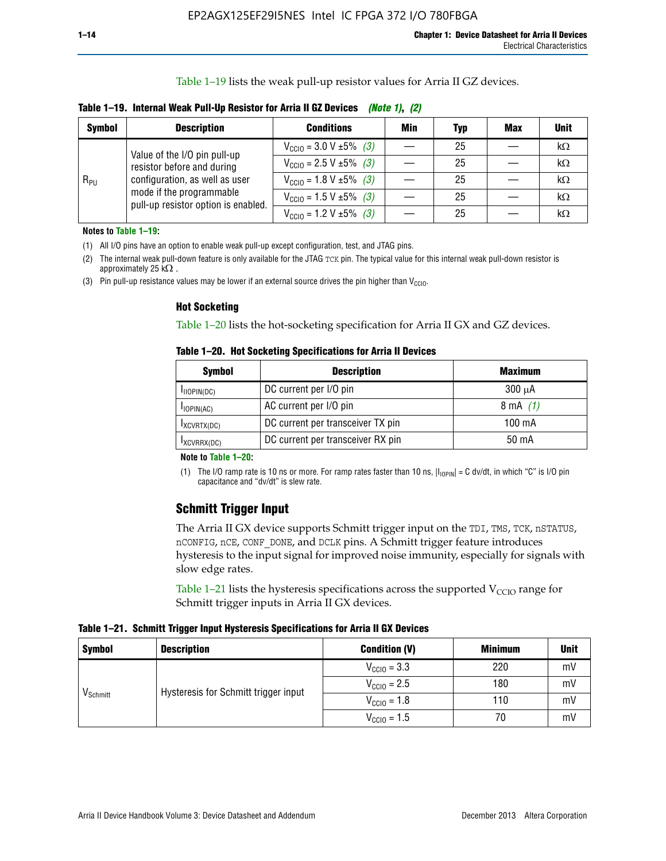Table 1–19 lists the weak pull-up resistor values for Arria II GZ devices.

**Table 1–19. Internal Weak Pull-Up Resistor for Arria II GZ Devices** *(Note 1)***,** *(2)*

| <b>Symbol</b> | <b>Description</b>                                                                                                              | <b>Conditions</b>                             | Min | <b>Typ</b> | <b>Max</b> | <b>Unit</b> |
|---------------|---------------------------------------------------------------------------------------------------------------------------------|-----------------------------------------------|-----|------------|------------|-------------|
|               | Value of the I/O pin pull-up                                                                                                    | $V_{\text{CC10}} = 3.0 V \pm 5\%$ (3)         |     | 25         |            | kΩ          |
| $R_{PU}$      | resistor before and during<br>configuration, as well as user<br>mode if the programmable<br>pull-up resistor option is enabled. | $V_{\text{CC10}} = 2.5 V \pm 5\%$ (3)         |     | 25         |            | kΩ          |
|               |                                                                                                                                 | $V_{\text{CC10}} = 1.8 \text{ V} \pm 5\%$ (3) |     | 25         |            | kΩ          |
|               |                                                                                                                                 | $V_{\text{CC10}} = 1.5 \text{ V} \pm 5\%$ (3) |     | 25         |            | kΩ          |
|               |                                                                                                                                 | $V_{\text{CC10}} = 1.2 V \pm 5\%$ (3)         |     | 25         |            | kΩ          |

**Notes to Table 1–19:**

(1) All I/O pins have an option to enable weak pull-up except configuration, test, and JTAG pins.

(2) The internal weak pull-down feature is only available for the JTAG TCK pin. The typical value for this internal weak pull-down resistor is approximately 25 k $\Omega$ .

(3) Pin pull-up resistance values may be lower if an external source drives the pin higher than  $V_{\text{CCIO}}$ .

#### **Hot Socketing**

Table 1–20 lists the hot-socketing specification for Arria II GX and GZ devices.

**Table 1–20. Hot Socketing Specifications for Arria II Devices** 

| Symbol        | <b>Description</b>                | <b>Maximum</b> |
|---------------|-----------------------------------|----------------|
| IIOPIN(DC)    | DC current per I/O pin            | $300 \mu A$    |
| $I$ IOPIN(AC) | AC current per I/O pin            | 8 mA $(1)$     |
| IXCVRTX(DC)   | DC current per transceiver TX pin | 100 mA         |
| IXCVRRX(DC)   | DC current per transceiver RX pin | 50 mA          |

#### **Note to Table 1–20:**

(1) The I/O ramp rate is 10 ns or more. For ramp rates faster than 10 ns,  $|I_{10\text{PIN}}| = C$  dv/dt, in which "C" is I/O pin capacitance and "dv/dt" is slew rate.

# **Schmitt Trigger Input**

The Arria II GX device supports Schmitt trigger input on the TDI, TMS, TCK, nSTATUS, nCONFIG, nCE, CONF\_DONE, and DCLK pins. A Schmitt trigger feature introduces hysteresis to the input signal for improved noise immunity, especially for signals with slow edge rates.

Table 1–21 lists the hysteresis specifications across the supported  $V<sub>CCIO</sub>$  range for Schmitt trigger inputs in Arria II GX devices.

**Table 1–21. Schmitt Trigger Input Hysteresis Specifications for Arria II GX Devices**

| <b>Symbol</b>        | <b>Description</b>                   | <b>Condition (V)</b>    | <b>Minimum</b> | <b>Unit</b> |
|----------------------|--------------------------------------|-------------------------|----------------|-------------|
|                      |                                      | $V_{\text{CGI0}} = 3.3$ | 220            | mV          |
|                      | Hysteresis for Schmitt trigger input | $V_{\text{CCIO}} = 2.5$ | 180            | mV          |
| V <sub>Schmitt</sub> |                                      | $V_{\text{CCIO}} = 1.8$ | 110            | mV          |
|                      |                                      | $V_{\text{CCIO}} = 1.5$ | 70             | mV          |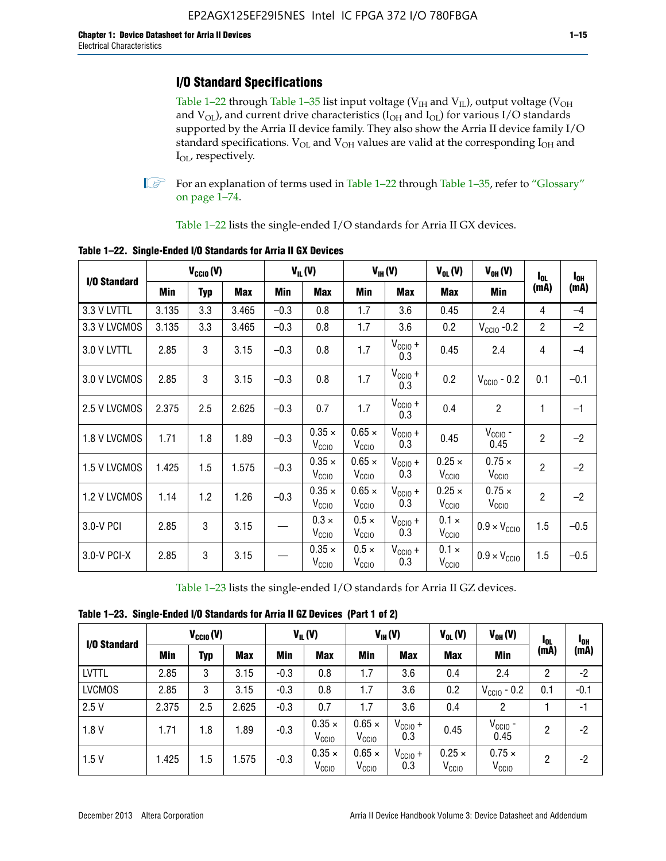# **I/O Standard Specifications**

Table 1–22 through Table 1–35 list input voltage ( $V_{IH}$  and  $V_{IL}$ ), output voltage ( $V_{OH}$ and  $V_{OL}$ ), and current drive characteristics ( $I_{OH}$  and  $I_{OL}$ ) for various I/O standards supported by the Arria II device family. They also show the Arria II device family I/O standard specifications.  $V_{OL}$  and  $V_{OH}$  values are valid at the corresponding  $I_{OH}$  and I<sub>OL</sub>, respectively.

**1.** For an explanation of terms used in Table 1–22 through Table 1–35, refer to "Glossary" on page 1–74.

Table 1–22 lists the single-ended I/O standards for Arria II GX devices.

|              | $V_{CCl0} (V)$ |            |            | $V_{IL}(V)$ |                                    | $V_{IH}(V)$                        | $V_{OL}(V)$                | $V_{OH} (V)$                       | $I_{0L}$                           | $I_{0H}$       |        |
|--------------|----------------|------------|------------|-------------|------------------------------------|------------------------------------|----------------------------|------------------------------------|------------------------------------|----------------|--------|
| I/O Standard | <b>Min</b>     | <b>Typ</b> | <b>Max</b> | Min         | <b>Max</b>                         | Min                                | <b>Max</b>                 | Max                                | Min                                | (mA)           | (mA)   |
| 3.3 V LVTTL  | 3.135          | 3.3        | 3.465      | $-0.3$      | 0.8                                | 1.7                                | 3.6                        | 0.45                               | 2.4                                | 4              | $-4$   |
| 3.3 V LVCMOS | 3.135          | 3.3        | 3.465      | $-0.3$      | 0.8                                | 1.7                                | 3.6                        | 0.2                                | $V_{\text{CCIO}}$ -0.2             | $\overline{2}$ | $-2$   |
| 3.0 V LVTTL  | 2.85           | 3          | 3.15       | $-0.3$      | 0.8                                | 1.7                                | $V_{\text{CCIO}} +$<br>0.3 | 0.45                               | 2.4                                | 4              | $-4$   |
| 3.0 V LVCMOS | 2.85           | 3          | 3.15       | $-0.3$      | 0.8                                | 1.7                                | $V_{\text{CCIO}} +$<br>0.3 | 0.2                                | $V_{\text{CGIO}}$ - 0.2            | 0.1            | $-0.1$ |
| 2.5 V LVCMOS | 2.375          | 2.5        | 2.625      | $-0.3$      | 0.7                                | 1.7                                | $V_{\text{CCIO}} +$<br>0.3 | 0.4                                | $\overline{2}$                     | 1              | $-1$   |
| 1.8 V LVCMOS | 1.71           | 1.8        | 1.89       | $-0.3$      | $0.35 \times$<br>V <sub>CCIO</sub> | $0.65 \times$<br>V <sub>CCIO</sub> | $V_{CC10} +$<br>0.3        | 0.45                               | $V_{CGIO}$ -<br>0.45               | $\overline{2}$ | $-2$   |
| 1.5 V LVCMOS | 1.425          | 1.5        | 1.575      | $-0.3$      | $0.35 \times$<br>V <sub>CCIO</sub> | $0.65 \times$<br>V <sub>CClO</sub> | $V_{CClO}$ +<br>0.3        | $0.25 \times$<br>V <sub>CCIO</sub> | $0.75 \times$<br>V <sub>CCIO</sub> | $\overline{2}$ | $-2$   |
| 1.2 V LVCMOS | 1.14           | 1.2        | 1.26       | $-0.3$      | $0.35 \times$<br>V <sub>CCIO</sub> | $0.65 \times$<br>V <sub>CCIO</sub> | $V_{CC10} +$<br>0.3        | $0.25 \times$<br>V <sub>CCIO</sub> | $0.75 \times$<br>V <sub>CCIO</sub> | $\overline{2}$ | $-2$   |
| 3.0-V PCI    | 2.85           | 3          | 3.15       |             | $0.3 \times$<br>V <sub>CCIO</sub>  | $0.5 \times$<br>V <sub>CCIO</sub>  | $V_{CC10} +$<br>0.3        | $0.1 \times$<br>V <sub>CCIO</sub>  | $0.9 \times V_{\text{CC10}}$       | 1.5            | $-0.5$ |
| 3.0-V PCI-X  | 2.85           | 3          | 3.15       |             | $0.35 \times$<br>V <sub>CCIO</sub> | $0.5 \times$<br>$V_{\rm CClO}$     | $V_{CCIO} +$<br>0.3        | $0.1 \times$<br>V <sub>CCIO</sub>  | $0.9 \times V_{\text{CC10}}$       | 1.5            | $-0.5$ |

**Table 1–22. Single-Ended I/O Standards for Arria II GX Devices**

Table 1–23 lists the single-ended I/O standards for Arria II GZ devices.

|  |  |  | Table 1-23. Single-Ended I/O Standards for Arria II GZ Devices (Part 1 of 2) |  |
|--|--|--|------------------------------------------------------------------------------|--|
|--|--|--|------------------------------------------------------------------------------|--|

|               | $V_{CCl0}(V)$ |            |            | $V_{IL}(V)$ |                                    | $V_{IH} (V)$                       |                            | $V_{OL}(V)$                        | $V_{OH} (V)$                       | 1 <sub>0L</sub> | 1 <sub>0H</sub> |
|---------------|---------------|------------|------------|-------------|------------------------------------|------------------------------------|----------------------------|------------------------------------|------------------------------------|-----------------|-----------------|
| I/O Standard  | Min           | <b>Typ</b> | <b>Max</b> | Min         | <b>Max</b>                         | Min                                | <b>Max</b>                 | <b>Max</b>                         | Min                                | (mA)            | (mA)            |
| <b>LVTTL</b>  | 2.85          | 3          | 3.15       | $-0.3$      | 0.8                                | 1.7                                | 3.6                        | 0.4                                | 2.4                                | 2               | $-2$            |
| <b>LVCMOS</b> | 2.85          | 3          | 3.15       | $-0.3$      | 0.8                                | 1.7                                | 3.6                        | 0.2                                | $V_{\text{CCIO}}$ - 0.2            | 0.1             | $-0.1$          |
| 2.5V          | 2.375         | 2.5        | 2.625      | $-0.3$      | 0.7                                | 1.7                                | 3.6                        | 0.4                                | 2                                  |                 | -1              |
| 1.8V          | 1.71          | 1.8        | 1.89       | $-0.3$      | $0.35 \times$<br>V <sub>CCIO</sub> | $0.65 \times$<br>V <sub>CCIO</sub> | $V_{\text{CC1O}} +$<br>0.3 | 0.45                               | $V_{CGIO}$ -<br>0.45               | 2               | -2              |
| 1.5V          | 1.425         | 1.5        | .575       | $-0.3$      | $0.35 \times$<br>V <sub>CCIO</sub> | $0.65 \times$<br>V <sub>CCIO</sub> | $V_{\text{CC1O}} +$<br>0.3 | $0.25 \times$<br>$\rm V_{\rm CCO}$ | $0.75 \times$<br>V <sub>CCIO</sub> | 2               | $-2$            |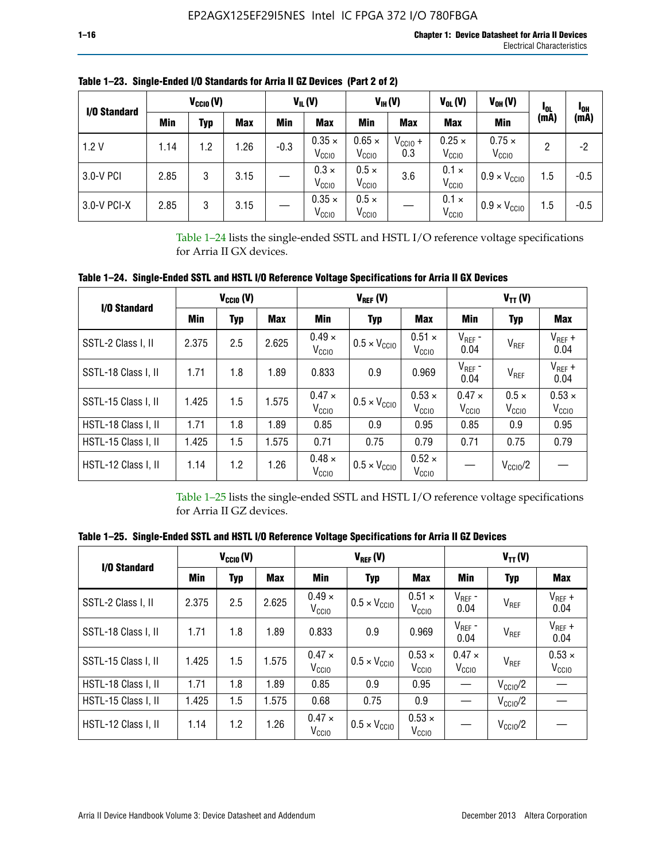| I/O Standard |      | $V_{\text{CCIO}}(V)$ |            |        | $V_{IL}(V)$                        |                                    | $V_{IH} (V)$        | $V_{OL}(V)$<br>$V_{OH} (V)$        |                                    | loL  | <sup>1</sup> OH |
|--------------|------|----------------------|------------|--------|------------------------------------|------------------------------------|---------------------|------------------------------------|------------------------------------|------|-----------------|
|              | Min  | Typ                  | <b>Max</b> | Min    | <b>Max</b>                         | Min                                | <b>Max</b>          | <b>Max</b>                         | Min                                | (mA) | (mA)            |
| 1.2V         | 1.14 | 1.2                  | 1.26       | $-0.3$ | $0.35 \times$<br>V <sub>CCIO</sub> | $0.65 \times$<br>V <sub>CCIO</sub> | $V_{CClO}$ +<br>0.3 | $0.25 \times$<br>V <sub>CCIO</sub> | $0.75 \times$<br>V <sub>CCIO</sub> | 2    | -2              |
| 3.0-V PCI    | 2.85 | 3                    | 3.15       |        | $0.3 \times$<br>V <sub>CCIO</sub>  | $0.5 \times$<br>V <sub>CCIO</sub>  | 3.6                 | $0.1 \times$<br>V <sub>CCIO</sub>  | $0.9 \times V_{\text{CC10}}$       | 1.5  | $-0.5$          |
| 3.0-V PCI-X  | 2.85 | 3                    | 3.15       |        | $0.35 \times$<br>V <sub>CCIO</sub> | $0.5 \times$<br>V <sub>CCIO</sub>  |                     | $0.1 \times$<br>V <sub>CCIO</sub>  | $0.9 \times V_{\text{CC10}}$       | 1.5  | $-0.5$          |

**Table 1–23. Single-Ended I/O Standards for Arria II GZ Devices (Part 2 of 2)**

Table 1–24 lists the single-ended SSTL and HSTL I/O reference voltage specifications for Arria II GX devices.

**Table 1–24. Single-Ended SSTL and HSTL I/O Reference Voltage Specifications for Arria II GX Devices**

| I/O Standard        |       | $V_{CGI0} (V)$ |            |                                    | $V_{REF}(V)$                 |                                    | $V_{TT} (V)$                    |                                   |                                    |  |
|---------------------|-------|----------------|------------|------------------------------------|------------------------------|------------------------------------|---------------------------------|-----------------------------------|------------------------------------|--|
|                     | Min   | <b>Typ</b>     | <b>Max</b> | Min                                | Typ                          | Max                                | Min                             | <b>Typ</b>                        | <b>Max</b>                         |  |
| SSTL-2 Class I, II  | 2.375 | 2.5            | 2.625      | $0.49 \times$<br>V <sub>CCIO</sub> | $0.5 \times V_{\text{CCIO}}$ | $0.51 \times$<br>V <sub>CCIO</sub> | $V_{REF}$ -<br>0.04             | $V_{REF}$                         | $V_{REF}$ +<br>0.04                |  |
| SSTL-18 Class I, II | 1.71  | 1.8            | 1.89       | 0.833                              | 0.9                          | 0.969                              | $V_{REF}$ -<br>0.04             | V <sub>REF</sub>                  | $V_{REF}$ +<br>0.04                |  |
| SSTL-15 Class I, II | 1.425 | 1.5            | 1.575      | $0.47 \times$<br>V <sub>CCIO</sub> | $0.5 \times V_{\text{CC10}}$ | $0.53 \times$<br>V <sub>CCIO</sub> | $0.47 \times$<br>$V_{\rm CClO}$ | $0.5 \times$<br>V <sub>CCIO</sub> | $0.53 \times$<br>V <sub>CCIO</sub> |  |
| HSTL-18 Class I, II | 1.71  | 1.8            | 1.89       | 0.85                               | 0.9                          | 0.95                               | 0.85                            | 0.9                               | 0.95                               |  |
| HSTL-15 Class I, II | 1.425 | 1.5            | 1.575      | 0.71                               | 0.75                         | 0.79                               | 0.71                            | 0.75                              | 0.79                               |  |
| HSTL-12 Class I, II | 1.14  | 1.2            | 1.26       | $0.48 \times$<br>V <sub>CCIO</sub> | $0.5 \times V_{\text{CC10}}$ | $0.52 \times$<br>V <sub>CCIO</sub> |                                 | $V_{\text{CClO}}/2$               |                                    |  |

Table 1–25 lists the single-ended SSTL and HSTL I/O reference voltage specifications for Arria II GZ devices.

**Table 1–25. Single-Ended SSTL and HSTL I/O Reference Voltage Specifications for Arria II GZ Devices** 

| I/O Standard        |       | $V_{\text{CCIO}}(V)$ |            |                                    | $V_{REF}(V)$                 |                                    | $V_{TT}(V)$                        |                     |                                    |  |
|---------------------|-------|----------------------|------------|------------------------------------|------------------------------|------------------------------------|------------------------------------|---------------------|------------------------------------|--|
|                     | Min   | <b>Typ</b>           | <b>Max</b> | Min                                | Typ                          | Max                                | Min                                | Typ                 | Max                                |  |
| SSTL-2 Class I. II  | 2.375 | 2.5                  | 2.625      | $0.49 \times$<br>V <sub>CCD</sub>  | $0.5 \times V_{\text{CC10}}$ | $0.51 \times$<br>V <sub>CCIO</sub> | $V_{REF}$ -<br>0.04                | V <sub>REF</sub>    | $V_{REF}$ +<br>0.04                |  |
| SSTL-18 Class I, II | 1.71  | 1.8                  | 1.89       | 0.833                              | 0.9                          | 0.969                              | $V_{REF}$ -<br>0.04                | V <sub>REF</sub>    | $V_{REF}$ +<br>0.04                |  |
| SSTL-15 Class I, II | 1.425 | 1.5                  | 1.575      | $0.47 \times$<br>V <sub>CCIO</sub> | $0.5 \times V_{\text{CCIO}}$ | $0.53 \times$<br>V <sub>CCIO</sub> | $0.47 \times$<br>V <sub>CCIO</sub> | V <sub>REF</sub>    | $0.53 \times$<br>V <sub>CCIO</sub> |  |
| HSTL-18 Class I, II | 1.71  | 1.8                  | 1.89       | 0.85                               | 0.9                          | 0.95                               |                                    | $V_{\rm CClO}/2$    |                                    |  |
| HSTL-15 Class I, II | 1.425 | 1.5                  | 1.575      | 0.68                               | 0.75                         | 0.9                                |                                    | $V_{\rm CC10}$ /2   |                                    |  |
| HSTL-12 Class I, II | 1.14  | 1.2                  | 1.26       | $0.47 \times$<br>V <sub>CCIO</sub> | $0.5 \times V_{\text{CCIO}}$ | $0.53 \times$<br>V <sub>CCIO</sub> |                                    | $V_{\text{CC10}}/2$ |                                    |  |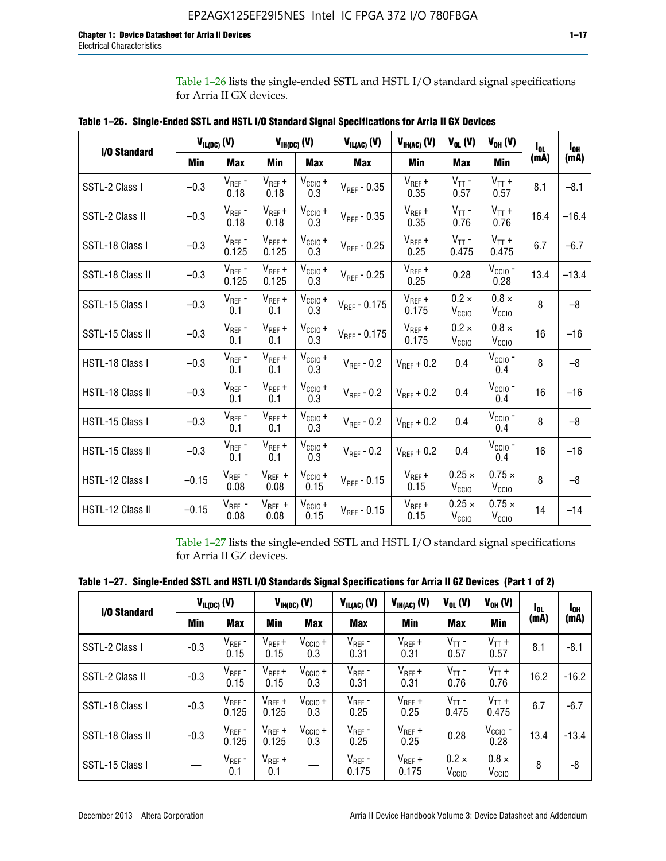Table 1–26 lists the single-ended SSTL and HSTL I/O standard signal specifications for Arria II GX devices.

| <b>I/O Standard</b> | $V_{IL(DC)}(V)$ |                        |                      | $V_{IH(DC)}(V)$             | $V_{IL(AC)}(V)$   | $V_{IH(AC)}$ (V)     | $V_{OL}$ (V)                       | $V_{OH} (V)$                       | l <sub>ol.</sub> | $I_{0H}$ |
|---------------------|-----------------|------------------------|----------------------|-----------------------------|-------------------|----------------------|------------------------------------|------------------------------------|------------------|----------|
|                     | Min             | <b>Max</b>             | Min                  | <b>Max</b>                  | <b>Max</b>        | Min                  | <b>Max</b>                         | <b>Min</b>                         | (mA)             | (mA)     |
| SSTL-2 Class I      | $-0.3$          | $V_{REF}$ -<br>0.18    | $V_{REF} +$<br>0.18  | $V_{\text{CCIO}} +$<br>0.3  | $V_{REF}$ - 0.35  | $V_{REF} +$<br>0.35  | $V_{TT}$ -<br>0.57                 | $V_{TT}$ +<br>0.57                 | 8.1              | $-8.1$   |
| SSTL-2 Class II     | $-0.3$          | $V_{REF}$ -<br>0.18    | $V_{REF} +$<br>0.18  | $V_{CCIO} +$<br>0.3         | $V_{REF} - 0.35$  | $V_{REF} +$<br>0.35  | $V_{TT}$ -<br>0.76                 | $V_{TT}$ +<br>0.76                 | 16.4             | $-16.4$  |
| SSTL-18 Class I     | $-0.3$          | $V_{REF}$ -<br>0.125   | $V_{REF}$ +<br>0.125 | $V_{\text{CC1O}} +$<br>0.3  | $V_{REF}$ - 0.25  | $V_{REF}$ +<br>0.25  | $V_{TT}$ -<br>0.475                | $V_{TT}$ +<br>0.475                | 6.7              | $-6.7$   |
| SSTL-18 Class II    | $-0.3$          | $V_{REF}$ -<br>0.125   | $V_{REF}$ +<br>0.125 | $V_{\text{CCIO}} +$<br>0.3  | $V_{REF}$ - 0.25  | $V_{REF}$ +<br>0.25  | 0.28                               | $V_{CGIO}$ -<br>0.28               | 13.4             | $-13.4$  |
| SSTL-15 Class I     | $-0.3$          | $V_{REF}$ -<br>0.1     | $V_{REF}$ +<br>0.1   | $V_{\text{CCIO}} +$<br>0.3  | $V_{REF}$ - 0.175 | $V_{REF}$ +<br>0.175 | $0.2 \times$<br>V <sub>CCIO</sub>  | $0.8 \times$<br>V <sub>CCIO</sub>  | 8                | $-8$     |
| SSTL-15 Class II    | $-0.3$          | $V_{REF}$ -<br>0.1     | $V_{REF}$ +<br>0.1   | $V_{\text{CCIO}} +$<br>0.3  | $V_{REF} - 0.175$ | $V_{REF}$ +<br>0.175 | $0.2 \times$<br>V <sub>CCIO</sub>  | $0.8 \times$<br>V <sub>CCIO</sub>  | 16               | $-16$    |
| HSTL-18 Class I     | $-0.3$          | $V_{REF}$ -<br>0.1     | $V_{REF}$ +<br>0.1   | $V_{\text{CCIO}} +$<br>0.3  | $V_{REF} - 0.2$   | $V_{REF}$ + 0.2      | 0.4                                | $V_{CGIO}$ -<br>0.4                | 8                | $-8$     |
| HSTL-18 Class II    | $-0.3$          | $V_{REF}$ -<br>0.1     | $V_{REF}$ +<br>0.1   | $V_{\text{CC1O}} +$<br>0.3  | $V_{REF}$ - 0.2   | $V_{REF}$ + 0.2      | 0.4                                | $V_{\text{CCIO}}$ -<br>0.4         | 16               | $-16$    |
| HSTL-15 Class I     | $-0.3$          | $V_{REF}$ -<br>0.1     | $V_{REF}$ +<br>0.1   | $V_{\text{CC1O}} +$<br>0.3  | $V_{REF} - 0.2$   | $V_{REF}$ + 0.2      | 0.4                                | $V_{\text{CCIO}}$ -<br>0.4         | 8                | $-8$     |
| HSTL-15 Class II    | $-0.3$          | $\rm V_{REF}$ -<br>0.1 | $V_{REF}$ +<br>0.1   | $V_{\text{CCIO}} +$<br>0.3  | $V_{REF}$ - 0.2   | $V_{REF}$ + 0.2      | 0.4                                | $V_{CCIO}$ -<br>0.4                | 16               | $-16$    |
| HSTL-12 Class I     | $-0.15$         | $V_{REF}$ -<br>0.08    | $V_{REF}$ +<br>0.08  | $V_{CClO} +$<br>0.15        | $V_{REF} - 0.15$  | $V_{REF} +$<br>0.15  | $0.25 \times$<br>V <sub>CCIO</sub> | $0.75 \times$<br>V <sub>CCIO</sub> | 8                | $-8$     |
| HSTL-12 Class II    | $-0.15$         | $V_{REF}$ -<br>0.08    | $V_{REF}$ +<br>0.08  | $V_{\text{CCIO}} +$<br>0.15 | $V_{REF}$ - 0.15  | $V_{REF} +$<br>0.15  | $0.25 \times$<br>V <sub>CCIO</sub> | $0.75 \times$<br>V <sub>CCIO</sub> | 14               | $-14$    |

**Table 1–26. Single-Ended SSTL and HSTL I/O Standard Signal Specifications for Arria II GX Devices** 

Table 1–27 lists the single-ended SSTL and HSTL I/O standard signal specifications for Arria II GZ devices.

| I/O Standard     |        | $V_{IL(DC)}$ (V)     |                      | $V_{IH(DC)}$ (V)           | $V_{IL(AC)}$ (V)     | $V_{IH(AC)}(V)$      | $V_{OL} (V)$                      | $V_{OH} (V)$                   | l <sub>OL</sub> | 1 <sub>0H</sub> |
|------------------|--------|----------------------|----------------------|----------------------------|----------------------|----------------------|-----------------------------------|--------------------------------|-----------------|-----------------|
|                  | Min    | <b>Max</b>           | <b>Min</b>           | <b>Max</b>                 | <b>Max</b>           | Min                  | <b>Max</b>                        | Min                            | (mA)            | (mA)            |
| SSTL-2 Class I   | $-0.3$ | $V_{REF}$ -<br>0.15  | $V_{REF} +$<br>0.15  | $V_{CCIO} +$<br>0.3        | $V_{REF}$ -<br>0.31  | $V_{REF} +$<br>0.31  | $V_{TT}$ -<br>0.57                | $V_{TT}$ +<br>0.57             | 8.1             | $-8.1$          |
| SSTL-2 Class II  | $-0.3$ | $V_{REF}$ -<br>0.15  | $V_{REF} +$<br>0.15  | $V_{\text{CC1O}} +$<br>0.3 | $V_{REF}$ -<br>0.31  | $V_{REF} +$<br>0.31  | $V_{TT}$ -<br>0.76                | $V_{TT}$ +<br>0.76             | 16.2            | $-16.2$         |
| SSTL-18 Class I  | $-0.3$ | $V_{REF}$ -<br>0.125 | $V_{REF}$ +<br>0.125 | $V_{\text{CC1O}} +$<br>0.3 | $V_{REF}$ -<br>0.25  | $V_{REF}$ +<br>0.25  | $V_{TT}$ -<br>0.475               | $V_{TT}$ +<br>0.475            | 6.7             | $-6.7$          |
| SSTL-18 Class II | $-0.3$ | $V_{REF}$ -<br>0.125 | $V_{REF}$ +<br>0.125 | $V_{\text{CC1O}} +$<br>0.3 | $V_{REF}$ -<br>0.25  | $V_{REF}$ +<br>0.25  | 0.28                              | $V_{\rm CCIO}$ -<br>0.28       | 13.4            | $-13.4$         |
| SSTL-15 Class I  |        | $V_{REF}$ -<br>0.1   | $V_{REF}$ +<br>0.1   |                            | $V_{REF}$ -<br>0.175 | $V_{REF}$ +<br>0.175 | $0.2 \times$<br>V <sub>CCIO</sub> | $0.8 \times$<br>$V_{\rm CClO}$ | 8               | -8              |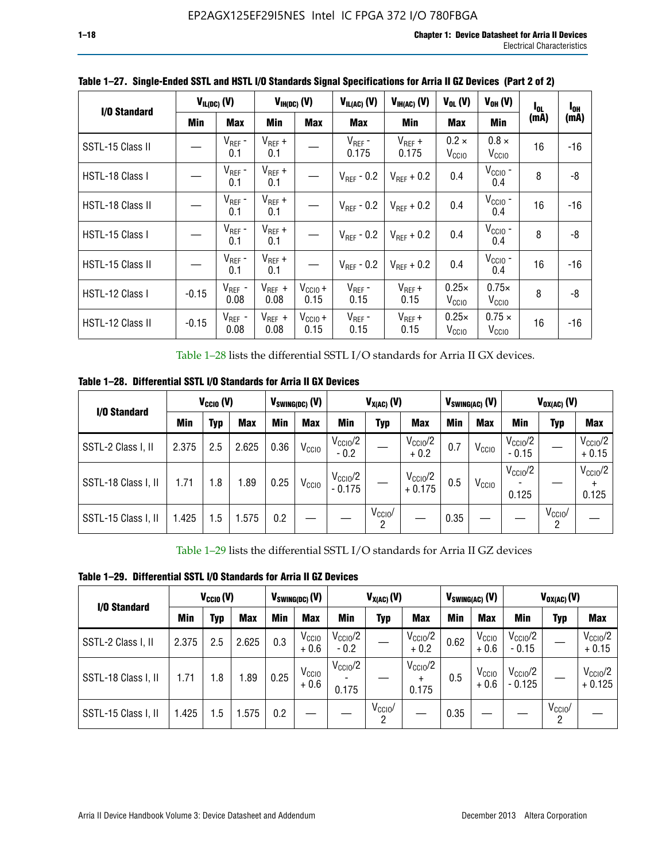| I/O Standard     |         | $V_{IL(DC)}$ (V)    |                     | $V_{IH(DC)}$ (V)     | $V_{IL(AC)}(V)$        | $V_{IH(AC)}(V)$        | $V_{OL}$ (V)                      | $V_{OH} (V)$                       | I <sub>OL</sub> | l <sub>oh</sub> |
|------------------|---------|---------------------|---------------------|----------------------|------------------------|------------------------|-----------------------------------|------------------------------------|-----------------|-----------------|
|                  | Min     | <b>Max</b>          | Min                 | <b>Max</b>           | Max                    | <b>Min</b>             | <b>Max</b>                        | Min                                | (mA)            | (mA)            |
| SSTL-15 Class II |         | $V_{REF}$ -<br>0.1  | $V_{REF}$ +<br>0.1  |                      | $V_{REF}$ -<br>0.175   | $V_{REF}$ +<br>0.175   | $0.2 \times$<br>V <sub>CCIO</sub> | $0.8 \times$<br>V <sub>CCIO</sub>  | 16              | -16             |
| HSTL-18 Class I  |         | $V_{REF}$ -<br>0.1  | $V_{REF}$ +<br>0.1  |                      | $V_{\text{RFF}}$ - 0.2 | $V_{RFF}$ + 0.2        | 0.4                               | $V_{\rm CCIO}$ -<br>0.4            | 8               | -8              |
| HSTL-18 Class II |         | $V_{REF}$ -<br>0.1  | $V_{REF}$ +<br>0.1  |                      | $V_{\text{RFF}}$ - 0.2 | $V_{RFF}$ + 0.2        | 0.4                               | $V_{\text{CCIO}}$ -<br>0.4         | 16              | $-16$           |
| HSTL-15 Class I  |         | $V_{REF}$ -<br>0.1  | $V_{REF}$ +<br>0.1  |                      | $V_{\text{RFF}}$ - 0.2 | $V_{\text{RFF}} + 0.2$ | 0.4                               | $V_{CCIO}$ -<br>0.4                | 8               | -8              |
| HSTL-15 Class II |         | $V_{REF}$ -<br>0.1  | $V_{REF}$ +<br>0.1  |                      | $V_{REF}$ - 0.2        | $V_{RFF}$ + 0.2        | 0.4                               | $VCCIO$ -<br>0.4                   | 16              | $-16$           |
| HSTL-12 Class I  | $-0.15$ | $V_{REF}$ -<br>0.08 | $V_{REF}$ +<br>0.08 | $V_{CClO} +$<br>0.15 | $V_{REF}$ -<br>0.15    | $V_{REF} +$<br>0.15    | $0.25\times$<br>V <sub>CCIO</sub> | $0.75\times$<br>V <sub>CCIO</sub>  | 8               | -8              |
| HSTL-12 Class II | $-0.15$ | $V_{REF}$ -<br>0.08 | $V_{REF}$ +<br>0.08 | $V_{CCI0} +$<br>0.15 | $V_{REF}$ -<br>0.15    | $V_{REF} +$<br>0.15    | $0.25\times$<br>V <sub>CCIO</sub> | $0.75 \times$<br>V <sub>CCIO</sub> | 16              | $-16$           |

**Table 1–27. Single-Ended SSTL and HSTL I/O Standards Signal Specifications for Arria II GZ Devices (Part 2 of 2)**

Table 1–28 lists the differential SSTL I/O standards for Arria II GX devices.

**Table 1–28. Differential SSTL I/O Standards for Arria II GX Devices**

| I/O Standard        |       | $V_{\text{CCIO}}(V)$ |            |            | $V_{SWING(DC)}$ (V) |                                 | $V_{X(AC)}(V)$  |                                 |      | $V_{SWING(AC)}$ (V) | $V_{OX(AC)}$ (V)             |                 |                                |
|---------------------|-------|----------------------|------------|------------|---------------------|---------------------------------|-----------------|---------------------------------|------|---------------------|------------------------------|-----------------|--------------------------------|
|                     | Min   | Typ                  | <b>Max</b> | <b>Min</b> | <b>Max</b>          | Min                             | Typ             | <b>Max</b>                      | Min  | <b>Max</b>          | Min                          | Typ             | <b>Max</b>                     |
| SSTL-2 Class I, II  | 2.375 | 2.5                  | 2.625      | 0.36       | V <sub>CCIO</sub>   | $V_{\text{CC10}}/2$<br>$-0.2$   |                 | $V_{\rm CC10}$ /2<br>$+0.2$     | 0.7  | V <sub>CCIO</sub>   | $V_{\rm CC10}$ /2<br>$-0.15$ |                 | $V_{\text{CCIO}}/2$<br>$+0.15$ |
| SSTL-18 Class I, II | 1.71  | 1.8                  | l.89       | 0.25       | V <sub>CCIO</sub>   | $V_{\text{CCIO}}/2$<br>$-0.175$ |                 | $V_{\text{CC10}}/2$<br>$+0.175$ | 0.5  | V <sub>CCIO</sub>   | $V_{\text{CC10}}/2$<br>0.125 |                 | $V_{\text{CCIO}}/2$<br>0.125   |
| SSTL-15 Class I, II | 1.425 | 1.5                  | .575       | 0.2        |                     |                                 | $V_{CCIO}$<br>2 |                                 | 0.35 |                     |                              | $V_{CCIO}$<br>റ |                                |

Table 1–29 lists the differential SSTL I/O standards for Arria II GZ devices

**Table 1–29. Differential SSTL I/O Standards for Arria II GZ Devices**

| I/O Standard        |       | $V_{\text{CCIO}}(V)$ |            |      | $V_{SWING(DC)}(V)$          |                               | $V_{X(AC)}(V)$      |                                   |      | $V_{SWING(AC)}$ (V)         | $V_{OX(AC)}(V)$                |                 |                                 |
|---------------------|-------|----------------------|------------|------|-----------------------------|-------------------------------|---------------------|-----------------------------------|------|-----------------------------|--------------------------------|-----------------|---------------------------------|
|                     | Min   | Typ                  | <b>Max</b> | Min  | <b>Max</b>                  | Min                           | Typ                 | <b>Max</b>                        | Min  | <b>Max</b>                  | Min                            | Typ             | <b>Max</b>                      |
| SSTL-2 Class I, II  | 2.375 | 2.5                  | 2.625      | 0.3  | V <sub>CCIO</sub><br>$+0.6$ | $V_{\text{CC1O}}/2$<br>$-0.2$ |                     | $V_{\text{CCIO}}/2$<br>$+0.2$     | 0.62 | V <sub>CCIO</sub><br>$+0.6$ | $V_{\text{CC10}}/2$<br>$-0.15$ |                 | $V_{\text{CC10}}/2$<br>$+0.15$  |
| SSTL-18 Class I, II | 1.71  | 1.8                  | 1.89       | 0.25 | V <sub>CCIO</sub><br>$+0.6$ | $V_{\text{CCIO}}/2$<br>0.175  |                     | $V_{\text{CCIO}}/2$<br>÷<br>0.175 | 0.5  | V <sub>CCIO</sub><br>$+0.6$ | $V_{\text{CC10}}/2$<br>- 0.125 |                 | $V_{\text{CC10}}/2$<br>$+0.125$ |
| SSTL-15 Class I, II | 1.425 | 1.5                  | .575       | 0.2  |                             |                               | $V_{\rm CCIO}$<br>2 |                                   | 0.35 |                             |                                | $V_{CClO}$<br>2 |                                 |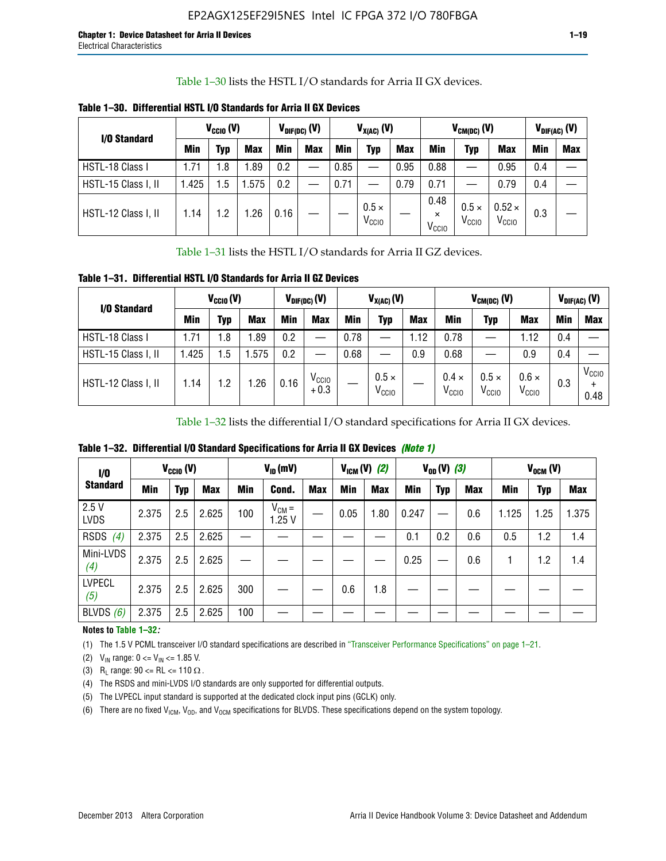Table 1–30 lists the HSTL I/O standards for Arria II GX devices.

| I/O Standard        |            | $V_{CGI0} (V)$ |            |      | $V_{\text{DIF(DC)}}$ (V) | $V_{X(AC)}(V)$ |                                   |            | $V_{CM(DC)}(V)$                       |                                   |                                    | $V_{DIF(AC)}(V)$ |            |
|---------------------|------------|----------------|------------|------|--------------------------|----------------|-----------------------------------|------------|---------------------------------------|-----------------------------------|------------------------------------|------------------|------------|
|                     | <b>Min</b> | Typ            | <b>Max</b> | Min  | <b>Max</b>               | <b>Min</b>     | Typ                               | <b>Max</b> | Min                                   | Typ                               | <b>Max</b>                         | Min              | <b>Max</b> |
| HSTL-18 Class I     | 1.71       | . 8            | .89        | 0.2  | —                        | 0.85           |                                   | 0.95       | 0.88                                  |                                   | 0.95                               | 0.4              |            |
| HSTL-15 Class I, II | l.425      | .5             | .575       | 0.2  |                          | 0.71           |                                   | 0.79       | 0.71                                  |                                   | 0.79                               | 0.4              |            |
| HSTL-12 Class I, II | 1.14       | $\cdot$ .2     | .26        | 0.16 |                          |                | $0.5 \times$<br>V <sub>CCIO</sub> |            | 0.48<br>$\times$<br>V <sub>CCIO</sub> | $0.5 \times$<br>V <sub>CCIO</sub> | $0.52 \times$<br>V <sub>CCIO</sub> | 0.3              |            |

**Table 1–30. Differential HSTL I/O Standards for Arria II GX Devices**

Table 1–31 lists the HSTL I/O standards for Arria II GZ devices.

**Table 1–31. Differential HSTL I/O Standards for Arria II GZ Devices**

| I/O Standard        |       | $V_{\text{CCIO}}(V)$ |            |            | $V_{\text{DIF(DC)}}(V)$     |      | $V_{X(AC)}(V)$                    |            | $V_{CM(DC)}$ (V)                  | $V_{DIF(AC)}$ (V)                 |                                   |     |                           |
|---------------------|-------|----------------------|------------|------------|-----------------------------|------|-----------------------------------|------------|-----------------------------------|-----------------------------------|-----------------------------------|-----|---------------------------|
|                     | Min   | Typ                  | <b>Max</b> | <b>Min</b> | <b>Max</b>                  | Min  | Typ                               | <b>Max</b> | <b>Min</b>                        | Typ                               | <b>Max</b>                        | Min | <b>Max</b>                |
| HSTL-18 Class I     | 71، ، | 1.8                  | .89        | 0.2        | —                           | 0.78 |                                   | 1.12       | 0.78                              |                                   | 1.12                              | 0.4 |                           |
| HSTL-15 Class I, II | .425  | $1.5\,$              | .575       | 0.2        | —                           | 0.68 |                                   | 0.9        | 0.68                              |                                   | 0.9                               | 0.4 |                           |
| HSTL-12 Class I, II | l.14  | 1.2                  | .26        | 0.16       | V <sub>CCIO</sub><br>$+0.3$ |      | $0.5 \times$<br>V <sub>CCIO</sub> |            | $0.4 \times$<br>V <sub>CCIO</sub> | $0.5 \times$<br>V <sub>CCIO</sub> | $0.6 \times$<br>V <sub>CCIO</sub> | 0.3 | V <sub>CCIO</sub><br>0.48 |

Table 1–32 lists the differential I/O standard specifications for Arria II GX devices.

**Table 1–32. Differential I/O Standard Specifications for Arria II GX Devices** *(Note 1)*

| 1/0                  |       | $V_{CGI0} (V)$ |            |     | $V_{ID}$ (mV)       |            |      | $V_{IGM} (V)$ (2) |       | $V_{OD} (V)$ (3) |            |       | $V_{OCM}$ (V) |            |
|----------------------|-------|----------------|------------|-----|---------------------|------------|------|-------------------|-------|------------------|------------|-------|---------------|------------|
| <b>Standard</b>      | Min   | Typ            | <b>Max</b> | Min | Cond.               | <b>Max</b> | Min  | <b>Max</b>        | Min   | <b>Typ</b>       | <b>Max</b> | Min   | Typ           | <b>Max</b> |
| 2.5V<br><b>LVDS</b>  | 2.375 | 2.5            | 2.625      | 100 | $V_{CM} =$<br>1.25V |            | 0.05 | 1.80              | 0.247 |                  | 0.6        | 1.125 | 1.25          | 1.375      |
| <b>RSDS</b><br>(4)   | 2.375 | 2.5            | 2.625      |     |                     |            |      |                   | 0.1   | 0.2              | 0.6        | 0.5   | 1.2           | 1.4        |
| Mini-LVDS<br>(4)     | 2.375 | 2.5            | 2.625      |     |                     |            |      |                   | 0.25  |                  | 0.6        |       | 1.2           | 1.4        |
| <b>LVPECL</b><br>(5) | 2.375 | 2.5            | 2.625      | 300 |                     |            | 0.6  | 1.8               |       |                  |            |       |               |            |
| BLVDS $(6)$          | 2.375 | 2.5            | 2.625      | 100 |                     |            |      |                   |       |                  |            |       |               |            |

### **Notes to Table 1–32***:*

(1) The 1.5 V PCML transceiver I/O standard specifications are described in "Transceiver Performance Specifications" on page 1–21.

(2)  $V_{IN}$  range:  $0 \le V_{IN} \le 1.85$  V.

(3) R<sub>L</sub> range:  $90 \leq R$ L  $\leq 110 \Omega$ .

- (4) The RSDS and mini-LVDS I/O standards are only supported for differential outputs.
- (5) The LVPECL input standard is supported at the dedicated clock input pins (GCLK) only.
- (6) There are no fixed  $V_{ICM}$ ,  $V_{OD}$ , and  $V_{OCM}$  specifications for BLVDS. These specifications depend on the system topology.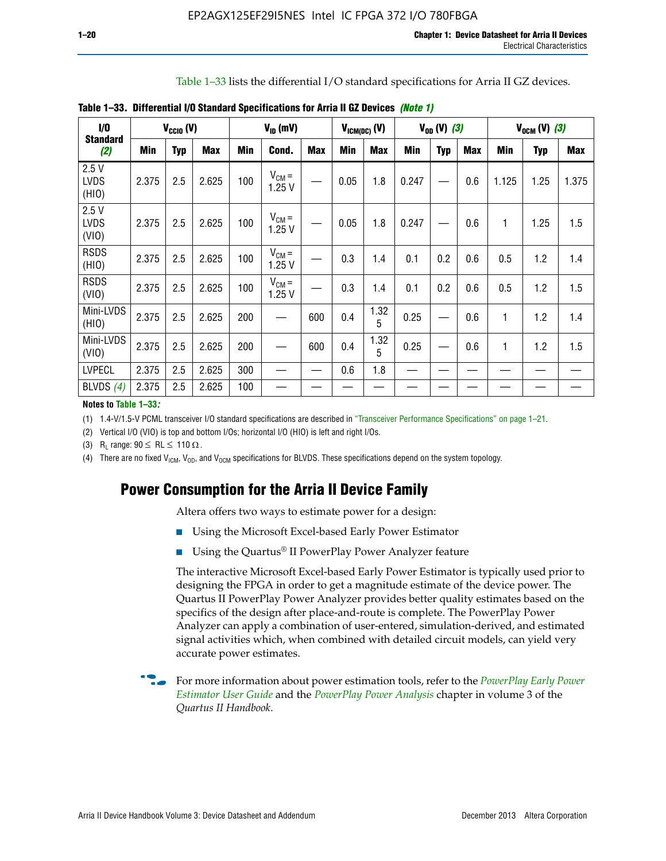Table 1–33 lists the differential I/O standard specifications for Arria II GZ devices.

| 1/0                          |            | $V_{\text{CCIO}}(V)$ |            |     | $V_{ID}$ (mV)       |            |            | $V_{ICM(DC)}$ (V) |       | $V_{0D} (V) (3)$ |            |       | $V_{OCM} (V) (3)$ |            |
|------------------------------|------------|----------------------|------------|-----|---------------------|------------|------------|-------------------|-------|------------------|------------|-------|-------------------|------------|
| <b>Standard</b><br>(2)       | <b>Min</b> | <b>Typ</b>           | <b>Max</b> | Min | Cond.               | <b>Max</b> | <b>Min</b> | <b>Max</b>        | Min   | <b>Typ</b>       | <b>Max</b> | Min   | <b>Typ</b>        | <b>Max</b> |
| 2.5V<br><b>LVDS</b><br>(HIO) | 2.375      | 2.5                  | 2.625      | 100 | $V_{CM} =$<br>1.25V |            | 0.05       | 1.8               | 0.247 |                  | 0.6        | 1.125 | 1.25              | 1.375      |
| 2.5V<br><b>LVDS</b><br>(VIO) | 2.375      | 2.5                  | 2.625      | 100 | $V_{CM} =$<br>1.25V |            | 0.05       | 1.8               | 0.247 |                  | 0.6        | 1     | 1.25              | 1.5        |
| <b>RSDS</b><br>(HIO)         | 2.375      | 2.5                  | 2.625      | 100 | $V_{CM} =$<br>1.25V |            | 0.3        | 1.4               | 0.1   | 0.2              | 0.6        | 0.5   | 1.2               | 1.4        |
| <b>RSDS</b><br>(VIO)         | 2.375      | 2.5                  | 2.625      | 100 | $V_{CM} =$<br>1.25V |            | 0.3        | 1.4               | 0.1   | 0.2              | 0.6        | 0.5   | 1.2               | 1.5        |
| Mini-LVDS<br>(HIO)           | 2.375      | 2.5                  | 2.625      | 200 |                     | 600        | 0.4        | 1.32<br>5         | 0.25  |                  | 0.6        | 1     | 1.2               | 1.4        |
| Mini-LVDS<br>(VIO)           | 2.375      | 2.5                  | 2.625      | 200 | —                   | 600        | 0.4        | 1.32<br>5         | 0.25  |                  | 0.6        | 1     | 1.2               | 1.5        |
| <b>LVPECL</b>                | 2.375      | 2.5                  | 2.625      | 300 |                     |            | 0.6        | 1.8               |       |                  |            |       |                   |            |
| BLVDS (4)                    | 2.375      | 2.5                  | 2.625      | 100 |                     |            |            |                   |       |                  |            |       |                   |            |

**Table 1–33. Differential I/O Standard Specifications for Arria II GZ Devices** *(Note 1)*

#### **Notes to Table 1–33***:*

(1) 1.4-V/1.5-V PCML transceiver I/O standard specifications are described in "Transceiver Performance Specifications" on page 1–21.

(2) Vertical I/O (VIO) is top and bottom I/Os; horizontal I/O (HIO) is left and right I/Os.

(3) R<sub>l</sub> range:  $90 \leq R L \leq 110 \Omega$ .

(4) There are no fixed  $V_{ICM}$ ,  $V_{OD}$ , and  $V_{OCM}$  specifications for BLVDS. These specifications depend on the system topology.

# **Power Consumption for the Arria II Device Family**

Altera offers two ways to estimate power for a design:

- Using the Microsoft Excel-based Early Power Estimator
- Using the Quartus<sup>®</sup> II PowerPlay Power Analyzer feature

The interactive Microsoft Excel-based Early Power Estimator is typically used prior to designing the FPGA in order to get a magnitude estimate of the device power. The Quartus II PowerPlay Power Analyzer provides better quality estimates based on the specifics of the design after place-and-route is complete. The PowerPlay Power Analyzer can apply a combination of user-entered, simulation-derived, and estimated signal activities which, when combined with detailed circuit models, can yield very accurate power estimates.

f For more information about power estimation tools, refer to the *[PowerPlay Early Power](http://www.altera.com/literature/ug/ug_epe.pdf?GSA_pos=5&WT.oss_r=1&WT.oss=powerplay early power estimator)  [Estimator User Guide](http://www.altera.com/literature/ug/ug_epe.pdf?GSA_pos=5&WT.oss_r=1&WT.oss=powerplay early power estimator)* and the *[PowerPlay Power Analysis](http://www.altera.com/literature/hb/qts/qts_qii53013.pdf)* chapter in volume 3 of the *Quartus II Handbook*.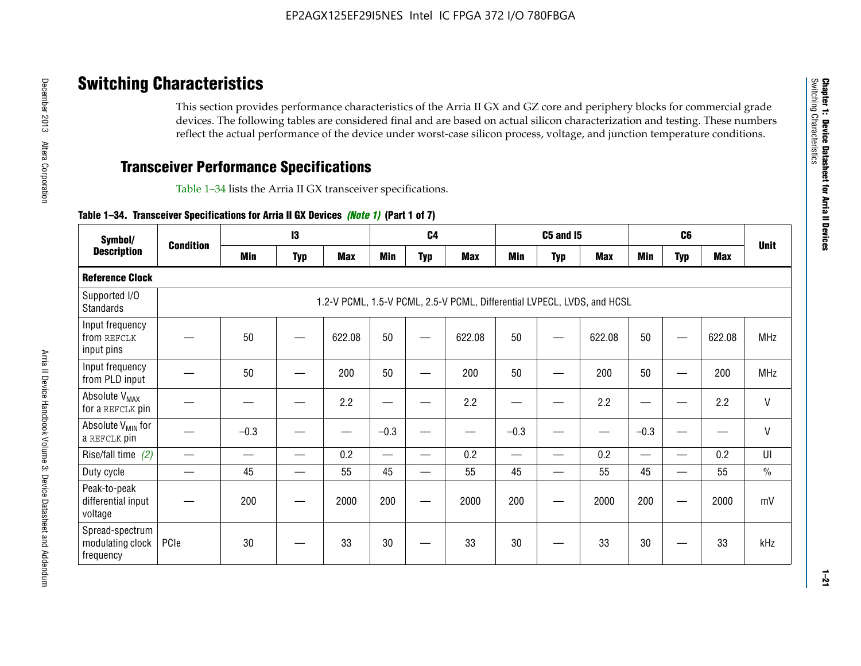# **Switching Characteristics**

This section provides performance characteristics of the Arria II GX and GZ core and periphery blocks for commercial grade devices. The following tables are considered final and are based on actual silicon characterization and testing. These numbers reflect the actual performance of the device under worst-case silicon process, voltage, and junction temperature conditions.

# **Transceiver Performance Specifications**

Table 1–34 lists the Arria II GX transceiver specifications.

### **Table 1–34. Transceiver Specifications for Arria II GX Devices** *(Note 1)* **(Part 1 of 7)**

| Symbol/                                          |                  |            | 13         |            |            | C <sub>4</sub>           |                                                                         |                          | <b>C5 and 15</b> |            |            | C <sub>6</sub>           |            |               |
|--------------------------------------------------|------------------|------------|------------|------------|------------|--------------------------|-------------------------------------------------------------------------|--------------------------|------------------|------------|------------|--------------------------|------------|---------------|
| <b>Description</b>                               | <b>Condition</b> | <b>Min</b> | <b>Typ</b> | <b>Max</b> | <b>Min</b> | <b>Typ</b>               | <b>Max</b>                                                              | <b>Min</b>               | <b>Typ</b>       | <b>Max</b> | <b>Min</b> | <b>Typ</b>               | <b>Max</b> | <b>Unit</b>   |
| <b>Reference Clock</b>                           |                  |            |            |            |            |                          |                                                                         |                          |                  |            |            |                          |            |               |
| Supported I/O<br><b>Standards</b>                |                  |            |            |            |            |                          | 1.2-V PCML, 1.5-V PCML, 2.5-V PCML, Differential LVPECL, LVDS, and HCSL |                          |                  |            |            |                          |            |               |
| Input frequency<br>from REFCLK<br>input pins     |                  | 50         |            | 622.08     | 50         |                          | 622.08                                                                  | 50                       | —                | 622.08     | 50         |                          | 622.08     | <b>MHz</b>    |
| Input frequency<br>from PLD input                |                  | 50         |            | 200        | 50         |                          | 200                                                                     | 50                       |                  | 200        | 50         |                          | 200        | MHz           |
| Absolute V <sub>MAX</sub><br>for a REFCLK pin    |                  |            |            | 2.2        |            |                          | 2.2                                                                     | —                        |                  | 2.2        |            |                          | 2.2        | $\mathsf{V}$  |
| Absolute V <sub>MIN</sub> for<br>a REFCLK pin    |                  | $-0.3$     |            |            | $-0.3$     |                          |                                                                         | $-0.3$                   | -                |            | $-0.3$     |                          | —          | $\mathsf{V}$  |
| Rise/fall time (2)                               |                  |            | —          | 0.2        | —          | —                        | 0.2                                                                     | $\overline{\phantom{0}}$ | —                | 0.2        | —          | $\overline{\phantom{0}}$ | 0.2        | UI            |
| Duty cycle                                       |                  | 45         |            | 55         | 45         | $\overline{\phantom{0}}$ | 55                                                                      | 45                       | —                | 55         | 45         |                          | 55         | $\frac{0}{0}$ |
| Peak-to-peak<br>differential input<br>voltage    |                  | 200        |            | 2000       | 200        |                          | 2000                                                                    | 200                      | —                | 2000       | 200        |                          | 2000       | mV            |
| Spread-spectrum<br>modulating clock<br>frequency | PCIe             | 30         |            | 33         | 30         |                          | 33                                                                      | 30                       |                  | 33         | 30         |                          | 33         | kHz           |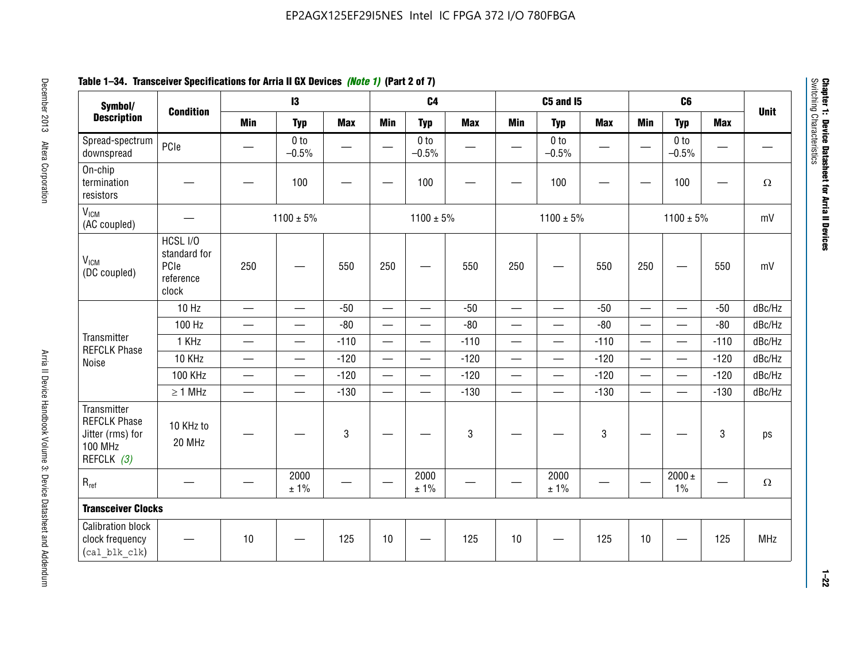# **Table 1–34. Transceiver Specifications for Arria II GX Devices** *(Note 1)* **(Part 2 of 7)**

| Symbol/<br><b>Description</b>                                                          |                                                        |                               | 13                         |            |                          | C <sub>4</sub>             |              |                          | <b>C5 and 15</b>           |            |                          | C <sub>6</sub>             |            |             |
|----------------------------------------------------------------------------------------|--------------------------------------------------------|-------------------------------|----------------------------|------------|--------------------------|----------------------------|--------------|--------------------------|----------------------------|------------|--------------------------|----------------------------|------------|-------------|
|                                                                                        | <b>Condition</b>                                       | <b>Min</b>                    | <b>Typ</b>                 | <b>Max</b> | <b>Min</b>               | <b>Typ</b>                 | <b>Max</b>   | <b>Min</b>               | <b>Typ</b>                 | <b>Max</b> | <b>Min</b>               | <b>Typ</b>                 | <b>Max</b> | <b>Unit</b> |
| Spread-spectrum<br>downspread                                                          | PCIe                                                   |                               | 0 <sub>to</sub><br>$-0.5%$ | —          |                          | 0 <sub>to</sub><br>$-0.5%$ |              |                          | 0 <sub>to</sub><br>$-0.5%$ |            |                          | 0 <sub>to</sub><br>$-0.5%$ | —          |             |
| On-chip<br>termination<br>resistors                                                    |                                                        |                               | 100                        |            | $\overline{\phantom{0}}$ | 100                        |              |                          | 100                        |            |                          | 100                        | —          | $\Omega$    |
| V <sub>ICM</sub><br>(AC coupled)                                                       |                                                        |                               | $1100 \pm 5\%$             |            |                          | $1100 \pm 5\%$             |              |                          | $1100 \pm 5\%$             |            |                          | $1100 \pm 5\%$             |            | mV          |
| V <sub>ICM</sub><br>(DC coupled)                                                       | HCSL I/O<br>standard for<br>PCIe<br>reference<br>clock | 250                           | —                          | 550        | 250                      | $\overline{\phantom{0}}$   | 550          | 250                      |                            | 550        | 250                      |                            | 550        | mV          |
|                                                                                        | 10 Hz                                                  |                               | $\overline{\phantom{0}}$   | $-50$      | $\qquad \qquad$          | $\equiv$                   | $-50$        | $\overline{\phantom{0}}$ | $\equiv$                   | $-50$      | $\overline{\phantom{0}}$ |                            | $-50$      | dBc/Hz      |
|                                                                                        | 100 Hz                                                 | $\qquad \qquad$               | $\overline{\phantom{0}}$   | $-80$      | $\overline{\phantom{0}}$ | $\overline{\phantom{0}}$   | $-80$        | $\qquad \qquad$          | $\overline{\phantom{0}}$   | $-80$      |                          | $\overline{\phantom{0}}$   | $-80$      | dBc/Hz      |
| Transmitter<br><b>REFCLK Phase</b>                                                     | 1 KHz                                                  | $\hspace{0.05cm}$             | $\qquad \qquad$            | $-110$     |                          | $\qquad \qquad$            | $-110$       | $\overline{\phantom{0}}$ | $\overline{\phantom{0}}$   | $-110$     |                          | $\qquad \qquad$            | $-110$     | dBc/Hz      |
| Noise                                                                                  | 10 KHz                                                 | $\overbrace{\phantom{aaaaa}}$ | $\overline{\phantom{0}}$   | $-120$     | $\overline{\phantom{m}}$ | $\overline{\phantom{0}}$   | $-120$       | $\overline{\phantom{0}}$ | $\overline{\phantom{0}}$   | $-120$     |                          | $\equiv$                   | $-120$     | dBc/Hz      |
|                                                                                        | <b>100 KHz</b>                                         | $\overline{\phantom{0}}$      | $\overline{\phantom{0}}$   | $-120$     | $\overline{\phantom{0}}$ | $\overline{\phantom{a}}$   | $-120$       | $\overline{\phantom{0}}$ | $\overline{\phantom{0}}$   | $-120$     | $\overline{\phantom{0}}$ | $\overline{\phantom{0}}$   | $-120$     | dBc/Hz      |
|                                                                                        | $\geq 1$ MHz                                           |                               | $\qquad \qquad$            | $-130$     |                          | $\overline{\phantom{0}}$   | $-130$       | $\overline{\phantom{0}}$ | $\overline{\phantom{0}}$   | $-130$     | $\overline{\phantom{0}}$ | $\equiv$                   | $-130$     | dBc/Hz      |
| Transmitter<br><b>REFCLK Phase</b><br>Jitter (rms) for<br><b>100 MHz</b><br>REFCLK (3) | 10 KHz to<br>20 MHz                                    |                               |                            | 3          |                          |                            | $\mathbf{3}$ |                          |                            | 3          |                          |                            | 3          | ps          |
| $R_{ref}$                                                                              |                                                        |                               | 2000<br>± 1%               |            |                          | 2000<br>± 1%               |              |                          | 2000<br>± 1%               |            |                          | $2000 \pm$<br>1%           |            | $\Omega$    |
| <b>Transceiver Clocks</b>                                                              |                                                        |                               |                            |            |                          |                            |              |                          |                            |            |                          |                            |            |             |
| <b>Calibration block</b><br>clock frequency<br>(cal blk clk)                           |                                                        | 10                            |                            | 125        | 10                       |                            | 125          | 10                       |                            | 125        | 10                       |                            | 125        | MHz         |

December 2013 Altera Corporation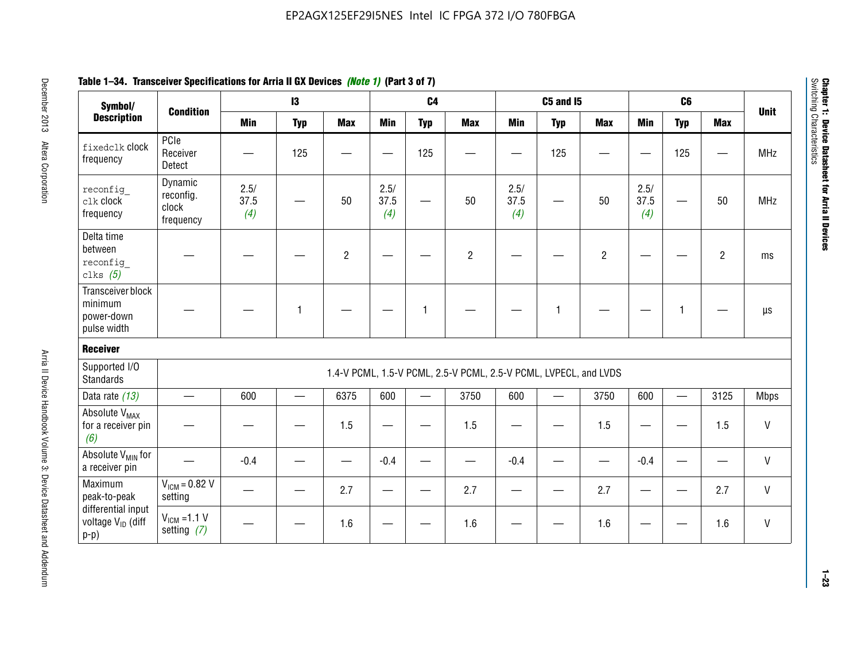| Symbol/                                                       |                                            |                     | $\mathbf{13}$ |                |                     | C <sub>4</sub> |                                                                  |                     | <b>C5 and 15</b> |                |                     | C6           |                |              |
|---------------------------------------------------------------|--------------------------------------------|---------------------|---------------|----------------|---------------------|----------------|------------------------------------------------------------------|---------------------|------------------|----------------|---------------------|--------------|----------------|--------------|
| <b>Description</b>                                            | <b>Condition</b>                           | <b>Min</b>          | <b>Typ</b>    | <b>Max</b>     | <b>Min</b>          | <b>Typ</b>     | <b>Max</b>                                                       | <b>Min</b>          | <b>Typ</b>       | <b>Max</b>     | <b>Min</b>          | <b>Typ</b>   | <b>Max</b>     | <b>Unit</b>  |
| fixedclk Clock<br>frequency                                   | PCIe<br>Receiver<br>Detect                 |                     | 125           |                |                     | 125            |                                                                  |                     | 125              |                |                     | 125          |                | <b>MHz</b>   |
| reconfig<br>clk clock<br>frequency                            | Dynamic<br>reconfig.<br>clock<br>frequency | 2.5/<br>37.5<br>(4) |               | 50             | 2.5/<br>37.5<br>(4) | <u>—</u>       | 50                                                               | 2.5/<br>37.5<br>(4) | —                | 50             | 2.5/<br>37.5<br>(4) |              | 50             | <b>MHz</b>   |
| Delta time<br>between<br>reconfig<br>clks $(5)$               |                                            |                     |               | $\overline{c}$ |                     |                | $\overline{2}$                                                   |                     |                  | $\overline{2}$ |                     |              | $\overline{2}$ | ms           |
| Transceiver block<br>minimum<br>power-down<br>pulse width     |                                            |                     | 1             |                |                     | 1              |                                                                  |                     | $\mathbf{1}$     |                |                     | $\mathbf{1}$ |                | $\mu s$      |
| <b>Receiver</b>                                               |                                            |                     |               |                |                     |                |                                                                  |                     |                  |                |                     |              |                |              |
| Supported I/O<br><b>Standards</b>                             |                                            |                     |               |                |                     |                | 1.4-V PCML, 1.5-V PCML, 2.5-V PCML, 2.5-V PCML, LVPECL, and LVDS |                     |                  |                |                     |              |                |              |
| Data rate (13)                                                | $\qquad \qquad$                            | 600                 |               | 6375           | 600                 |                | 3750                                                             | 600                 |                  | 3750           | 600                 | $\equiv$     | 3125           | <b>Mbps</b>  |
| Absolute V <sub>MAX</sub><br>for a receiver pin<br>(6)        |                                            |                     |               | 1.5            | e e                 |                | 1.5                                                              |                     |                  | 1.5            | —                   |              | 1.5            | V            |
| Absolute V <sub>MIN</sub> for<br>a receiver pin               |                                            | $-0.4$              |               |                | $-0.4$              |                |                                                                  | $-0.4$              |                  |                | $-0.4$              |              |                | $\mathsf{V}$ |
| Maximum<br>peak-to-peak                                       | $V_{IGM} = 0.82 V$<br>setting              |                     |               | 2.7            |                     |                | 2.7                                                              |                     |                  | 2.7            |                     |              | 2.7            | V            |
| differential input<br>voltage V <sub>ID</sub> (diff<br>$p-p)$ | $V_{IGM} = 1.1 V$<br>setting $(7)$         |                     |               | 1.6            |                     |                | 1.6                                                              |                     |                  | 1.6            |                     |              | 1.6            | V            |

**Chapter 1: Device Datasheet for Arria II Devices**

Chapter 1: Device Datasheet for Arria II Devices<br>Switching Characteristics

Switching Characteristics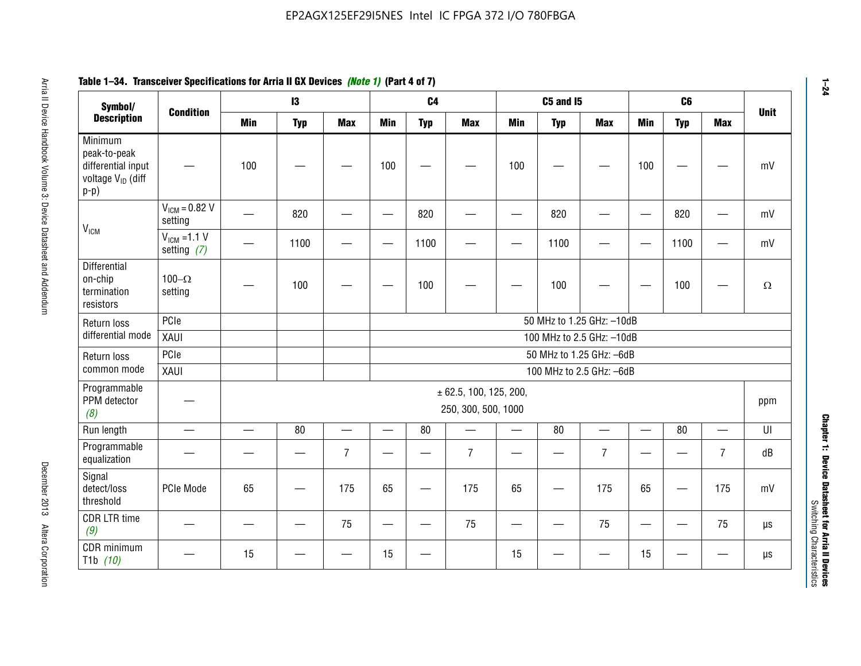#### **Arris 2: Device Handbook Volume 3: Device Datasheet Addents Device Datasheet Addents December 2013 Altera Corporation Minimum peaks-to-peak differential input voltage Video Minimum peaks-to-peak diff particular and the V<sub>ICM</sub>**  $V_{ICM} = 0.82 V$ setting | 一 | 820 | 一 | ― | 820 | 一 | ― | 820 | ― | ― | 820 | ― | mV  $V_{ICM}$  =1.1 V setting *(7)* | - | 1100 | - | - | 1100 | - | - | 1100 | - | - | 1100 | - | mV **Differential** on-chip termination resistors100– $\Omega$ setting | — | 100 | — | — | 100 | — | — | 100 | — | — | 100 | —  $\Omega$ Return loss differential mode PCIee | | | | 50 MHz to 1.25 GHz: –10dB XAUI 100 MHz to 2.5 GHz: –10dB Return loss common modePCIe 50 MHz to 1.25 GHz: –6dBXAUI 100 MHz to 2.5 GHz: –6dB Programmable PPM detector *(8)* ± 62.5, 100, 125, 200, 250, 300, 500, 1000 ppm Run length | ― | ― | 80 | ― | 80 | ― | 80 | ― | UI Programmable -rogrammasic | — | — | — | 7 |— | – | 7 |— | – | 7 |— | – | 7 | dB<br>equalization | — | — | — | 7 |— | 7 | — | 7 | — | 7 | — | 7 | dB Signal detect/loss thresholdPCIe Mode | 65 | — | 175 | 65 | — | 175 | 65 | — | 175 | 65 | — | 175 | mV CDR LTR time *(9)* – | – | – | <sup>75</sup> | – | <sup>75</sup> | – | <sup>75</sup> | – | <sup>75</sup> | – | <sup>75</sup> | – | <sup>75</sup> | <sup>18</sup> CDR minimum T1b *(10)* — <sup>15</sup> — — <sup>15</sup> — <sup>15</sup> — — <sup>15</sup> — — µs **Symbol/ Description Condition I3 C4 C5 and I5 C6UnitMin Typ Max Min Typ Max Min Typ Max Min Typ Max**

# **Table 1–34. Transceiver Specifications for Arria II GX Devices** *(Note 1)* **(Part 4 of 7)**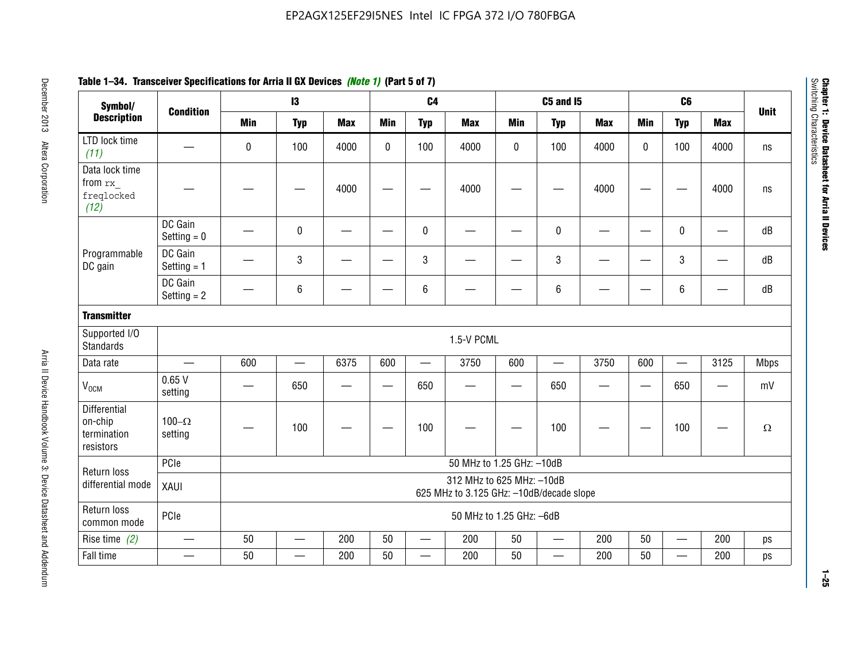| Symbol/                                             |                          |            | $\mathbf{13}$ |            |                          | C <sub>4</sub> |                                                                       |                          | <b>C5 and I5</b>         |                          |                   | C <sub>6</sub>           |                          |             |
|-----------------------------------------------------|--------------------------|------------|---------------|------------|--------------------------|----------------|-----------------------------------------------------------------------|--------------------------|--------------------------|--------------------------|-------------------|--------------------------|--------------------------|-------------|
| <b>Description</b>                                  | <b>Condition</b>         | <b>Min</b> | <b>Typ</b>    | <b>Max</b> | <b>Min</b>               | <b>Typ</b>     | <b>Max</b>                                                            | <b>Min</b>               | <b>Typ</b>               | <b>Max</b>               | <b>Min</b>        | <b>Typ</b>               | <b>Max</b>               | <b>Unit</b> |
| LTD lock time<br>(11)                               |                          | $\pmb{0}$  | 100           | 4000       | $\mathbf{0}$             | 100            | 4000                                                                  | 0                        | 100                      | 4000                     | $\mathbf{0}$      | 100                      | 4000                     | ns          |
| Data lock time<br>from rx<br>freqlocked<br>(12)     |                          |            |               | 4000       |                          |                | 4000                                                                  |                          |                          | 4000                     |                   |                          | 4000                     | ns          |
|                                                     | DC Gain<br>Setting $= 0$ |            | $\mathbf 0$   |            |                          | $\mathbf{0}$   |                                                                       |                          | $\mathbf 0$              | $\overline{\phantom{0}}$ |                   | $\pmb{0}$                | —                        | dB          |
| Programmable<br>DC gain                             | DC Gain<br>Setting $= 1$ |            | $\mathsf 3$   |            |                          | 3              |                                                                       |                          | 3                        |                          |                   | 3                        |                          | dB          |
|                                                     | DC Gain<br>Setting $= 2$ |            | 6             |            |                          | 6              |                                                                       |                          | $6\phantom{1}6$          |                          |                   | 6                        |                          | dB          |
| <b>Transmitter</b>                                  |                          |            |               |            |                          |                |                                                                       |                          |                          |                          |                   |                          |                          |             |
| Supported I/O<br><b>Standards</b>                   |                          |            |               |            |                          |                | 1.5-V PCML                                                            |                          |                          |                          |                   |                          |                          |             |
| Data rate                                           |                          | 600        |               | 6375       | 600                      |                | 3750                                                                  | 600                      |                          | 3750                     | 600               | $\qquad \qquad$          | 3125                     | <b>Mbps</b> |
| V <sub>OCM</sub>                                    | 0.65V<br>setting         |            | 650           |            | $\overline{\phantom{a}}$ | 650            |                                                                       | $\overline{\phantom{0}}$ | 650                      |                          | $\hspace{0.05cm}$ | 650                      | $\overline{\phantom{0}}$ | mV          |
| Differential<br>on-chip<br>termination<br>resistors | 100 $-\Omega$<br>setting |            | 100           |            |                          | 100            |                                                                       |                          | 100                      |                          |                   | 100                      |                          | $\Omega$    |
|                                                     | PCIe                     |            |               |            |                          |                | 50 MHz to 1.25 GHz: -10dB                                             |                          |                          |                          |                   |                          |                          |             |
| Return loss<br>differential mode                    | XAUI                     |            |               |            |                          |                | 312 MHz to 625 MHz: -10dB<br>625 MHz to 3.125 GHz: -10dB/decade slope |                          |                          |                          |                   |                          |                          |             |
| Return loss<br>common mode                          | PCIe                     |            |               |            |                          |                | 50 MHz to 1.25 GHz: -6dB                                              |                          |                          |                          |                   |                          |                          |             |
| Rise time $(2)$                                     | $\overline{\phantom{0}}$ | 50         | $\equiv$      | 200        | 50                       |                | 200                                                                   | 50                       | $\overline{\phantom{0}}$ | 200                      | 50                | $\overline{\phantom{m}}$ | 200                      | ps          |
| Fall time                                           |                          | 50         |               | 200        | 50                       |                | 200                                                                   | 50                       |                          | 200                      | 50                |                          | 200                      | ps          |

# **Table 1–34. Transceiver Specifications for Arria II GX Devices** *(Note 1)* **(Part 5 of 7)**

**1–25**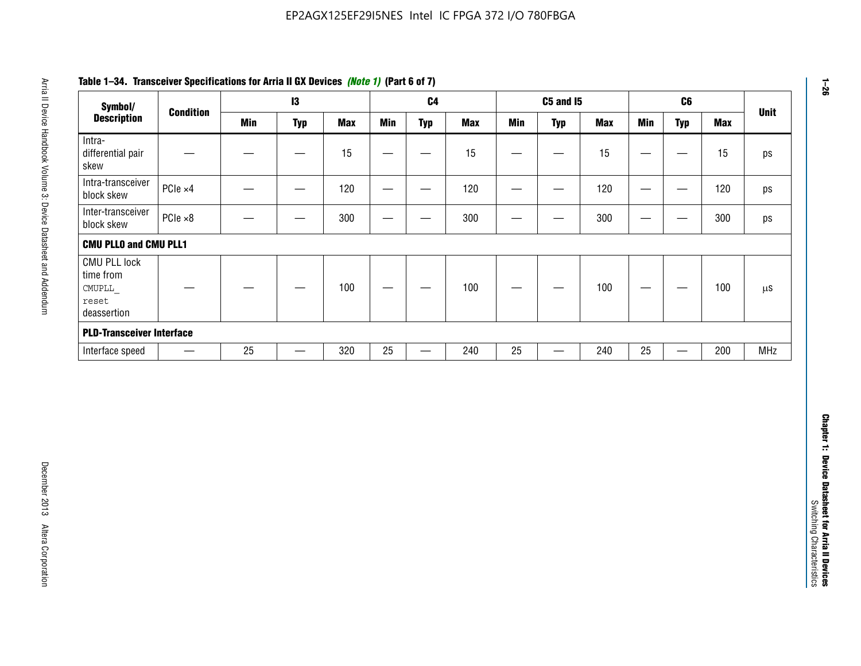| Symbol/                                                            |                          |            | $\mathbf{I}3$                  |            |                                | C <sub>4</sub>                    |            |                                | <b>C5 and 15</b>              |            |                                  | C6                       |            | <b>Unit</b> |
|--------------------------------------------------------------------|--------------------------|------------|--------------------------------|------------|--------------------------------|-----------------------------------|------------|--------------------------------|-------------------------------|------------|----------------------------------|--------------------------|------------|-------------|
| <b>Description</b>                                                 | <b>Condition</b>         | <b>Min</b> | <b>Typ</b>                     | <b>Max</b> | <b>Min</b>                     | <b>Typ</b>                        | <b>Max</b> | <b>Min</b>                     | <b>Typ</b>                    | <b>Max</b> | <b>Min</b>                       | <b>Typ</b>               | <b>Max</b> |             |
| Intra-<br>differential pair<br>skew                                |                          |            | $\qquad \qquad \longleftarrow$ | 15         | —                              |                                   | 15         | —                              |                               | 15         | $\qquad \qquad -$                | $\qquad \qquad -$        | 15         |             |
| Intra-transceiver<br>block skew                                    | PCIe ×4                  |            |                                | 120        |                                | $\overbrace{\phantom{13333}}$     | 120        | $\qquad \qquad \longleftarrow$ | $\overbrace{\phantom{13333}}$ | 120        | $\hspace{0.1mm}-\hspace{0.1mm}$  | $\qquad \qquad -$        | 120        |             |
| Inter-transceiver<br>block skew                                    | $PCle \times 8$          |            |                                | 300        | —                              | —                                 | 300        | —                              | $\overline{\phantom{0}}$      | 300        | $\hspace{0.05cm}$                | $\hspace{0.05cm}$        | 300        |             |
| <b>CMU PLLO and CMU PLL1</b>                                       |                          |            |                                |            |                                |                                   |            |                                |                               |            |                                  |                          |            |             |
| <b>CMU PLL lock</b><br>time from<br>CMUPLL<br>reset<br>deassertion |                          |            |                                | 100        | $\qquad \qquad \longleftarrow$ | $\overline{\phantom{0}}$          | 100        |                                |                               | 100        | $\overbrace{\phantom{12322111}}$ |                          | 100        |             |
| <b>PLD-Transceiver Interface</b>                                   |                          |            |                                |            |                                |                                   |            |                                |                               |            |                                  |                          |            |             |
| Interface speed                                                    | $\overline{\phantom{m}}$ | 25         |                                | 320        | 25                             | $\overbrace{\phantom{123221111}}$ | 240        | $25\,$                         |                               | 240        | 25                               | $\overline{\phantom{m}}$ | 200        | <b>MHz</b>  |
|                                                                    |                          |            |                                |            |                                |                                   |            |                                |                               |            |                                  |                          |            |             |
|                                                                    |                          |            |                                |            |                                |                                   |            |                                |                               |            |                                  |                          |            |             |
|                                                                    |                          |            |                                |            |                                |                                   |            |                                |                               |            |                                  |                          |            |             |

# **Table 1–34. Transceiver Specifications for Arria II GX Devices** *(Note 1)* **(Part 6 of 7)**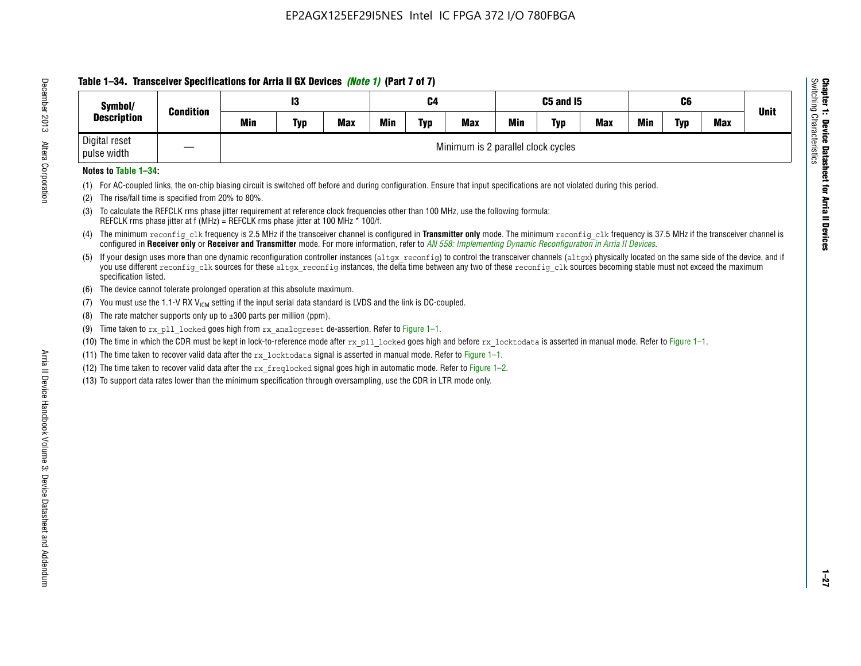# **Table 1–34. Transceiver Specifications for Arria II GX Devices** *(Note 1)* **(Part 7 of 7)**

| Symbol/                      | <b>Condition</b>  |     | 13         |            |     | C4         |                                    |            | C5 and I5  |            |            | C6  |            | <b>Unit</b> |
|------------------------------|-------------------|-----|------------|------------|-----|------------|------------------------------------|------------|------------|------------|------------|-----|------------|-------------|
| <b>Description</b>           |                   | Min | <b>Typ</b> | <b>Max</b> | Min | <b>Typ</b> | <b>Max</b>                         | <b>Min</b> | <b>Typ</b> | <b>Max</b> | <b>Min</b> | Typ | <b>Max</b> |             |
| Digital reset<br>pulse width | $\hspace{0.05cm}$ |     |            |            |     |            | Minimum is 2 parallel clock cycles |            |            |            |            |     |            |             |

### **Notes to Table 1–34:**

- (1) For AC-coupled links, the on-chip biasing circuit is switched off before and during configuration. Ensure that input specifications are not violated during this period.
- (2) The rise/fall time is specified from 20% to 80%.
- (3) To calculate the REFCLK rms phase jitter requirement at reference clock frequencies other than 100 MHz, use the following formula: REFCLK rms phase jitter at f (MHz) = REFCLK rms phase jitter at 100 MHz \* 100/f.
- (4) The minimum reconfig clk frequency is 2.5 MHz if the transceiver channel is configured in **Transmitter only** mode. The minimum reconfig clk frequency is 37.5 MHz if the transceiver channel is configured in **Receiver only** or **Receiver and Transmitter** mode. For more information, refer to *AN [558: Implementing Dynamic Reconfiguration in Arria II Devices](www.altera.com/literature/hb/arria-ii-gx/an558.pdf)*.
- (5) If your design uses more than one dynamic reconfiguration controller instances (altgx reconfig) to control the transceiver channels (altgx) physically located on the same side of the device, and if you use different reconfig clk sources for these altgx reconfig instances, the delta time between any two of these reconfig clk sources becoming stable must not exceed the maximum specification listed.
- (6) The device cannot tolerate prolonged operation at this absolute maximum.
- (7) You must use the 1.1-V RX  $V_{ICM}$  setting if the input serial data standard is LVDS and the link is DC-coupled.
- (8) The rate matcher supports only up to  $\pm 300$  parts per million (ppm).
- (9) Time taken to rx\_pll\_locked goes high from rx\_analogreset de-assertion. Refer to Figure 1–1.
- (10) The time in which the CDR must be kept in lock-to-reference mode after rx pll locked goes high and before rx locktodata is asserted in manual mode. Refer to Figure 1-1.
- (11) The time taken to recover valid data after the  $rx$  locktodata signal is asserted in manual mode. Refer to Figure 1–1.
- (12) The time taken to recover valid data after the  $rx$  freqlocked signal goes high in automatic mode. Refer to Figure 1–2.
- (13) To support data rates lower than the minimum specification through oversampling, use the CDR in LTR mode only.

**Chapter 1: Device Datasheet for Arria II Devices**

**Device Datasheet for Arria II Devices** 

Switching Characteristics

Chapter 1: Device Datas<br>Switching Characteristics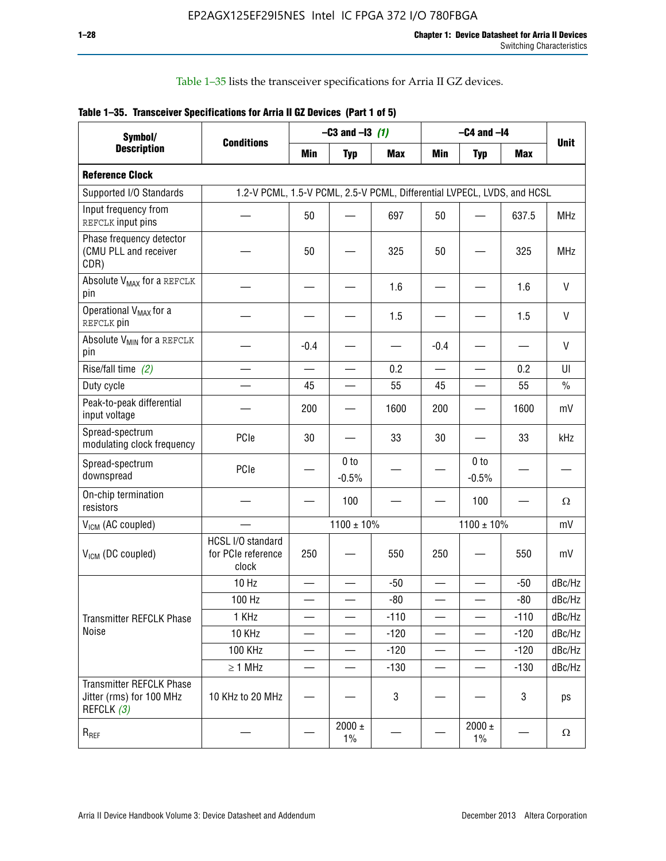Table 1–35 lists the transceiver specifications for Arria II GZ devices.

|  | Table 1-35. Transceiver Specifications for Arria II GZ Devices (Part 1 of 5) |  |
|--|------------------------------------------------------------------------------|--|
|  |                                                                              |  |

| Symbol/                                                                   |                                                                         |                          | $-C3$ and $-13$ (1)        |            |                          | $-C4$ and $-I4$            |            |             |
|---------------------------------------------------------------------------|-------------------------------------------------------------------------|--------------------------|----------------------------|------------|--------------------------|----------------------------|------------|-------------|
| <b>Description</b>                                                        | <b>Conditions</b>                                                       | Min                      | <b>Typ</b>                 | <b>Max</b> | <b>Min</b>               | <b>Typ</b>                 | <b>Max</b> | <b>Unit</b> |
| <b>Reference Clock</b>                                                    |                                                                         |                          |                            |            |                          |                            |            |             |
| Supported I/O Standards                                                   | 1.2-V PCML, 1.5-V PCML, 2.5-V PCML, Differential LVPECL, LVDS, and HCSL |                          |                            |            |                          |                            |            |             |
| Input frequency from<br>REFCLK input pins                                 |                                                                         | 50                       |                            | 697        | 50                       |                            | 637.5      | <b>MHz</b>  |
| Phase frequency detector<br>(CMU PLL and receiver<br>CDR)                 |                                                                         | 50                       |                            | 325        | 50                       |                            | 325        | <b>MHz</b>  |
| Absolute V <sub>MAX</sub> for a REFCLK<br>pin                             |                                                                         |                          |                            | 1.6        |                          |                            | 1.6        | $\vee$      |
| Operational V <sub>MAX</sub> for a<br>REFCLK pin                          |                                                                         |                          |                            | 1.5        |                          |                            | 1.5        | V           |
| Absolute V <sub>MIN</sub> for a REFCLK<br>pin                             |                                                                         | $-0.4$                   |                            |            | $-0.4$                   |                            |            | V           |
| Rise/fall time (2)                                                        |                                                                         | $\overline{\phantom{0}}$ |                            | 0.2        | $\overline{\phantom{0}}$ | $\overline{\phantom{0}}$   | 0.2        | UI          |
| Duty cycle                                                                |                                                                         | 45                       |                            | 55         | 45                       |                            | 55         | $\%$        |
| Peak-to-peak differential<br>input voltage                                |                                                                         | 200                      |                            | 1600       | 200                      |                            | 1600       | mV          |
| Spread-spectrum<br>modulating clock frequency                             | PCIe                                                                    | 30                       |                            | 33         | 30                       |                            | 33         | kHz         |
| Spread-spectrum<br>downspread                                             | PCIe                                                                    |                          | 0 <sub>to</sub><br>$-0.5%$ |            |                          | 0 <sub>to</sub><br>$-0.5%$ |            |             |
| On-chip termination<br>resistors                                          |                                                                         |                          | 100                        |            |                          | 100                        |            | Ω           |
| $V_{IGM}$ (AC coupled)                                                    |                                                                         |                          | $1100 \pm 10\%$            |            |                          | $1100 \pm 10\%$            |            | mV          |
| V <sub>ICM</sub> (DC coupled)                                             | HCSL I/O standard<br>for PCIe reference<br>clock                        | 250                      |                            | 550        | 250                      |                            | 550        | mV          |
|                                                                           | 10 Hz                                                                   | $\overline{\phantom{0}}$ |                            | $-50$      | $\sim$                   |                            | $-50$      | dBc/Hz      |
|                                                                           | 100 Hz                                                                  |                          |                            | $-80$      |                          |                            | $-80$      | dBc/Hz      |
| Transmitter REFCLK Phase                                                  | 1 KHz                                                                   |                          | $\overline{\phantom{0}}$   | $-110$     | $\overline{\phantom{0}}$ | —                          | $-110$     | dBc/Hz      |
| Noise                                                                     | 10 KHz                                                                  |                          |                            | $-120$     |                          |                            | $-120$     | dBc/Hz      |
|                                                                           | <b>100 KHz</b>                                                          |                          |                            | $-120$     | $\overline{\phantom{0}}$ | $\qquad \qquad -$          | $-120$     | dBc/Hz      |
|                                                                           | $\geq 1$ MHz                                                            |                          |                            | $-130$     | $\overline{\phantom{0}}$ | $\overline{\phantom{0}}$   | $-130$     | dBc/Hz      |
| <b>Transmitter REFCLK Phase</b><br>Jitter (rms) for 100 MHz<br>REFCLK (3) | 10 KHz to 20 MHz                                                        |                          |                            | 3          |                          |                            | 3          | ps          |
| $R_{REF}$                                                                 |                                                                         |                          | $2000 \pm$<br>$1\%$        |            |                          | 2000 $\pm$<br>$1\%$        |            | $\Omega$    |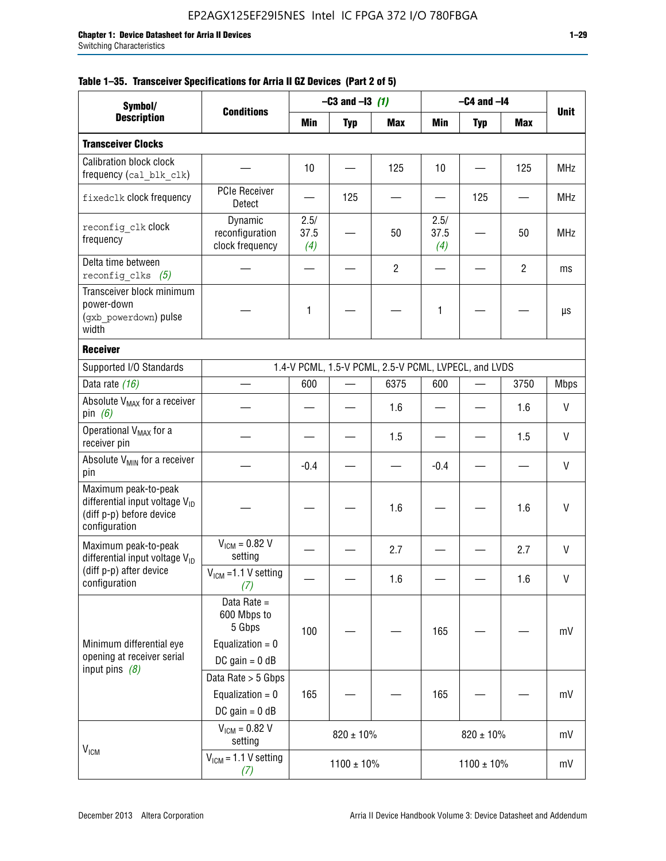| Symbol/                                                                                                  |                                                                                |                     | $-C3$ and $-13$ (1) |                                                      |                     | $-C4$ and $-I4$          |                |             |
|----------------------------------------------------------------------------------------------------------|--------------------------------------------------------------------------------|---------------------|---------------------|------------------------------------------------------|---------------------|--------------------------|----------------|-------------|
| <b>Description</b>                                                                                       | <b>Conditions</b>                                                              | Min                 | <b>Typ</b>          | <b>Max</b>                                           | Min                 | <b>Typ</b>               | Max            | <b>Unit</b> |
| <b>Transceiver Clocks</b>                                                                                |                                                                                |                     |                     |                                                      |                     |                          |                |             |
| <b>Calibration block clock</b><br>frequency (cal blk clk)                                                |                                                                                | 10                  |                     | 125                                                  | 10                  |                          | 125            | <b>MHz</b>  |
| fixedclk clock frequency                                                                                 | <b>PCIe Receiver</b><br>Detect                                                 |                     | 125                 |                                                      |                     | 125                      |                | <b>MHz</b>  |
| reconfig clk Clock<br>frequency                                                                          | Dynamic<br>reconfiguration<br>clock frequency                                  | 2.5/<br>37.5<br>(4) |                     | 50                                                   | 2.5/<br>37.5<br>(4) |                          | 50             | <b>MHz</b>  |
| Delta time between<br>reconfig clks $(5)$                                                                |                                                                                |                     |                     | $\overline{2}$                                       |                     |                          | $\overline{2}$ | ms          |
| Transceiver block minimum<br>power-down<br>(gxb powerdown) pulse<br>width                                |                                                                                | 1                   |                     |                                                      | 1                   |                          |                | μs          |
| <b>Receiver</b>                                                                                          |                                                                                |                     |                     |                                                      |                     |                          |                |             |
| Supported I/O Standards                                                                                  |                                                                                |                     |                     | 1.4-V PCML, 1.5-V PCML, 2.5-V PCML, LVPECL, and LVDS |                     |                          |                |             |
| Data rate (16)                                                                                           |                                                                                | 600                 |                     | 6375                                                 | 600                 | $\overline{\phantom{0}}$ | 3750           | <b>Mbps</b> |
| Absolute V <sub>MAX</sub> for a receiver<br>pin $(6)$                                                    |                                                                                |                     |                     | 1.6                                                  |                     |                          | 1.6            | V           |
| Operational V <sub>MAX</sub> for a<br>receiver pin                                                       |                                                                                |                     |                     | 1.5                                                  |                     |                          | 1.5            | V           |
| Absolute V <sub>MIN</sub> for a receiver<br>pin                                                          |                                                                                | $-0.4$              |                     |                                                      | $-0.4$              |                          |                | V           |
| Maximum peak-to-peak<br>differential input voltage $V_{ID}$<br>(diff p-p) before device<br>configuration |                                                                                |                     |                     | 1.6                                                  |                     |                          | 1.6            | V           |
| Maximum peak-to-peak<br>differential input voltage V <sub>ID</sub>                                       | $V_{ICM} = 0.82 V$<br>setting                                                  |                     |                     | 2.7                                                  |                     |                          | 2.7            | $\vee$      |
| (diff p-p) after device<br>configuration                                                                 | $V_{ICM}$ =1.1 V setting<br>(7)                                                |                     |                     | 1.6                                                  |                     |                          | 1.6            | V           |
| Minimum differential eye<br>opening at receiver serial<br>input pins $(8)$                               | Data Rate =<br>600 Mbps to<br>5 Gbps<br>Equalization = $0$<br>DC gain = $0$ dB | 100                 |                     |                                                      | 165                 |                          |                | mV          |
|                                                                                                          | Data Rate > 5 Gbps<br>Equalization = $0$<br>DC gain = $0$ dB                   | 165                 |                     |                                                      | 165                 |                          |                | mV          |
| $V_{IGM}$                                                                                                | $V_{ICM} = 0.82 V$<br>setting                                                  |                     | $820 \pm 10\%$      |                                                      |                     | $820 \pm 10\%$           |                | mV          |
|                                                                                                          | $VICM = 1.1 V setting$<br>(7)                                                  |                     | $1100 \pm 10\%$     |                                                      |                     | $1100 \pm 10\%$          |                | mV          |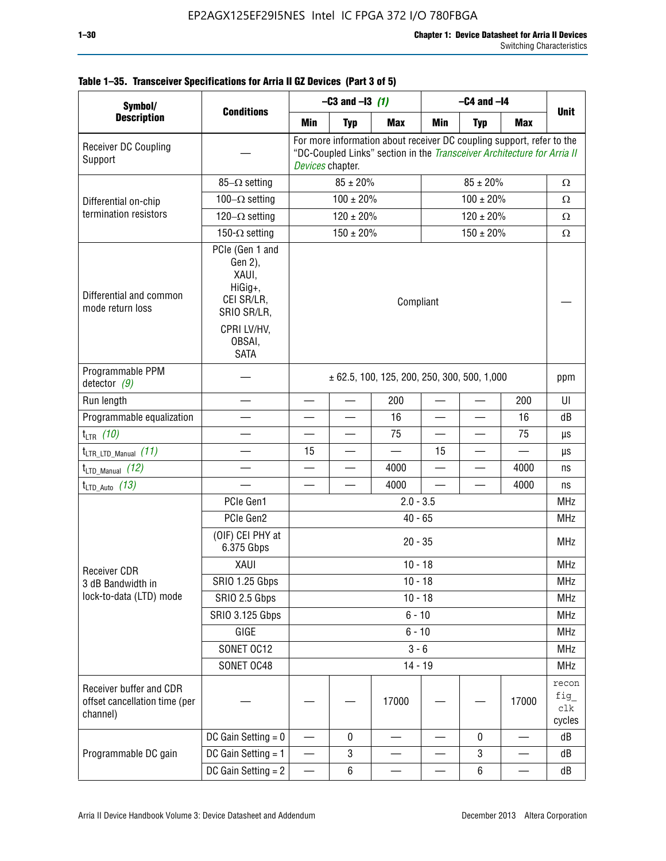| Symbol/                                                              |                                                                                                                     |                          | $-C3$ and $-13$ (1) |                                                                                                                                                  |                          | $-C4$ and $-I4$          |                          |                                |
|----------------------------------------------------------------------|---------------------------------------------------------------------------------------------------------------------|--------------------------|---------------------|--------------------------------------------------------------------------------------------------------------------------------------------------|--------------------------|--------------------------|--------------------------|--------------------------------|
| <b>Description</b>                                                   | <b>Conditions</b>                                                                                                   | Min                      | <b>Typ</b>          | <b>Max</b>                                                                                                                                       | Min                      | <b>Typ</b>               | <b>Max</b>               | <b>Unit</b>                    |
| Receiver DC Coupling<br>Support                                      |                                                                                                                     | Devices chapter.         |                     | For more information about receiver DC coupling support, refer to the<br>"DC-Coupled Links" section in the Transceiver Architecture for Arria II |                          |                          |                          |                                |
|                                                                      | $85-\Omega$ setting                                                                                                 |                          | $85 \pm 20\%$       |                                                                                                                                                  |                          | $85 \pm 20\%$            |                          | $\Omega$                       |
| Differential on-chip                                                 | $100-\Omega$ setting                                                                                                |                          | $100 \pm 20\%$      |                                                                                                                                                  |                          | $100 \pm 20\%$           |                          | $\Omega$                       |
| termination resistors                                                | 120 $-\Omega$ setting                                                                                               |                          | $120 \pm 20\%$      |                                                                                                                                                  |                          | $120 \pm 20\%$           |                          | Ω                              |
|                                                                      | 150- $\Omega$ setting                                                                                               |                          | $150 \pm 20\%$      |                                                                                                                                                  |                          | $150 \pm 20\%$           |                          | $\Omega$                       |
| Differential and common<br>mode return loss                          | PCIe (Gen 1 and<br>Gen 2),<br>XAUI,<br>HiGig+,<br>CEI SR/LR,<br>SRIO SR/LR,<br>CPRI LV/HV.<br>OBSAI,<br><b>SATA</b> |                          |                     | Compliant                                                                                                                                        |                          |                          |                          |                                |
| Programmable PPM<br>detector $(9)$                                   |                                                                                                                     |                          |                     | $\pm$ 62.5, 100, 125, 200, 250, 300, 500, 1,000                                                                                                  |                          |                          |                          | ppm                            |
| Run length                                                           |                                                                                                                     |                          |                     | 200                                                                                                                                              |                          |                          | 200                      | UI                             |
| Programmable equalization                                            |                                                                                                                     |                          |                     | 16                                                                                                                                               |                          |                          | 16                       | dB                             |
| $t_{LTR}$ (10)                                                       |                                                                                                                     | $\overline{\phantom{0}}$ | $\equiv$            | 75                                                                                                                                               | $\overline{\phantom{0}}$ | $\overline{\phantom{0}}$ | 75                       | μs                             |
| $t_{\text{LTR\_LTD\_Manual}}$ (11)                                   |                                                                                                                     | 15                       |                     |                                                                                                                                                  | 15                       |                          |                          | μs                             |
| $t_{LTD\_Manual}$ (12)                                               |                                                                                                                     |                          |                     | 4000                                                                                                                                             |                          | $\overline{\phantom{0}}$ | 4000                     | ns                             |
| $t_{LTD\_Auto}$ (13)                                                 |                                                                                                                     |                          |                     | 4000                                                                                                                                             |                          |                          | 4000                     | ns                             |
|                                                                      | PCIe Gen1                                                                                                           |                          |                     | $2.0 - 3.5$                                                                                                                                      |                          |                          |                          | <b>MHz</b>                     |
|                                                                      | PCIe Gen2                                                                                                           |                          |                     | $40 - 65$                                                                                                                                        |                          |                          |                          | <b>MHz</b>                     |
|                                                                      | (OIF) CEI PHY at<br>6.375 Gbps                                                                                      |                          |                     | $20 - 35$                                                                                                                                        |                          |                          |                          | <b>MHz</b>                     |
| <b>Receiver CDR</b>                                                  | XAUI                                                                                                                |                          |                     | $10 - 18$                                                                                                                                        |                          |                          |                          | <b>MHz</b>                     |
| 3 dB Bandwidth in                                                    | <b>SRIO 1.25 Gbps</b>                                                                                               |                          |                     | 10 - 18                                                                                                                                          |                          |                          |                          | <b>MHz</b>                     |
| lock-to-data (LTD) mode                                              | SRIO 2.5 Gbps                                                                                                       |                          |                     | $10 - 18$                                                                                                                                        |                          |                          |                          | <b>MHz</b>                     |
|                                                                      | SRIO 3.125 Gbps                                                                                                     |                          |                     | $6 - 10$                                                                                                                                         |                          |                          |                          | <b>MHz</b>                     |
|                                                                      | GIGE                                                                                                                |                          |                     | $6 - 10$                                                                                                                                         |                          |                          |                          | <b>MHz</b>                     |
|                                                                      | SONET OC12                                                                                                          |                          |                     | $3 - 6$                                                                                                                                          |                          |                          |                          | <b>MHz</b>                     |
|                                                                      | SONET OC48                                                                                                          |                          |                     | $14 - 19$                                                                                                                                        |                          |                          |                          | <b>MHz</b>                     |
| Receiver buffer and CDR<br>offset cancellation time (per<br>channel) |                                                                                                                     |                          |                     | 17000                                                                                                                                            |                          |                          | 17000                    | recon<br>fig_<br>clk<br>cycles |
|                                                                      | DC Gain Setting $= 0$                                                                                               |                          | $\mathbf 0$         |                                                                                                                                                  |                          | $\mathbf 0$              |                          | dB                             |
| Programmable DC gain                                                 | DC Gain Setting $= 1$                                                                                               | $\overline{\phantom{0}}$ | 3                   |                                                                                                                                                  |                          | 3                        | $\overline{\phantom{0}}$ | dB                             |
|                                                                      | DC Gain Setting $= 2$                                                                                               | $\overline{\phantom{0}}$ | 6                   |                                                                                                                                                  |                          | 6                        |                          | dB                             |

# **Table 1–35. Transceiver Specifications for Arria II GZ Devices (Part 3 of 5)**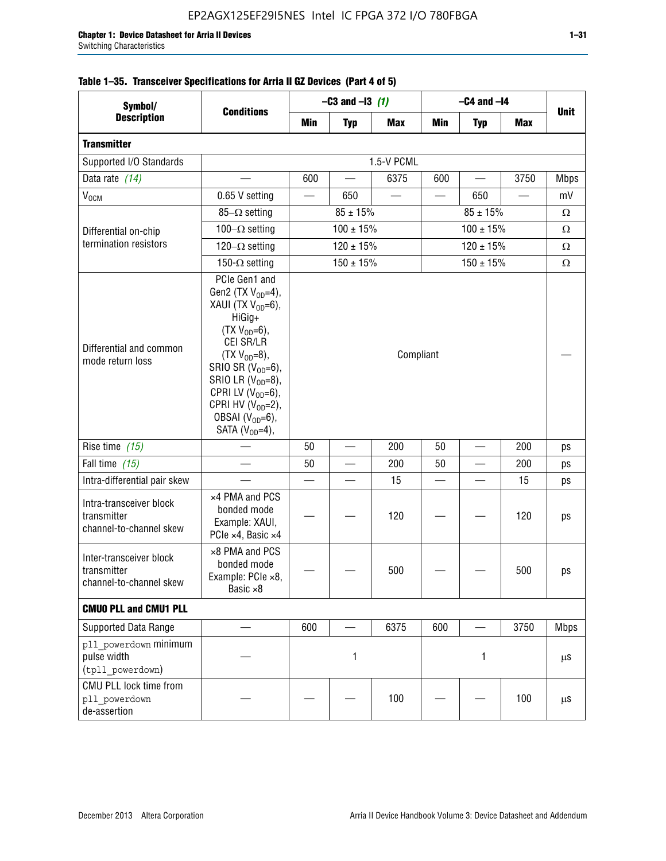| Symbol/                                                           | <b>Conditions</b>                                                                                                                                                                                                                                                                                  | $-C3$ and $-13$ (1)            |                          |            | $-C4$ and $-I4$          |                |            |             |  |
|-------------------------------------------------------------------|----------------------------------------------------------------------------------------------------------------------------------------------------------------------------------------------------------------------------------------------------------------------------------------------------|--------------------------------|--------------------------|------------|--------------------------|----------------|------------|-------------|--|
| <b>Description</b>                                                |                                                                                                                                                                                                                                                                                                    | Min                            | <b>Typ</b>               | <b>Max</b> | Min                      | <b>Typ</b>     | <b>Max</b> | <b>Unit</b> |  |
| <b>Transmitter</b>                                                |                                                                                                                                                                                                                                                                                                    |                                |                          |            |                          |                |            |             |  |
| Supported I/O Standards                                           |                                                                                                                                                                                                                                                                                                    | 1.5-V PCML                     |                          |            |                          |                |            |             |  |
| Data rate (14)                                                    |                                                                                                                                                                                                                                                                                                    | 600                            |                          | 6375       | 600                      |                | 3750       | <b>Mbps</b> |  |
| $V_{OCM}$                                                         | 0.65 V setting                                                                                                                                                                                                                                                                                     |                                | 650                      |            |                          | 650            |            | mV          |  |
|                                                                   | 85- $\Omega$ setting                                                                                                                                                                                                                                                                               | $85 \pm 15\%$<br>$85 \pm 15\%$ |                          |            |                          |                |            | $\Omega$    |  |
| Differential on-chip                                              | 100 $-\Omega$ setting                                                                                                                                                                                                                                                                              |                                | $100 \pm 15%$            |            | $100 \pm 15%$            |                |            | $\Omega$    |  |
| termination resistors                                             | $120 - \Omega$ setting                                                                                                                                                                                                                                                                             | $120 \pm 15%$                  |                          |            |                          | $120 \pm 15\%$ | $\Omega$   |             |  |
|                                                                   | 150- $\Omega$ setting                                                                                                                                                                                                                                                                              |                                | $150 \pm 15%$            |            |                          | $150 \pm 15%$  |            | $\Omega$    |  |
| Differential and common<br>mode return loss                       | PCIe Gen1 and<br>Gen2 (TX $V_{OD} = 4$ ),<br>XAUI (TX $V_{OD} = 6$ ),<br>HiGig+<br>$(TX V_{OD} = 6)$ ,<br>CEI SR/LR<br>$(TX V_{OD} = 8),$<br>SRIO SR $(V_{OD}=6)$ ,<br>SRIO LR $(V_{OD} = 8)$ ,<br>CPRI LV $(V_{OD}=6)$ ,<br>CPRI HV $(V_{OD}=2)$ ,<br>OBSAI $(VOD=6)$ ,<br>SATA ( $V_{OD} = 4$ ), | Compliant                      |                          |            |                          |                |            |             |  |
| Rise time $(15)$                                                  |                                                                                                                                                                                                                                                                                                    | 50                             | $\overline{\phantom{a}}$ | 200        | 50                       | $\equiv$       | 200        | ps          |  |
| Fall time (15)                                                    |                                                                                                                                                                                                                                                                                                    | 50                             |                          | 200        | 50                       |                | 200        | ps          |  |
| Intra-differential pair skew                                      |                                                                                                                                                                                                                                                                                                    |                                |                          | 15         | $\overline{\phantom{0}}$ |                | 15         | ps          |  |
| Intra-transceiver block<br>transmitter<br>channel-to-channel skew | x4 PMA and PCS<br>bonded mode<br>Example: XAUI,<br>PCIe ×4, Basic ×4                                                                                                                                                                                                                               |                                |                          | 120        |                          |                | 120        | ps          |  |
| Inter-transceiver block<br>transmitter<br>channel-to-channel skew | ×8 PMA and PCS<br>bonded mode<br>Example: PCle ×8,<br>Basic ×8                                                                                                                                                                                                                                     |                                |                          | 500        |                          |                | 500        | ps          |  |
| <b>CMUO PLL and CMU1 PLL</b>                                      |                                                                                                                                                                                                                                                                                                    |                                |                          |            |                          |                |            |             |  |
| Supported Data Range                                              |                                                                                                                                                                                                                                                                                                    | 600                            |                          | 6375       | 600                      |                | 3750       | <b>Mbps</b> |  |
| pll powerdown minimum<br>pulse width<br>(tpll powerdown)          |                                                                                                                                                                                                                                                                                                    | 1                              |                          | 1          |                          |                | μS         |             |  |
| CMU PLL lock time from<br>pll powerdown<br>de-assertion           |                                                                                                                                                                                                                                                                                                    |                                |                          | 100        |                          |                | 100        | μS          |  |

# **Table 1–35. Transceiver Specifications for Arria II GZ Devices (Part 4 of 5)**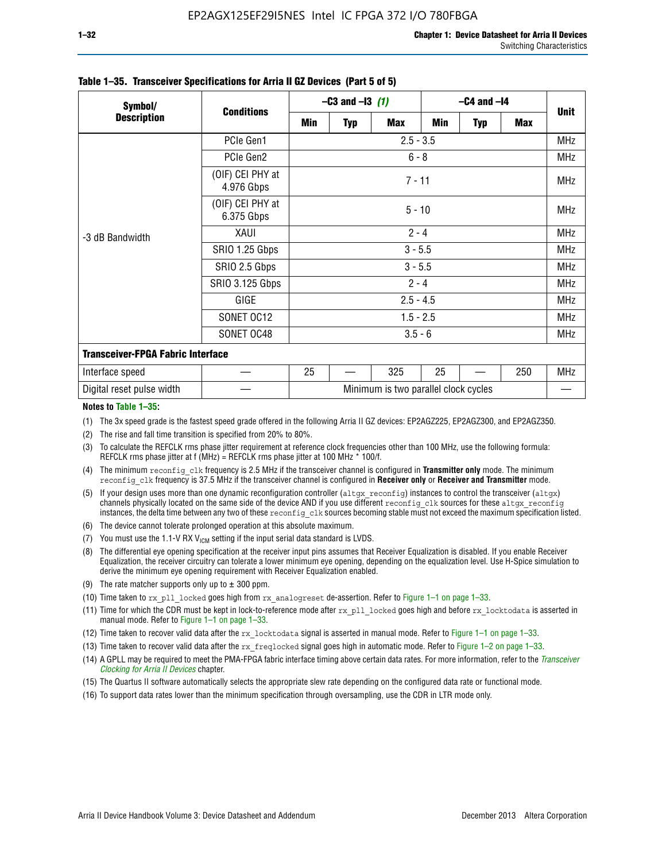| Symbol/<br><b>Description</b>            | <b>Conditions</b>              | $-C3$ and $-13$ (1)                  |            |            | $-C4$ and $-I4$ |            |     |             |  |
|------------------------------------------|--------------------------------|--------------------------------------|------------|------------|-----------------|------------|-----|-------------|--|
|                                          |                                | Min                                  | <b>Typ</b> | <b>Max</b> | Min             | <b>Typ</b> | Max | <b>Unit</b> |  |
|                                          | PCIe Gen1                      | $2.5 - 3.5$                          |            |            |                 |            |     | <b>MHz</b>  |  |
| -3 dB Bandwidth                          | PCIe Gen2                      | $6 - 8$                              |            |            |                 |            |     | <b>MHz</b>  |  |
|                                          | (OIF) CEI PHY at<br>4.976 Gbps | $7 - 11$                             |            |            |                 |            |     |             |  |
|                                          | (OIF) CEI PHY at<br>6.375 Gbps |                                      | $5 - 10$   |            |                 |            |     |             |  |
|                                          | XAUI                           | $2 - 4$                              |            |            |                 |            |     |             |  |
|                                          | SRIO 1.25 Gbps                 | $3 - 5.5$                            |            |            |                 |            |     | <b>MHz</b>  |  |
|                                          | SRIO 2.5 Gbps                  | $3 - 5.5$                            |            |            |                 |            |     | <b>MHz</b>  |  |
|                                          | <b>SRIO 3.125 Gbps</b>         | $2 - 4$                              |            |            |                 |            |     | <b>MHz</b>  |  |
|                                          | GIGE                           | $2.5 - 4.5$                          |            |            |                 |            |     | <b>MHz</b>  |  |
|                                          | SONET OC12                     | $1.5 - 2.5$                          |            |            |                 |            |     | <b>MHz</b>  |  |
|                                          | SONET OC48                     | $3.5 - 6$                            |            |            |                 |            |     | <b>MHz</b>  |  |
| <b>Transceiver-FPGA Fabric Interface</b> |                                |                                      |            |            |                 |            |     |             |  |
| Interface speed                          |                                | 25                                   |            | 325        | 25              |            | 250 | MHz         |  |
| Digital reset pulse width                |                                | Minimum is two parallel clock cycles |            |            |                 |            |     |             |  |

#### **Table 1–35. Transceiver Specifications for Arria II GZ Devices (Part 5 of 5)**

#### **Notes to Table 1–35:**

(1) The 3x speed grade is the fastest speed grade offered in the following Arria II GZ devices: EP2AGZ225, EP2AGZ300, and EP2AGZ350.

- (2) The rise and fall time transition is specified from 20% to 80%.
- (3) To calculate the REFCLK rms phase jitter requirement at reference clock frequencies other than 100 MHz, use the following formula: REFCLK rms phase jitter at f (MHz) = REFCLK rms phase jitter at 100 MHz  $*$  100/f.
- (4) The minimum reconfig clk frequency is 2.5 MHz if the transceiver channel is configured in **Transmitter only** mode. The minimum reconfig\_clk frequency is 37.5 MHz if the transceiver channel is configured in **Receiver only** or **Receiver and Transmitter** mode.
- (5) If your design uses more than one dynamic reconfiguration controller (altgx reconfig) instances to control the transceiver (altgx) channels physically located on the same side of the device AND if you use different reconfig clk sources for these altgx reconfig instances, the delta time between any two of these reconfig clk sources becoming stable must not exceed the maximum specification listed.
- (6) The device cannot tolerate prolonged operation at this absolute maximum.
- (7) You must use the 1.1-V RX  $V_{ICM}$  setting if the input serial data standard is LVDS.
- (8) The differential eye opening specification at the receiver input pins assumes that Receiver Equalization is disabled. If you enable Receiver Equalization, the receiver circuitry can tolerate a lower minimum eye opening, depending on the equalization level. Use H-Spice simulation to derive the minimum eye opening requirement with Receiver Equalization enabled.
- (9) The rate matcher supports only up to  $\pm$  300 ppm.
- (10) Time taken to rx\_pll\_locked goes high from rx\_analogreset de-assertion. Refer to Figure 1–1 on page 1–33.
- (11) Time for which the CDR must be kept in lock-to-reference mode after rx pll\_locked goes high and before rx\_locktodata is asserted in manual mode. Refer to Figure 1–1 on page 1–33.
- (12) Time taken to recover valid data after the rx locktodata signal is asserted in manual mode. Refer to Figure 1–1 on page 1–33.
- (13) Time taken to recover valid data after the rx\_freqlocked signal goes high in automatic mode. Refer to Figure 1–2 on page 1–33.
- (14) A GPLL may be required to meet the PMA-FPGA fabric interface timing above certain data rates. For more information, refer to the *[Transceiver](http://www.altera.com/literature/hb/arria-ii-gx/aiigx_52002.pdf)  [Clocking for Arria II Devices](http://www.altera.com/literature/hb/arria-ii-gx/aiigx_52002.pdf)* chapter.
- (15) The Quartus II software automatically selects the appropriate slew rate depending on the configured data rate or functional mode.
- (16) To support data rates lower than the minimum specification through oversampling, use the CDR in LTR mode only.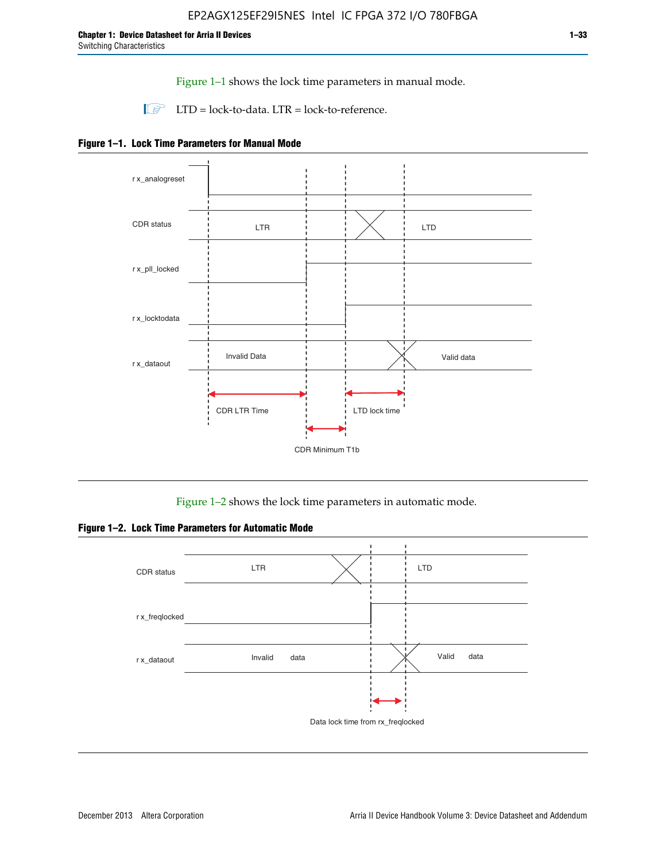Figure 1–1 shows the lock time parameters in manual mode.

 $\Box$  LTD = lock-to-data. LTR = lock-to-reference.





Figure 1–2 shows the lock time parameters in automatic mode.

**Figure 1–2. Lock Time Parameters for Automatic Mode**

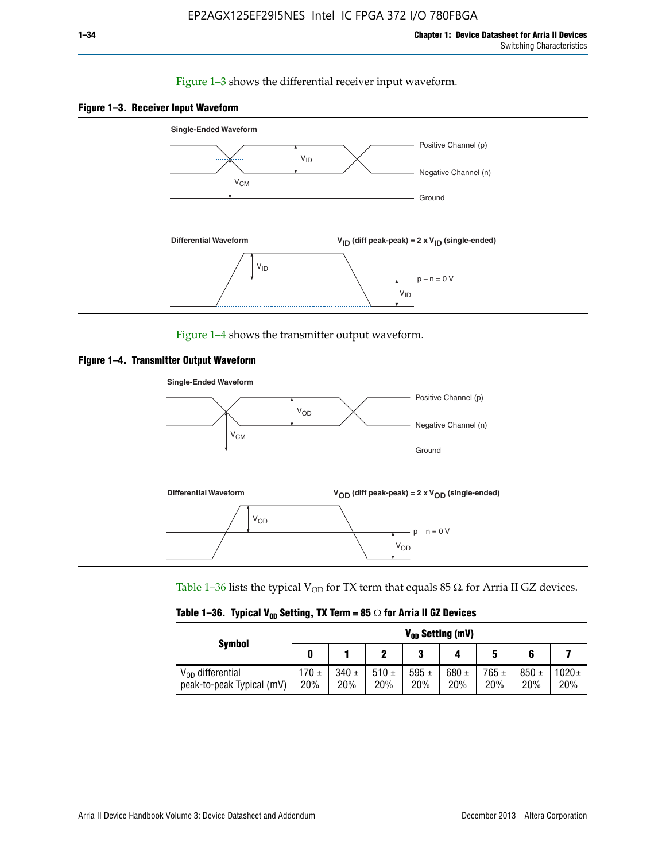#### Figure 1–3 shows the differential receiver input waveform.





Figure 1–4 shows the transmitter output waveform.





Table 1–36 lists the typical  $V_{OD}$  for TX term that equals 85  $\Omega$  for Arria II GZ devices.

|  |  |  | Table 1–36. Typical V <sub>op</sub> Setting, TX Term = 85 $\Omega$ for Arria II GZ Devices |
|--|--|--|--------------------------------------------------------------------------------------------|
|--|--|--|--------------------------------------------------------------------------------------------|

|                                                    | $V_{0D}$ Setting (mV) |                  |             |                  |                  |                  |                  |                   |  |
|----------------------------------------------------|-----------------------|------------------|-------------|------------------|------------------|------------------|------------------|-------------------|--|
| <b>Symbol</b>                                      |                       |                  |             | 2<br>J           |                  | 5                |                  |                   |  |
| $V_{OD}$ differential<br>peak-to-peak Typical (mV) | $170 \pm$<br>20%      | $340 \pm$<br>20% | 510±<br>20% | 595 $\pm$<br>20% | 680 $\pm$<br>20% | $765 \pm$<br>20% | $850 \pm$<br>20% | $1020 \pm$<br>20% |  |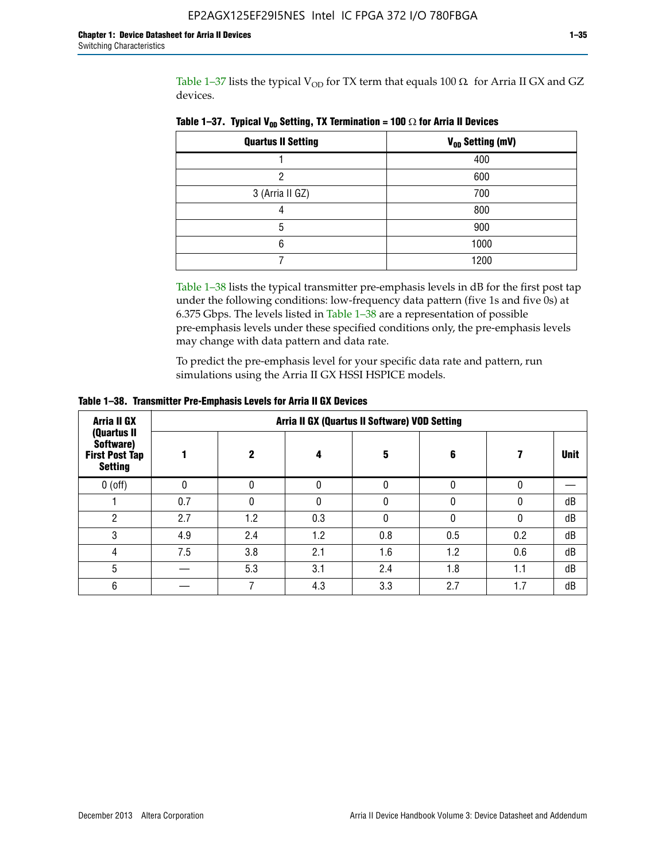Table 1-37 lists the typical  $V_{OD}$  for TX term that equals 100  $\Omega$  for Arria II GX and GZ devices.

| <b>Quartus II Setting</b> | V <sub>OD</sub> Setting (mV) |
|---------------------------|------------------------------|
|                           | 400                          |
| ŋ                         | 600                          |
| 3 (Arria II GZ)           | 700                          |
|                           | 800                          |
| 5                         | 900                          |
| հ                         | 1000                         |
|                           | 1200                         |

**Table 1–37. Typical V<sub>OD</sub> Setting, TX Termination = 100**  $\Omega$  for Arria II Devices

Table 1-38 lists the typical transmitter pre-emphasis levels in dB for the first post tap under the following conditions: low-frequency data pattern (five 1s and five 0s) at 6.375 Gbps. The levels listed in Table 1–38 are a representation of possible pre-emphasis levels under these specified conditions only, the pre-emphasis levels may change with data pattern and data rate.

To predict the pre-emphasis level for your specific data rate and pattern, run simulations using the Arria II GX HSSI HSPICE models.

| Arria II GX                                                         | Arria II GX (Quartus II Software) VOD Setting |             |              |     |     |     |             |  |  |  |
|---------------------------------------------------------------------|-----------------------------------------------|-------------|--------------|-----|-----|-----|-------------|--|--|--|
| (Quartus II<br>Software)<br><b>First Post Tap</b><br><b>Setting</b> |                                               | $\mathbf 2$ | 4            | 5   | 6   |     | <b>Unit</b> |  |  |  |
| $0$ (off)                                                           | 0                                             | 0           | $\Omega$     |     |     |     |             |  |  |  |
|                                                                     | 0.7                                           | O           | <sup>0</sup> |     |     | 0   | dB          |  |  |  |
| ŋ                                                                   | 2.7                                           | 1.2         | 0.3          |     |     |     | dB          |  |  |  |
| 3                                                                   | 4.9                                           | 2.4         | 1.2          | 0.8 | 0.5 | 0.2 | dB          |  |  |  |
| 4                                                                   | 7.5                                           | 3.8         | 2.1          | 1.6 | 1.2 | 0.6 | dB          |  |  |  |
| 5                                                                   |                                               | 5.3         | 3.1          | 2.4 | 1.8 | 1.1 | dB          |  |  |  |
| 6                                                                   |                                               |             | 4.3          | 3.3 | 2.7 | 1.7 | dB          |  |  |  |

**Table 1–38. Transmitter Pre-Emphasis Levels for Arria II GX Devices**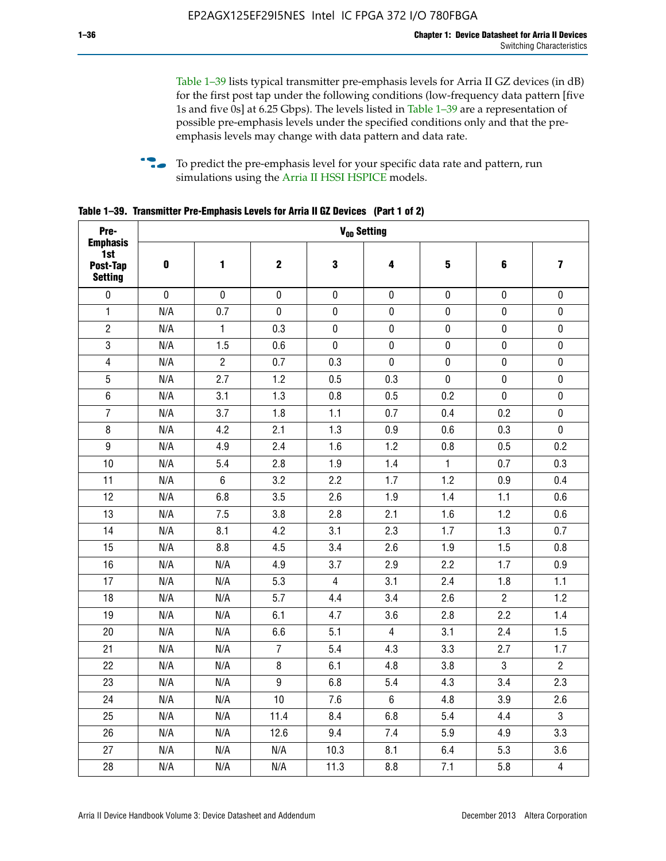Table 1–39 lists typical transmitter pre-emphasis levels for Arria II GZ devices (in dB) for the first post tap under the following conditions (low-frequency data pattern [five 1s and five 0s] at 6.25 Gbps). The levels listed in Table 1–39 are a representation of possible pre-emphasis levels under the specified conditions only and that the preemphasis levels may change with data pattern and data rate.

**follow** To predict the pre-emphasis level for your specific data rate and pattern, run simulations using the [Arria II HSSI HSPICE](http://www.altera.com/support/software/download/hspice/hsp-index.html) models.

| Pre-                                                 |           |                |                  |                | V <sub>OD</sub> Setting |              |                |                         |
|------------------------------------------------------|-----------|----------------|------------------|----------------|-------------------------|--------------|----------------|-------------------------|
| <b>Emphasis</b><br>1st<br>Post-Tap<br><b>Setting</b> | $\pmb{0}$ | 1              | $\mathbf 2$      | 3              | 4                       | 5            | 6              | $\overline{\mathbf{z}}$ |
| $\pmb{0}$                                            | $\pmb{0}$ | $\pmb{0}$      | $\pmb{0}$        | $\pmb{0}$      | $\pmb{0}$               | $\pmb{0}$    | $\pmb{0}$      | $\pmb{0}$               |
| $\mathbf{1}$                                         | N/A       | 0.7            | $\pmb{0}$        | $\pmb{0}$      | $\pmb{0}$               | $\pmb{0}$    | 0              | $\pmb{0}$               |
| $\overline{2}$                                       | N/A       | $\mathbf{1}$   | 0.3              | $\pmb{0}$      | $\pmb{0}$               | $\pmb{0}$    | $\pmb{0}$      | $\pmb{0}$               |
| $\sqrt{3}$                                           | N/A       | 1.5            | 0.6              | $\pmb{0}$      | $\pmb{0}$               | $\pmb{0}$    | $\pmb{0}$      | $\pmb{0}$               |
| $\overline{4}$                                       | N/A       | $\overline{2}$ | 0.7              | 0.3            | $\pmb{0}$               | $\pmb{0}$    | $\pmb{0}$      | $\pmb{0}$               |
| 5                                                    | N/A       | 2.7            | 1.2              | 0.5            | 0.3                     | $\mathbf 0$  | 0              | $\mathbf 0$             |
| $6\phantom{1}$                                       | N/A       | 3.1            | 1.3              | 0.8            | 0.5                     | 0.2          | $\mathbf 0$    | $\pmb{0}$               |
| $\overline{7}$                                       | N/A       | 3.7            | 1.8              | 1.1            | 0.7                     | 0.4          | 0.2            | $\pmb{0}$               |
| $\bf 8$                                              | N/A       | 4.2            | 2.1              | 1.3            | 0.9                     | 0.6          | 0.3            | $\pmb{0}$               |
| $\boldsymbol{9}$                                     | N/A       | 4.9            | 2.4              | 1.6            | 1.2                     | 0.8          | 0.5            | 0.2                     |
| 10                                                   | N/A       | 5.4            | 2.8              | 1.9            | 1.4                     | $\mathbf{1}$ | 0.7            | 0.3                     |
| 11                                                   | N/A       | $\,6\,$        | 3.2              | 2.2            | 1.7                     | 1.2          | 0.9            | 0.4                     |
| 12                                                   | N/A       | 6.8            | 3.5              | 2.6            | 1.9                     | 1.4          | 1.1            | 0.6                     |
| 13                                                   | N/A       | 7.5            | 3.8              | 2.8            | 2.1                     | 1.6          | 1.2            | 0.6                     |
| 14                                                   | N/A       | 8.1            | 4.2              | 3.1            | 2.3                     | 1.7          | 1.3            | 0.7                     |
| 15                                                   | N/A       | 8.8            | 4.5              | 3.4            | 2.6                     | 1.9          | 1.5            | 0.8                     |
| 16                                                   | N/A       | N/A            | 4.9              | 3.7            | 2.9                     | 2.2          | 1.7            | 0.9                     |
| 17                                                   | N/A       | N/A            | 5.3              | $\overline{4}$ | 3.1                     | 2.4          | 1.8            | 1.1                     |
| 18                                                   | N/A       | N/A            | 5.7              | 4.4            | 3.4                     | 2.6          | $\overline{2}$ | 1.2                     |
| 19                                                   | N/A       | N/A            | 6.1              | 4.7            | 3.6                     | 2.8          | 2.2            | 1.4                     |
| 20                                                   | N/A       | N/A            | 6.6              | 5.1            | $\overline{4}$          | 3.1          | 2.4            | 1.5                     |
| 21                                                   | N/A       | N/A            | $\overline{7}$   | 5.4            | 4.3                     | 3.3          | 2.7            | 1.7                     |
| 22                                                   | N/A       | N/A            | 8                | 6.1            | 4.8                     | 3.8          | 3              | $\overline{2}$          |
| 23                                                   | N/A       | N/A            | $\boldsymbol{9}$ | 6.8            | 5.4                     | 4.3          | 3.4            | 2.3                     |
| 24                                                   | N/A       | N/A            | 10               | 7.6            | $6\phantom{1}$          | 4.8          | 3.9            | 2.6                     |
| 25                                                   | N/A       | N/A            | 11.4             | 8.4            | 6.8                     | 5.4          | 4.4            | $\overline{3}$          |
| 26                                                   | N/A       | N/A            | 12.6             | 9.4            | 7.4                     | 5.9          | 4.9            | 3.3                     |
| 27                                                   | N/A       | N/A            | N/A              | 10.3           | 8.1                     | 6.4          | 5.3            | 3.6                     |
| 28                                                   | N/A       | N/A            | N/A              | 11.3           | 8.8                     | 7.1          | 5.8            | $\overline{\mathbf{4}}$ |

**Table 1–39. Transmitter Pre-Emphasis Levels for Arria II GZ Devices (Part 1 of 2)**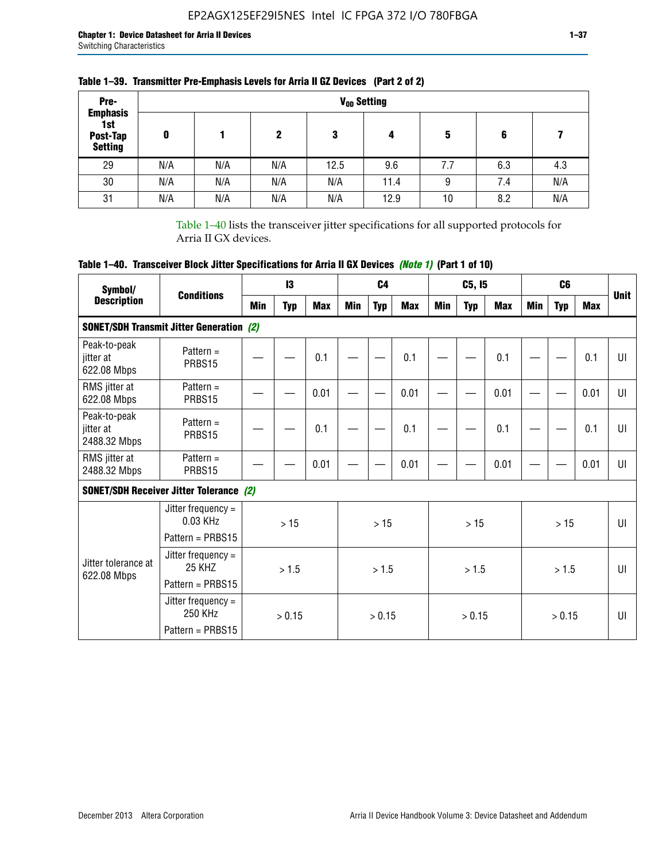| Pre-                                                 |     |     |     |      | V <sub>op</sub> Setting |     |     |     |
|------------------------------------------------------|-----|-----|-----|------|-------------------------|-----|-----|-----|
| <b>Emphasis</b><br>1st<br>Post-Tap<br><b>Setting</b> | 0   |     | 2   | 3    | 4                       | 5   | 6   |     |
| 29                                                   | N/A | N/A | N/A | 12.5 | 9.6                     | 7.7 | 6.3 | 4.3 |
| 30                                                   | N/A | N/A | N/A | N/A  | 11.4                    | 9   | 7.4 | N/A |
| 31                                                   | N/A | N/A | N/A | N/A  | 12.9                    | 10  | 8.2 | N/A |

## **Table 1–39. Transmitter Pre-Emphasis Levels for Arria II GZ Devices (Part 2 of 2)**

Table 1–40 lists the transceiver jitter specifications for all supported protocols for Arria II GX devices.

## **Table 1–40. Transceiver Block Jitter Specifications for Arria II GX Devices** *(Note 1)* **(Part 1 of 10)**

| Symbol/                                   |                                                           |     | 13         |            |            | C <sub>4</sub> |            |     | C5, I5     |            |            | C <sub>6</sub> |            | <b>Unit</b>  |
|-------------------------------------------|-----------------------------------------------------------|-----|------------|------------|------------|----------------|------------|-----|------------|------------|------------|----------------|------------|--------------|
| <b>Description</b>                        | <b>Conditions</b>                                         | Min | <b>Typ</b> | <b>Max</b> | <b>Min</b> | <b>Typ</b>     | <b>Max</b> | Min | <b>Typ</b> | <b>Max</b> | <b>Min</b> | <b>Typ</b>     | <b>Max</b> |              |
|                                           | <b>SONET/SDH Transmit Jitter Generation (2)</b>           |     |            |            |            |                |            |     |            |            |            |                |            |              |
| Peak-to-peak<br>jitter at<br>622.08 Mbps  | Pattern $=$<br>PRBS15                                     |     |            | 0.1        |            |                | 0.1        |     |            | 0.1        |            |                | 0.1        | UI           |
| RMS jitter at<br>622.08 Mbps              | Pattern $=$<br>PRBS15                                     |     |            | 0.01       |            |                | 0.01       |     |            | 0.01       |            |                | 0.01       | UI           |
| Peak-to-peak<br>jitter at<br>2488.32 Mbps | Pattern $=$<br>PRBS15                                     |     |            | 0.1        |            |                | 0.1        |     |            | 0.1        |            |                | 0.1        | UI           |
| RMS jitter at<br>2488.32 Mbps             | Pattern $=$<br>PRBS15                                     |     |            | 0.01       |            |                | 0.01       |     |            | 0.01       |            |                | 0.01       | UI           |
|                                           | <b>SONET/SDH Receiver Jitter Tolerance (2)</b>            |     |            |            |            |                |            |     |            |            |            |                |            |              |
|                                           | Jitter frequency $=$<br>0.03 KHz<br>Pattern = PRBS15      |     | >15        |            |            | >15            |            |     | >15        |            |            | >15            |            | $\mathbf{U}$ |
| Jitter tolerance at<br>622.08 Mbps        | Jitter frequency $=$<br><b>25 KHZ</b><br>Pattern = PRBS15 |     | >1.5       |            |            | > 1.5          |            |     | >1.5       |            |            | >1.5           |            | Ш            |
|                                           | Jitter frequency $=$<br>250 KHz<br>Pattern = PRBS15       |     | > 0.15     |            |            | > 0.15         |            |     | > 0.15     |            |            | > 0.15         |            | Ш            |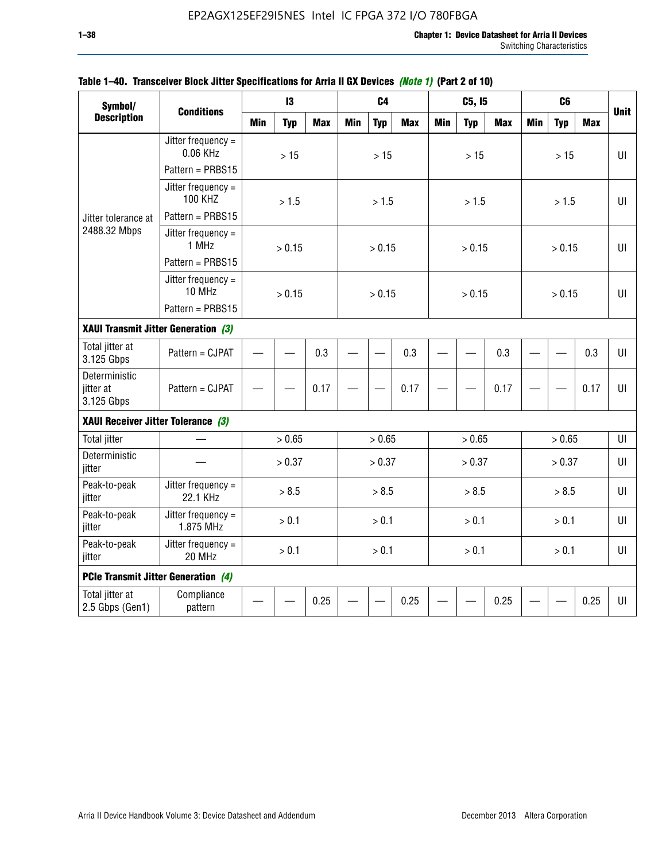| Symbol/                                    |                                        |            | 13         |            |            | C <sub>4</sub> |            |            | C5, I5     |            |            | C <sub>6</sub> |            |             |
|--------------------------------------------|----------------------------------------|------------|------------|------------|------------|----------------|------------|------------|------------|------------|------------|----------------|------------|-------------|
| <b>Description</b>                         | <b>Conditions</b>                      | <b>Min</b> | <b>Typ</b> | <b>Max</b> | <b>Min</b> | <b>Typ</b>     | <b>Max</b> | <b>Min</b> | <b>Typ</b> | <b>Max</b> | <b>Min</b> | <b>Typ</b>     | <b>Max</b> | <b>Unit</b> |
|                                            | Jitter frequency $=$<br>0.06 KHz       |            | $>15$      |            |            | $>15$          |            |            | >15        |            |            | $>15$          |            | UI          |
|                                            | Pattern = PRBS15                       |            |            |            |            |                |            |            |            |            |            |                |            |             |
|                                            | Jitter frequency $=$<br><b>100 KHZ</b> |            | > 1.5      |            |            | > 1.5          |            |            | > 1.5      |            |            | > 1.5          |            | UI          |
| Jitter tolerance at                        | Pattern = PRBS15                       |            |            |            |            |                |            |            |            |            |            |                |            |             |
| 2488.32 Mbps                               | Jitter frequency $=$<br>1 MHz          |            | > 0.15     |            |            | > 0.15         |            |            | > 0.15     |            |            | > 0.15         |            | $U\Gamma$   |
|                                            | Pattern = PRBS15                       |            |            |            |            |                |            |            |            |            |            |                |            |             |
|                                            | Jitter frequency $=$<br>10 MHz         |            | > 0.15     |            |            | > 0.15         |            |            | > 0.15     |            |            | > 0.15         |            | UI          |
|                                            | Pattern = PRBS15                       |            |            |            |            |                |            |            |            |            |            |                |            |             |
| XAUI Transmit Jitter Generation (3)        |                                        |            | 0.3        |            |            |                |            |            |            |            |            |                |            |             |
| Total jitter at<br>3.125 Gbps              | Pattern = CJPAT                        |            |            |            |            |                | 0.3        |            |            | 0.3        |            |                | 0.3        | UI          |
| Deterministic<br>jitter at<br>3.125 Gbps   | Pattern = CJPAT                        |            | 0.17       |            |            |                | 0.17       |            |            | 0.17       |            |                | 0.17       | Ш           |
| XAUI Receiver Jitter Tolerance (3)         |                                        |            |            |            |            |                |            |            |            |            |            |                |            |             |
| <b>Total jitter</b>                        |                                        |            | > 0.65     |            |            | > 0.65         |            |            | > 0.65     |            |            | > 0.65         |            | UI          |
| Deterministic<br>jitter                    |                                        |            | > 0.37     |            |            | > 0.37         |            |            | > 0.37     |            |            | > 0.37         |            | UI          |
| Peak-to-peak<br>jitter                     | Jitter frequency $=$<br>22.1 KHz       |            | > 8.5      |            |            | > 8.5          |            |            | > 8.5      |            |            | > 8.5          |            | UI          |
| Peak-to-peak<br>jitter                     | Jitter frequency $=$<br>1.875 MHz      |            | > 0.1      |            |            | > 0.1          |            |            | > 0.1      |            |            | > 0.1          |            | Ш           |
| Peak-to-peak<br>jitter                     | Jitter frequency $=$<br>20 MHz         |            | > 0.1      |            |            | > 0.1          |            |            | > 0.1      |            |            | > 0.1          |            | UI          |
| <b>PCIe Transmit Jitter Generation (4)</b> |                                        |            |            |            |            |                |            |            |            |            |            |                |            |             |
| Total jitter at<br>2.5 Gbps (Gen1)         | Compliance<br>pattern                  |            |            | 0.25       |            |                | 0.25       |            |            | 0.25       |            |                | 0.25       | $U\Gamma$   |

### **Table 1–40. Transceiver Block Jitter Specifications for Arria II GX Devices** *(Note 1)* **(Part 2 of 10)**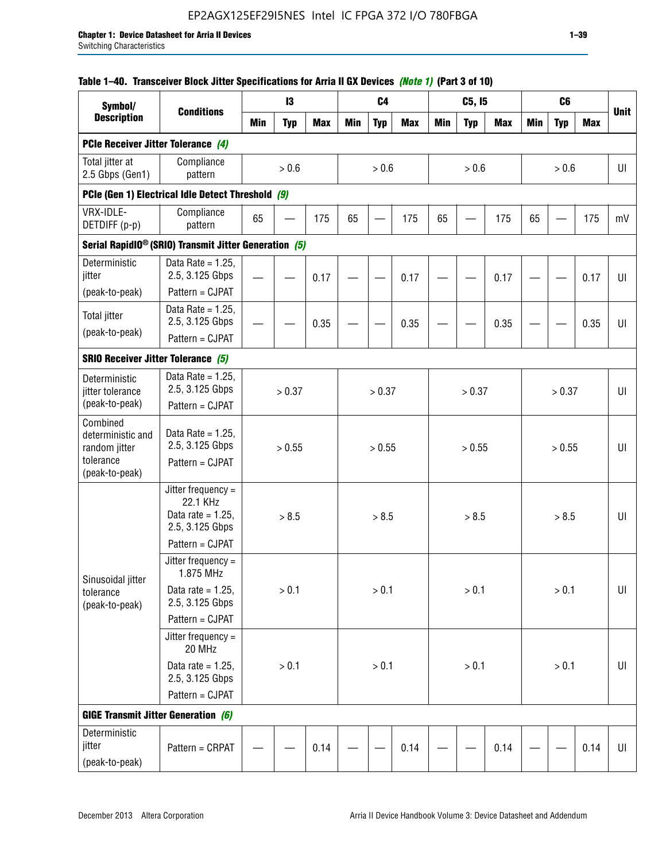## EP2AGX125EF29I5NES Intel IC FPGA 372 I/O 780FBGA

### **Table 1–40. Transceiver Block Jitter Specifications for Arria II GX Devices** *(Note 1)* **(Part 3 of 10)**

| Symbol/                                                                       |                                                                             |            | 13         |            |            | C <sub>4</sub> |            |            | C5, I5     |            |            | C <sub>6</sub> |            |             |
|-------------------------------------------------------------------------------|-----------------------------------------------------------------------------|------------|------------|------------|------------|----------------|------------|------------|------------|------------|------------|----------------|------------|-------------|
| <b>Description</b>                                                            | <b>Conditions</b>                                                           | <b>Min</b> | <b>Typ</b> | <b>Max</b> | <b>Min</b> | <b>Typ</b>     | <b>Max</b> | <b>Min</b> | <b>Typ</b> | <b>Max</b> | <b>Min</b> | <b>Typ</b>     | <b>Max</b> | <b>Unit</b> |
| PCIe Receiver Jitter Tolerance (4)                                            |                                                                             |            |            |            |            |                |            |            |            |            |            |                |            |             |
| Total jitter at<br>2.5 Gbps (Gen1)                                            | Compliance<br>pattern                                                       |            | > 0.6      |            |            | > 0.6          |            |            | > 0.6      |            |            | > 0.6          |            | UI          |
|                                                                               | PCIe (Gen 1) Electrical Idle Detect Threshold (9)                           |            |            |            |            |                |            |            |            |            |            |                |            |             |
| VRX-IDLE-<br>DETDIFF (p-p)                                                    | Compliance<br>pattern                                                       | 65         |            | 175        | 65         |                | 175        | 65         |            | 175        | 65         |                | 175        | mV          |
|                                                                               | Serial RapidIO <sup>®</sup> (SRIO) Transmit Jitter Generation (5)           |            |            |            |            |                |            |            |            |            |            |                |            |             |
| Deterministic<br>jitter<br>(peak-to-peak)                                     | Data Rate = $1.25$ ,<br>2.5, 3.125 Gbps<br>Pattern = CJPAT                  |            |            | 0.17       |            |                | 0.17       |            |            | 0.17       |            |                | 0.17       | UI          |
| <b>Total jitter</b>                                                           | Data Rate = $1.25$ ,<br>2.5, 3.125 Gbps                                     |            |            | 0.35       |            |                | 0.35       |            |            | 0.35       |            |                | 0.35       | UI          |
| (peak-to-peak)                                                                | Pattern = CJPAT                                                             |            |            |            |            |                |            |            |            |            |            |                |            |             |
| <b>SRIO Receiver Jitter Tolerance (5)</b>                                     |                                                                             |            |            |            |            |                |            |            |            |            |            |                |            |             |
| Deterministic<br>jitter tolerance<br>(peak-to-peak)                           | Data Rate = $1.25$ ,<br>2.5, 3.125 Gbps<br>Pattern = CJPAT                  |            | > 0.37     |            |            | > 0.37         |            |            | > 0.37     |            |            | > 0.37         |            | UI          |
| Combined<br>deterministic and<br>random jitter<br>tolerance<br>(peak-to-peak) | Data Rate = $1.25$ ,<br>2.5, 3.125 Gbps<br>Pattern = CJPAT                  |            | > 0.55     |            |            | > 0.55         |            |            | > 0.55     |            |            | > 0.55         |            | U           |
|                                                                               | Jitter frequency $=$<br>22.1 KHz<br>Data rate = $1.25$ ,<br>2.5, 3.125 Gbps |            | > 8.5      |            |            | > 8.5          |            |            | > 8.5      |            |            | > 8.5          |            | UI          |
|                                                                               | Pattern = CJPAT<br>Jitter frequency $=$                                     |            |            |            |            |                |            |            |            |            |            |                |            |             |
| Sinusoidal jitter                                                             | 1.875 MHz                                                                   |            |            |            |            |                |            |            |            |            |            |                |            |             |
| tolerance<br>(peak-to-peak)                                                   | Data rate = $1.25$ .<br>2.5, 3.125 Gbps                                     |            | > 0.1      |            |            | > 0.1          |            |            | > 0.1      |            |            | > 0.1          |            | UI          |
|                                                                               | Pattern = CJPAT                                                             |            |            |            |            |                |            |            |            |            |            |                |            |             |
|                                                                               | Jitter frequency =<br>20 MHz                                                |            |            |            |            |                |            |            |            |            |            |                |            |             |
|                                                                               | Data rate = $1.25$ ,<br>2.5, 3.125 Gbps                                     |            | > 0.1      |            |            | $> 0.1$        |            |            | > 0.1      |            |            | > 0.1          |            | $U\vert$    |
|                                                                               | Pattern = CJPAT                                                             |            |            |            |            |                |            |            |            |            |            |                |            |             |
| <b>GIGE Transmit Jitter Generation (6)</b>                                    |                                                                             |            |            |            |            |                |            |            |            |            |            |                |            |             |
| Deterministic<br>jitter<br>(peak-to-peak)                                     | Pattern = CRPAT                                                             |            |            | 0.14       |            |                | 0.14       |            |            | 0.14       |            |                | 0.14       | UI          |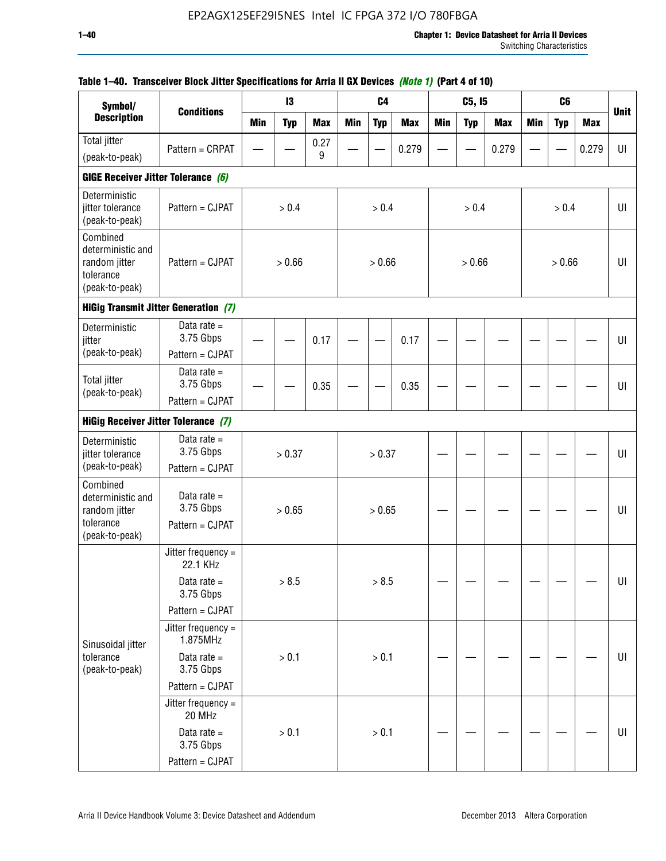| Symbol/                                                                       |                                               |            | 13         |            |            | C <sub>4</sub> |            |            | C5, I5     |            |            | C <sub>6</sub> |            |             |
|-------------------------------------------------------------------------------|-----------------------------------------------|------------|------------|------------|------------|----------------|------------|------------|------------|------------|------------|----------------|------------|-------------|
| <b>Description</b>                                                            | <b>Conditions</b>                             | <b>Min</b> | <b>Typ</b> | <b>Max</b> | <b>Min</b> | <b>Typ</b>     | <b>Max</b> | <b>Min</b> | <b>Typ</b> | <b>Max</b> | <b>Min</b> | <b>Typ</b>     | <b>Max</b> | <b>Unit</b> |
| <b>Total jitter</b>                                                           | Pattern = CRPAT                               |            |            | 0.27       |            |                | 0.279      |            |            | 0.279      |            |                | 0.279      | UI          |
| (peak-to-peak)                                                                |                                               |            |            | 9          |            |                |            |            |            |            |            |                |            |             |
| GIGE Receiver Jitter Tolerance (6)                                            |                                               |            |            |            |            |                |            |            |            |            |            |                |            |             |
| Deterministic<br>jitter tolerance<br>(peak-to-peak)                           | Pattern = CJPAT                               |            | > 0.4      |            |            | > 0.4          |            |            | > 0.4      |            |            | > 0.4          |            | UI          |
| Combined<br>deterministic and<br>random jitter<br>tolerance<br>(peak-to-peak) | Pattern = CJPAT                               |            | > 0.66     |            |            | > 0.66         |            |            | > 0.66     |            |            | > 0.66         |            | UI          |
|                                                                               | <b>HiGig Transmit Jitter Generation (7)</b>   |            |            |            |            |                |            |            |            |            |            |                |            |             |
| Deterministic<br>jitter                                                       | Data rate $=$<br>3.75 Gbps                    |            |            | 0.17       |            |                | 0.17       |            |            |            |            |                |            | UI          |
| (peak-to-peak)                                                                | Pattern = CJPAT                               |            |            |            |            |                |            |            |            |            |            |                |            |             |
| <b>Total jitter</b><br>(peak-to-peak)                                         | Data rate $=$<br>3.75 Gbps                    |            |            | 0.35       |            |                | 0.35       |            |            |            |            |                |            | UI          |
|                                                                               | Pattern = CJPAT                               |            |            |            |            |                |            |            |            |            |            |                |            |             |
| <b>HiGig Receiver Jitter Tolerance (7)</b>                                    |                                               |            |            |            |            |                |            |            |            |            |            |                |            |             |
| Deterministic<br>jitter tolerance                                             | Data rate $=$<br>3.75 Gbps                    |            | > 0.37     |            |            | > 0.37         |            |            |            |            |            |                |            | U           |
| (peak-to-peak)                                                                | Pattern = CJPAT                               |            |            |            |            |                |            |            |            |            |            |                |            |             |
| Combined<br>deterministic and<br>random jitter<br>tolerance<br>(peak-to-peak) | Data rate $=$<br>3.75 Gbps<br>Pattern = CJPAT |            | > 0.65     |            |            | > 0.65         |            |            |            |            |            |                |            | UI          |
|                                                                               | Jitter frequency =<br>22.1 KHz                |            |            |            |            |                |            |            |            |            |            |                |            |             |
|                                                                               | Data rate $=$<br>3.75 Gbps                    |            | > 8.5      |            |            | > 8.5          |            |            |            |            |            |                |            | $U\vert$    |
|                                                                               | Pattern = CJPAT                               |            |            |            |            |                |            |            |            |            |            |                |            |             |
| Sinusoidal jitter                                                             | Jitter frequency =<br>1.875MHz                |            |            |            |            |                |            |            |            |            |            |                |            |             |
| tolerance<br>(peak-to-peak)                                                   | Data rate $=$<br>3.75 Gbps                    |            | > 0.1      |            |            | $> 0.1$        |            |            |            |            |            |                |            | UI          |
|                                                                               | Pattern = CJPAT                               |            |            |            |            |                |            |            |            |            |            |                |            |             |
|                                                                               | Jitter frequency =<br>20 MHz                  |            |            |            |            |                |            |            |            |            |            |                |            |             |
|                                                                               | Data rate $=$<br>3.75 Gbps                    |            | > 0.1      |            |            | $> 0.1$        |            |            |            |            |            |                |            | UI          |
|                                                                               | Pattern = CJPAT                               |            |            |            |            |                |            |            |            |            |            |                |            |             |

## **Table 1–40. Transceiver Block Jitter Specifications for Arria II GX Devices** *(Note 1)* **(Part 4 of 10)**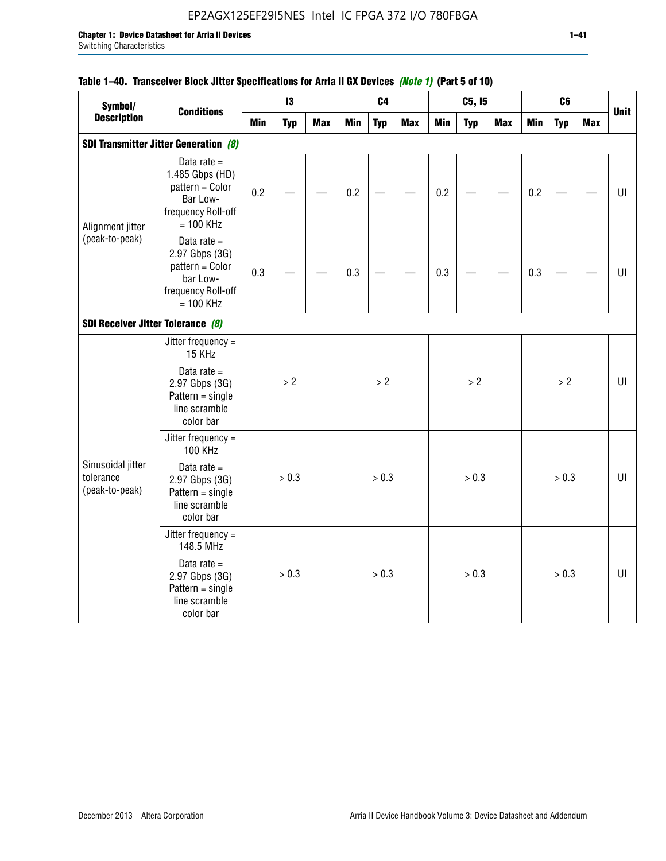## EP2AGX125EF29I5NES Intel IC FPGA 372 I/O 780FBGA

## **Table 1–40. Transceiver Block Jitter Specifications for Arria II GX Devices** *(Note 1)* **(Part 5 of 10)**

| Symbol/                                          |                                                                                                      |            | 13         |            |            | C <sub>4</sub> |            |            | C5, I5     |            |            | C6         |            |             |
|--------------------------------------------------|------------------------------------------------------------------------------------------------------|------------|------------|------------|------------|----------------|------------|------------|------------|------------|------------|------------|------------|-------------|
| <b>Description</b>                               | <b>Conditions</b>                                                                                    | <b>Min</b> | <b>Typ</b> | <b>Max</b> | <b>Min</b> | <b>Typ</b>     | <b>Max</b> | <b>Min</b> | <b>Typ</b> | <b>Max</b> | <b>Min</b> | <b>Typ</b> | <b>Max</b> | <b>Unit</b> |
|                                                  | <b>SDI Transmitter Jitter Generation (8)</b>                                                         |            |            |            |            |                |            |            |            |            |            |            |            |             |
| Alignment jitter                                 | Data rate $=$<br>1.485 Gbps (HD)<br>pattern = Color<br>Bar Low-<br>frequency Roll-off<br>$= 100$ KHz | 0.2        |            |            | 0.2        |                |            | 0.2        |            |            | 0.2        |            |            | UI          |
| (peak-to-peak)                                   | Data rate $=$<br>2.97 Gbps (3G)<br>pattern = Color<br>bar Low-<br>frequency Roll-off<br>$= 100$ KHz  | 0.3        |            |            | 0.3        |                |            | 0.3        |            |            | 0.3        |            |            | UI          |
| SDI Receiver Jitter Tolerance (8)                |                                                                                                      |            |            |            |            |                |            |            |            |            |            |            |            |             |
|                                                  | Jitter frequency $=$<br>15 KHz                                                                       |            |            |            |            |                |            |            |            |            |            |            |            |             |
|                                                  | Data rate $=$<br>2.97 Gbps (3G)<br>$Pattern = single$<br>line scramble<br>color bar                  |            | > 2        |            |            | > 2            |            |            | > 2        |            |            | > 2        |            | U           |
|                                                  | Jitter frequency =<br><b>100 KHz</b>                                                                 |            |            |            |            |                |            |            |            |            |            |            |            |             |
| Sinusoidal jitter<br>tolerance<br>(peak-to-peak) | Data rate $=$<br>2.97 Gbps (3G)<br>$Pattern = single$<br>line scramble<br>color bar                  |            | > 0.3      |            |            | > 0.3          |            |            | > 0.3      |            |            | > 0.3      |            | UI          |
|                                                  | Jitter frequency =<br>148.5 MHz                                                                      |            |            |            |            |                |            |            |            |            |            |            |            |             |
|                                                  | Data rate $=$<br>2.97 Gbps (3G)<br>$Pattern = single$<br>line scramble<br>color bar                  |            | > 0.3      |            |            | > 0.3          |            |            | > 0.3      |            |            | > 0.3      |            | UI          |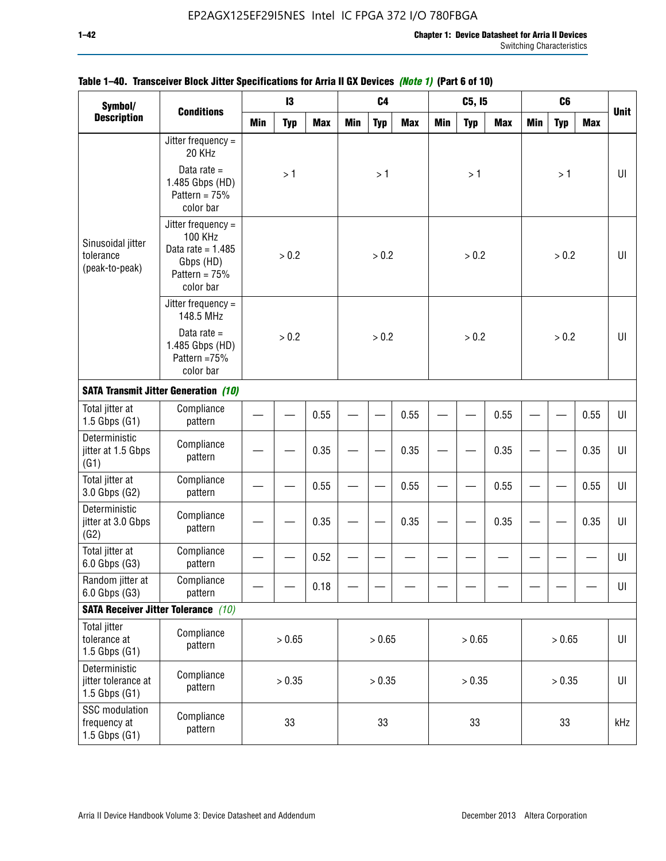| Symbol/                                                    |                                                                                                     |              | 13            |            |            | C <sub>4</sub> |            |            | C5, I5     |            |            | C <sub>6</sub> |            |             |
|------------------------------------------------------------|-----------------------------------------------------------------------------------------------------|--------------|---------------|------------|------------|----------------|------------|------------|------------|------------|------------|----------------|------------|-------------|
| <b>Description</b>                                         | <b>Conditions</b>                                                                                   | <b>Min</b>   | <b>Typ</b>    | <b>Max</b> | <b>Min</b> | <b>Typ</b>     | <b>Max</b> | <b>Min</b> | <b>Typ</b> | <b>Max</b> | <b>Min</b> | <b>Typ</b>     | <b>Max</b> | <b>Unit</b> |
|                                                            | Jitter frequency =<br>20 KHz                                                                        |              |               |            |            |                |            |            |            |            |            |                |            |             |
|                                                            | Data rate $=$<br>1.485 Gbps (HD)<br>Pattern = $75%$<br>color bar                                    |              | >1            |            |            | >1             |            |            | >1         |            |            | >1             |            | $U\Gamma$   |
| Sinusoidal jitter<br>tolerance<br>(peak-to-peak)           | Jitter frequency $=$<br>100 KHz<br>Data rate = $1.485$<br>Gbps (HD)<br>Pattern = $75%$<br>color bar |              | > 0.2         |            |            | > 0.2          |            |            | > 0.2      |            |            | > 0.2          |            | UI          |
|                                                            | Jitter frequency =<br>148.5 MHz                                                                     |              | > 0.2<br>0.55 |            |            |                |            |            |            |            |            |                |            |             |
|                                                            | Data rate $=$<br>1.485 Gbps (HD)<br>Pattern =75%<br>color bar                                       |              | 0.35          |            |            | > 0.2          |            |            | > 0.2      |            |            | > 0.2          |            | U           |
|                                                            | <b>SATA Transmit Jitter Generation (10)</b>                                                         |              |               |            |            |                |            |            |            |            |            |                |            |             |
| Total jitter at<br>$1.5$ Gbps $(G1)$                       | Compliance<br>pattern                                                                               |              |               |            |            |                | 0.55       |            |            | 0.55       |            |                | 0.55       | UI          |
| Deterministic<br>jitter at 1.5 Gbps<br>(G1)                | Compliance<br>pattern                                                                               |              |               |            |            |                | 0.35       |            |            | 0.35       |            |                | 0.35       | UI          |
| Total jitter at<br>3.0 Gbps (G2)                           | Compliance<br>pattern                                                                               |              |               | 0.55       |            |                | 0.55       |            |            | 0.55       |            |                | 0.55       | UI          |
| Deterministic<br>jitter at 3.0 Gbps<br>(G2)                | Compliance<br>pattern                                                                               |              |               | 0.35       |            |                | 0.35       |            |            | 0.35       |            |                | 0.35       | UI          |
| Total jitter at<br>6.0 Gbps (G3)                           | Compliance<br>pattern                                                                               |              |               | 0.52       |            |                |            |            |            |            |            |                |            | $U\Gamma$   |
| Random jitter at<br>6.0 Gbps (G3)                          | Compliance<br>pattern                                                                               |              |               | 0.18       |            |                |            |            |            |            |            |                |            | UI          |
|                                                            | <b>SATA Receiver Jitter Tolerance</b> (10)                                                          |              |               |            |            |                |            |            |            |            |            |                |            |             |
| Total jitter<br>tolerance at<br>$1.5$ Gbps $(G1)$          | Compliance<br>pattern                                                                               |              | > 0.65        |            |            | > 0.65         |            |            | > 0.65     |            |            | > 0.65         |            | $U\vert$    |
| Deterministic<br>jitter tolerance at<br>$1.5$ Gbps $(G1)$  | Compliance<br>pattern                                                                               | > 0.35<br>33 |               |            |            | > 0.35         |            |            | > 0.35     |            |            | > 0.35         |            | UI          |
| <b>SSC</b> modulation<br>frequency at<br>$1.5$ Gbps $(G1)$ | Compliance<br>pattern                                                                               |              |               |            |            | 33             |            |            | 33         |            |            | 33             |            | kHz         |

## **Table 1–40. Transceiver Block Jitter Specifications for Arria II GX Devices** *(Note 1)* **(Part 6 of 10)**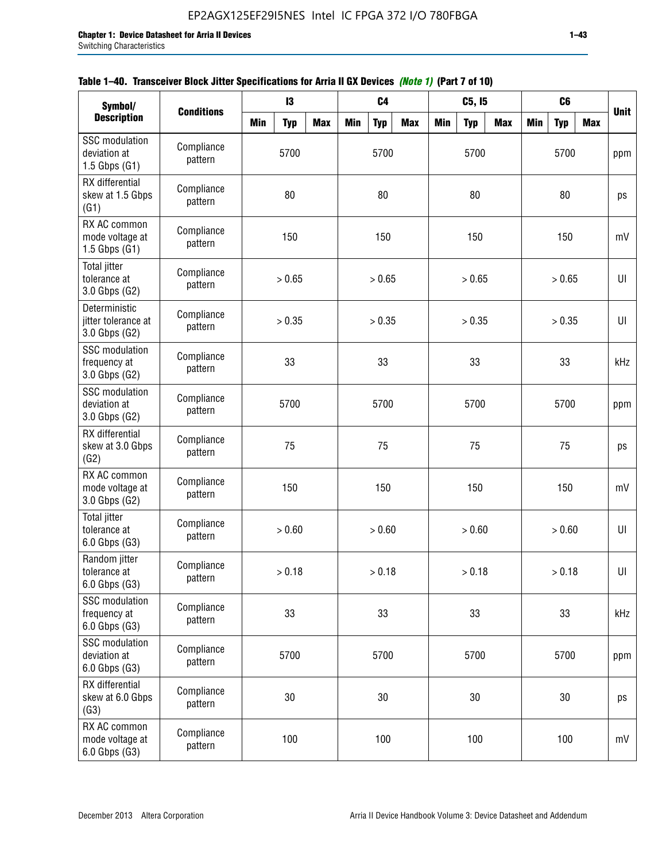| Symbol/                                                  |                       |            | 13                   |                                                                            |            | C <sub>4</sub> |  | C5, I5<br>C <sub>6</sub><br><b>Max</b><br><b>Min</b><br><b>Max</b><br><b>Min</b><br><b>Typ</b><br><b>Typ</b><br><b>Max</b><br>5700<br>5700<br>80<br>80<br>150<br>150<br>> 0.65<br>> 0.65<br>> 0.35<br>> 0.35<br>33<br>33<br>5700<br>5700<br>75<br>75<br>150<br>150<br>> 0.60<br>> 0.60<br>> 0.18<br>> 0.18<br>33<br>33<br>5700<br>5700<br>$30\,$<br>30 |  |  |     |  |    |             |  |
|----------------------------------------------------------|-----------------------|------------|----------------------|----------------------------------------------------------------------------|------------|----------------|--|--------------------------------------------------------------------------------------------------------------------------------------------------------------------------------------------------------------------------------------------------------------------------------------------------------------------------------------------------------|--|--|-----|--|----|-------------|--|
| <b>Description</b>                                       | <b>Conditions</b>     | <b>Min</b> | <b>Typ</b>           | <b>Max</b>                                                                 | <b>Min</b> | <b>Typ</b>     |  |                                                                                                                                                                                                                                                                                                                                                        |  |  |     |  |    | <b>Unit</b> |  |
| <b>SSC</b> modulation<br>deviation at<br>1.5 Gbps $(G1)$ | Compliance<br>pattern |            | 5700                 |                                                                            |            |                |  |                                                                                                                                                                                                                                                                                                                                                        |  |  |     |  |    | ppm         |  |
| RX differential<br>skew at 1.5 Gbps<br>(G1)              | Compliance<br>pattern |            | 80                   |                                                                            |            | 80             |  |                                                                                                                                                                                                                                                                                                                                                        |  |  |     |  |    | ps          |  |
| RX AC common<br>mode voltage at<br>1.5 Gbps $(G1)$       | Compliance<br>pattern |            | 150                  |                                                                            |            | 150            |  |                                                                                                                                                                                                                                                                                                                                                        |  |  |     |  |    | mV          |  |
| <b>Total jitter</b><br>tolerance at<br>3.0 Gbps (G2)     | Compliance<br>pattern |            | > 0.65               |                                                                            |            |                |  |                                                                                                                                                                                                                                                                                                                                                        |  |  |     |  |    | U           |  |
| Deterministic<br>jitter tolerance at<br>3.0 Gbps (G2)    | Compliance<br>pattern |            | > 0.35<br>33<br>5700 |                                                                            |            |                |  |                                                                                                                                                                                                                                                                                                                                                        |  |  |     |  |    | UI          |  |
| <b>SSC</b> modulation<br>frequency at<br>3.0 Gbps (G2)   | Compliance<br>pattern |            |                      |                                                                            |            | 33             |  |                                                                                                                                                                                                                                                                                                                                                        |  |  |     |  |    | kHz         |  |
| <b>SSC</b> modulation<br>deviation at<br>3.0 Gbps (G2)   | Compliance<br>pattern |            |                      |                                                                            |            |                |  |                                                                                                                                                                                                                                                                                                                                                        |  |  |     |  |    | ppm         |  |
| RX differential<br>skew at 3.0 Gbps<br>(G2)              | Compliance<br>pattern |            | 75                   |                                                                            |            | 75             |  |                                                                                                                                                                                                                                                                                                                                                        |  |  |     |  |    | ps          |  |
| RX AC common<br>mode voltage at<br>3.0 Gbps (G2)         | Compliance<br>pattern |            | 150                  |                                                                            |            | 150            |  |                                                                                                                                                                                                                                                                                                                                                        |  |  |     |  |    | mV          |  |
| <b>Total jitter</b><br>tolerance at<br>6.0 Gbps (G3)     | Compliance<br>pattern |            | > 0.60               |                                                                            |            |                |  |                                                                                                                                                                                                                                                                                                                                                        |  |  |     |  |    | UI          |  |
| Random jitter<br>tolerance at<br>6.0 Gbps (G3)           | Compliance<br>pattern |            | > 0.18               |                                                                            |            |                |  |                                                                                                                                                                                                                                                                                                                                                        |  |  |     |  |    | UI          |  |
| <b>SSC</b> modulation<br>frequency at<br>6.0 Gbps (G3)   | Compliance<br>pattern |            | 33                   |                                                                            |            | 33             |  |                                                                                                                                                                                                                                                                                                                                                        |  |  |     |  |    | kHz         |  |
| SSC modulation<br>deviation at<br>6.0 Gbps (G3)          | Compliance<br>pattern |            | 5700                 |                                                                            |            |                |  |                                                                                                                                                                                                                                                                                                                                                        |  |  |     |  |    | ppm         |  |
| RX differential<br>skew at 6.0 Gbps<br>(G3)              | Compliance<br>pattern |            | 30                   |                                                                            |            | 30             |  |                                                                                                                                                                                                                                                                                                                                                        |  |  |     |  |    |             |  |
| RX AC common<br>mode voltage at<br>6.0 Gbps (G3)         | Compliance<br>pattern |            | 100                  | 5700<br>> 0.65<br>> 0.35<br>5700<br>> 0.60<br>> 0.18<br>5700<br>100<br>100 |            |                |  |                                                                                                                                                                                                                                                                                                                                                        |  |  | 100 |  | mV |             |  |

## **Table 1–40. Transceiver Block Jitter Specifications for Arria II GX Devices** *(Note 1)* **(Part 7 of 10)**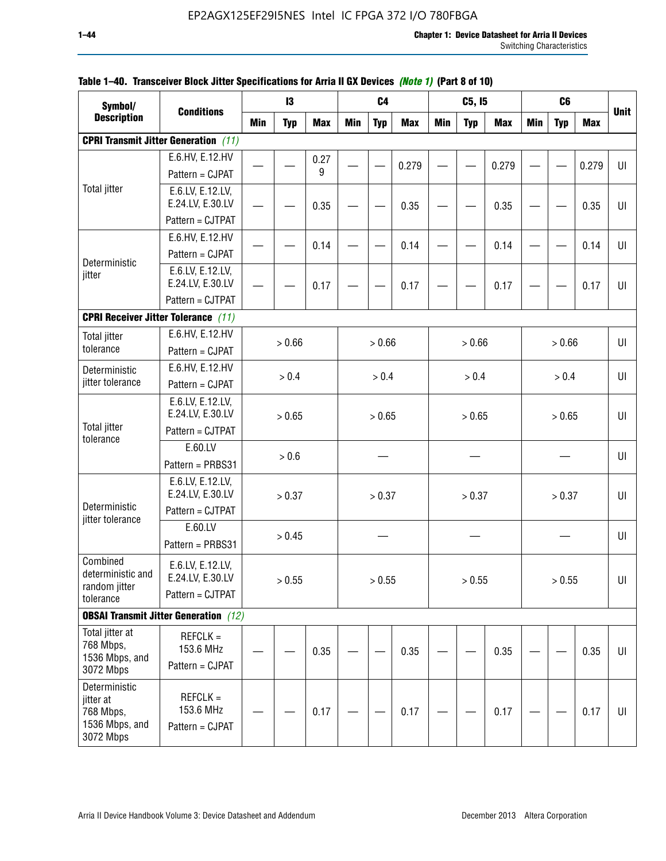| Symbol/                      |                                              |            | 13         |            |       | C <sub>4</sub> |            |            | C5, I5     |            |       | C <sub>6</sub> |            |             |
|------------------------------|----------------------------------------------|------------|------------|------------|-------|----------------|------------|------------|------------|------------|-------|----------------|------------|-------------|
| <b>Description</b>           | <b>Conditions</b>                            | <b>Min</b> | <b>Typ</b> | <b>Max</b> | Min   | <b>Typ</b>     | <b>Max</b> | <b>Min</b> | <b>Typ</b> | <b>Max</b> | Min   | <b>Typ</b>     | <b>Max</b> | <b>Unit</b> |
|                              | <b>CPRI Transmit Jitter Generation</b> (11)  |            |            |            |       |                |            |            |            |            |       |                |            |             |
|                              | E.6.HV, E.12.HV                              |            |            | 0.27       |       |                |            |            |            |            |       |                |            |             |
|                              | Pattern = CJPAT                              |            |            | 9          |       |                | 0.279      |            |            | 0.279      |       |                | 0.279      | UI          |
| <b>Total jitter</b>          | E.6.LV, E.12.LV,                             |            |            |            |       |                |            |            |            |            |       |                |            |             |
|                              | E.24.LV, E.30.LV                             |            |            | 0.35       |       |                | 0.35       |            |            | 0.35       |       |                | 0.35       | UI          |
|                              | Pattern = CJTPAT                             |            |            |            |       |                |            |            |            |            |       |                |            |             |
|                              | E.6.HV, E.12.HV                              |            |            | 0.14       |       |                | 0.14       |            |            | 0.14       |       |                | 0.14       | UI          |
| Deterministic                | Pattern = CJPAT                              |            |            |            |       |                |            |            |            |            |       |                |            |             |
| jitter                       | E.6.LV, E.12.LV,                             |            |            |            |       |                |            |            |            |            |       |                |            |             |
|                              | E.24.LV, E.30.LV                             |            |            | 0.17       |       |                | 0.17       |            |            | 0.17       |       |                | 0.17       | UI          |
|                              | Pattern = CJTPAT                             |            |            |            |       |                |            |            |            |            |       |                |            |             |
|                              | <b>CPRI Receiver Jitter Tolerance (11)</b>   |            |            |            |       |                |            |            |            |            |       |                |            |             |
| <b>Total jitter</b>          | E.6.HV, E.12.HV                              |            | > 0.66     |            |       | > 0.66         |            |            | > 0.66     |            |       | > 0.66         |            | UI          |
| tolerance                    | Pattern = CJPAT                              |            |            |            |       |                |            |            |            |            |       |                |            |             |
| Deterministic                | E.6.HV, E.12.HV                              | > 0.4      |            |            | > 0.4 |                |            | > 0.4      |            |            | > 0.4 |                | UI         |             |
| jitter tolerance             | Pattern = CJPAT                              |            |            |            |       |                |            |            |            |            |       |                |            |             |
|                              | E.6.LV, E.12.LV,                             |            |            |            |       |                |            |            |            |            |       |                |            |             |
| <b>Total jitter</b>          | E.24.LV, E.30.LV<br>Pattern = CJTPAT         |            | > 0.65     |            |       | > 0.65         |            |            | > 0.65     |            |       | > 0.65         |            | U           |
| tolerance                    |                                              |            |            |            |       |                |            |            |            |            |       |                |            |             |
|                              | E.60.LV                                      |            | $> 0.6$    |            |       |                |            |            |            |            |       |                |            | $U\Gamma$   |
|                              | Pattern = PRBS31                             |            |            |            |       |                |            |            |            |            |       |                |            |             |
|                              | E.6.LV, E.12.LV,<br>E.24.LV, E.30.LV         |            | > 0.37     |            |       | > 0.37         |            |            | > 0.37     |            |       | > 0.37         |            | UI          |
| Deterministic                | Pattern = CJTPAT                             |            |            |            |       |                |            |            |            |            |       |                |            |             |
| jitter tolerance             | E.60.LV                                      |            |            |            |       |                |            |            |            |            |       |                |            |             |
|                              | Pattern = PRBS31                             |            | > 0.45     |            |       |                |            |            |            |            |       |                |            | UI          |
| Combined                     |                                              |            |            |            |       |                |            |            |            |            |       |                |            |             |
| deterministic and            | E.6.LV, E.12.LV,<br>E.24.LV, E.30.LV         |            | > 0.55     |            |       |                |            |            |            |            |       |                |            | U           |
| random jitter                | Pattern = CJTPAT                             |            |            |            |       | > 0.55         |            |            | > 0.55     |            |       | > 0.55         |            |             |
| tolerance                    |                                              |            |            |            |       |                |            |            |            |            |       |                |            |             |
|                              | <b>OBSAI Transmit Jitter Generation</b> (12) |            |            |            |       |                |            |            |            |            |       |                |            |             |
| Total jitter at<br>768 Mbps, | $REFCLK =$                                   |            |            |            |       |                |            |            |            |            |       |                |            |             |
| 1536 Mbps, and               | 153.6 MHz                                    |            |            | 0.35       |       |                | 0.35       |            |            | 0.35       |       |                | 0.35       | UI          |
| 3072 Mbps                    | Pattern = CJPAT                              |            |            |            |       |                |            |            |            |            |       |                |            |             |
| Deterministic                |                                              |            |            |            |       |                |            |            |            |            |       |                |            |             |
| jitter at<br>768 Mbps,       | $REFCLK =$<br>153.6 MHz                      |            |            | 0.17       |       |                | 0.17       |            |            | 0.17       |       |                | 0.17       | UI          |
| 1536 Mbps, and               | Pattern = CJPAT                              |            |            |            |       |                |            |            |            |            |       |                |            |             |
| 3072 Mbps                    |                                              |            |            |            |       |                |            |            |            |            |       |                |            |             |

## **Table 1–40. Transceiver Block Jitter Specifications for Arria II GX Devices** *(Note 1)* **(Part 8 of 10)**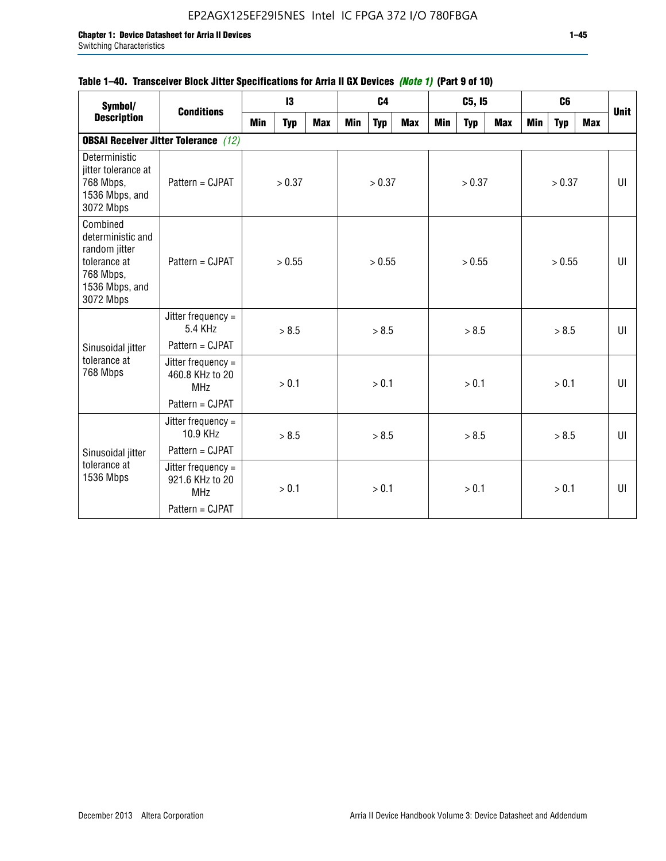## **Table 1–40. Transceiver Block Jitter Specifications for Arria II GX Devices** *(Note 1)* **(Part 9 of 10)**

| Symbol/                                                                                                    | <b>Conditions</b>                                   |                 | 13         |            |     | C <sub>4</sub> |     |     | C5, I5     |     |     | C <sub>6</sub> |     | <b>Unit</b> |
|------------------------------------------------------------------------------------------------------------|-----------------------------------------------------|-----------------|------------|------------|-----|----------------|-----|-----|------------|-----|-----|----------------|-----|-------------|
| <b>Description</b>                                                                                         |                                                     | Min             | <b>Typ</b> | <b>Max</b> | Min | <b>Typ</b>     | Max | Min | <b>Typ</b> | Max | Min | <b>Typ</b>     | Max |             |
|                                                                                                            | <b>OBSAI Receiver Jitter Tolerance</b> (12)         |                 |            |            |     |                |     |     |            |     |     |                |     |             |
| Deterministic<br>jitter tolerance at<br>768 Mbps,<br>1536 Mbps, and<br>3072 Mbps                           | Pattern = CJPAT                                     |                 | > 0.37     |            |     | > 0.37         |     |     | > 0.37     |     |     | > 0.37         |     | UI          |
| Combined<br>deterministic and<br>random jitter<br>tolerance at<br>768 Mbps,<br>1536 Mbps, and<br>3072 Mbps | Pattern = CJPAT                                     | > 0.55<br>> 8.5 |            |            |     | > 0.55         |     |     | > 0.55     |     |     | > 0.55         |     | UI          |
|                                                                                                            | Jitter frequency $=$<br>5.4 KHz                     |                 |            |            |     | > 8.5          |     |     | > 8.5      |     |     | > 8.5          |     | UI          |
| Sinusoidal jitter                                                                                          | Pattern = CJPAT                                     |                 |            |            |     |                |     |     |            |     |     |                |     |             |
| tolerance at<br>768 Mbps                                                                                   | Jitter frequency =<br>460.8 KHz to 20<br><b>MHz</b> |                 | > 0.1      |            |     | > 0.1          |     |     | > 0.1      |     |     | > 0.1          |     | UI          |
|                                                                                                            | Pattern = CJPAT                                     |                 |            |            |     |                |     |     |            |     |     |                |     |             |
|                                                                                                            | Jitter frequency =<br>10.9 KHz                      |                 | > 8.5      |            |     | > 8.5          |     |     | > 8.5      |     |     | > 8.5          |     | UI          |
| Sinusoidal jitter                                                                                          | Pattern = CJPAT                                     |                 |            |            |     |                |     |     |            |     |     |                |     |             |
| tolerance at<br>1536 Mbps                                                                                  | Jitter frequency =<br>921.6 KHz to 20<br><b>MHz</b> |                 | > 0.1      |            |     | > 0.1          |     |     | > 0.1      |     |     | > 0.1          |     | UI          |
|                                                                                                            | Pattern = CJPAT                                     |                 |            |            |     |                |     |     |            |     |     |                |     |             |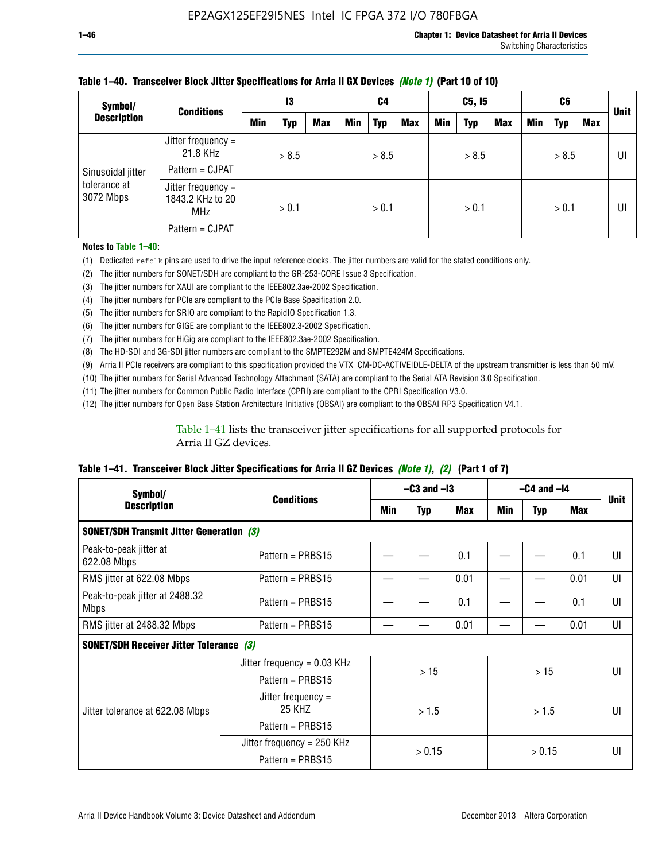| Symbol/                   | <b>Conditions</b>                                                       |     | 13    |            |     | C4         |            |            | C5, I5     |     |     | C6         |     | <b>Unit</b> |
|---------------------------|-------------------------------------------------------------------------|-----|-------|------------|-----|------------|------------|------------|------------|-----|-----|------------|-----|-------------|
| <b>Description</b>        |                                                                         | Min | Typ   | <b>Max</b> | Min | <b>Typ</b> | <b>Max</b> | <b>Min</b> | <b>Typ</b> | Max | Min | <b>Typ</b> | Max |             |
| Sinusoidal jitter         | Jitter frequency =<br>21.8 KHz<br>Pattern = CJPAT                       |     | > 8.5 |            |     | > 8.5      |            |            | > 8.5      |     |     | > 8.5      |     | UI          |
| tolerance at<br>3072 Mbps | Jitter frequency =<br>1843.2 KHz to 20<br><b>MHz</b><br>Pattern = CJPAT |     | > 0.1 |            |     | > 0.1      |            |            | > 0.1      |     |     | > 0.1      |     | UI          |

### **Table 1–40. Transceiver Block Jitter Specifications for Arria II GX Devices** *(Note 1)* **(Part 10 of 10)**

**Notes to Table 1–40:**

(1) Dedicated refclk pins are used to drive the input reference clocks. The jitter numbers are valid for the stated conditions only.

(2) The jitter numbers for SONET/SDH are compliant to the GR-253-CORE Issue 3 Specification.

(3) The jitter numbers for XAUI are compliant to the IEEE802.3ae-2002 Specification.

(4) The jitter numbers for PCIe are compliant to the PCIe Base Specification 2.0.

(5) The jitter numbers for SRIO are compliant to the RapidIO Specification 1.3.

(6) The jitter numbers for GIGE are compliant to the IEEE802.3-2002 Specification.

(7) The jitter numbers for HiGig are compliant to the IEEE802.3ae-2002 Specification.

(8) The HD-SDI and 3G-SDI jitter numbers are compliant to the SMPTE292M and SMPTE424M Specifications.

(9) Arria II PCIe receivers are compliant to this specification provided the VTX\_CM-DC-ACTIVEIDLE-DELTA of the upstream transmitter is less than 50 mV.

(10) The jitter numbers for Serial Advanced Technology Attachment (SATA) are compliant to the Serial ATA Revision 3.0 Specification.

(11) The jitter numbers for Common Public Radio Interface (CPRI) are compliant to the CPRI Specification V3.0.

(12) The jitter numbers for Open Base Station Architecture Initiative (OBSAI) are compliant to the OBSAI RP3 Specification V4.1.

Table 1–41 lists the transceiver jitter specifications for all supported protocols for Arria II GZ devices.

### **Table 1–41. Transceiver Block Jitter Specifications for Arria II GZ Devices** *(Note 1)***,** *(2)* **(Part 1 of 7)**

| Symbol/                                        | <b>Conditions</b>                               | $-C3$ and $-I3$ |            |            | $-C4$ and $-I4$ |            |      |             |  |
|------------------------------------------------|-------------------------------------------------|-----------------|------------|------------|-----------------|------------|------|-------------|--|
| <b>Description</b>                             |                                                 | Min             | <b>Typ</b> | <b>Max</b> | Min             | <b>Typ</b> | Max  | <b>Unit</b> |  |
|                                                | <b>SONET/SDH Transmit Jitter Generation (3)</b> |                 |            |            |                 |            |      |             |  |
| Peak-to-peak jitter at<br>622.08 Mbps          | Pattern = $PRBS15$                              |                 |            | 0.1        |                 |            | 0.1  | UI          |  |
| RMS jitter at 622.08 Mbps                      | Pattern = PRBS15                                |                 |            | 0.01       |                 |            | 0.01 | UI          |  |
| Peak-to-peak jitter at 2488.32<br><b>Mbps</b>  | Pattern = $PRBS15$                              |                 |            | 0.1        |                 |            | 0.1  | UI          |  |
| RMS jitter at 2488.32 Mbps                     | Pattern = PRBS15                                |                 |            | 0.01       |                 |            | 0.01 | UI          |  |
| <b>SONET/SDH Receiver Jitter Tolerance (3)</b> |                                                 |                 |            |            |                 |            |      |             |  |
|                                                | Jitter frequency = $0.03$ KHz                   |                 | >15        |            | >15             |            |      | UI          |  |
|                                                | Pattern = $PRBS15$                              |                 |            |            |                 |            |      |             |  |
| Jitter tolerance at 622.08 Mbps                | Jitter frequency $=$<br>25 KHZ                  |                 | >1.5       |            |                 | > 1.5      |      | UI          |  |
|                                                | Pattern = $PRBS15$                              |                 |            |            |                 |            |      |             |  |
|                                                | Jitter frequency = 250 KHz                      |                 | > 0.15     |            |                 |            |      | UI          |  |
|                                                | Pattern = PRBS15                                |                 |            |            | > 0.15          |            |      |             |  |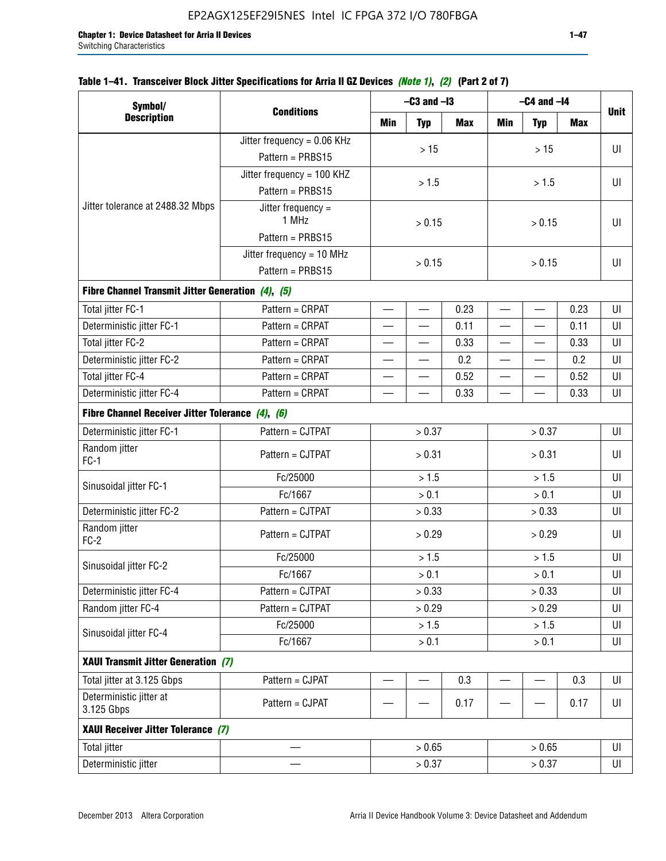|  | Table 1–41. Transceiver Block Jitter Specifications for Arria II GZ Devices <i>(Note 1), (2)</i> (Part 2 of 7) |  |  |
|--|----------------------------------------------------------------------------------------------------------------|--|--|
|  |                                                                                                                |  |  |

| Symbol/                                           |                               | $-C3$ and $-I3$          |                          |      | $-C4$ and $-I4$          |            |            |             |  |  |
|---------------------------------------------------|-------------------------------|--------------------------|--------------------------|------|--------------------------|------------|------------|-------------|--|--|
| <b>Description</b>                                | <b>Conditions</b>             | Min                      | <b>Typ</b>               | Max  | Min                      | <b>Typ</b> | <b>Max</b> | <b>Unit</b> |  |  |
|                                                   | Jitter frequency = 0.06 KHz   |                          | $>15$                    |      |                          |            |            | UI          |  |  |
|                                                   | Pattern = PRBS15              |                          |                          |      |                          | >15        |            |             |  |  |
|                                                   | Jitter frequency = 100 KHZ    |                          | > 1.5                    |      |                          | > 1.5      |            | UI          |  |  |
|                                                   | Pattern = PRBS15              |                          |                          |      |                          |            |            |             |  |  |
| Jitter tolerance at 2488.32 Mbps                  | Jitter frequency $=$<br>1 MHz |                          | > 0.15                   |      | > 0.15                   |            |            | UI          |  |  |
|                                                   | Pattern = PRBS15              |                          |                          |      |                          |            |            |             |  |  |
|                                                   | Jitter frequency = $10$ MHz   |                          | > 0.15                   |      |                          |            |            | UI          |  |  |
|                                                   | Pattern = PRBS15              |                          |                          |      | > 0.15                   |            |            |             |  |  |
| Fibre Channel Transmit Jitter Generation (4), (5) |                               |                          |                          |      |                          |            |            |             |  |  |
| Total jitter FC-1                                 | Pattern = CRPAT               | $\overline{\phantom{0}}$ | $\qquad \qquad$          | 0.23 | $\overline{\phantom{0}}$ |            | 0.23       | UI          |  |  |
| Deterministic jitter FC-1                         | Pattern = CRPAT               | $\overline{\phantom{0}}$ | $\qquad \qquad$          | 0.11 | $\overline{\phantom{0}}$ |            | 0.11       | UI          |  |  |
| Total jitter FC-2                                 | Pattern = CRPAT               |                          |                          | 0.33 | $\overline{\phantom{0}}$ | —          | 0.33       | UI          |  |  |
| Deterministic jitter FC-2                         | Pattern = CRPAT               |                          |                          | 0.2  | $\overline{\phantom{0}}$ |            | 0.2        | UI          |  |  |
| Total jitter FC-4                                 | Pattern = CRPAT               |                          |                          | 0.52 |                          |            | 0.52       | UI          |  |  |
| Deterministic jitter FC-4                         | Pattern = CRPAT               |                          |                          | 0.33 |                          |            | 0.33       | UI          |  |  |
| Fibre Channel Receiver Jitter Tolerance (4), (6)  |                               |                          |                          |      |                          |            |            |             |  |  |
| Deterministic jitter FC-1                         | Pattern = CJTPAT              |                          | > 0.37                   |      | > 0.37                   |            |            | UI          |  |  |
| Random jitter<br>$FC-1$                           | Pattern = CJTPAT              |                          | > 0.31                   |      | > 0.31                   |            |            | UI          |  |  |
| Sinusoidal jitter FC-1                            | Fc/25000                      |                          | > 1.5                    |      | > 1.5                    |            |            | UI          |  |  |
|                                                   | Fc/1667                       |                          | > 0.1                    |      |                          | > 0.1      |            | UI          |  |  |
| Deterministic jitter FC-2                         | Pattern = CJTPAT              |                          | > 0.33                   |      |                          | > 0.33     |            | UI          |  |  |
| Random jitter<br>$FC-2$                           | Pattern = CJTPAT              |                          | > 0.29                   |      |                          | > 0.29     |            | UI          |  |  |
|                                                   | Fc/25000                      |                          | > 1.5                    |      |                          | > 1.5      |            | UI          |  |  |
| Sinusoidal jitter FC-2                            | Fc/1667                       |                          | > 0.1                    |      |                          | > 0.1      |            | UI          |  |  |
| Deterministic jitter FC-4                         | Pattern = CJTPAT              |                          | > 0.33                   |      |                          | > 0.33     |            | UI          |  |  |
| Random jitter FC-4                                | Pattern = CJTPAT              |                          | > 0.29                   |      |                          | > 0.29     |            | UI          |  |  |
| Sinusoidal jitter FC-4                            | Fc/25000                      |                          | > 1.5                    |      |                          | > 1.5      |            | UI          |  |  |
|                                                   | Fc/1667                       |                          | > 0.1                    |      |                          | > 0.1      |            | UI          |  |  |
| XAUI Transmit Jitter Generation (7)               |                               |                          |                          |      |                          |            |            |             |  |  |
| Total jitter at 3.125 Gbps                        | Pattern = CJPAT               | $\overline{\phantom{0}}$ | $\overline{\phantom{0}}$ | 0.3  | $\overline{\phantom{0}}$ |            | 0.3        | UI          |  |  |
| Deterministic jitter at<br>3.125 Gbps             | Pattern = CJPAT               |                          |                          | 0.17 |                          |            | 0.17       | UI          |  |  |
| XAUI Receiver Jitter Tolerance (7)                |                               |                          |                          |      |                          |            |            |             |  |  |
| <b>Total jitter</b>                               |                               |                          | > 0.65                   |      |                          | > 0.65     |            | UI          |  |  |
| Deterministic jitter                              |                               |                          | > 0.37<br>> 0.37         |      |                          | UI         |            |             |  |  |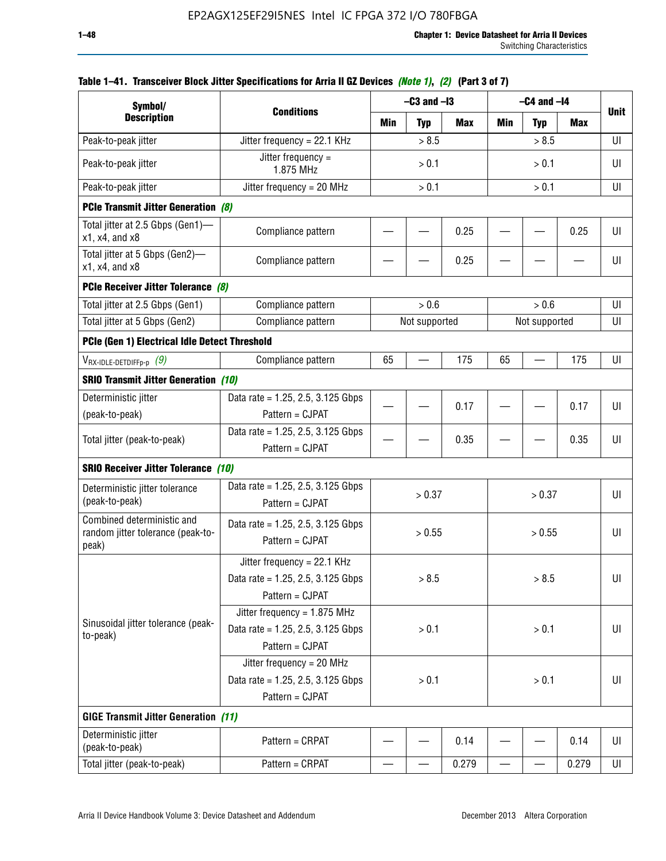| Symbol/                                                                  |                                                                                           | $-C3$ and $-I3$ |               |            | $-C4$ and $-I4$ |               |            |             |  |
|--------------------------------------------------------------------------|-------------------------------------------------------------------------------------------|-----------------|---------------|------------|-----------------|---------------|------------|-------------|--|
| <b>Description</b>                                                       | <b>Conditions</b>                                                                         | Min             | <b>Typ</b>    | <b>Max</b> | Min             | <b>Typ</b>    | <b>Max</b> | <b>Unit</b> |  |
| Peak-to-peak jitter                                                      | Jitter frequency = 22.1 KHz                                                               | > 8.5           |               |            |                 | > 8.5         |            | UI          |  |
| Peak-to-peak jitter                                                      | Jitter frequency $=$<br>1.875 MHz                                                         |                 | > 0.1         |            | > 0.1           |               |            | UI          |  |
| Peak-to-peak jitter                                                      | Jitter frequency = $20$ MHz                                                               |                 | > 0.1         |            |                 | > 0.1         |            | UI          |  |
| <b>PCIe Transmit Jitter Generation (8)</b>                               |                                                                                           |                 |               |            |                 |               |            |             |  |
| Total jitter at 2.5 Gbps (Gen1)-<br>$x1$ , $x4$ , and $x8$               | Compliance pattern                                                                        |                 |               | 0.25       |                 |               | 0.25       | U           |  |
| Total jitter at 5 Gbps (Gen2)-<br>x1, x4, and x8                         | Compliance pattern                                                                        |                 |               | 0.25       |                 |               |            | UI          |  |
| PCIe Receiver Jitter Tolerance (8)                                       |                                                                                           |                 |               |            |                 |               |            |             |  |
| Total jitter at 2.5 Gbps (Gen1)                                          | Compliance pattern                                                                        |                 | > 0.6         |            |                 | > 0.6         |            | UI          |  |
| Total jitter at 5 Gbps (Gen2)                                            | Compliance pattern                                                                        |                 | Not supported |            |                 | Not supported |            | UI          |  |
| PCIe (Gen 1) Electrical Idle Detect Threshold                            |                                                                                           |                 |               |            |                 |               |            |             |  |
| $V_{\text{RX-IDLE-DETDIFFp-p}}$ (9)                                      | Compliance pattern                                                                        | 65              |               | 175        | 65              |               | 175        | UI          |  |
| <b>SRIO Transmit Jitter Generation (10)</b>                              |                                                                                           |                 |               |            |                 |               |            |             |  |
| Deterministic jitter                                                     | Data rate = 1.25, 2.5, 3.125 Gbps                                                         |                 |               | 0.17       |                 |               | 0.17       | UI          |  |
| (peak-to-peak)                                                           | Pattern = CJPAT                                                                           |                 |               |            |                 |               |            |             |  |
| Total jitter (peak-to-peak)                                              | Data rate = $1.25$ , 2.5, 3.125 Gbps<br>Pattern = CJPAT                                   |                 |               | 0.35       |                 |               | 0.35       | UI          |  |
| <b>SRIO Receiver Jitter Tolerance (10)</b>                               |                                                                                           |                 |               |            |                 |               |            |             |  |
| Deterministic jitter tolerance<br>(peak-to-peak)                         | Data rate = $1.25$ , 2.5, 3.125 Gbps<br>Pattern = CJPAT                                   |                 | > 0.37        |            |                 | > 0.37        |            | UI          |  |
| Combined deterministic and<br>random jitter tolerance (peak-to-<br>peak) | Data rate = $1.25$ , 2.5, 3.125 Gbps<br>Pattern = CJPAT                                   |                 | > 0.55        |            |                 | > 0.55        |            | UI          |  |
|                                                                          | Jitter frequency = $22.1$ KHz<br>Data rate = $1.25$ , 2.5, 3.125 Gbps<br>Pattern = CJPAT  |                 | > 8.5         |            |                 | > 8.5         |            | UI          |  |
| Sinusoidal jitter tolerance (peak-<br>to-peak)                           | Jitter frequency = $1.875$ MHz<br>Data rate = $1.25$ , 2.5, 3.125 Gbps<br>Pattern = CJPAT |                 | > 0.1         |            |                 | > 0.1         |            | UI          |  |
|                                                                          | Jitter frequency = $20$ MHz<br>Data rate = $1.25$ , 2.5, 3.125 Gbps<br>Pattern = CJPAT    | > 0.1           |               | > 0.1      |                 |               |            | UI          |  |
| <b>GIGE Transmit Jitter Generation (11)</b>                              |                                                                                           |                 |               |            |                 |               |            |             |  |
| Deterministic jitter<br>(peak-to-peak)                                   | Pattern = CRPAT                                                                           |                 |               | 0.14       |                 |               | 0.14       | UI          |  |
| Total jitter (peak-to-peak)                                              | Pattern = CRPAT                                                                           |                 |               | 0.279      |                 |               | 0.279      | UI          |  |

## **Table 1–41. Transceiver Block Jitter Specifications for Arria II GZ Devices** *(Note 1)***,** *(2)* **(Part 3 of 7)**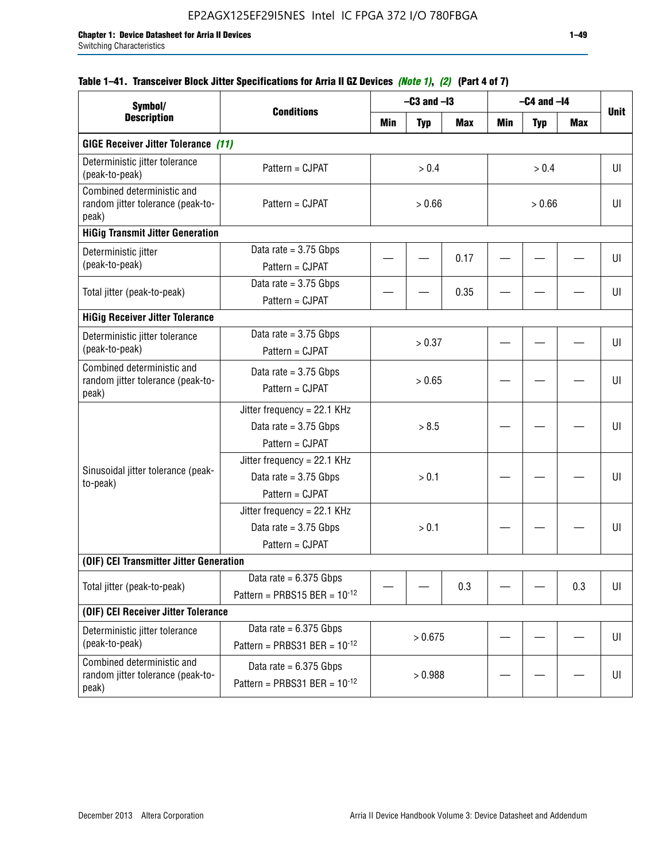## **Table 1–41. Transceiver Block Jitter Specifications for Arria II GZ Devices** *(Note 1)***,** *(2)* **(Part 4 of 7)**

| Symbol/                                                                  | <b>Conditions</b>                                                           |         | $-C3$ and $-I3$ |            | $-C4$ and $-I4$ |            |     |             |
|--------------------------------------------------------------------------|-----------------------------------------------------------------------------|---------|-----------------|------------|-----------------|------------|-----|-------------|
| <b>Description</b>                                                       |                                                                             | Min     | <b>Typ</b>      | <b>Max</b> | Min             | <b>Typ</b> | Max | <b>Unit</b> |
| <b>GIGE Receiver Jitter Tolerance (11)</b>                               |                                                                             |         |                 |            |                 |            |     |             |
| Deterministic jitter tolerance<br>(peak-to-peak)                         | Pattern = CJPAT                                                             |         | > 0.4           |            | > 0.4           |            |     | UI          |
| Combined deterministic and<br>random jitter tolerance (peak-to-<br>peak) | Pattern = CJPAT                                                             | > 0.66  |                 |            | > 0.66          |            |     | UI          |
| <b>HiGig Transmit Jitter Generation</b>                                  |                                                                             |         |                 |            |                 |            |     |             |
| Deterministic jitter<br>(peak-to-peak)                                   | Data rate = $3.75$ Gbps<br>Pattern = CJPAT                                  |         |                 | 0.17       |                 |            |     | UI          |
| Total jitter (peak-to-peak)                                              | Data rate = $3.75$ Gbps<br>Pattern = CJPAT                                  |         |                 | 0.35       |                 |            |     | UI          |
| <b>HiGig Receiver Jitter Tolerance</b>                                   |                                                                             |         |                 |            |                 |            |     |             |
| Deterministic jitter tolerance<br>(peak-to-peak)                         | Data rate = $3.75$ Gbps<br>Pattern = CJPAT                                  | > 0.37  |                 |            |                 |            |     | UI          |
| Combined deterministic and<br>random jitter tolerance (peak-to-<br>peak) | Data rate = $3.75$ Gbps<br>Pattern = CJPAT                                  | > 0.65  |                 |            |                 |            |     | UI          |
|                                                                          | Jitter frequency = 22.1 KHz<br>Data rate = $3.75$ Gbps<br>Pattern = CJPAT   | > 8.5   |                 |            |                 |            |     | UI          |
| Sinusoidal jitter tolerance (peak-<br>to-peak)                           | Jitter frequency = $22.1$ KHz<br>Data rate = $3.75$ Gbps<br>Pattern = CJPAT |         | > 0.1           |            |                 |            |     | UI          |
|                                                                          | Jitter frequency = 22.1 KHz<br>Data rate = $3.75$ Gbps<br>Pattern = CJPAT   |         | > 0.1           |            |                 |            |     | UI          |
| (OIF) CEI Transmitter Jitter Generation                                  |                                                                             |         |                 |            |                 |            |     |             |
| Total jitter (peak-to-peak)                                              | Data rate = $6.375$ Gbps<br>Pattern = PRBS15 BER = $10^{-12}$               |         |                 | 0.3        |                 |            | 0.3 | UI          |
| (OIF) CEI Receiver Jitter Tolerance                                      |                                                                             |         |                 |            |                 |            |     |             |
| Deterministic jitter tolerance<br>(peak-to-peak)                         | Data rate = $6.375$ Gbps<br>Pattern = PRBS31 BER = $10^{-12}$               | > 0.675 |                 |            |                 |            | U   |             |
| Combined deterministic and<br>random jitter tolerance (peak-to-<br>peak) | Data rate = $6.375$ Gbps<br>Pattern = PRBS31 BER = $10^{-12}$               |         | > 0.988         |            |                 |            |     | U           |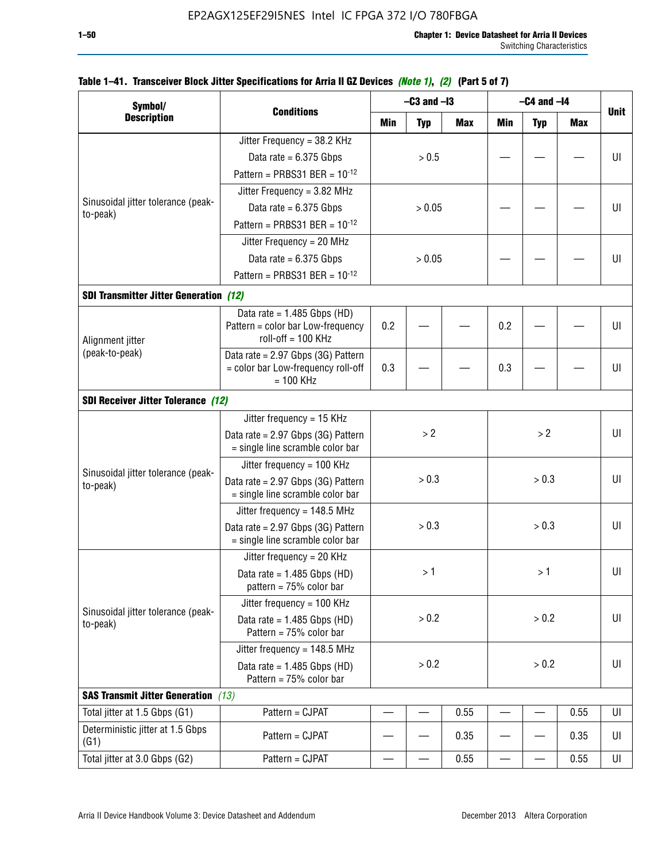| Symbol/                                        |                                                                        | $-C3$ and $-I3$ |                |       | $-C4$ and $-I4$ |            |            |             |  |
|------------------------------------------------|------------------------------------------------------------------------|-----------------|----------------|-------|-----------------|------------|------------|-------------|--|
| <b>Description</b>                             | <b>Conditions</b>                                                      | Min             | <b>Typ</b>     | Max   | Min             | <b>Typ</b> | <b>Max</b> | <b>Unit</b> |  |
|                                                | Jitter Frequency = 38.2 KHz                                            |                 |                |       |                 |            |            |             |  |
|                                                | Data rate = $6.375$ Gbps                                               |                 | > 0.5          |       |                 |            |            | UI          |  |
|                                                | Pattern = PRBS31 BER = $10^{-12}$                                      |                 |                |       |                 |            |            |             |  |
|                                                | Jitter Frequency = 3.82 MHz                                            |                 |                |       |                 |            |            |             |  |
| Sinusoidal jitter tolerance (peak-<br>to-peak) | Data rate = $6.375$ Gbps                                               |                 | > 0.05         |       |                 |            |            | UI          |  |
|                                                | Pattern = PRBS31 BER = $10^{-12}$                                      |                 |                |       |                 |            |            |             |  |
|                                                | Jitter Frequency = 20 MHz                                              |                 |                |       |                 |            |            |             |  |
|                                                | Data rate = $6.375$ Gbps                                               | > 0.05          |                |       |                 |            | UI         |             |  |
|                                                | Pattern = PRBS31 BER = $10^{-12}$                                      |                 |                |       |                 |            |            |             |  |
| <b>SDI Transmitter Jitter Generation (12)</b>  |                                                                        |                 |                |       |                 |            |            |             |  |
|                                                | Data rate = $1.485$ Gbps (HD)                                          |                 |                |       |                 |            |            |             |  |
| Alignment jitter<br>(peak-to-peak)             | Pattern = color bar Low-frequency<br>roll-off = $100$ KHz              | 0.2             |                |       | 0.2             |            |            | UI          |  |
|                                                | Data rate = 2.97 Gbps (3G) Pattern                                     |                 |                |       |                 |            |            |             |  |
|                                                | = color bar Low-frequency roll-off<br>$= 100$ KHz                      | 0.3             |                |       | 0.3             |            |            | UI          |  |
| <b>SDI Receiver Jitter Tolerance (12)</b>      |                                                                        |                 |                |       |                 |            |            |             |  |
|                                                | Jitter frequency = 15 KHz                                              |                 |                |       |                 |            |            |             |  |
|                                                | Data rate = 2.97 Gbps (3G) Pattern<br>= single line scramble color bar | >2              |                |       |                 | >2         |            | UI          |  |
|                                                | Jitter frequency = 100 KHz                                             |                 |                |       |                 |            |            |             |  |
| Sinusoidal jitter tolerance (peak-<br>to-peak) | Data rate = 2.97 Gbps (3G) Pattern<br>= single line scramble color bar | > 0.3           |                | > 0.3 |                 |            |            | UI          |  |
|                                                | Jitter frequency = 148.5 MHz                                           |                 |                |       |                 |            |            |             |  |
|                                                | Data rate = 2.97 Gbps (3G) Pattern<br>= single line scramble color bar |                 | > 0.3<br>> 0.3 |       |                 |            | UI         |             |  |
|                                                | Jitter frequency = 20 KHz                                              |                 |                |       |                 |            |            |             |  |
|                                                | Data rate = $1.485$ Gbps (HD)<br>pattern = $75%$ color bar             |                 | >1             |       |                 | >1         |            | UI          |  |
|                                                | Jitter frequency = 100 KHz                                             |                 |                |       |                 |            |            |             |  |
| Sinusoidal jitter tolerance (peak-<br>to-peak) | Data rate = $1.485$ Gbps (HD)<br>Pattern = 75% color bar               |                 | > 0.2          |       |                 | > 0.2      |            | UI          |  |
|                                                | Jitter frequency = 148.5 MHz                                           |                 |                |       |                 |            |            |             |  |
|                                                | Data rate = $1.485$ Gbps (HD)<br>Pattern = $75%$ color bar             |                 | > 0.2<br>> 0.2 |       |                 | UI         |            |             |  |
| <b>SAS Transmit Jitter Generation</b> (13)     |                                                                        |                 |                |       |                 |            |            |             |  |
| Total jitter at 1.5 Gbps (G1)                  | Pattern = CJPAT                                                        |                 |                | 0.55  |                 |            | 0.55       | UI          |  |
| Deterministic jitter at 1.5 Gbps<br>(G1)       | Pattern = CJPAT                                                        |                 |                | 0.35  |                 |            | 0.35       | UI          |  |
| Total jitter at 3.0 Gbps (G2)                  | Pattern = CJPAT                                                        |                 |                | 0.55  |                 |            | 0.55       | UI          |  |

## **Table 1–41. Transceiver Block Jitter Specifications for Arria II GZ Devices** *(Note 1)***,** *(2)* **(Part 5 of 7)**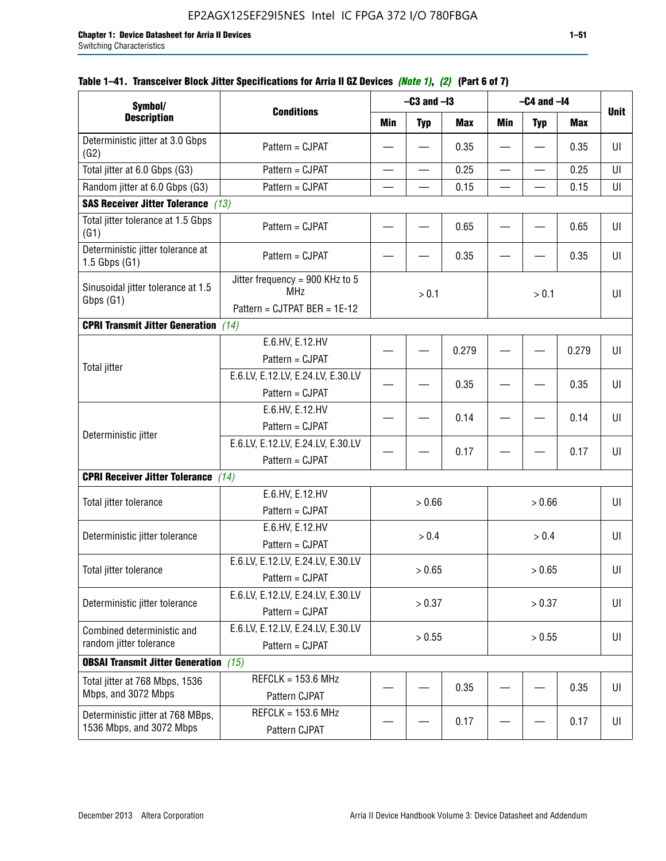| Symbol/                                                |                                                      |            | $-C3$ and $-I3$          |            | $-C4$ and $-I4$          |                          |            |                |
|--------------------------------------------------------|------------------------------------------------------|------------|--------------------------|------------|--------------------------|--------------------------|------------|----------------|
| <b>Description</b>                                     | <b>Conditions</b>                                    | <b>Min</b> | <b>Typ</b>               | <b>Max</b> | <b>Min</b>               | <b>Typ</b>               | <b>Max</b> | <b>Unit</b>    |
| Deterministic jitter at 3.0 Gbps<br>(G2)               | Pattern = CJPAT                                      | —          |                          | 0.35       | $\overline{\phantom{m}}$ |                          | 0.35       | $\sf{U}\sf{I}$ |
| Total jitter at 6.0 Gbps (G3)                          | Pattern = CJPAT                                      | $\equiv$   | $\overline{\phantom{0}}$ | 0.25       | $\qquad \qquad$          | $\overline{\phantom{0}}$ | 0.25       | UI             |
| Random jitter at 6.0 Gbps (G3)                         | Pattern = CJPAT                                      |            |                          | 0.15       |                          |                          | 0.15       | UI             |
| <b>SAS Receiver Jitter Tolerance</b> (13)              |                                                      |            |                          |            |                          |                          |            |                |
| Total jitter tolerance at 1.5 Gbps<br>(G1)             | Pattern = CJPAT                                      |            |                          | 0.65       |                          |                          | 0.65       | UI             |
| Deterministic jitter tolerance at<br>$1.5$ Gbps $(G1)$ | Pattern = CJPAT                                      |            |                          | 0.35       |                          |                          | 0.35       | UI             |
| Sinusoidal jitter tolerance at 1.5<br>Gbps (G1)        | Jitter frequency = 900 KHz to 5<br><b>MHz</b>        |            | > 0.1                    |            | > 0.1                    |                          |            | U              |
|                                                        | Pattern = CJTPAT BER = 1E-12                         |            |                          |            |                          |                          |            |                |
| <b>CPRI Transmit Jitter Generation</b> (14)            |                                                      |            |                          |            |                          |                          |            |                |
| Total jitter                                           | E.6.HV, E.12.HV<br>Pattern = CJPAT                   |            |                          | 0.279      |                          |                          | 0.279      | U              |
|                                                        | E.6.LV, E.12.LV, E.24.LV, E.30.LV                    |            |                          | 0.35       |                          |                          | 0.35       | UI             |
|                                                        | Pattern = CJPAT                                      |            |                          |            |                          |                          |            |                |
| Deterministic jitter                                   | E.6.HV, E.12.HV                                      |            |                          | 0.14       |                          |                          | 0.14       | UI             |
|                                                        | Pattern = CJPAT                                      |            |                          |            |                          |                          |            |                |
|                                                        | E.6.LV, E.12.LV, E.24.LV, E.30.LV                    |            |                          | 0.17       |                          |                          | 0.17       | UI             |
|                                                        | Pattern = CJPAT                                      |            |                          |            |                          |                          |            |                |
| <b>CPRI Receiver Jitter Tolerance</b> (14)             |                                                      |            |                          |            |                          |                          |            |                |
| Total jitter tolerance                                 | E.6.HV, E.12.HV                                      |            | > 0.66                   |            |                          | > 0.66                   |            | UI             |
|                                                        | Pattern = CJPAT                                      |            |                          |            |                          |                          |            |                |
| Deterministic jitter tolerance                         | E.6.HV, E.12.HV                                      |            | > 0.4                    |            |                          | > 0.4                    |            | UI             |
|                                                        | Pattern = CJPAT                                      |            |                          |            |                          |                          |            |                |
| Total jitter tolerance                                 | E.6.LV, E.12.LV, E.24.LV, E.30.LV<br>Pattern = CJPAT |            | > 0.65                   |            |                          | > 0.65                   |            | UI             |
| Deterministic jitter tolerance                         | E.6.LV, E.12.LV, E.24.LV, E.30.LV                    |            | > 0.37                   |            |                          | > 0.37                   |            | UI             |
|                                                        | Pattern = CJPAT                                      |            |                          |            |                          |                          |            |                |
| Combined deterministic and                             | E.6.LV, E.12.LV, E.24.LV, E.30.LV                    |            | > 0.55                   |            |                          | > 0.55                   |            | UI             |
| random jitter tolerance                                | Pattern = CJPAT                                      |            |                          |            |                          |                          |            |                |
| <b>OBSAI Transmit Jitter Generation</b> (15)           |                                                      |            |                          |            |                          |                          |            |                |
| Total jitter at 768 Mbps, 1536<br>Mbps, and 3072 Mbps  | $REFCLK = 153.6 MHz$                                 |            |                          | 0.35       |                          |                          | 0.35       | UI             |
|                                                        | Pattern CJPAT                                        |            |                          |            |                          |                          |            |                |
| Deterministic jitter at 768 MBps,                      | REFCLK = 153.6 MHz                                   |            |                          | 0.17       |                          |                          | 0.17       | UI             |
| 1536 Mbps, and 3072 Mbps                               | Pattern CJPAT                                        |            |                          |            |                          |                          |            |                |

## **Table 1–41. Transceiver Block Jitter Specifications for Arria II GZ Devices** *(Note 1)***,** *(2)* **(Part 6 of 7)**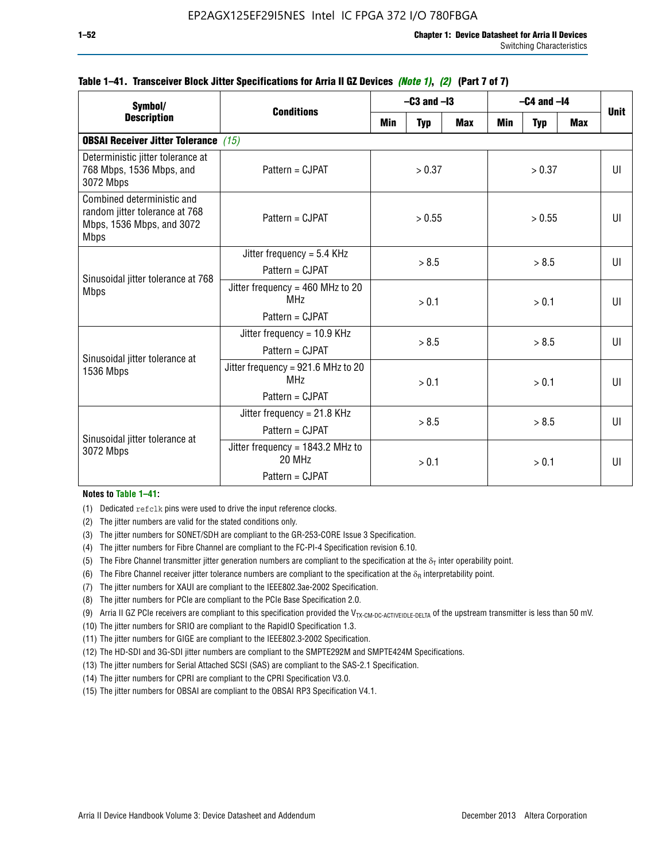| Symbol/                                                                                                  | <b>Conditions</b>                                                           | $-C3$ and $-I3$ |            |            | $-C4$ and $-I4$ | <b>Unit</b> |              |              |  |  |  |       |  |    |
|----------------------------------------------------------------------------------------------------------|-----------------------------------------------------------------------------|-----------------|------------|------------|-----------------|-------------|--------------|--------------|--|--|--|-------|--|----|
| <b>Description</b>                                                                                       |                                                                             | Min             | <b>Typ</b> | <b>Max</b> | Min             | <b>Typ</b>  | <b>Max</b>   |              |  |  |  |       |  |    |
| <b>OBSAI Receiver Jitter Tolerance</b> (15)                                                              |                                                                             |                 |            |            |                 |             |              |              |  |  |  |       |  |    |
| Deterministic jitter tolerance at<br>768 Mbps, 1536 Mbps, and<br>3072 Mbps                               | Pattern = CJPAT                                                             | > 0.37          |            | > 0.37     |                 |             |              | $\mathbf{U}$ |  |  |  |       |  |    |
| Combined deterministic and<br>random jitter tolerance at 768<br>Mbps, 1536 Mbps, and 3072<br><b>Mbps</b> | $Pattern = CJPATH$                                                          | > 0.55          |            | > 0.55     |                 |             |              | $\mathbf{U}$ |  |  |  |       |  |    |
| Sinusoidal jitter tolerance at 768<br><b>Mbps</b>                                                        | Jitter frequency = $5.4$ KHz<br>$Pattern = CJPATH$                          | > 8.5           |            | > 8.5      |                 |             | $\mathbf{U}$ |              |  |  |  |       |  |    |
|                                                                                                          | Jitter frequency = $460$ MHz to 20<br>MH <sub>7</sub><br>$Pattern = CJPATH$ | > 0.1           |            | > 0.1      |                 |             | UI           |              |  |  |  |       |  |    |
| Sinusoidal jitter tolerance at                                                                           | Jitter frequency = 10.9 KHz<br>$Pattern = CJPATH$                           |                 | > 8.5      |            | > 8.5           |             |              | UI           |  |  |  |       |  |    |
| 1536 Mbps                                                                                                | Jitter frequency = 921.6 MHz to 20<br>MH <sub>7</sub><br>$Pattern = CJPATH$ |                 | > 0.1      |            | > 0.1           |             |              | UI           |  |  |  |       |  |    |
|                                                                                                          | Jitter frequency = $21.8$ KHz<br>$Pattern = CJPATH$                         |                 | > 8.5      |            | > 8.5           |             |              | UI           |  |  |  |       |  |    |
| Sinusoidal jitter tolerance at<br>3072 Mbps                                                              | Jitter frequency = $1843.2$ MHz to<br>20 MHz<br>Pattern = CJPAT             |                 | > 0.1      |            |                 |             |              |              |  |  |  | > 0.1 |  | UI |

### **Table 1–41. Transceiver Block Jitter Specifications for Arria II GZ Devices** *(Note 1)***,** *(2)* **(Part 7 of 7)**

#### **Notes to Table 1–41:**

(1) Dedicated refclk pins were used to drive the input reference clocks.

- (2) The jitter numbers are valid for the stated conditions only.
- (3) The jitter numbers for SONET/SDH are compliant to the GR-253-CORE Issue 3 Specification.
- (4) The jitter numbers for Fibre Channel are compliant to the FC-PI-4 Specification revision 6.10.
- (5) The Fibre Channel transmitter jitter generation numbers are compliant to the specification at the  $\delta_T$  inter operability point.
- (6) The Fibre Channel receiver jitter tolerance numbers are compliant to the specification at the  $\delta_R$  interpretability point.
- (7) The jitter numbers for XAUI are compliant to the IEEE802.3ae-2002 Specification.
- (8) The jitter numbers for PCIe are compliant to the PCIe Base Specification 2.0.
- (9) Arria II GZ PCIe receivers are compliant to this specification provided the V<sub>TX-CM-DC-ACTIVEIDLE-DELTA</sub> of the upstream transmitter is less than 50 mV.
- (10) The jitter numbers for SRIO are compliant to the RapidIO Specification 1.3.
- (11) The jitter numbers for GIGE are compliant to the IEEE802.3-2002 Specification.
- (12) The HD-SDI and 3G-SDI jitter numbers are compliant to the SMPTE292M and SMPTE424M Specifications.
- (13) The jitter numbers for Serial Attached SCSI (SAS) are compliant to the SAS-2.1 Specification.
- (14) The jitter numbers for CPRI are compliant to the CPRI Specification V3.0.
- (15) The jitter numbers for OBSAI are compliant to the OBSAI RP3 Specification V4.1.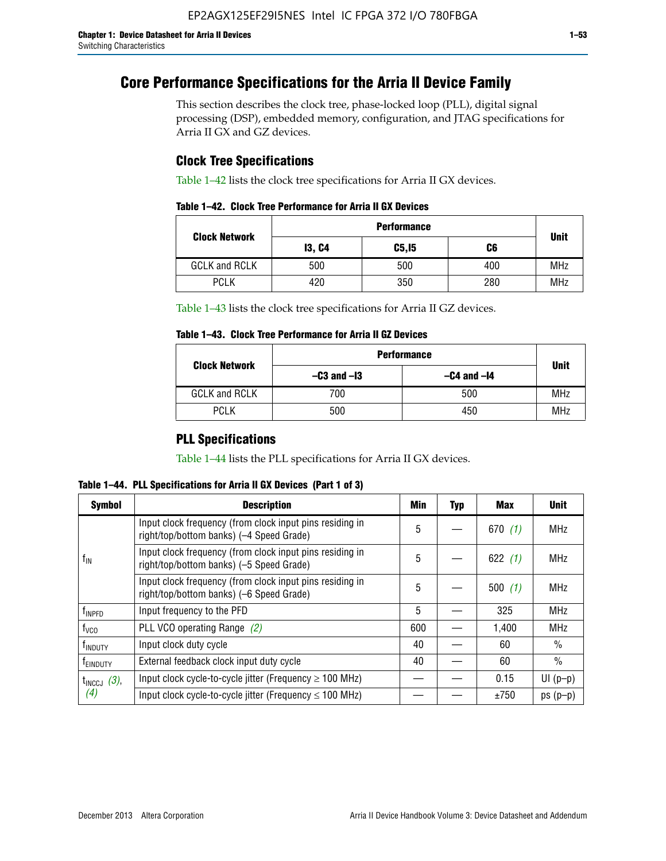# **Core Performance Specifications for the Arria II Device Family**

This section describes the clock tree, phase-locked loop (PLL), digital signal processing (DSP), embedded memory, configuration, and JTAG specifications for Arria II GX and GZ devices.

## **Clock Tree Specifications**

Table 1–42 lists the clock tree specifications for Arria II GX devices.

| <b>Clock Network</b> | <b>Performance</b> |        |     |             |  |  |
|----------------------|--------------------|--------|-----|-------------|--|--|
|                      | <b>13, C4</b>      | C5, I5 | C6  | <b>Unit</b> |  |  |
| <b>GCLK and RCLK</b> | 500                | 500    | 400 | <b>MHz</b>  |  |  |
| <b>PCLK</b>          | 420                | 350    | 280 | <b>MHz</b>  |  |  |

Table 1–43 lists the clock tree specifications for Arria II GZ devices.

### **Table 1–43. Clock Tree Performance for Arria II GZ Devices**

| <b>Clock Network</b> | <b>Performance</b> | <b>Unit</b>     |            |
|----------------------|--------------------|-----------------|------------|
|                      | $-C3$ and $-I3$    | $-C4$ and $-I4$ |            |
| <b>GCLK and RCLK</b> | 700                | 500             | <b>MHz</b> |
| <b>PCLK</b>          | 500                | 450             | <b>MHz</b> |

## **PLL Specifications**

Table 1–44 lists the PLL specifications for Arria II GX devices.

**Table 1–44. PLL Specifications for Arria II GX Devices (Part 1 of 3)**

| <b>Symbol</b>           | <b>Description</b>                                                                                   | Min | <b>Typ</b> | Max       | <b>Unit</b>   |
|-------------------------|------------------------------------------------------------------------------------------------------|-----|------------|-----------|---------------|
|                         | Input clock frequency (from clock input pins residing in<br>right/top/bottom banks) (-4 Speed Grade) | 5   |            | 670(1)    | <b>MHz</b>    |
| $f_{\text{IN}}$         | Input clock frequency (from clock input pins residing in<br>right/top/bottom banks) (-5 Speed Grade) | 5   |            | 622 $(1)$ | <b>MHz</b>    |
|                         | Input clock frequency (from clock input pins residing in<br>right/top/bottom banks) (-6 Speed Grade) | 5   |            | 500(1)    | <b>MHz</b>    |
| f <sub>INPFD</sub>      | Input frequency to the PFD                                                                           | 5   |            | 325       | <b>MHz</b>    |
| $f_{\rm VCO}$           | PLL VCO operating Range (2)                                                                          | 600 |            | 1,400     | <b>MHz</b>    |
| <sup>t</sup> INDUTY     | Input clock duty cycle                                                                               | 40  |            | 60        | $\frac{0}{0}$ |
| f <sub>EINDUTY</sub>    | External feedback clock input duty cycle                                                             | 40  |            | 60        | $\frac{0}{0}$ |
| $t_{\text{INCCJ}}$ (3), | Input clock cycle-to-cycle jitter (Frequency $\geq$ 100 MHz)                                         |     |            | 0.15      | $UI(p-p)$     |
| (4)                     | Input clock cycle-to-cycle jitter (Frequency $\leq 100$ MHz)                                         |     |            | ±750      | $ps(p-p)$     |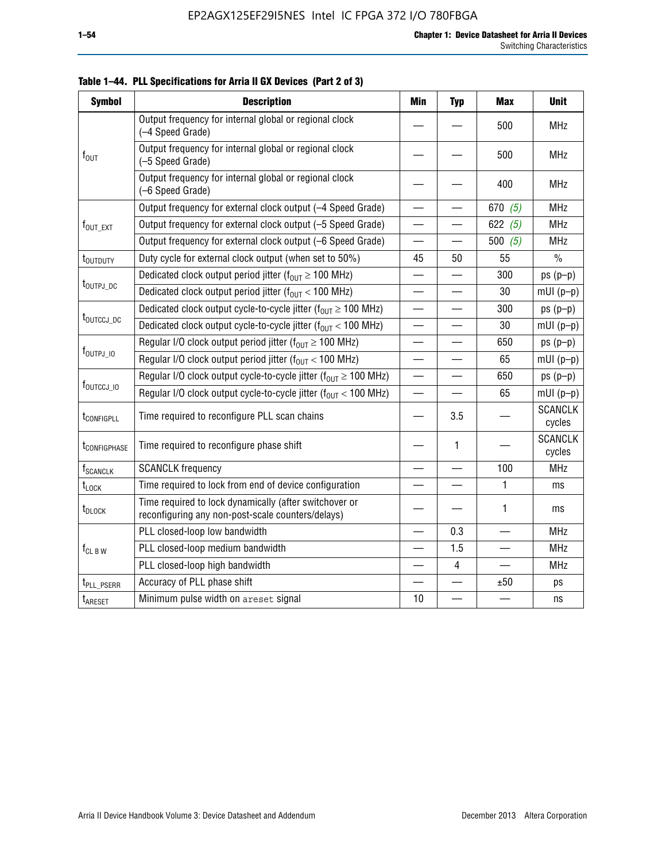| <b>Symbol</b>                                                         | <b>Description</b>                                                                                          | <b>Min</b>               | <b>Typ</b>               | <b>Max</b>               | <b>Unit</b>              |
|-----------------------------------------------------------------------|-------------------------------------------------------------------------------------------------------------|--------------------------|--------------------------|--------------------------|--------------------------|
|                                                                       | Output frequency for internal global or regional clock<br>(-4 Speed Grade)                                  |                          |                          | 500                      | <b>MHz</b>               |
| $f_{\text{OUT}}$                                                      | Output frequency for internal global or regional clock<br>(-5 Speed Grade)                                  |                          |                          | 500                      | <b>MHz</b>               |
|                                                                       | Output frequency for internal global or regional clock<br>(-6 Speed Grade)                                  |                          |                          | 400                      | <b>MHz</b>               |
|                                                                       | Output frequency for external clock output (-4 Speed Grade)                                                 | $\overline{\phantom{0}}$ |                          | 670 $(5)$                | <b>MHz</b>               |
| $f_{\text{OUT\_EXT}}$                                                 | Output frequency for external clock output (-5 Speed Grade)                                                 |                          |                          | 622 $(5)$                | <b>MHz</b>               |
|                                                                       | Output frequency for external clock output (-6 Speed Grade)                                                 | —                        |                          | 500 $(5)$                | <b>MHz</b>               |
| t <sub>outduty</sub>                                                  | Duty cycle for external clock output (when set to 50%)                                                      | 45                       | 50                       | 55                       | $\frac{0}{0}$            |
|                                                                       | Dedicated clock output period jitter ( $f_{OUT} \ge 100$ MHz)                                               |                          |                          | 300                      | $ps(p-p)$                |
| t <sub>outpj_dc</sub>                                                 | Dedicated clock output period jitter ( $f_{OUT}$ < 100 MHz)                                                 |                          |                          | 30                       | $mUI(p-p)$               |
| Dedicated clock output cycle-to-cycle jitter ( $f_{OUT} \ge 100$ MHz) |                                                                                                             |                          |                          | 300                      | $ps(p-p)$                |
| t <sub>outccj_pc</sub>                                                | Dedicated clock output cycle-to-cycle jitter ( $f_{OIII}$ < 100 MHz)                                        |                          |                          | 30                       | $mUI(p-p)$               |
|                                                                       | Regular I/O clock output period jitter ( $f_{OUT} \ge 100$ MHz)                                             |                          |                          | 650                      | $ps(p-p)$                |
| $f_{\text{OUTPJ\_10}}$                                                | Regular I/O clock output period jitter ( $f_{OUT}$ < 100 MHz)                                               |                          |                          | 65                       | $mUI(p-p)$               |
|                                                                       | Regular I/O clock output cycle-to-cycle jitter ( $f_{OUT} \ge 100$ MHz)                                     |                          | $\equiv$                 | 650                      | $ps(p-p)$                |
| f <sub>outccj_io</sub>                                                | Regular I/O clock output cycle-to-cycle jitter ( $f_{OUT}$ < 100 MHz)                                       |                          |                          | 65                       | $mUI(p-p)$               |
| t <sub>configpll</sub>                                                | Time required to reconfigure PLL scan chains                                                                |                          | 3.5                      |                          | <b>SCANCLK</b><br>cycles |
| t <sub>configphase</sub>                                              | Time required to reconfigure phase shift                                                                    |                          | 1                        |                          | <b>SCANCLK</b><br>cycles |
| <b>f</b> <sub>SCANCLK</sub>                                           | <b>SCANCLK</b> frequency                                                                                    |                          | $\overline{\phantom{0}}$ | 100                      | <b>MHz</b>               |
| $t_{\textrm{LOCK}}$                                                   | Time required to lock from end of device configuration                                                      |                          |                          | 1                        | ms                       |
| t <sub>DLOCK</sub>                                                    | Time required to lock dynamically (after switchover or<br>reconfiguring any non-post-scale counters/delays) |                          |                          | 1                        | ms                       |
|                                                                       | PLL closed-loop low bandwidth                                                                               |                          | 0.3                      |                          | <b>MHz</b>               |
| $f_{CL\,B\,W}$                                                        | PLL closed-loop medium bandwidth                                                                            | $\overline{\phantom{0}}$ | 1.5                      | $\overline{\phantom{0}}$ | <b>MHz</b>               |
|                                                                       | PLL closed-loop high bandwidth                                                                              |                          | 4                        |                          | <b>MHz</b>               |
| t <sub>PLL_PSERR</sub>                                                | Accuracy of PLL phase shift                                                                                 |                          |                          | ±50                      | ps                       |
| t <sub>ARESET</sub>                                                   | Minimum pulse width on areset signal                                                                        | 10                       |                          |                          | ns                       |

**Table 1–44. PLL Specifications for Arria II GX Devices (Part 2 of 3)**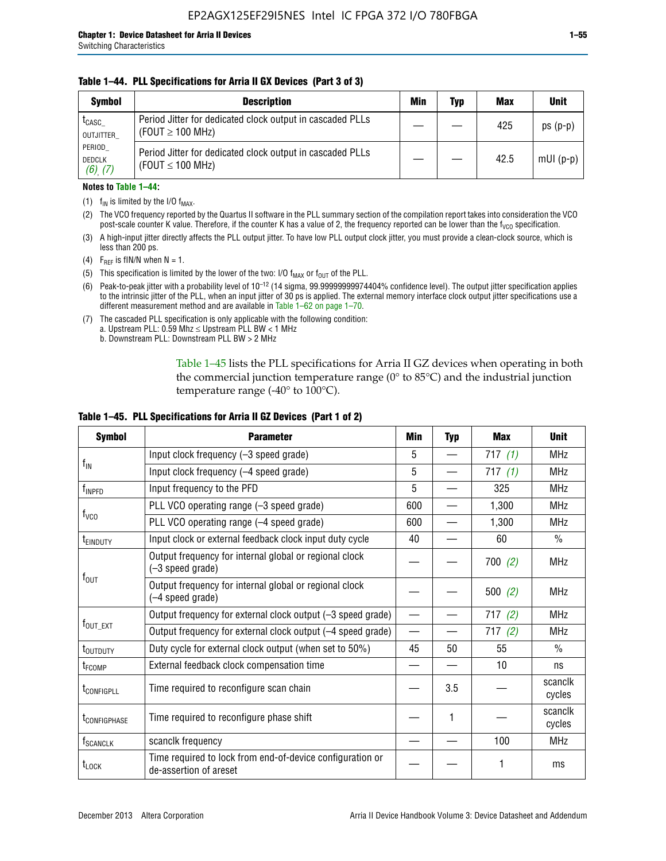### **Table 1–44. PLL Specifications for Arria II GX Devices (Part 3 of 3)**

| <b>Symbol</b>                            | <b>Description</b>                                                                 | Min | Typ | <b>Max</b> | <b>Unit</b> |
|------------------------------------------|------------------------------------------------------------------------------------|-----|-----|------------|-------------|
| t <sub>CASC</sub><br>OUTJITTER           | Period Jitter for dedicated clock output in cascaded PLLs<br>(FOUT $\geq$ 100 MHz) |     |     | 425        | $ps(p-p)$   |
| PERIOD<br><b>DEDCLK</b><br>$(6)$ , $(7)$ | Period Jitter for dedicated clock output in cascaded PLLs<br>(FOUT $\leq$ 100 MHz) |     |     | 42.5       | $mUI(p-p)$  |

#### **Notes to Table 1–44:**

- (1)  $f_{IN}$  is limited by the I/O  $f_{MAX}$ .
- (2) The VCO frequency reported by the Quartus II software in the PLL summary section of the compilation report takes into consideration the VCO post-scale counter K value. Therefore, if the counter K has a value of 2, the frequency reported can be lower than the f<sub>VCO</sub> specification.
- (3) A high-input jitter directly affects the PLL output jitter. To have low PLL output clock jitter, you must provide a clean-clock source, which is less than 200 ps.
- (4) F<sub>REF</sub> is fIN/N when N = 1.
- (5) This specification is limited by the lower of the two: I/O  $f_{MAX}$  or  $f_{OUT}$  of the PLL.
- (6) Peak-to-peak jitter with a probability level of 10–12 (14 sigma, 99.99999999974404% confidence level). The output jitter specification applies to the intrinsic jitter of the PLL, when an input jitter of 30 ps is applied. The external memory interface clock output jitter specifications use a different measurement method and are available in Table 1–62 on page 1–70.
- (7) The cascaded PLL specification is only applicable with the following condition: a. Upstream PLL:  $0.59$  Mhz  $\leq$  Upstream PLL BW  $<$  1 MHz
	- b. Downstream PLL: Downstream PLL BW > 2 MHz

Table 1–45 lists the PLL specifications for Arria II GZ devices when operating in both the commercial junction temperature range (0° to 85°C) and the industrial junction temperature range (-40 $\degree$  to 100 $\degree$ C).

| <b>Symbol</b>              | <b>Parameter</b>                                                                    | Min                      | <b>Typ</b> | <b>Max</b> | <b>Unit</b>       |
|----------------------------|-------------------------------------------------------------------------------------|--------------------------|------------|------------|-------------------|
|                            | Input clock frequency (-3 speed grade)                                              | 5                        |            | 717(1)     | <b>MHz</b>        |
| $f_{\text{IN}}$            | Input clock frequency (-4 speed grade)                                              | 5                        |            | 717(1)     | <b>MHz</b>        |
| $f_{\mathsf{INPPD}}$       | Input frequency to the PFD                                                          | 5                        |            | 325        | <b>MHz</b>        |
|                            | PLL VCO operating range (-3 speed grade)                                            | 600                      |            | 1,300      | <b>MHz</b>        |
| $f_{\rm VCO}$              | PLL VCO operating range (-4 speed grade)                                            | 600                      |            | 1,300      | <b>MHz</b>        |
| <b>TEINDUTY</b>            | Input clock or external feedback clock input duty cycle                             | 40                       |            | 60         | $\frac{0}{0}$     |
|                            | Output frequency for internal global or regional clock<br>(-3 speed grade)          |                          |            | 700(2)     | <b>MHz</b>        |
| $f_{\text{OUT}}$           | Output frequency for internal global or regional clock<br>(-4 speed grade)          |                          |            | 500(2)     | <b>MHz</b>        |
|                            | Output frequency for external clock output (-3 speed grade)                         | $\overline{\phantom{0}}$ |            | 717(2)     | <b>MHz</b>        |
| $f_{\text{OUT\_EXT}}$      | Output frequency for external clock output (-4 speed grade)                         |                          |            | 717(2)     | <b>MHz</b>        |
| t <sub>outduty</sub>       | Duty cycle for external clock output (when set to 50%)                              | 45                       | 50         | 55         | $\frac{0}{0}$     |
| t <sub>FCOMP</sub>         | External feedback clock compensation time                                           |                          |            | 10         | ns                |
| t <sub>configpll</sub>     | Time required to reconfigure scan chain                                             |                          | 3.5        |            | scanclk<br>cycles |
| <b><i>LCONFIGPHASE</i></b> | Time required to reconfigure phase shift                                            |                          | 1          |            | scanclk<br>cycles |
| f <sub>SCANCLK</sub>       | scanclk frequency                                                                   |                          |            | 100        | <b>MHz</b>        |
| $t_{\text{LOCK}}$          | Time required to lock from end-of-device configuration or<br>de-assertion of areset |                          |            |            | ms                |

#### **Table 1–45. PLL Specifications for Arria II GZ Devices (Part 1 of 2)**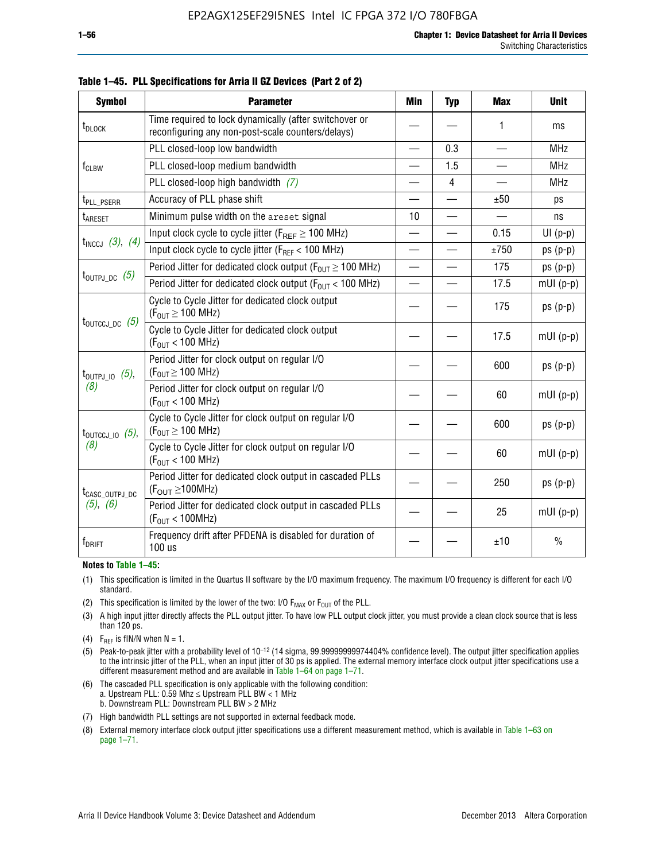| <b>Symbol</b>                | <b>Parameter</b>                                                                                            | Min                      | <b>Typ</b>     | <b>Max</b>               | <b>Unit</b>   |
|------------------------------|-------------------------------------------------------------------------------------------------------------|--------------------------|----------------|--------------------------|---------------|
| t <sub>DLOCK</sub>           | Time required to lock dynamically (after switchover or<br>reconfiguring any non-post-scale counters/delays) |                          |                | 1                        | ms            |
|                              | PLL closed-loop low bandwidth                                                                               | $\overline{\phantom{0}}$ | 0.3            | $\overline{\phantom{0}}$ | <b>MHz</b>    |
| f <sub>CLBW</sub>            | PLL closed-loop medium bandwidth                                                                            |                          | 1.5            |                          | <b>MHz</b>    |
|                              | PLL closed-loop high bandwidth $(7)$                                                                        |                          | $\overline{4}$ |                          | <b>MHz</b>    |
| t <sub>PLL_PSERR</sub>       | Accuracy of PLL phase shift                                                                                 |                          |                | ±50                      | ps            |
| t <sub>ARESET</sub>          | Minimum pulse width on the areset signal                                                                    |                          |                | $\overline{\phantom{0}}$ | ns            |
|                              | Input clock cycle to cycle jitter ( $F_{REF} \ge 100$ MHz)                                                  |                          |                | 0.15                     | $UI(p-p)$     |
| $t_{INCCJ}$ (3), (4)         | Input clock cycle to cycle jitter ( $F_{RFF}$ < 100 MHz)                                                    |                          |                | ±750                     | $ps(p-p)$     |
|                              | Period Jitter for dedicated clock output ( $F_{OUT} \ge 100$ MHz)                                           | $\overline{\phantom{0}}$ |                | 175                      | $ps(p-p)$     |
| $t_{\text{OUTPJ\_DC}}$ (5)   | Period Jitter for dedicated clock output ( $F_{OIII}$ < 100 MHz)                                            | $\overline{\phantom{0}}$ |                | 17.5                     | $mUI(p-p)$    |
|                              | Cycle to Cycle Jitter for dedicated clock output<br>$(F_{OUT} \ge 100$ MHz)                                 |                          |                | 175                      | $ps(p-p)$     |
| $t_{\text{OUTCCJ\_DC}}$ (5)  | Cycle to Cycle Jitter for dedicated clock output<br>$(F_{OUT}$ < 100 MHz)                                   |                          |                | 17.5                     | $mUI(p-p)$    |
| $t_{\text{OUTPJ\_IO}}$ (5),  | Period Jitter for clock output on regular I/O<br>$(F_{OUT} \ge 100$ MHz)                                    |                          |                | 600                      | $ps(p-p)$     |
| (8)                          | Period Jitter for clock output on regular I/O<br>$(F_{OUT}$ < 100 MHz)                                      |                          |                | 60                       | $mUI(p-p)$    |
| $t_{\text{OUTCCJ\_IO}}$ (5), | Cycle to Cycle Jitter for clock output on regular I/O<br>$(F_{OUT} \ge 100$ MHz)                            |                          |                | 600                      | $ps(p-p)$     |
| (8)                          | Cycle to Cycle Jitter for clock output on regular I/O<br>$(F_{OUT}$ < 100 MHz)                              |                          |                | 60                       | $mUI(p-p)$    |
| t <sub>CASC_OUTPJ_DC</sub>   | Period Jitter for dedicated clock output in cascaded PLLs<br>$(F_{\text{OUT}} \ge 100 \text{MHz})$          |                          |                | 250                      | $ps(p-p)$     |
| (5), (6)                     | Period Jitter for dedicated clock output in cascaded PLLs<br>$(F_{OUT} < 100MHz)$                           |                          |                | 25                       | $mUI(p-p)$    |
| $f_{DRIFT}$                  | Frequency drift after PFDENA is disabled for duration of<br>100 us                                          |                          |                | ±10                      | $\frac{0}{0}$ |

**Table 1–45. PLL Specifications for Arria II GZ Devices (Part 2 of 2)**

#### **Notes to Table 1–45:**

- (1) This specification is limited in the Quartus II software by the I/O maximum frequency. The maximum I/O frequency is different for each I/O standard.
- (2) This specification is limited by the lower of the two: I/O  $F_{MAX}$  or  $F_{OUT}$  of the PLL.
- (3) A high input jitter directly affects the PLL output jitter. To have low PLL output clock jitter, you must provide a clean clock source that is less than 120 ps.
- (4) F<sub>REF</sub> is fIN/N when  $N = 1$ .
- (5) Peak-to-peak jitter with a probability level of 10–12 (14 sigma, 99.99999999974404% confidence level). The output jitter specification applies to the intrinsic jitter of the PLL, when an input jitter of 30 ps is applied. The external memory interface clock output jitter specifications use a different measurement method and are available in Table 1–64 on page 1–71.
- (6) The cascaded PLL specification is only applicable with the following condition: a. Upstream PLL: 0.59 Mhz  $\leq$  Upstream PLL BW  $<$  1 MHz b. Downstream PLL: Downstream PLL BW > 2 MHz
- (7) High bandwidth PLL settings are not supported in external feedback mode.
- (8) External memory interface clock output jitter specifications use a different measurement method, which is available in Table 1–63 on page 1–71.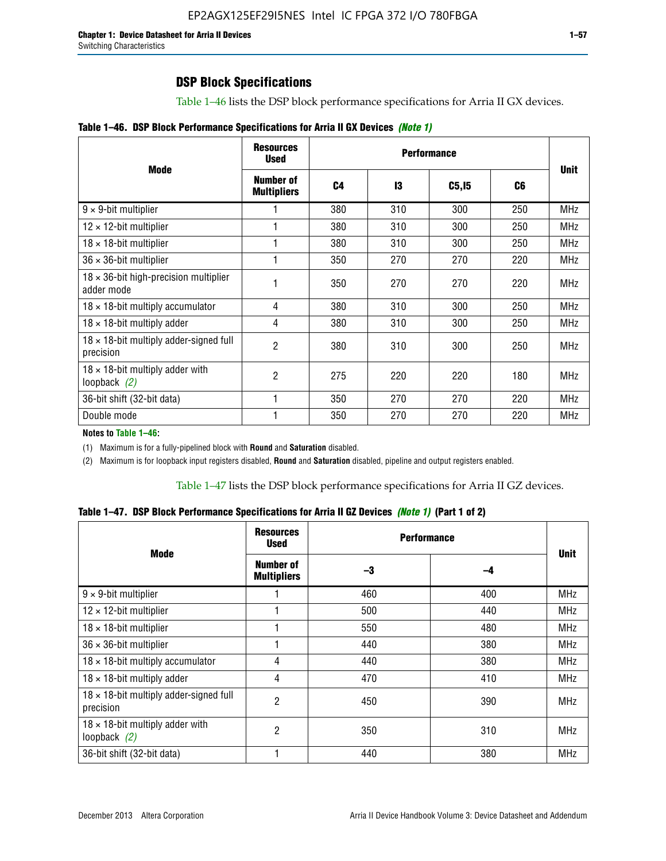## **DSP Block Specifications**

Table 1–46 lists the DSP block performance specifications for Arria II GX devices.

|  |  | Table 1-46. DSP Block Performance Specifications for Arria II GX Devices (Note 1) |  |  |  |  |  |
|--|--|-----------------------------------------------------------------------------------|--|--|--|--|--|
|--|--|-----------------------------------------------------------------------------------|--|--|--|--|--|

|                                                             | <b>Resources</b><br><b>Used</b> |     |     |        |     |             |
|-------------------------------------------------------------|---------------------------------|-----|-----|--------|-----|-------------|
| <b>Mode</b>                                                 | Number of<br><b>Multipliers</b> | C4  | 13  | C5, I5 | C6  | <b>Unit</b> |
| $9 \times 9$ -bit multiplier                                |                                 | 380 | 310 | 300    | 250 | <b>MHz</b>  |
| $12 \times 12$ -bit multiplier                              |                                 | 380 | 310 | 300    | 250 | <b>MHz</b>  |
| $18 \times 18$ -bit multiplier                              |                                 | 380 | 310 | 300    | 250 | <b>MHz</b>  |
| $36 \times 36$ -bit multiplier                              |                                 | 350 | 270 | 270    | 220 | <b>MHz</b>  |
| $18 \times 36$ -bit high-precision multiplier<br>adder mode |                                 | 350 | 270 | 270    | 220 | <b>MHz</b>  |
| $18 \times 18$ -bit multiply accumulator                    | 4                               | 380 | 310 | 300    | 250 | <b>MHz</b>  |
| $18 \times 18$ -bit multiply adder                          | 4                               | 380 | 310 | 300    | 250 | <b>MHz</b>  |
| $18 \times 18$ -bit multiply adder-signed full<br>precision | 2                               | 380 | 310 | 300    | 250 | <b>MHz</b>  |
| $18 \times 18$ -bit multiply adder with<br>loopback $(2)$   | 2                               | 275 | 220 | 220    | 180 | <b>MHz</b>  |
| 36-bit shift (32-bit data)                                  |                                 | 350 | 270 | 270    | 220 | <b>MHz</b>  |
| Double mode                                                 |                                 | 350 | 270 | 270    | 220 | <b>MHz</b>  |

**Notes to Table 1–46:**

(1) Maximum is for a fully-pipelined block with **Round** and **Saturation** disabled.

(2) Maximum is for loopback input registers disabled, **Round** and **Saturation** disabled, pipeline and output registers enabled.

Table 1–47 lists the DSP block performance specifications for Arria II GZ devices.

|  |  |  | Table 1–47. DSP Block Performance Specifications for Arria II GZ Devices (Note 1) (Part 1 of 2) |  |  |  |  |  |
|--|--|--|-------------------------------------------------------------------------------------------------|--|--|--|--|--|
|--|--|--|-------------------------------------------------------------------------------------------------|--|--|--|--|--|

| <b>Mode</b>                                                 | <b>Resources</b><br><b>Used</b> | <b>Performance</b> |     | <b>Unit</b> |
|-------------------------------------------------------------|---------------------------------|--------------------|-----|-------------|
|                                                             | Number of<br><b>Multipliers</b> | -3                 | -4  |             |
| $9 \times 9$ -bit multiplier                                |                                 | 460                | 400 | <b>MHz</b>  |
| $12 \times 12$ -bit multiplier                              |                                 | 500                | 440 | <b>MHz</b>  |
| $18 \times 18$ -bit multiplier                              |                                 | 550                | 480 | <b>MHz</b>  |
| $36 \times 36$ -bit multiplier                              |                                 | 440                | 380 | <b>MHz</b>  |
| $18 \times 18$ -bit multiply accumulator                    | 4                               | 440                | 380 | MHz         |
| $18 \times 18$ -bit multiply adder                          | 4                               | 470                | 410 | <b>MHz</b>  |
| $18 \times 18$ -bit multiply adder-signed full<br>precision | $\overline{2}$                  | 450                | 390 | <b>MHz</b>  |
| $18 \times 18$ -bit multiply adder with<br>loopback $(2)$   | 2                               | 350                | 310 | <b>MHz</b>  |
| 36-bit shift (32-bit data)                                  |                                 | 440                | 380 | <b>MHz</b>  |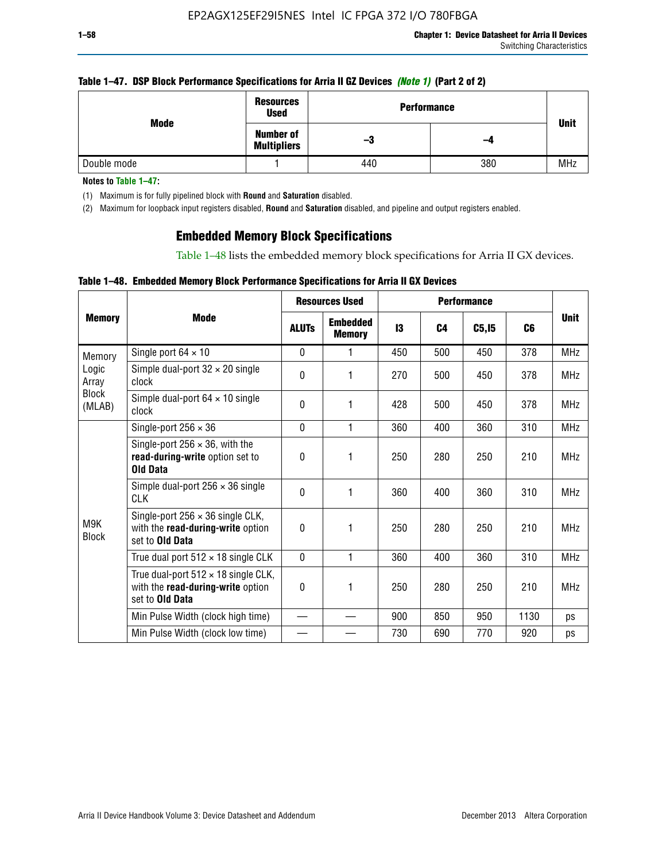### **Table 1–47. DSP Block Performance Specifications for Arria II GZ Devices** *(Note 1)* **(Part 2 of 2)**

| Mode        | <b>Resources</b><br><b>Used</b>        | <b>Performance</b> |     |             |  |  |
|-------------|----------------------------------------|--------------------|-----|-------------|--|--|
|             | <b>Number of</b><br><b>Multipliers</b> | -3                 | -4  | <b>Unit</b> |  |  |
| Double mode |                                        | 440                | 380 | <b>MHz</b>  |  |  |

**Notes to Table 1–47:**

(1) Maximum is for fully pipelined block with **Round** and **Saturation** disabled.

(2) Maximum for loopback input registers disabled, **Round** and **Saturation** disabled, and pipeline and output registers enabled.

## **Embedded Memory Block Specifications**

Table 1–48 lists the embedded memory block specifications for Arria II GX devices.

### **Table 1–48. Embedded Memory Block Performance Specifications for Arria II GX Devices**

|                        |                                                                                                        | <b>Resources Used</b> |                                  | <b>Performance</b> |                |        |                |             |
|------------------------|--------------------------------------------------------------------------------------------------------|-----------------------|----------------------------------|--------------------|----------------|--------|----------------|-------------|
| <b>Memory</b>          | Mode                                                                                                   | <b>ALUTs</b>          | <b>Embedded</b><br><b>Memory</b> | 13                 | C <sub>4</sub> | C5, I5 | C <sub>6</sub> | <b>Unit</b> |
| Memory                 | Single port $64 \times 10$                                                                             | $\Omega$              |                                  | 450                | 500            | 450    | 378            | <b>MHz</b>  |
| Logic<br>Array         | Simple dual-port $32 \times 20$ single<br>clock                                                        | $\Omega$              | 1                                | 270                | 500            | 450    | 378            | <b>MHz</b>  |
| <b>Block</b><br>(MLAB) | Simple dual-port $64 \times 10$ single<br>clock                                                        | $\theta$              | 1                                | 428                | 500            | 450    | 378            | <b>MHz</b>  |
|                        | Single-port $256 \times 36$                                                                            | $\mathbf{0}$          | 1                                | 360                | 400            | 360    | 310            | <b>MHz</b>  |
|                        | Single-port $256 \times 36$ , with the<br>read-during-write option set to<br><b>Old Data</b>           | $\Omega$              | 1                                | 250                | 280            | 250    | 210            | <b>MHz</b>  |
|                        | Simple dual-port $256 \times 36$ single<br><b>CLK</b>                                                  | $\Omega$              | 1                                | 360                | 400            | 360    | 310            | <b>MHz</b>  |
| M9K<br><b>Block</b>    | Single-port $256 \times 36$ single CLK,<br>with the read-during-write option<br>set to <b>Old Data</b> | $\theta$              | 1                                | 250                | 280            | 250    | 210            | <b>MHz</b>  |
|                        | True dual port $512 \times 18$ single CLK                                                              | $\Omega$              | 1                                | 360                | 400            | 360    | 310            | <b>MHz</b>  |
|                        | True dual-port $512 \times 18$ single CLK,<br>with the read-during-write option<br>set to Old Data     | 0                     | 1                                | 250                | 280            | 250    | 210            | <b>MHz</b>  |
|                        | Min Pulse Width (clock high time)                                                                      |                       |                                  | 900                | 850            | 950    | 1130           | ps          |
|                        | Min Pulse Width (clock low time)                                                                       |                       |                                  | 730                | 690            | 770    | 920            | ps          |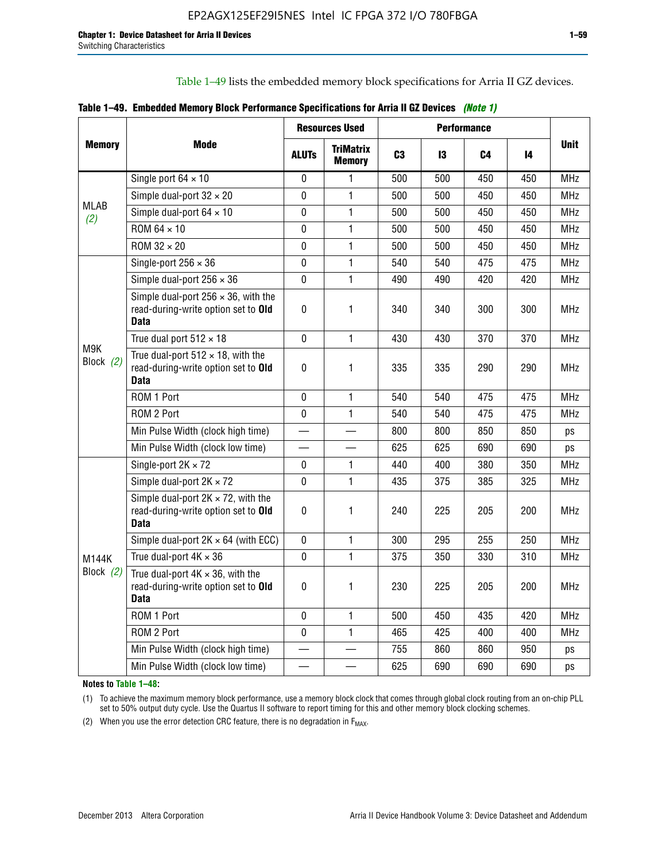Table 1–49 lists the embedded memory block specifications for Arria II GZ devices.

|  |  | Table 1–49. Embedded Memory Block Performance Specifications for Arria II GZ Devices (Note 1) |  |  |  |
|--|--|-----------------------------------------------------------------------------------------------|--|--|--|
|--|--|-----------------------------------------------------------------------------------------------|--|--|--|

|                  |                                                                                                   | <b>Resources Used</b> |                                   | <b>Performance</b> |     |     |     |             |
|------------------|---------------------------------------------------------------------------------------------------|-----------------------|-----------------------------------|--------------------|-----|-----|-----|-------------|
| <b>Memory</b>    | Mode                                                                                              | <b>ALUTS</b>          | <b>TriMatrix</b><br><b>Memory</b> | C <sub>3</sub>     | 13  | C4  | 14  | <b>Unit</b> |
|                  | Single port $64 \times 10$                                                                        | $\Omega$              | 1                                 | 500                | 500 | 450 | 450 | <b>MHz</b>  |
|                  | Simple dual-port $32 \times 20$                                                                   | $\mathbf 0$           | $\mathbf{1}$                      | 500                | 500 | 450 | 450 | <b>MHz</b>  |
| MLAB<br>(2)      | Simple dual-port $64 \times 10$                                                                   | 0                     | $\mathbf{1}$                      | 500                | 500 | 450 | 450 | <b>MHz</b>  |
|                  | ROM 64 × 10                                                                                       | 0                     | $\mathbf{1}$                      | 500                | 500 | 450 | 450 | <b>MHz</b>  |
|                  | ROM 32 × 20                                                                                       | $\mathbf 0$           | $\mathbf{1}$                      | 500                | 500 | 450 | 450 | <b>MHz</b>  |
|                  | Single-port $256 \times 36$                                                                       | $\mathbf 0$           | $\mathbf{1}$                      | 540                | 540 | 475 | 475 | <b>MHz</b>  |
|                  | Simple dual-port $256 \times 36$                                                                  | $\mathbf 0$           | $\mathbf{1}$                      | 490                | 490 | 420 | 420 | <b>MHz</b>  |
| M9K<br>Block (2) | Simple dual-port $256 \times 36$ , with the<br>read-during-write option set to Old<br><b>Data</b> | $\pmb{0}$             | 1                                 | 340                | 340 | 300 | 300 | <b>MHz</b>  |
|                  | True dual port $512 \times 18$                                                                    | $\Omega$              | 1                                 | 430                | 430 | 370 | 370 | <b>MHz</b>  |
|                  | True dual-port $512 \times 18$ , with the<br>read-during-write option set to Old<br><b>Data</b>   | $\mathbf 0$           | 1                                 | 335                | 335 | 290 | 290 | <b>MHz</b>  |
|                  | ROM 1 Port                                                                                        | $\mathbf 0$           | 1                                 | 540                | 540 | 475 | 475 | <b>MHz</b>  |
|                  | ROM 2 Port                                                                                        | 0                     | 1                                 | 540                | 540 | 475 | 475 | <b>MHz</b>  |
|                  | Min Pulse Width (clock high time)                                                                 |                       |                                   | 800                | 800 | 850 | 850 | ps          |
|                  | Min Pulse Width (clock low time)                                                                  |                       |                                   | 625                | 625 | 690 | 690 | ps          |
|                  | Single-port $2K \times 72$                                                                        | 0                     | 1.                                | 440                | 400 | 380 | 350 | <b>MHz</b>  |
|                  | Simple dual-port $2K \times 72$                                                                   | $\mathbf 0$           | 1                                 | 435                | 375 | 385 | 325 | <b>MHz</b>  |
|                  | Simple dual-port $2K \times 72$ , with the<br>read-during-write option set to Old<br><b>Data</b>  | $\pmb{0}$             | 1                                 | 240                | 225 | 205 | 200 | MHz         |
|                  | Simple dual-port $2K \times 64$ (with ECC)                                                        | $\mathbf 0$           | 1                                 | 300                | 295 | 255 | 250 | <b>MHz</b>  |
| M144K            | True dual-port $4K \times 36$                                                                     | $\mathbf{0}$          | 1                                 | 375                | 350 | 330 | 310 | <b>MHz</b>  |
| Block $(2)$      | True dual-port $4K \times 36$ , with the<br>read-during-write option set to Old<br><b>Data</b>    | $\pmb{0}$             | 1                                 | 230                | 225 | 205 | 200 | <b>MHz</b>  |
|                  | ROM 1 Port                                                                                        | $\mathbf 0$           | 1                                 | 500                | 450 | 435 | 420 | <b>MHz</b>  |
|                  | ROM 2 Port                                                                                        | 0                     | $\mathbf{1}$                      | 465                | 425 | 400 | 400 | <b>MHz</b>  |
|                  | Min Pulse Width (clock high time)                                                                 |                       |                                   | 755                | 860 | 860 | 950 | ps          |
|                  | Min Pulse Width (clock low time)                                                                  |                       |                                   | 625                | 690 | 690 | 690 | ps          |

**Notes to Table 1–48:**

(1) To achieve the maximum memory block performance, use a memory block clock that comes through global clock routing from an on-chip PLL set to 50% output duty cycle. Use the Quartus II software to report timing for this and other memory block clocking schemes.

(2) When you use the error detection CRC feature, there is no degradation in  $F_{MAX}$ .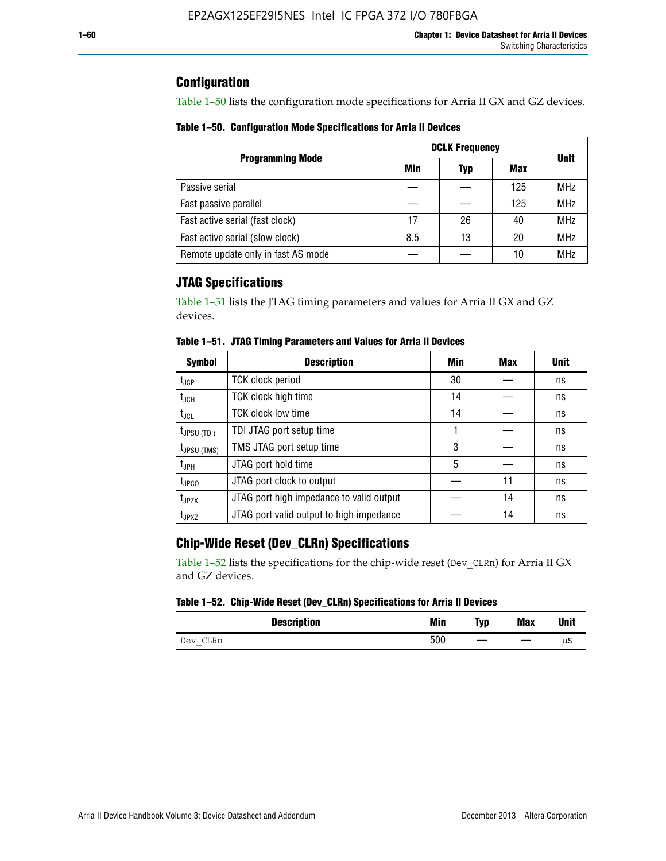## **Configuration**

Table 1–50 lists the configuration mode specifications for Arria II GX and GZ devices.

**Table 1–50. Configuration Mode Specifications for Arria II Devices**

|                                    | <b>DCLK Frequency</b> |     |     |             |  |  |  |
|------------------------------------|-----------------------|-----|-----|-------------|--|--|--|
| <b>Programming Mode</b>            | Min                   | Typ | Max | <b>Unit</b> |  |  |  |
| Passive serial                     |                       |     | 125 | <b>MHz</b>  |  |  |  |
| Fast passive parallel              |                       |     | 125 | <b>MHz</b>  |  |  |  |
| Fast active serial (fast clock)    | 17                    | 26  | 40  | <b>MHz</b>  |  |  |  |
| Fast active serial (slow clock)    | 8.5                   | 13  | 20  | <b>MHz</b>  |  |  |  |
| Remote update only in fast AS mode |                       |     | 10  | <b>MHz</b>  |  |  |  |

## **JTAG Specifications**

Table 1–51 lists the JTAG timing parameters and values for Arria II GX and GZ devices.

| <b>Symbol</b>     | <b>Description</b>                       | Min | Max | <b>Unit</b> |
|-------------------|------------------------------------------|-----|-----|-------------|
| $t_{JCP}$         | <b>TCK clock period</b>                  | 30  |     | ns          |
| $t_{JCH}$         | TCK clock high time                      | 14  |     | ns          |
| $t_{\text{JCL}}$  | <b>TCK clock low time</b>                | 14  |     | ns          |
| $t_{JPSU(TDI)}$   | TDI JTAG port setup time                 |     |     | ns          |
| $t_{JPSU\,(TMS)}$ | TMS JTAG port setup time                 | 3   |     | ns          |
| $t_{\sf JPH}$     | JTAG port hold time                      | 5   |     | ns          |
| $t_{\text{JPCO}}$ | JTAG port clock to output                |     | 11  | ns          |
| t <sub>JPZX</sub> | JTAG port high impedance to valid output |     | 14  | ns          |
| t <sub>JPXZ</sub> | JTAG port valid output to high impedance |     | 14  | ns          |

**Table 1–51. JTAG Timing Parameters and Values for Arria II Devices**

## **Chip-Wide Reset (Dev\_CLRn) Specifications**

Table 1–52 lists the specifications for the chip-wide reset (Dev\_CLRn) for Arria II GX and GZ devices.

### **Table 1–52. Chip-Wide Reset (Dev\_CLRn) Specifications for Arria II Devices**

| <b>Description</b> | <b>Min</b> | Typ | <b>Max</b> | <b>Unit</b> |
|--------------------|------------|-----|------------|-------------|
| CLRn<br>Dev        | 500        | __  |            | μS          |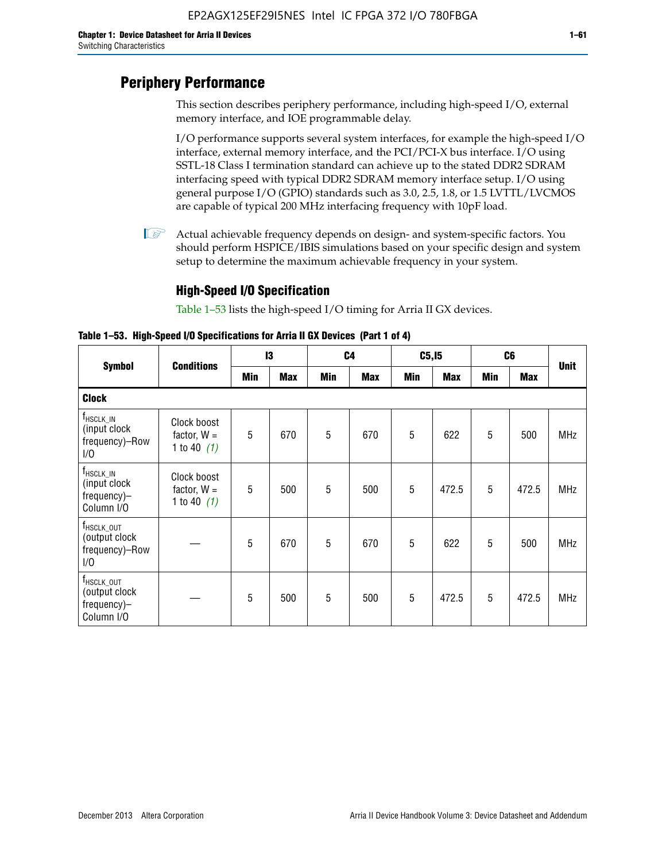# **Periphery Performance**

This section describes periphery performance, including high-speed I/O, external memory interface, and IOE programmable delay.

I/O performance supports several system interfaces, for example the high-speed I/O interface, external memory interface, and the PCI/PCI-X bus interface. I/O using SSTL-18 Class I termination standard can achieve up to the stated DDR2 SDRAM interfacing speed with typical DDR2 SDRAM memory interface setup. I/O using general purpose I/O (GPIO) standards such as 3.0, 2.5, 1.8, or 1.5 LVTTL/LVCMOS are capable of typical 200 MHz interfacing frequency with 10pF load.

 $\mathbb{I}$  Actual achievable frequency depends on design- and system-specific factors. You should perform HSPICE/IBIS simulations based on your specific design and system setup to determine the maximum achievable frequency in your system.

## **High-Speed I/O Specification**

Table 1–53 lists the high-speed I/O timing for Arria II GX devices.

**Table 1–53. High-Speed I/O Specifications for Arria II GX Devices (Part 1 of 4)**

|                                                                      |                                               | 13  |            |            | C <sub>4</sub> |            | C5, I5     |            | C6         |             |
|----------------------------------------------------------------------|-----------------------------------------------|-----|------------|------------|----------------|------------|------------|------------|------------|-------------|
| <b>Symbol</b>                                                        | <b>Conditions</b>                             | Min | <b>Max</b> | <b>Min</b> | <b>Max</b>     | <b>Min</b> | <b>Max</b> | <b>Min</b> | <b>Max</b> | <b>Unit</b> |
| <b>Clock</b>                                                         |                                               |     |            |            |                |            |            |            |            |             |
| $f_{HSCLK\_IN}$<br>(input clock<br>frequency)-Row<br>1/0             | Clock boost<br>factor, $W =$<br>1 to 40 $(1)$ | 5   | 670        | 5          | 670            | 5          | 622        | 5          | 500        | <b>MHz</b>  |
| $f_{HSCLK\_IN}$<br>(input clock<br>frequency)-<br>Column I/O         | Clock boost<br>factor, $W =$<br>1 to 40 $(1)$ | 5   | 500        | 5          | 500            | 5          | 472.5      | 5          | 472.5      | <b>MHz</b>  |
| T <sub>HSCLK_OUT</sub><br>(output clock<br>frequency)-Row<br>1/0     |                                               | 5   | 670        | 5          | 670            | 5          | 622        | 5          | 500        | <b>MHz</b>  |
| f <sub>HSCLK_OUT</sub><br>(output clock<br>frequency)-<br>Column I/O |                                               | 5   | 500        | 5          | 500            | 5          | 472.5      | 5          | 472.5      | <b>MHz</b>  |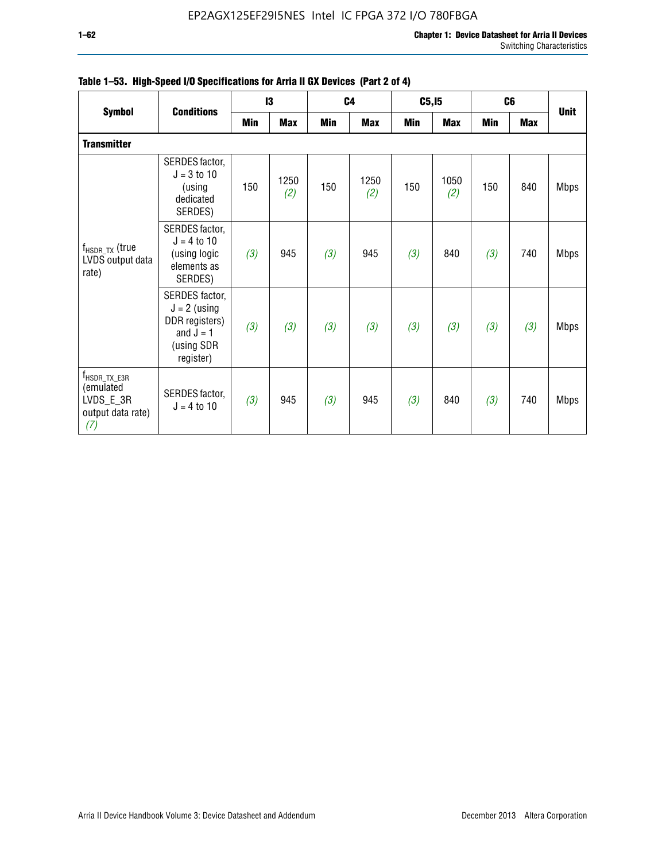|                                                                                  |                                                                                              | 13  |             |     | C4          |            | C5, I5      | C <sub>6</sub> |            | <b>Unit</b> |
|----------------------------------------------------------------------------------|----------------------------------------------------------------------------------------------|-----|-------------|-----|-------------|------------|-------------|----------------|------------|-------------|
| <b>Symbol</b>                                                                    | <b>Conditions</b>                                                                            | Min | <b>Max</b>  | Min | <b>Max</b>  | <b>Min</b> | <b>Max</b>  | <b>Min</b>     | <b>Max</b> |             |
| <b>Transmitter</b>                                                               |                                                                                              |     |             |     |             |            |             |                |            |             |
|                                                                                  | SERDES factor,<br>$J = 3$ to 10<br>(using<br>dedicated<br>SERDES)                            | 150 | 1250<br>(2) | 150 | 1250<br>(2) | 150        | 1050<br>(2) | 150            | 840        | <b>Mbps</b> |
| $f_{HSDR, TX}$ (true<br>LVDS output data<br>rate)                                | SERDES factor,<br>$J = 4$ to 10<br>(using logic<br>elements as<br>SERDES)                    | (3) | 945         | (3) | 945         | (3)        | 840         | (3)            | 740        | <b>Mbps</b> |
|                                                                                  | SERDES factor,<br>$J = 2$ (using<br>DDR registers)<br>and $J = 1$<br>(using SDR<br>register) | (3) | (3)         | (3) | (3)         | (3)        | (3)         | (3)            | (3)        | <b>Mbps</b> |
| $f_{\text{HSDR\_TX\_E3R}}$<br>(emulated<br>LVDS_E_3R<br>output data rate)<br>(7) | SERDES factor,<br>$J = 4$ to 10                                                              | (3) | 945         | (3) | 945         | (3)        | 840         | (3)            | 740        | <b>Mbps</b> |

|  |  | Table 1–53. High-Speed I/O Specifications for Arria II GX Devices (Part 2 of 4) |  |  |
|--|--|---------------------------------------------------------------------------------|--|--|
|--|--|---------------------------------------------------------------------------------|--|--|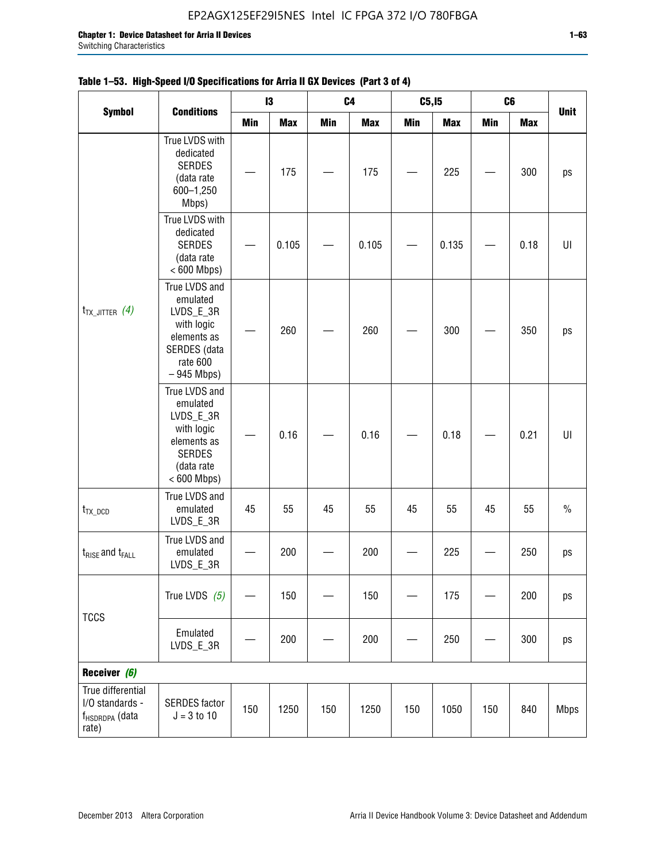## **Table 1–53. High-Speed I/O Specifications for Arria II GX Devices (Part 3 of 4)**

|                                                                             |                                                                                                                     |     | 13         |            | C <sub>4</sub> | C5, I5     |            |            | C6         |             |
|-----------------------------------------------------------------------------|---------------------------------------------------------------------------------------------------------------------|-----|------------|------------|----------------|------------|------------|------------|------------|-------------|
| <b>Symbol</b>                                                               | <b>Conditions</b>                                                                                                   | Min | <b>Max</b> | <b>Min</b> | <b>Max</b>     | <b>Min</b> | <b>Max</b> | <b>Min</b> | <b>Max</b> | <b>Unit</b> |
|                                                                             | True LVDS with<br>dedicated<br><b>SERDES</b><br>(data rate<br>600-1,250<br>Mbps)                                    |     | 175        |            | 175            |            | 225        |            | 300        | ps          |
|                                                                             | True LVDS with<br>dedicated<br><b>SERDES</b><br>(data rate<br>$< 600$ Mbps)                                         |     | 0.105      |            | 0.105          |            | 0.135      |            | 0.18       | UI          |
| $t_{TX\_JITTER}$ (4)                                                        | True LVDS and<br>emulated<br>LVDS_E_3R<br>with logic<br>elements as<br>SERDES (data<br>rate 600<br>$-945$ Mbps)     |     | 260        |            | 260            |            | 300        |            | 350        | ps          |
|                                                                             | True LVDS and<br>emulated<br>LVDS_E_3R<br>with logic<br>elements as<br><b>SERDES</b><br>(data rate<br>$< 600$ Mbps) |     | 0.16       |            | 0.16           |            | 0.18       |            | 0.21       | U           |
| $t_{TX\_DCD}$                                                               | True LVDS and<br>emulated<br>LVDS_E_3R                                                                              | 45  | 55         | 45         | 55             | 45         | 55         | 45         | 55         | $\%$        |
| $t_{RISE}$ and $t_{FALL}$                                                   | True LVDS and<br>emulated<br>LVDS_E_3R                                                                              |     | 200        |            | 200            |            | 225        |            | 250        | ps          |
| <b>TCCS</b>                                                                 | True LVDS $(5)$                                                                                                     |     | 150        |            | 150            |            | 175        |            | 200        | ps          |
|                                                                             | Emulated<br>LVDS_E_3R                                                                                               |     | 200        |            | 200            |            | 250        |            | 300        | ps          |
| Receiver (6)                                                                |                                                                                                                     |     |            |            |                |            |            |            |            |             |
| True differential<br>I/O standards -<br>f <sub>HSDRDPA</sub> (data<br>rate) | <b>SERDES</b> factor<br>$J = 3 to 10$                                                                               | 150 | 1250       | 150        | 1250           | 150        | 1050       | 150        | 840        | <b>Mbps</b> |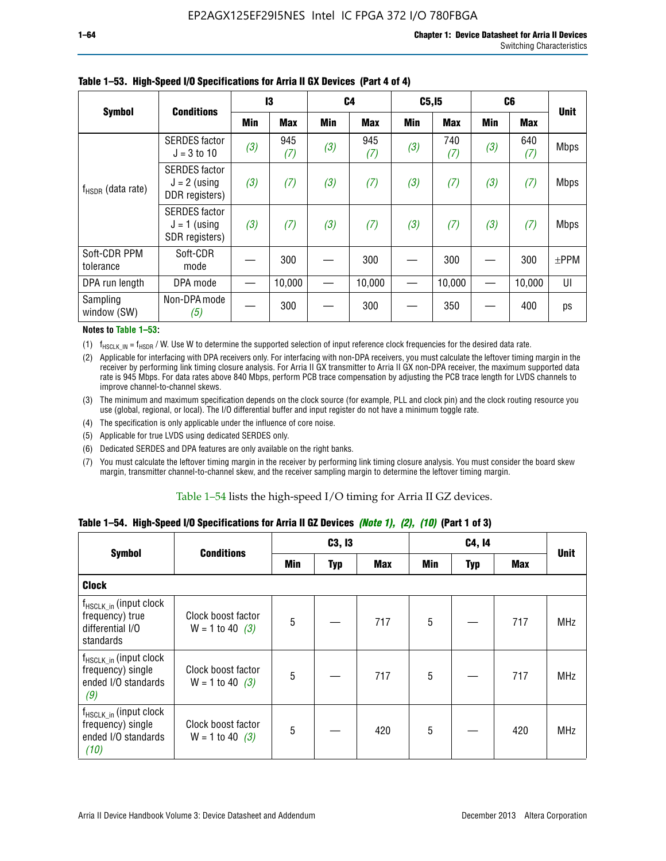|                           | <b>Conditions</b>                                        | 13  |            | C <sub>4</sub> |            | C5, I5 |            | C6  |            |             |
|---------------------------|----------------------------------------------------------|-----|------------|----------------|------------|--------|------------|-----|------------|-------------|
| <b>Symbol</b>             |                                                          | Min | <b>Max</b> | Min            | <b>Max</b> | Min    | <b>Max</b> | Min | <b>Max</b> | <b>Unit</b> |
|                           | <b>SERDES</b> factor<br>$J = 3 to 10$                    | (3) | 945<br>(7) | (3)            | 945<br>(7) | (3)    | 740<br>(7) | (3) | 640<br>(7) | <b>Mbps</b> |
| $f_{HSDR}$ (data rate)    | <b>SERDES</b> factor<br>$J = 2$ (using<br>DDR registers) | (3) | (7)        | (3)            | (7)        | (3)    | (7)        | (3) | (7)        | <b>Mbps</b> |
|                           | <b>SERDES</b> factor<br>$J = 1$ (using<br>SDR registers) | (3) | (7)        | (3)            | (7)        | (3)    | (7)        | (3) | (7)        | <b>Mbps</b> |
| Soft-CDR PPM<br>tolerance | Soft-CDR<br>mode                                         |     | 300        |                | 300        |        | 300        |     | 300        | $±$ PPM     |
| DPA run length            | DPA mode                                                 |     | 10,000     |                | 10,000     |        | 10,000     |     | 10,000     | UI          |
| Sampling<br>window (SW)   | Non-DPA mode<br>(5)                                      |     | 300        |                | 300        |        | 350        |     | 400        | ps          |

### **Table 1–53. High-Speed I/O Specifications for Arria II GX Devices (Part 4 of 4)**

#### **Notes to Table 1–53:**

(1)  $f_{HSCLK\_IN} = f_{HSDR}$  / W. Use W to determine the supported selection of input reference clock frequencies for the desired data rate.

(2) Applicable for interfacing with DPA receivers only. For interfacing with non-DPA receivers, you must calculate the leftover timing margin in the receiver by performing link timing closure analysis. For Arria II GX transmitter to Arria II GX non-DPA receiver, the maximum supported data rate is 945 Mbps. For data rates above 840 Mbps, perform PCB trace compensation by adjusting the PCB trace length for LVDS channels to improve channel-to-channel skews.

- (3) The minimum and maximum specification depends on the clock source (for example, PLL and clock pin) and the clock routing resource you use (global, regional, or local). The I/O differential buffer and input register do not have a minimum toggle rate.
- (4) The specification is only applicable under the influence of core noise.
- (5) Applicable for true LVDS using dedicated SERDES only.
- (6) Dedicated SERDES and DPA features are only available on the right banks.
- (7) You must calculate the leftover timing margin in the receiver by performing link timing closure analysis. You must consider the board skew margin, transmitter channel-to-channel skew, and the receiver sampling margin to determine the leftover timing margin.

#### Table 1–54 lists the high-speed I/O timing for Arria II GZ devices.

### **Table 1–54. High-Speed I/O Specifications for Arria II GZ Devices** *(Note 1), (2), (10)* **(Part 1 of 3)**

|                                                                                        | <b>Conditions</b>                       |                | C3, I3     |            |     | C4, 14 |            |             |  |
|----------------------------------------------------------------------------------------|-----------------------------------------|----------------|------------|------------|-----|--------|------------|-------------|--|
| <b>Symbol</b>                                                                          |                                         | Min            | <b>Typ</b> | <b>Max</b> | Min | Typ    | <b>Max</b> | <b>Unit</b> |  |
| <b>Clock</b>                                                                           |                                         |                |            |            |     |        |            |             |  |
| $f_{HSCLK}$ in (input clock<br>frequency) true<br>differential I/O<br>standards        | Clock boost factor<br>$W = 1$ to 40 (3) | 5              |            | 717        | 5   |        | 717        | <b>MHz</b>  |  |
| $f_{HSCLK_in}$ (input clock<br>frequency) single<br>ended I/O standards<br>(9)         | Clock boost factor<br>$W = 1$ to 40 (3) | $\overline{5}$ |            | 717        | 5   |        | 717        | <b>MHz</b>  |  |
| f <sub>HSCLK_in</sub> (input clock<br>frequency) single<br>ended I/O standards<br>(10) | Clock boost factor<br>$W = 1$ to 40 (3) | 5              |            | 420        | 5   |        | 420        | <b>MHz</b>  |  |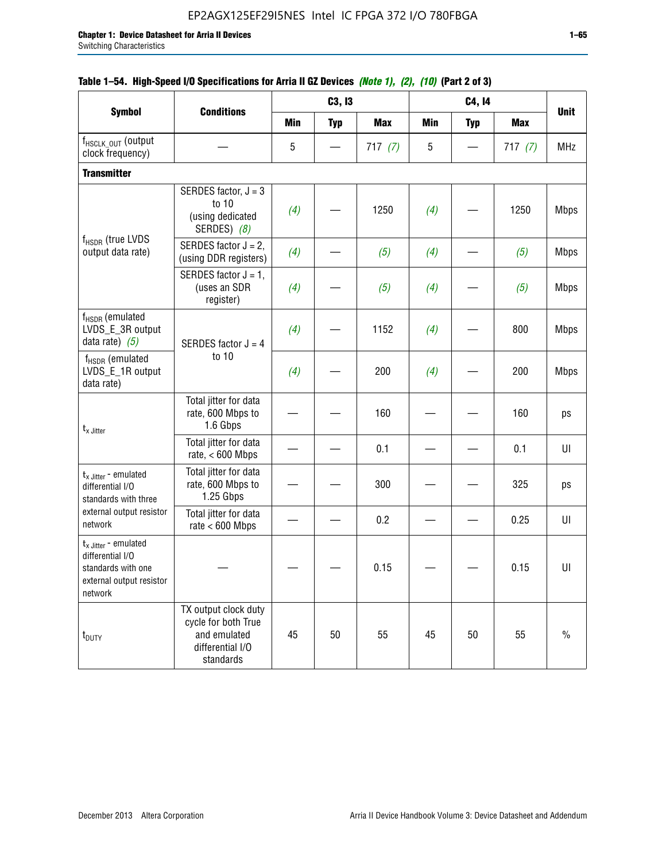|                                                                                                                    |                                                                                              |            | C3, I3     | $10000$ $10000$ $11000$ $11000$ $11000$ |            | C4, 14     |            |             |
|--------------------------------------------------------------------------------------------------------------------|----------------------------------------------------------------------------------------------|------------|------------|-----------------------------------------|------------|------------|------------|-------------|
| <b>Symbol</b>                                                                                                      | <b>Conditions</b>                                                                            | <b>Min</b> | <b>Typ</b> | <b>Max</b>                              | <b>Min</b> | <b>Typ</b> | <b>Max</b> | <b>Unit</b> |
| f <sub>HSCLK_OUT</sub> (output<br>clock frequency)                                                                 |                                                                                              | 5          |            | 717(7)                                  | 5          |            | 717(7)     | <b>MHz</b>  |
| <b>Transmitter</b>                                                                                                 |                                                                                              |            |            |                                         |            |            |            |             |
|                                                                                                                    | SERDES factor, $J = 3$<br>to 10<br>(using dedicated<br>SERDES) (8)                           | (4)        |            | 1250                                    | (4)        |            | 1250       | <b>Mbps</b> |
| $f_{HSDR}$ (true LVDS<br>output data rate)                                                                         | SERDES factor $J = 2$ ,<br>(using DDR registers)                                             | (4)        |            | (5)                                     | (4)        |            | (5)        | <b>Mbps</b> |
|                                                                                                                    | SERDES factor $J = 1$ ,<br>(uses an SDR<br>register)                                         | (4)        |            | (5)                                     | (4)        |            | (5)        | <b>Mbps</b> |
| $f_{HSDR}$ (emulated<br>LVDS_E_3R output<br>data rate) $(5)$                                                       | SERDES factor $J = 4$                                                                        | (4)        |            | 1152                                    | (4)        |            | 800        | <b>Mbps</b> |
| $f_{HSDR}$ (emulated<br>LVDS_E_1R output<br>data rate)                                                             | to 10                                                                                        | (4)        |            | 200                                     | (4)        |            | 200        | <b>Mbps</b> |
| $t_{x}$ Jitter                                                                                                     | Total jitter for data<br>rate, 600 Mbps to<br>1.6 Gbps                                       |            |            | 160                                     |            |            | 160        | ps          |
|                                                                                                                    | Total jitter for data<br>rate, $< 600$ Mbps                                                  |            |            | 0.1                                     |            |            | 0.1        | U           |
| $t_x$ Jitter - emulated<br>differential I/O<br>standards with three                                                | Total jitter for data<br>rate, 600 Mbps to<br>1.25 Gbps                                      |            |            | 300                                     |            |            | 325        | ps          |
| external output resistor<br>network                                                                                | Total jitter for data<br>rate $< 600$ Mbps                                                   |            |            | 0.2                                     |            |            | 0.25       | UI          |
| $t_{x \text{ Jitter}}$ - emulated<br>differential I/O<br>standards with one<br>external output resistor<br>network |                                                                                              |            |            | 0.15                                    |            |            | 0.15       | UI          |
| t <sub>DUTY</sub>                                                                                                  | TX output clock duty<br>cycle for both True<br>and emulated<br>differential I/O<br>standards | 45         | 50         | 55                                      | 45         | 50         | 55         | $\%$        |

## **Table 1–54. High-Speed I/O Specifications for Arria II GZ Devices** *(Note 1), (2), (10)* **(Part 2 of 3)**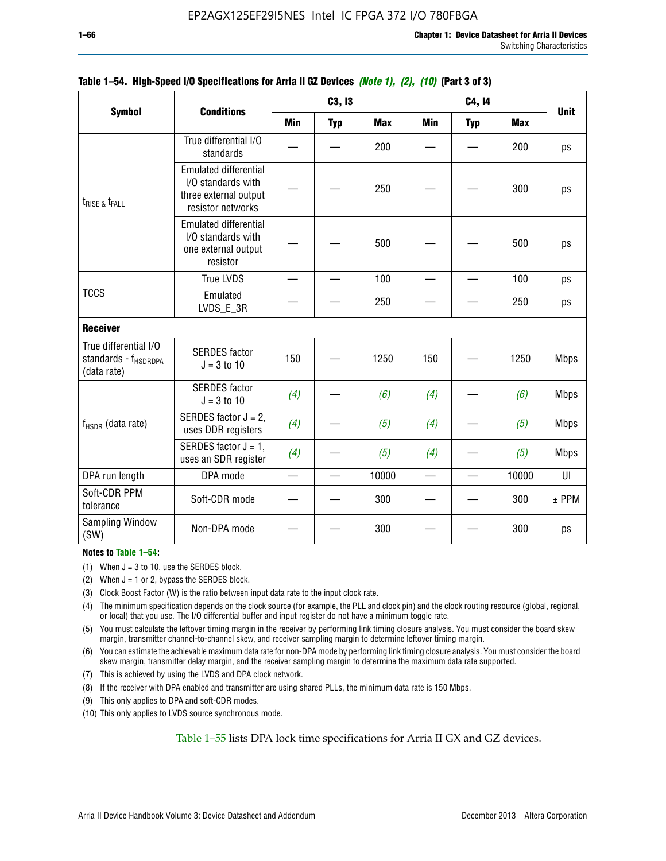|                                                                          |                                                                                                  |                          | C3, I3     |            |                          | <b>Unit</b> |            |             |
|--------------------------------------------------------------------------|--------------------------------------------------------------------------------------------------|--------------------------|------------|------------|--------------------------|-------------|------------|-------------|
| <b>Symbol</b>                                                            | <b>Conditions</b>                                                                                | <b>Min</b>               | <b>Typ</b> | <b>Max</b> | <b>Min</b>               | <b>Typ</b>  | <b>Max</b> |             |
|                                                                          | True differential I/O<br>standards                                                               |                          |            | 200        |                          |             | 200        | ps          |
| $t_{RISE}$ & $t_{FALL}$                                                  | <b>Emulated differential</b><br>I/O standards with<br>three external output<br>resistor networks |                          |            | 250        |                          |             | 300        | ps          |
|                                                                          | <b>Emulated differential</b><br>I/O standards with<br>one external output<br>resistor            |                          |            | 500        |                          |             | 500        | ps          |
|                                                                          | <b>True LVDS</b>                                                                                 | $\overline{\phantom{0}}$ |            | 100        |                          |             | 100        | ps          |
| <b>TCCS</b>                                                              | Emulated<br>LVDS_E_3R                                                                            |                          |            | 250        |                          |             | 250        | ps          |
| <b>Receiver</b>                                                          |                                                                                                  |                          |            |            |                          |             |            |             |
| True differential I/O<br>standards - f <sub>HSDRDPA</sub><br>(data rate) | <b>SERDES</b> factor<br>$J = 3$ to 10                                                            | 150                      |            | 1250       | 150                      |             | 1250       | <b>Mbps</b> |
|                                                                          | <b>SERDES</b> factor<br>$J = 3$ to 10                                                            | (4)                      |            | (6)        | (4)                      |             | (6)        | <b>Mbps</b> |
| f <sub>HSDR</sub> (data rate)                                            | SERDES factor $J = 2$ ,<br>uses DDR registers                                                    | (4)                      |            | (5)        | (4)                      |             | (5)        | <b>Mbps</b> |
|                                                                          | SERDES factor $J = 1$ ,<br>uses an SDR register                                                  | (4)                      |            | (5)        | (4)                      |             | (5)        | <b>Mbps</b> |
| DPA run length                                                           | DPA mode                                                                                         | $\overline{\phantom{0}}$ |            | 10000      | $\overline{\phantom{0}}$ |             | 10000      | UI          |
| Soft-CDR PPM<br>tolerance                                                | Soft-CDR mode                                                                                    |                          |            | 300        |                          |             | 300        | $±$ PPM     |
| Sampling Window<br>(SW)                                                  | Non-DPA mode                                                                                     |                          |            | 300        |                          |             | 300        | ps          |

### **Table 1–54. High-Speed I/O Specifications for Arria II GZ Devices** *(Note 1), (2), (10)* **(Part 3 of 3)**

### **Notes to Table 1–54:**

(1) When  $J = 3$  to 10, use the SERDES block.

- (2) When  $J = 1$  or 2, bypass the SERDES block.
- (3) Clock Boost Factor (W) is the ratio between input data rate to the input clock rate.
- (4) The minimum specification depends on the clock source (for example, the PLL and clock pin) and the clock routing resource (global, regional, or local) that you use. The I/O differential buffer and input register do not have a minimum toggle rate.
- (5) You must calculate the leftover timing margin in the receiver by performing link timing closure analysis. You must consider the board skew margin, transmitter channel-to-channel skew, and receiver sampling margin to determine leftover timing margin.
- (6) You can estimate the achievable maximum data rate for non-DPA mode by performing link timing closure analysis. You must consider the board skew margin, transmitter delay margin, and the receiver sampling margin to determine the maximum data rate supported.
- (7) This is achieved by using the LVDS and DPA clock network.
- (8) If the receiver with DPA enabled and transmitter are using shared PLLs, the minimum data rate is 150 Mbps.
- (9) This only applies to DPA and soft-CDR modes.
- (10) This only applies to LVDS source synchronous mode.

Table 1–55 lists DPA lock time specifications for Arria II GX and GZ devices.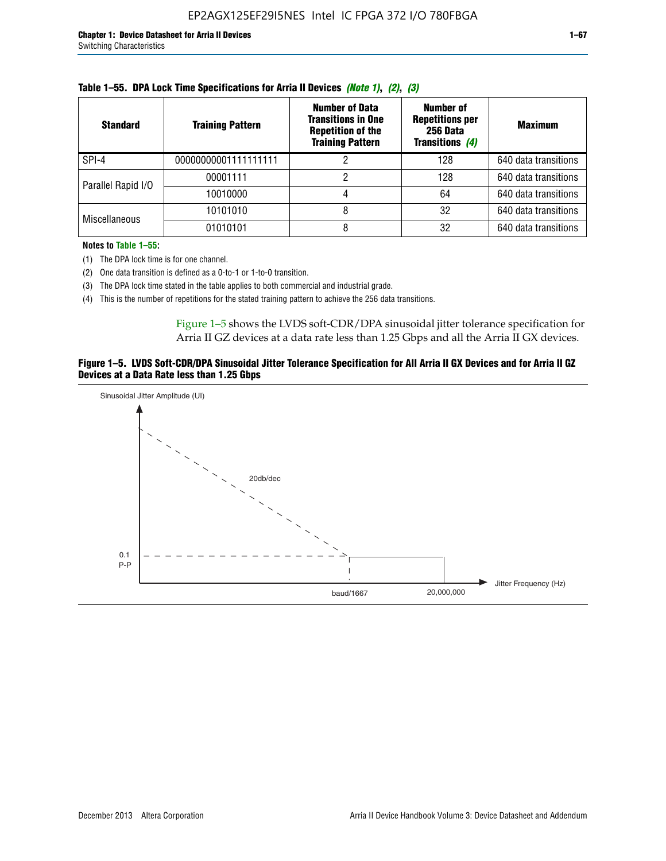| <b>Standard</b>      | <b>Training Pattern</b> | <b>Number of Data</b><br><b>Transitions in One</b><br><b>Repetition of the</b><br><b>Training Pattern</b> | Number of<br><b>Repetitions per</b><br>256 Data<br>Transitions (4) | <b>Maximum</b>       |
|----------------------|-------------------------|-----------------------------------------------------------------------------------------------------------|--------------------------------------------------------------------|----------------------|
| SPI-4                | 00000000001111111111    |                                                                                                           | 128                                                                | 640 data transitions |
| Parallel Rapid I/O   | 00001111                |                                                                                                           | 128                                                                | 640 data transitions |
|                      | 10010000                |                                                                                                           | 64                                                                 | 640 data transitions |
| <b>Miscellaneous</b> | 10101010                |                                                                                                           | 32                                                                 | 640 data transitions |
|                      | 01010101                | 8                                                                                                         | 32                                                                 | 640 data transitions |

| Table 1–55. DPA Lock Time Specifications for Arria II Devices (Note 1), (2), (3) |  |  |  |  |  |  |
|----------------------------------------------------------------------------------|--|--|--|--|--|--|
|----------------------------------------------------------------------------------|--|--|--|--|--|--|

**Notes to Table 1–55:**

(1) The DPA lock time is for one channel.

(2) One data transition is defined as a 0-to-1 or 1-to-0 transition.

(3) The DPA lock time stated in the table applies to both commercial and industrial grade.

(4) This is the number of repetitions for the stated training pattern to achieve the 256 data transitions.

Figure 1–5 shows the LVDS soft-CDR/DPA sinusoidal jitter tolerance specification for Arria II GZ devices at a data rate less than 1.25 Gbps and all the Arria II GX devices.

### **Figure 1–5. LVDS Soft-CDR/DPA Sinusoidal Jitter Tolerance Specification for All Arria II GX Devices and for Arria II GZ Devices at a Data Rate less than 1.25 Gbps**

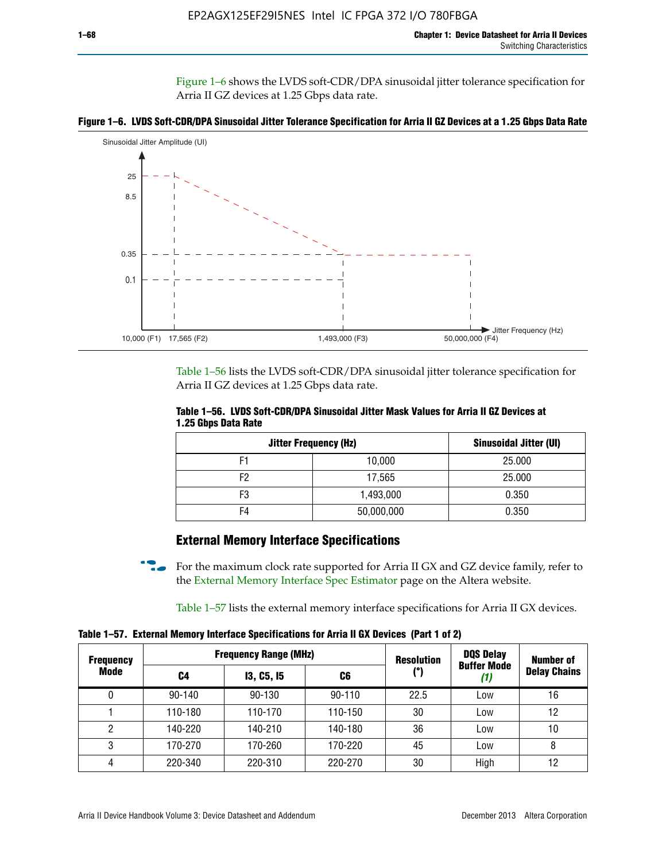Figure 1–6 shows the LVDS soft-CDR/DPA sinusoidal jitter tolerance specification for Arria II GZ devices at 1.25 Gbps data rate.





Table 1–56 lists the LVDS soft-CDR/DPA sinusoidal jitter tolerance specification for Arria II GZ devices at 1.25 Gbps data rate.

|                     | Table 1–56. LVDS Soft-CDR/DPA Sinusoidal Jitter Mask Values for Arria II GZ Devices at |  |  |  |
|---------------------|----------------------------------------------------------------------------------------|--|--|--|
| 1.25 Gbps Data Rate |                                                                                        |  |  |  |

| <b>Jitter Frequency (Hz)</b> | <b>Sinusoidal Jitter (UI)</b> |        |
|------------------------------|-------------------------------|--------|
| F1                           | 10,000                        | 25.000 |
| F <sub>2</sub>               | 17,565                        | 25.000 |
| F3                           | 1,493,000                     | 0.350  |
| F4                           | 50,000,000                    | 0.350  |

## **External Memory Interface Specifications**

For the maximum clock rate supported for Arria II GX and GZ device family, refer to the [External Memory Interface Spec Estimator](http://www.altera.com/technology/memory/estimator/mem-emif-index.html) page on the Altera website.

Table 1–57 lists the external memory interface specifications for Arria II GX devices.

**Table 1–57. External Memory Interface Specifications for Arria II GX Devices (Part 1 of 2)**

| <b>Frequency</b> |                         | <b>Frequency Range (MHz)</b> |            | <b>Resolution</b> | <b>DQS Delay</b>   | <b>Number of</b>    |  |
|------------------|-------------------------|------------------------------|------------|-------------------|--------------------|---------------------|--|
| Mode             | <b>13, C5, 15</b><br>C4 |                              | C6         | (°)               | <b>Buffer Mode</b> | <b>Delay Chains</b> |  |
| 0                | $90 - 140$              | 90-130                       | $90 - 110$ | 22.5              | Low                | 16                  |  |
|                  | 110-180                 | 110-170                      | 110-150    | 30                | Low                | 12                  |  |
| 2                | 140-220                 | 140-210                      | 140-180    | 36                | Low                | 10                  |  |
| 3                | 170-270                 | 170-260                      | 170-220    | 45                | Low                | 8                   |  |
| 4                | 220-340                 | 220-310                      | 220-270    | 30                | High               | 12                  |  |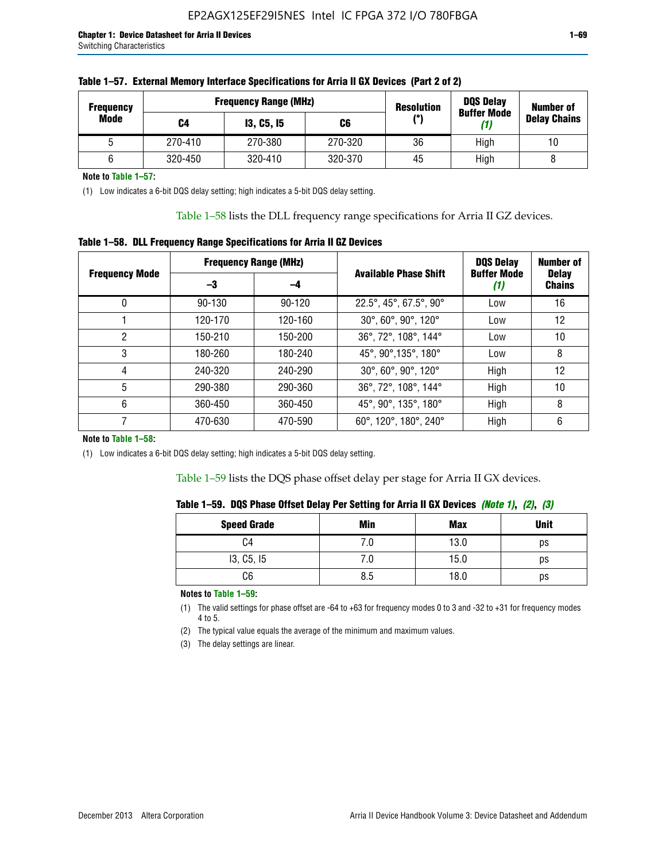| <b>Frequency</b> |         | <b>Frequency Range (MHz)</b> | <b>Resolution</b> |     | <b>DQS Delay</b><br><b>Buffer Mode</b> | <b>Number of</b>    |  |
|------------------|---------|------------------------------|-------------------|-----|----------------------------------------|---------------------|--|
| Mode             | C4      | <b>13, C5, 15</b>            | C6                | (°) | (1)                                    | <b>Delay Chains</b> |  |
|                  | 270-410 | 270-380                      | 270-320           | 36  | High                                   | 10                  |  |
|                  | 320-450 | 320-410                      | 320-370           | 45  | High                                   |                     |  |

**Note to Table 1–57:**

(1) Low indicates a 6-bit DQS delay setting; high indicates a 5-bit DQS delay setting.

Table 1–58 lists the DLL frequency range specifications for Arria II GZ devices.

### **Table 1–58. DLL Frequency Range Specifications for Arria II GZ Devices**

|                       | <b>Frequency Range (MHz)</b> |         |                              | <b>DQS Delay</b>   | <b>Number of</b>              |  |
|-----------------------|------------------------------|---------|------------------------------|--------------------|-------------------------------|--|
| <b>Frequency Mode</b> | -3                           | -4      | <b>Available Phase Shift</b> | <b>Buffer Mode</b> | <b>Delay</b><br><b>Chains</b> |  |
| 0                     | $90 - 130$                   | 90-120  | 22.5°, 45°, 67.5°, 90°       | Low                | 16                            |  |
|                       | 120-170                      | 120-160 | 30°, 60°, 90°, 120°          | Low                | 12                            |  |
| 2                     | 150-210                      | 150-200 | 36°, 72°, 108°, 144°         | Low                | 10                            |  |
| 3                     | 180-260                      | 180-240 | 45°, 90°, 135°, 180°         | Low                | 8                             |  |
| 4                     | 240-320                      | 240-290 | 30°, 60°, 90°, 120°          | High               | 12                            |  |
| 5                     | 290-380                      | 290-360 | 36°, 72°, 108°, 144°         | High               | 10                            |  |
| 6                     | 360-450                      | 360-450 | 45°, 90°, 135°, 180°         | High               | 8                             |  |
|                       | 470-630                      | 470-590 | 60°, 120°, 180°, 240°        | High               | 6                             |  |

#### **Note to Table 1–58:**

(1) Low indicates a 6-bit DQS delay setting; high indicates a 5-bit DQS delay setting.

Table 1–59 lists the DQS phase offset delay per stage for Arria II GX devices.

|  | Table 1–59.  DQS Phase Offset Delay Per Setting for Arria II GX Devices <i>(Note 1), (2), (3)</i> |  |  |
|--|---------------------------------------------------------------------------------------------------|--|--|
|  |                                                                                                   |  |  |

| <b>Speed Grade</b> | Min  | Max  | <b>Unit</b> |
|--------------------|------|------|-------------|
| C4                 | ن. ا | 13.0 | ps          |
| 13, C5, I5         | 7.U  | 15.0 | ps          |
| C6                 | 8.5  | 18.0 | ps          |

**Notes to Table 1–59:**

(1) The valid settings for phase offset are -64 to +63 for frequency modes 0 to 3 and -32 to +31 for frequency modes 4 to 5.

(2) The typical value equals the average of the minimum and maximum values.

(3) The delay settings are linear.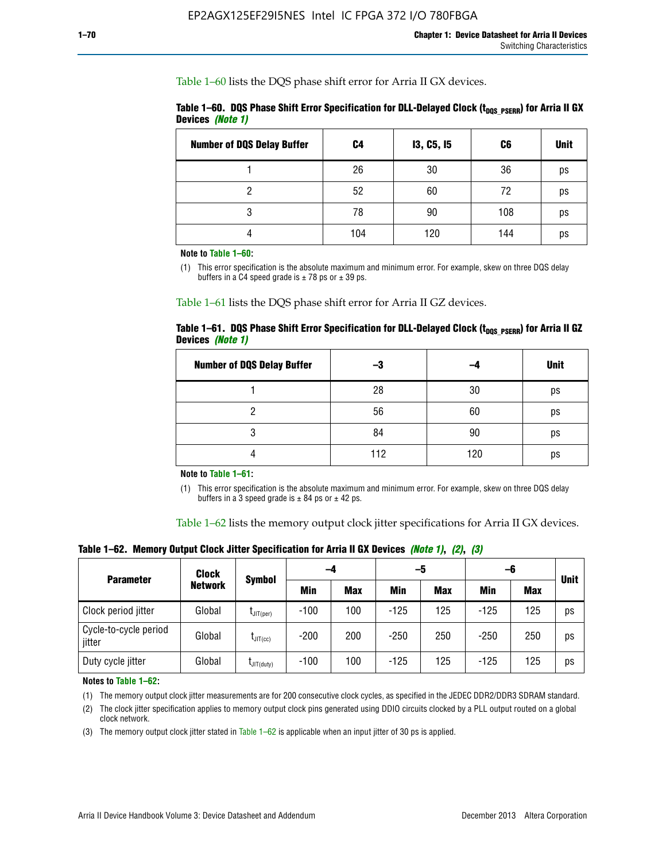Table 1–60 lists the DQS phase shift error for Arria II GX devices.

|                  | Table 1–60. DQS Phase Shift Error Specification for DLL-Delayed Clock ( $t_{\text{DOS PSERR}}$ ) for Arria II GX |  |
|------------------|------------------------------------------------------------------------------------------------------------------|--|
| Devices (Note 1) |                                                                                                                  |  |

| <b>Number of DQS Delay Buffer</b> | C4  | <b>13, C5, 15</b> | C6  | <b>Unit</b> |
|-----------------------------------|-----|-------------------|-----|-------------|
|                                   | 26  | 30                | 36  | ps          |
| າ                                 | 52  | 60                | 72  | ps          |
| 3                                 | 78  | 90                | 108 | ps          |
|                                   | 104 | 120               | 144 | ps          |

**Note to Table 1–60:**

(1) This error specification is the absolute maximum and minimum error. For example, skew on three DQS delay buffers in a C4 speed grade is  $\pm$  78 ps or  $\pm$  39 ps.

Table 1–61 lists the DQS phase shift error for Arria II GZ devices.

|                         |  | Table 1–61.DQS Phase Shift Error Specification for DLL-Delayed Clock (t <sub>oos PsERR</sub> ) for Arria II GZ |
|-------------------------|--|----------------------------------------------------------------------------------------------------------------|
| Devices <i>(Note 1)</i> |  |                                                                                                                |

| <b>Number of DQS Delay Buffer</b> | -3  |     | <b>Unit</b> |
|-----------------------------------|-----|-----|-------------|
|                                   | 28  | 30  | ps          |
|                                   | 56  | 60  | ps          |
| Q                                 | 84  | 90  | ps          |
|                                   | 112 | 120 | ps          |

**Note to Table 1–61:**

(1) This error specification is the absolute maximum and minimum error. For example, skew on three DQS delay buffers in a 3 speed grade is  $\pm$  84 ps or  $\pm$  42 ps.

Table 1–62 lists the memory output clock jitter specifications for Arria II GX devices.

**Table 1–62. Memory Output Clock Jitter Specification for Arria II GX Devices** *(Note 1)***,** *(2)***,** *(3)*

| <b>Parameter</b>                | Clock<br><b>Network</b> | <b>Symbol</b>    | -4     |            | -5         |            | -6         |            | <b>Unit</b> |
|---------------------------------|-------------------------|------------------|--------|------------|------------|------------|------------|------------|-------------|
|                                 |                         |                  | Min    | <b>Max</b> | <b>Min</b> | <b>Max</b> | <b>Min</b> | <b>Max</b> |             |
| Clock period jitter             | Global                  | $L$ JIT(per)     | $-100$ | 100        | $-125$     | 125        | $-125$     | 125        | ps          |
| Cycle-to-cycle period<br>jitter | Global                  | $L$ JIT $(cc)$   | $-200$ | 200        | $-250$     | 250        | $-250$     | 250        | ps          |
| Duty cycle jitter               | Global                  | $L$ JIT $(duty)$ | $-100$ | 100        | $-125$     | 125        | $-125$     | 125        | ps          |

**Notes to Table 1–62:**

(1) The memory output clock jitter measurements are for 200 consecutive clock cycles, as specified in the JEDEC DDR2/DDR3 SDRAM standard.

(2) The clock jitter specification applies to memory output clock pins generated using DDIO circuits clocked by a PLL output routed on a global clock network.

(3) The memory output clock jitter stated in Table  $1-62$  is applicable when an input jitter of 30 ps is applied.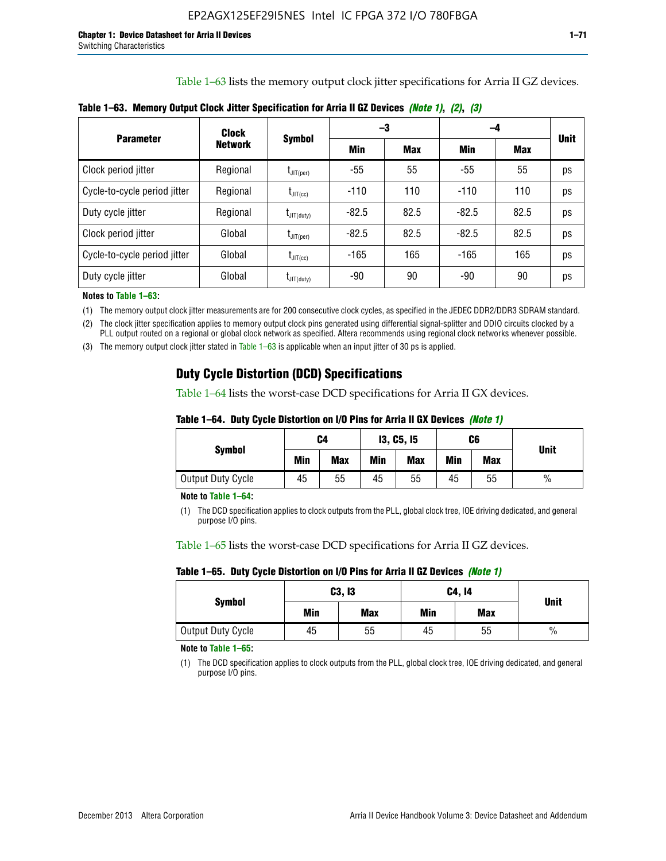Table 1–63 lists the memory output clock jitter specifications for Arria II GZ devices.

| <b>Parameter</b>             | Clock<br><b>Network</b> | <b>Symbol</b>                              |         | -3         | -4      |            |             |
|------------------------------|-------------------------|--------------------------------------------|---------|------------|---------|------------|-------------|
|                              |                         |                                            | Min     | <b>Max</b> | Min     | <b>Max</b> | <b>Unit</b> |
| Clock period jitter          | Regional                | $\mathsf{t}_{\mathsf{JIT(per)}}$           | -55     | 55         | $-55$   | 55         | ps          |
| Cycle-to-cycle period jitter | Regional                | $t_{\text{JIT(cc)}}$                       | $-110$  | 110        | $-110$  | 110        | ps          |
| Duty cycle jitter            | Regional                | $\mathsf{t}_{\mathsf{JIT}(\mathsf{duty})}$ | $-82.5$ | 82.5       | $-82.5$ | 82.5       | ps          |
| Clock period jitter          | Global                  | $I_{\text{JIT(per)}}$                      | $-82.5$ | 82.5       | $-82.5$ | 82.5       | ps          |
| Cycle-to-cycle period jitter | Global                  | $t_{\text{JIT(cc)}}$                       | $-165$  | 165        | $-165$  | 165        | ps          |
| Duty cycle jitter            | Global                  | $t_{\text{JIT(duty)}}$                     | -90     | 90         | -90     | 90         | ps          |

**Table 1–63. Memory Output Clock Jitter Specification for Arria II GZ Devices** *(Note 1)***,** *(2)***,** *(3)*

**Notes to Table 1–63:**

(1) The memory output clock jitter measurements are for 200 consecutive clock cycles, as specified in the JEDEC DDR2/DDR3 SDRAM standard.

(2) The clock jitter specification applies to memory output clock pins generated using differential signal-splitter and DDIO circuits clocked by a PLL output routed on a regional or global clock network as specified. Altera recommends using regional clock networks whenever possible.

(3) The memory output clock jitter stated in Table 1–63 is applicable when an input jitter of 30 ps is applied.

## **Duty Cycle Distortion (DCD) Specifications**

Table 1–64 lists the worst-case DCD specifications for Arria II GX devices.

| Table 1–64.  Duty Cycle Distortion on I/O Pins for Arria II GX Devices <i>(Note 1)</i> |  |  |
|----------------------------------------------------------------------------------------|--|--|
|----------------------------------------------------------------------------------------|--|--|

| <b>Symbol</b>     | C4  |            | <b>13, C5, 15</b> |            | C6  |            |               |
|-------------------|-----|------------|-------------------|------------|-----|------------|---------------|
|                   | Min | <b>Max</b> | Min               | <b>Max</b> | Min | <b>Max</b> | <b>Unit</b>   |
| Output Duty Cycle | 45  | 55         | 45                | 55         | 45  | 55         | $\frac{0}{0}$ |

**Note to Table 1–64:**

(1) The DCD specification applies to clock outputs from the PLL, global clock tree, IOE driving dedicated, and general purpose I/O pins.

Table 1–65 lists the worst-case DCD specifications for Arria II GZ devices.

**Table 1–65. Duty Cycle Distortion on I/O Pins for Arria II GZ Devices** *(Note 1)*

| <b>Symbol</b>     |     | C3, I3     | C4, 14 | <b>Unit</b> |      |  |
|-------------------|-----|------------|--------|-------------|------|--|
|                   | Min | <b>Max</b> | Min    | <b>Max</b>  |      |  |
| Output Duty Cycle | 45  | 55         | 45     | 55          | $\%$ |  |

**Note to Table 1–65:**

(1) The DCD specification applies to clock outputs from the PLL, global clock tree, IOE driving dedicated, and general purpose I/O pins.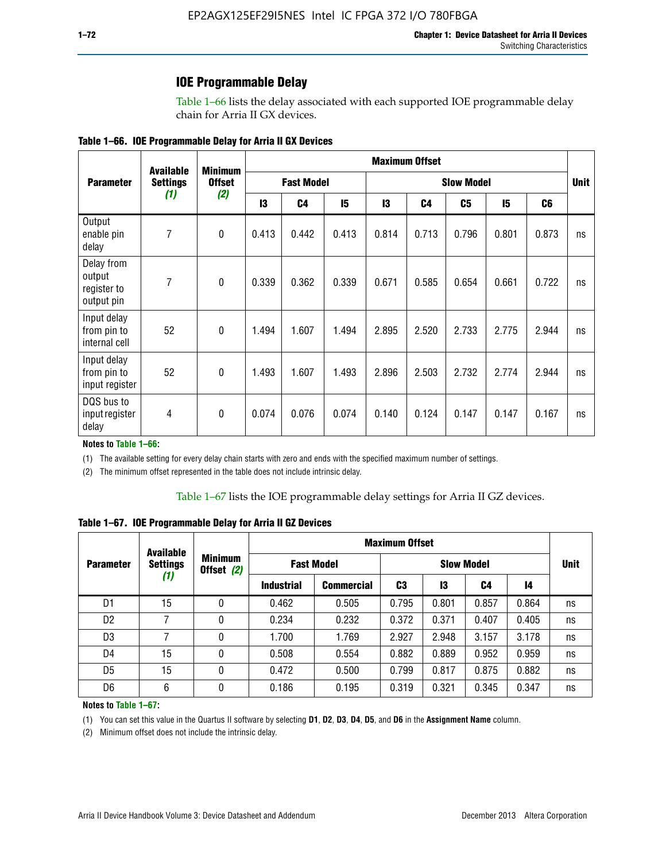### **IOE Programmable Delay**

Table 1–66 lists the delay associated with each supported IOE programmable delay chain for Arria II GX devices.

|  |  |  | Table 1–66. IOE Programmable Delay for Arria II GX Devices |
|--|--|--|------------------------------------------------------------|
|--|--|--|------------------------------------------------------------|

|                                                   | <b>Available</b> | <b>Minimum</b> |                   |                |                   |       | <b>Maximum Offset</b> |       |             |                |    |
|---------------------------------------------------|------------------|----------------|-------------------|----------------|-------------------|-------|-----------------------|-------|-------------|----------------|----|
| <b>Parameter</b>                                  | <b>Settings</b>  | <b>Offset</b>  | <b>Fast Model</b> |                | <b>Slow Model</b> |       |                       |       | <b>Unit</b> |                |    |
|                                                   | (1)              | (2)            | 13                | C <sub>4</sub> | 15                | 13    | C4                    | C5    | 15          | C <sub>6</sub> |    |
| Output<br>enable pin<br>delay                     | 7                | $\pmb{0}$      | 0.413             | 0.442          | 0.413             | 0.814 | 0.713                 | 0.796 | 0.801       | 0.873          | ns |
| Delay from<br>output<br>register to<br>output pin | 7                | $\mathbf 0$    | 0.339             | 0.362          | 0.339             | 0.671 | 0.585                 | 0.654 | 0.661       | 0.722          | ns |
| Input delay<br>from pin to<br>internal cell       | 52               | $\mathbf{0}$   | 1.494             | 1.607          | 1.494             | 2.895 | 2.520                 | 2.733 | 2.775       | 2.944          | ns |
| Input delay<br>from pin to<br>input register      | 52               | $\mathbf{0}$   | 1.493             | 1.607          | 1.493             | 2.896 | 2.503                 | 2.732 | 2.774       | 2.944          | ns |
| DQS bus to<br>input register<br>delay             | 4                | $\mathbf 0$    | 0.074             | 0.076          | 0.074             | 0.140 | 0.124                 | 0.147 | 0.147       | 0.167          | ns |

**Notes to Table 1–66:**

(1) The available setting for every delay chain starts with zero and ends with the specified maximum number of settings.

(2) The minimum offset represented in the table does not include intrinsic delay.

**Table 1–67. IOE Programmable Delay for Arria II GZ Devices**

|                  | <b>Available</b> |   |                              |                   | <b>Maximum Offset</b> |                   |       |       |    |             |
|------------------|------------------|---|------------------------------|-------------------|-----------------------|-------------------|-------|-------|----|-------------|
| <b>Parameter</b> | <b>Settings</b>  |   | <b>Minimum</b><br>Offset (2) | <b>Fast Model</b> |                       | <b>Slow Model</b> |       |       |    | <b>Unit</b> |
|                  | (1)              |   | <b>Industrial</b>            | <b>Commercial</b> | C3                    | 13                | C4    | 14    |    |             |
| D1               | 15               | 0 | 0.462                        | 0.505             | 0.795                 | 0.801             | 0.857 | 0.864 | ns |             |
| D <sub>2</sub>   | 7                | 0 | 0.234                        | 0.232             | 0.372                 | 0.371             | 0.407 | 0.405 | ns |             |
| D <sub>3</sub>   | 7                | 0 | 1.700                        | 1.769             | 2.927                 | 2.948             | 3.157 | 3.178 | ns |             |
| D4               | 15               | 0 | 0.508                        | 0.554             | 0.882                 | 0.889             | 0.952 | 0.959 | ns |             |
| D <sub>5</sub>   | 15               | 0 | 0.472                        | 0.500             | 0.799                 | 0.817             | 0.875 | 0.882 | ns |             |
| D <sub>6</sub>   | 6                | 0 | 0.186                        | 0.195             | 0.319                 | 0.321             | 0.345 | 0.347 | ns |             |

#### **Notes to Table 1–67:**

(1) You can set this value in the Quartus II software by selecting **D1**, **D2**, **D3**, **D4**, **D5**, and **D6** in the **Assignment Name** column.

(2) Minimum offset does not include the intrinsic delay.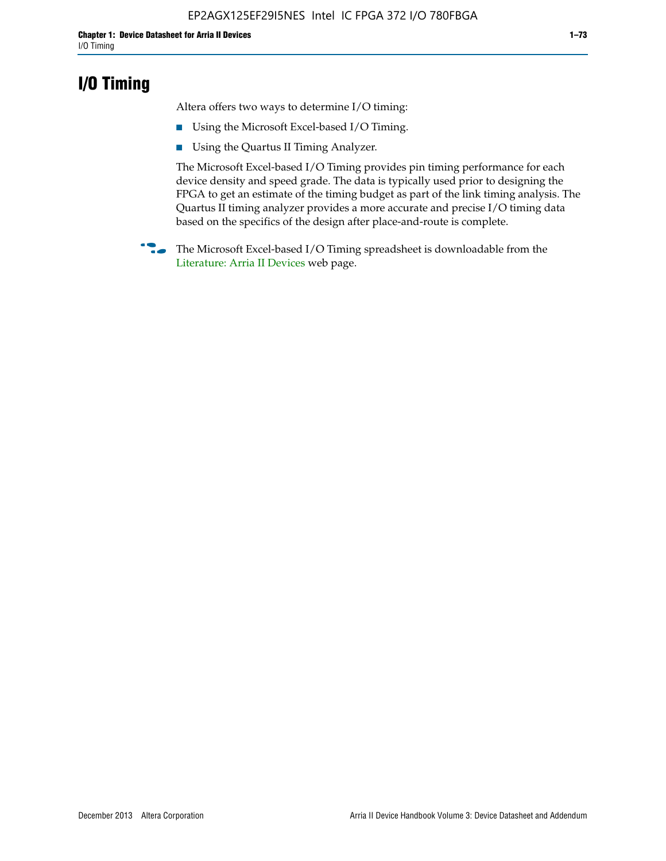# **I/O Timing**

Altera offers two ways to determine I/O timing:

- Using the Microsoft Excel-based I/O Timing.
- Using the Quartus II Timing Analyzer.

The Microsoft Excel-based I/O Timing provides pin timing performance for each device density and speed grade. The data is typically used prior to designing the FPGA to get an estimate of the timing budget as part of the link timing analysis. The Quartus II timing analyzer provides a more accurate and precise I/O timing data based on the specifics of the design after place-and-route is complete.

**f The Microsoft Excel-based I/O Timing spreadsheet is downloadable from the** [Literature: Arria II Devices](http://www.altera.com/literature/lit-arria-ii-gx.jsp) web page.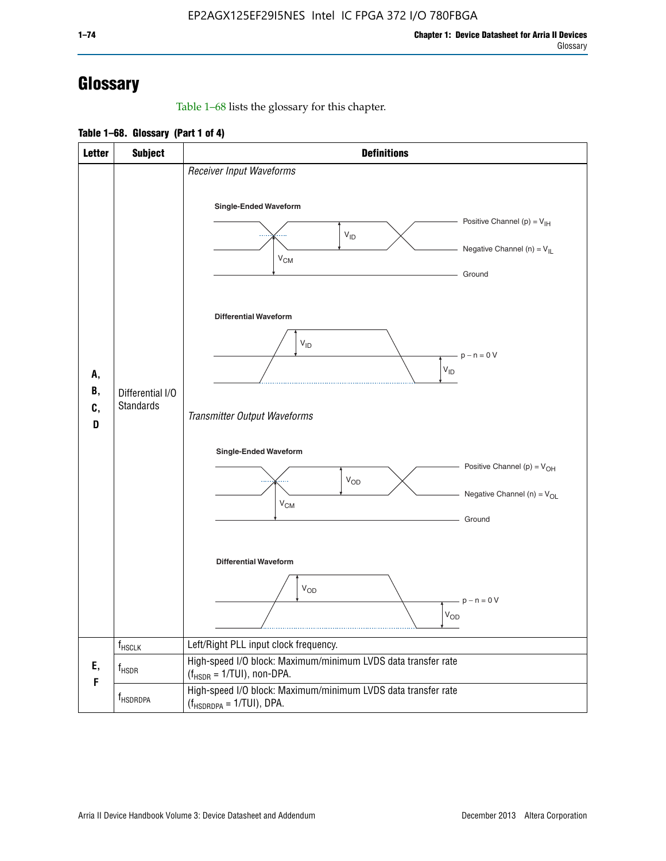# **Glossary**

Table 1–68 lists the glossary for this chapter.

**Table 1–68. Glossary (Part 1 of 4)**

| <b>Letter</b>       | <b>Subject</b>                       | <b>Definitions</b>                                                                                                                         |
|---------------------|--------------------------------------|--------------------------------------------------------------------------------------------------------------------------------------------|
| А,<br>В,<br>C,<br>D |                                      | Receiver Input Waveforms<br>Single-Ended Waveform<br>Positive Channel (p) = $V_{\text{IH}}$<br>$V_{ID}$<br>Negative Channel (n) = $V_{IL}$ |
|                     |                                      | $V_{CM}$<br>Ground<br><b>Differential Waveform</b><br>$V_{ID}$<br>$-p - n = 0 V$                                                           |
|                     | Differential I/O<br><b>Standards</b> | $\rm V_{ID}$<br>Transmitter Output Waveforms                                                                                               |
|                     |                                      | Single-Ended Waveform<br>Positive Channel (p) = $V_{OH}$<br>$V_{OD}$<br>Negative Channel (n) = $V_{OL}$<br>$V_{CM}$<br>Ground              |
|                     |                                      | <b>Differential Waveform</b><br><b>V<sub>OD</sub></b><br>$p - n = 0 V$<br>$\mathsf{V}_{\mathsf{OD}}$                                       |
|                     | f <sub>HSCLK</sub>                   | Left/Right PLL input clock frequency.                                                                                                      |
| Ε,<br>F             | $f_{HSDR}$                           | High-speed I/O block: Maximum/minimum LVDS data transfer rate<br>$(f_{\text{HSDR}} = 1/\text{TUI})$ , non-DPA.                             |
|                     | f <sub>HSDRDPA</sub>                 | High-speed I/O block: Maximum/minimum LVDS data transfer rate<br>$(f_{HSDRDPA} = 1/TUI)$ , DPA.                                            |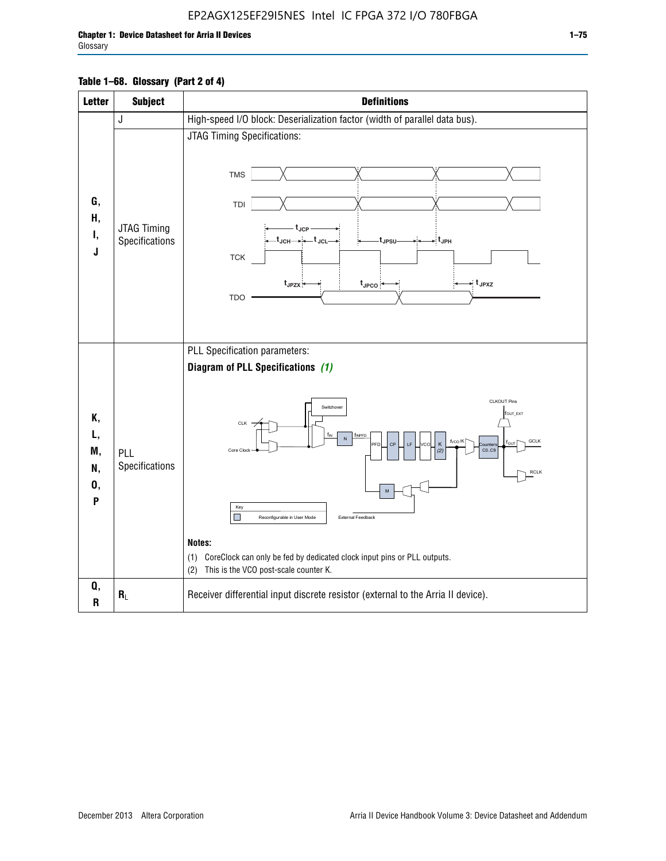## EP2AGX125EF29I5NES Intel IC FPGA 372 I/O 780FBGA

### **Table 1–68. Glossary (Part 2 of 4)**

| <b>Letter</b>                   | <b>Subject</b>                | <b>Definitions</b>                                                                                                                                                                                                                                                                                                                                                                                                                                                                                                                                                       |
|---------------------------------|-------------------------------|--------------------------------------------------------------------------------------------------------------------------------------------------------------------------------------------------------------------------------------------------------------------------------------------------------------------------------------------------------------------------------------------------------------------------------------------------------------------------------------------------------------------------------------------------------------------------|
|                                 | J                             | High-speed I/O block: Deserialization factor (width of parallel data bus).                                                                                                                                                                                                                                                                                                                                                                                                                                                                                               |
| G,<br>Н,<br>Ι,<br>J             | JTAG Timing<br>Specifications | JTAG Timing Specifications:<br><b>TMS</b><br>TDI<br>. t <sub>JCP</sub><br>_t <sub>JCH</sub> ____i_t <sub>JCL</sub> _<br>- t <sub>JPH</sub><br>t <sub>JPSU</sub><br><b>TCK</b><br>→ t <sub>JPXZ</sub><br>$t_{JPZX}$<br>$t_{\text{JPCO}}$<br><b>TDO</b>                                                                                                                                                                                                                                                                                                                    |
| Κ,<br>L,<br>M,<br>N,<br>0,<br>P | PLL<br>Specifications         | PLL Specification parameters:<br>Diagram of PLL Specifications (1)<br><b>CLKOUT Pins</b><br>Switchover<br>fout_ext<br>CLK ·<br>f <sub>INPFD</sub><br>N<br>fvco/K<br>GCLK<br>CP<br>PFD<br>Κ<br>ounter<br>CO.C9<br>Core Clock<br>(2)<br><b>RCLK</b><br>$\mathsf{M}% _{T}=\mathsf{M}_{T}\!\left( a,b\right) ,\ \mathsf{M}_{T}=\mathsf{M}_{T}\!\left( a,b\right) ,$<br>Key<br>П<br>External Feedback<br>Reconfigurable in User Mode<br>Notes:<br>(1) CoreClock can only be fed by dedicated clock input pins or PLL outputs.<br>This is the VCO post-scale counter K.<br>(2) |
| Q,<br>$\mathbf R$               | $R_L$                         | Receiver differential input discrete resistor (external to the Arria II device).                                                                                                                                                                                                                                                                                                                                                                                                                                                                                         |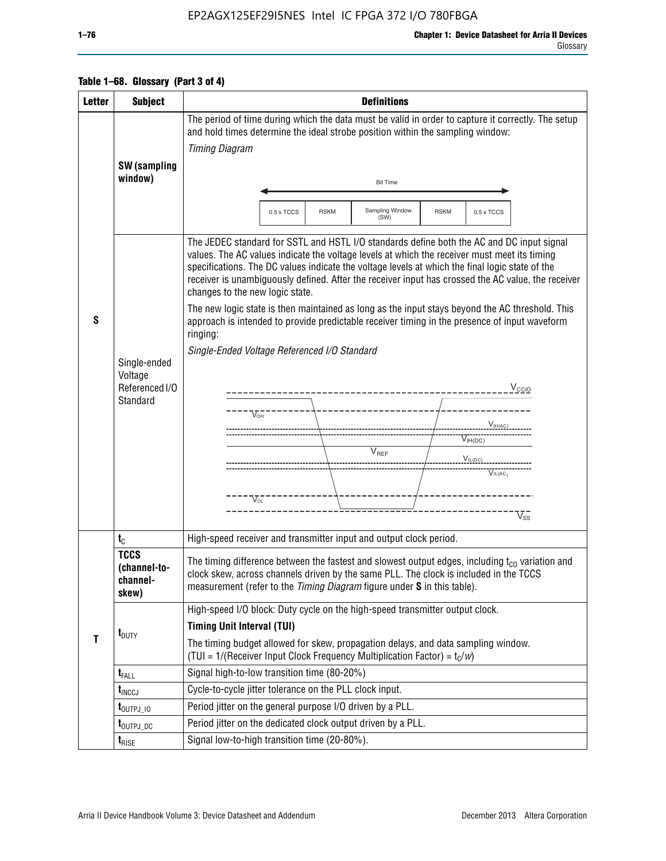### EP2AGX125EF29I5NES Intel IC FPGA 372 I/O 780FBGA

### **Table 1–68. Glossary (Part 3 of 4)**

| <b>Letter</b> | <b>Subject</b>                                               | <b>Definitions</b>                                                                                                                                                                                                                                                                                                                                                                                                                                                                                                                                                                                                                                                                                                                                                                                                                                                     |  |  |  |  |
|---------------|--------------------------------------------------------------|------------------------------------------------------------------------------------------------------------------------------------------------------------------------------------------------------------------------------------------------------------------------------------------------------------------------------------------------------------------------------------------------------------------------------------------------------------------------------------------------------------------------------------------------------------------------------------------------------------------------------------------------------------------------------------------------------------------------------------------------------------------------------------------------------------------------------------------------------------------------|--|--|--|--|
|               | SW (sampling<br>window)                                      | The period of time during which the data must be valid in order to capture it correctly. The setup<br>and hold times determine the ideal strobe position within the sampling window:<br><b>Timing Diagram</b><br><b>Bit Time</b>                                                                                                                                                                                                                                                                                                                                                                                                                                                                                                                                                                                                                                       |  |  |  |  |
|               |                                                              |                                                                                                                                                                                                                                                                                                                                                                                                                                                                                                                                                                                                                                                                                                                                                                                                                                                                        |  |  |  |  |
|               |                                                              | Sampling Window<br><b>RSKM</b><br><b>RSKM</b><br>0.5 x TCCS<br>0.5 x TCCS<br>(SW)                                                                                                                                                                                                                                                                                                                                                                                                                                                                                                                                                                                                                                                                                                                                                                                      |  |  |  |  |
| S             | Single-ended<br>Voltage<br>Referenced I/O<br><b>Standard</b> | The JEDEC standard for SSTL and HSTL I/O standards define both the AC and DC input signal<br>values. The AC values indicate the voltage levels at which the receiver must meet its timing<br>specifications. The DC values indicate the voltage levels at which the final logic state of the<br>receiver is unambiguously defined. After the receiver input has crossed the AC value, the receiver<br>changes to the new logic state.<br>The new logic state is then maintained as long as the input stays beyond the AC threshold. This<br>approach is intended to provide predictable receiver timing in the presence of input waveform<br>ringing:<br>Single-Ended Voltage Referenced I/O Standard<br>$V_{\text{CCIO}}$<br>____________________<br>$V_{OH}$<br>$V_{IH(DC)}$<br>V <sub>REF</sub><br>$V_{I L (DC)}$<br>$V_{IL(AC)}$<br>$V_{\Omega}$<br>$\rm V_{ss}^-$ |  |  |  |  |
|               | $t_{C}$                                                      | High-speed receiver and transmitter input and output clock period.                                                                                                                                                                                                                                                                                                                                                                                                                                                                                                                                                                                                                                                                                                                                                                                                     |  |  |  |  |
|               | <b>TCCS</b><br>(channel-to-<br>channel-<br>skew)             | The timing difference between the fastest and slowest output edges, including $t_{c0}$ variation and<br>clock skew, across channels driven by the same PLL. The clock is included in the TCCS<br>measurement (refer to the Timing Diagram figure under S in this table).                                                                                                                                                                                                                                                                                                                                                                                                                                                                                                                                                                                               |  |  |  |  |
|               |                                                              | High-speed I/O block: Duty cycle on the high-speed transmitter output clock.                                                                                                                                                                                                                                                                                                                                                                                                                                                                                                                                                                                                                                                                                                                                                                                           |  |  |  |  |
| $\mathbf{T}$  | $t_{\text{DUTY}}$                                            | <b>Timing Unit Interval (TUI)</b><br>The timing budget allowed for skew, propagation delays, and data sampling window.<br>(TUI = $1/(Receiver Input Clock Frequency Multiplication Factor) = tC/w$ )                                                                                                                                                                                                                                                                                                                                                                                                                                                                                                                                                                                                                                                                   |  |  |  |  |
|               | $t_{\text{FALL}}$                                            | Signal high-to-low transition time (80-20%)                                                                                                                                                                                                                                                                                                                                                                                                                                                                                                                                                                                                                                                                                                                                                                                                                            |  |  |  |  |
|               | $t_{\text{INCCJ}}$                                           | Cycle-to-cycle jitter tolerance on the PLL clock input.                                                                                                                                                                                                                                                                                                                                                                                                                                                                                                                                                                                                                                                                                                                                                                                                                |  |  |  |  |
|               | $t_{\text{OUTPJ\_10}}$                                       | Period jitter on the general purpose I/O driven by a PLL.                                                                                                                                                                                                                                                                                                                                                                                                                                                                                                                                                                                                                                                                                                                                                                                                              |  |  |  |  |
|               | t <sub>outpj_dc</sub>                                        | Period jitter on the dedicated clock output driven by a PLL.                                                                                                                                                                                                                                                                                                                                                                                                                                                                                                                                                                                                                                                                                                                                                                                                           |  |  |  |  |
|               | $t_{\text{RISE}}$                                            | Signal low-to-high transition time (20-80%).                                                                                                                                                                                                                                                                                                                                                                                                                                                                                                                                                                                                                                                                                                                                                                                                                           |  |  |  |  |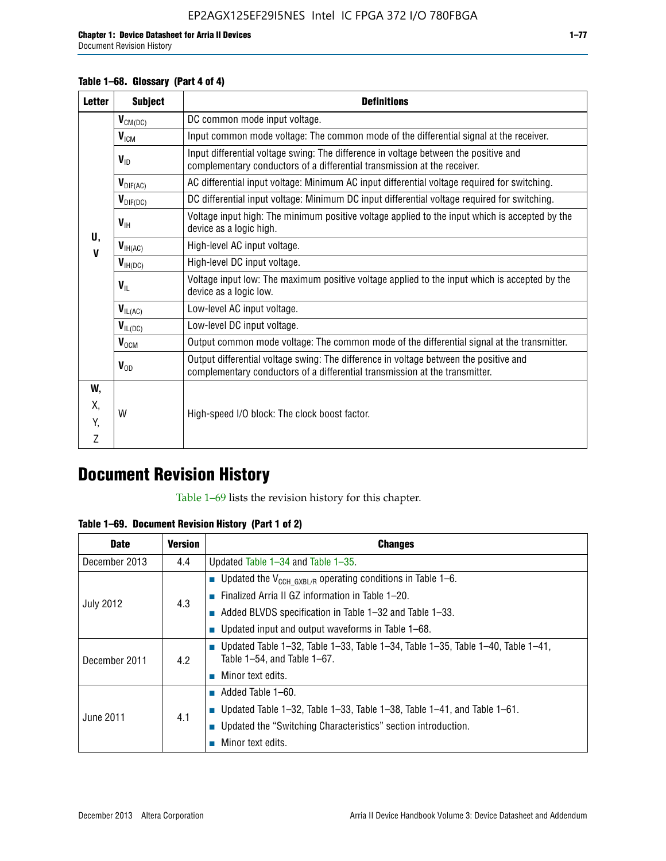Document Revision History

### **Table 1–68. Glossary (Part 4 of 4)**

| <b>Letter</b>     | <b>Subject</b>       | <b>Definitions</b>                                                                                                                                                   |
|-------------------|----------------------|----------------------------------------------------------------------------------------------------------------------------------------------------------------------|
|                   | $V_{CM(DC)}$         | DC common mode input voltage.                                                                                                                                        |
|                   | $V_{IGM}$            | Input common mode voltage: The common mode of the differential signal at the receiver.                                                                               |
|                   | $V_{ID}$             | Input differential voltage swing: The difference in voltage between the positive and<br>complementary conductors of a differential transmission at the receiver.     |
|                   | $V_{\text{DIF(AC)}}$ | AC differential input voltage: Minimum AC input differential voltage required for switching.                                                                         |
|                   | $V_{\text{DIF(DC)}}$ | DC differential input voltage: Minimum DC input differential voltage required for switching.                                                                         |
|                   | $V_{\text{IH}}$      | Voltage input high: The minimum positive voltage applied to the input which is accepted by the<br>device as a logic high.                                            |
| U,<br>$\mathbf v$ | $V_{IH(AC)}$         | High-level AC input voltage.                                                                                                                                         |
|                   | $V_{H(DC)}$          | High-level DC input voltage.                                                                                                                                         |
|                   | $V_{\text{IL}}$      | Voltage input low: The maximum positive voltage applied to the input which is accepted by the<br>device as a logic low.                                              |
|                   | $V_{IL(AC)}$         | Low-level AC input voltage.                                                                                                                                          |
|                   | $V_{IL(DC)}$         | Low-level DC input voltage.                                                                                                                                          |
|                   | $V_{OCM}$            | Output common mode voltage: The common mode of the differential signal at the transmitter.                                                                           |
|                   | $V_{OD}$             | Output differential voltage swing: The difference in voltage between the positive and<br>complementary conductors of a differential transmission at the transmitter. |
| W,                |                      |                                                                                                                                                                      |
| Χ,                | W                    | High-speed I/O block: The clock boost factor.                                                                                                                        |
| Y.                |                      |                                                                                                                                                                      |
| Z                 |                      |                                                                                                                                                                      |

# **Document Revision History**

Table 1–69 lists the revision history for this chapter.

**Table 1–69. Document Revision History (Part 1 of 2)**

| <b>Date</b>      | <b>Version</b> | <b>Changes</b>                                                                                                                |
|------------------|----------------|-------------------------------------------------------------------------------------------------------------------------------|
| December 2013    | 4.4            | Updated Table $1-34$ and Table $1-35$ .                                                                                       |
|                  | 4.3            | ■ Updated the $V_{CCH GXBL/R}$ operating conditions in Table 1–6.                                                             |
| <b>July 2012</b> |                | ■ Finalized Arria II GZ information in Table $1-20$ .                                                                         |
|                  |                | $\blacksquare$ Added BLVDS specification in Table 1-32 and Table 1-33.                                                        |
|                  |                | <b>Updated input and output waveforms in Table 1–68.</b>                                                                      |
| December 2011    | 4.2            | $\blacksquare$ Updated Table 1-32, Table 1-33, Table 1-34, Table 1-35, Table 1-40, Table 1-41,<br>Table 1-54, and Table 1-67. |
|                  |                | $\blacksquare$ Minor text edits.                                                                                              |
|                  | 4.1            | $\blacksquare$ Added Table 1–60.                                                                                              |
|                  |                | Updated Table 1-32, Table 1-33, Table 1-38, Table 1-41, and Table 1-61.                                                       |
| June 2011        |                | ■ Updated the "Switching Characteristics" section introduction.                                                               |
|                  |                | Minor text edits.                                                                                                             |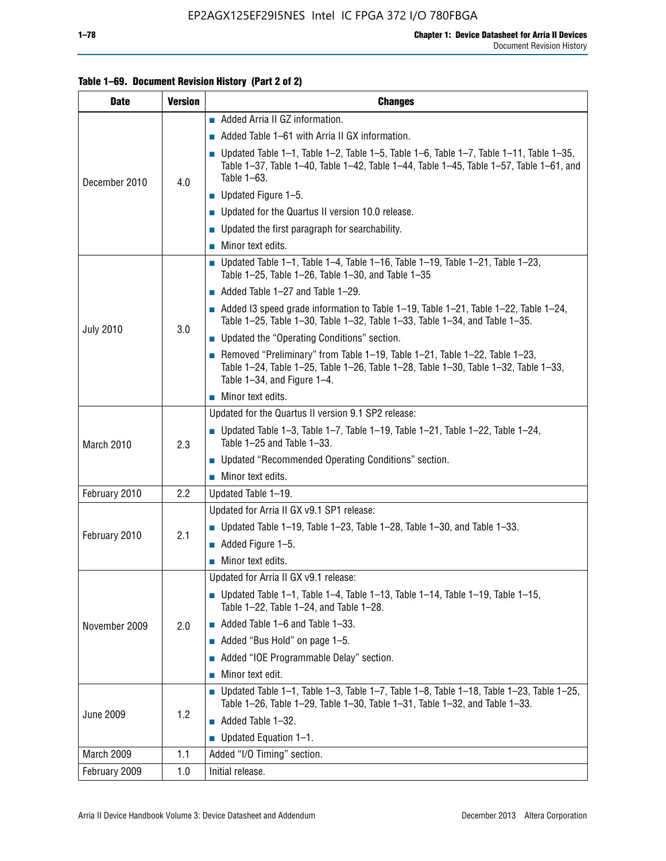### **Table 1–69. Document Revision History (Part 2 of 2)**

| <b>Date</b>      | <b>Version</b> | <b>Changes</b>                                                                                                                                                                                                  |
|------------------|----------------|-----------------------------------------------------------------------------------------------------------------------------------------------------------------------------------------------------------------|
|                  |                | Added Arria II GZ information.                                                                                                                                                                                  |
| December 2010    |                | $\blacksquare$ Added Table 1–61 with Arria II GX information.                                                                                                                                                   |
|                  | 4.0            | $\blacksquare$ Updated Table 1-1, Table 1-2, Table 1-5, Table 1-6, Table 1-7, Table 1-11, Table 1-35,<br>Table 1-37, Table 1-40, Table 1-42, Table 1-44, Table 1-45, Table 1-57, Table 1-61, and<br>Table 1-63. |
|                  |                | $\blacksquare$ Updated Figure 1-5.                                                                                                                                                                              |
|                  |                | Updated for the Quartus II version 10.0 release.                                                                                                                                                                |
|                  |                | $\blacksquare$ Updated the first paragraph for searchability.                                                                                                                                                   |
|                  |                | $\blacksquare$ Minor text edits.                                                                                                                                                                                |
|                  |                | Updated Table 1-1, Table 1-4, Table 1-16, Table 1-19, Table 1-21, Table 1-23,<br>Table $1-25$ , Table $1-26$ , Table $1-30$ , and Table $1-35$                                                                  |
|                  |                | $\blacksquare$ Added Table 1-27 and Table 1-29.                                                                                                                                                                 |
|                  |                | Added I3 speed grade information to Table 1-19, Table 1-21, Table 1-22, Table 1-24,<br>Table 1-25, Table 1-30, Table 1-32, Table 1-33, Table 1-34, and Table 1-35.                                              |
| <b>July 2010</b> | 3.0            | • Updated the "Operating Conditions" section.                                                                                                                                                                   |
|                  |                | Removed "Preliminary" from Table $1-19$ , Table $1-21$ , Table $1-22$ , Table $1-23$ ,<br>Table 1-24, Table 1-25, Table 1-26, Table 1-28, Table 1-30, Table 1-32, Table 1-33,<br>Table 1-34, and Figure 1-4.    |
|                  |                | $\blacksquare$ Minor text edits.                                                                                                                                                                                |
|                  | 2.3            | Updated for the Quartus II version 9.1 SP2 release:                                                                                                                                                             |
| March 2010       |                | Updated Table 1–3, Table 1–7, Table 1–19, Table 1–21, Table 1–22, Table 1–24,<br>Table 1-25 and Table 1-33.                                                                                                     |
|                  |                | ■ Updated "Recommended Operating Conditions" section.                                                                                                                                                           |
|                  |                | $\blacksquare$ Minor text edits.                                                                                                                                                                                |
| February 2010    | 2.2            | Updated Table 1-19.                                                                                                                                                                                             |
|                  |                | Updated for Arria II GX v9.1 SP1 release:                                                                                                                                                                       |
| February 2010    | 2.1            | Updated Table 1-19, Table 1-23, Table 1-28, Table 1-30, and Table 1-33.                                                                                                                                         |
|                  |                | $\blacksquare$ Added Figure 1-5.                                                                                                                                                                                |
|                  |                | $\blacksquare$ Minor text edits.                                                                                                                                                                                |
|                  |                | Updated for Arria II GX v9.1 release:                                                                                                                                                                           |
|                  |                | Updated Table 1–1, Table 1–4, Table 1–13, Table 1–14, Table 1–19, Table 1–15,<br>Table 1-22, Table 1-24, and Table 1-28.                                                                                        |
| November 2009    | 2.0            | $\blacksquare$ Added Table 1-6 and Table 1-33.                                                                                                                                                                  |
|                  |                | Added "Bus Hold" on page 1-5.<br>T.                                                                                                                                                                             |
|                  |                | Added "IOE Programmable Delay" section.                                                                                                                                                                         |
|                  |                | Minor text edit.                                                                                                                                                                                                |
| <b>June 2009</b> | 1.2            | <b>Updated Table 1–1, Table 1–3, Table 1–7, Table 1–8, Table 1–18, Table 1–23, Table 1–25,</b><br>Table 1-26, Table 1-29, Table 1-30, Table 1-31, Table 1-32, and Table 1-33.                                   |
|                  |                | $\blacksquare$ Added Table 1-32.                                                                                                                                                                                |
|                  |                | $\blacksquare$ Updated Equation 1-1.                                                                                                                                                                            |
| March 2009       | 1.1            | Added "I/O Timing" section.                                                                                                                                                                                     |
| February 2009    | 1.0            | Initial release.                                                                                                                                                                                                |